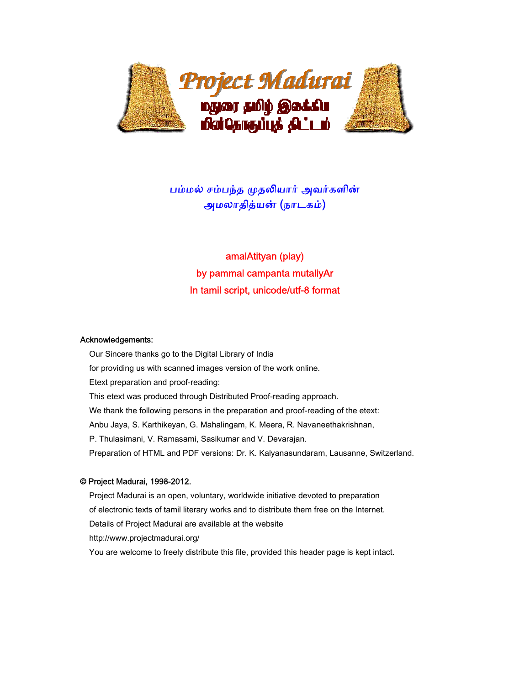

## பம்மல் சம்பந்த முதலியார் அவர்களின் அமலாதித்யன் (நாடகம்)

# amalAtityan (play) by pammal campanta mutaliyAr In tamil script, unicode/utf-8 format

#### Acknowledgements:

 Our Sincere thanks go to the Digital Library of India for providing us with scanned images version of the work online. Etext preparation and proof-reading: This etext was produced through Distributed Proof-reading approach. We thank the following persons in the preparation and proof-reading of the etext: Anbu Jaya, S. Karthikeyan, G. Mahalingam, K. Meera, R. Navaneethakrishnan, P. Thulasimani, V. Ramasami, Sasikumar and V. Devarajan. Preparation of HTML and PDF versions: Dr. K. Kalyanasundaram, Lausanne, Switzerland.

#### © Project Madurai, 1998-2012.

 Project Madurai is an open, voluntary, worldwide initiative devoted to preparation of electronic texts of tamil literary works and to distribute them free on the Internet. Details of Project Madurai are available at the website http://www.projectmadurai.org/ You are welcome to freely distribute this file, provided this header page is kept intact.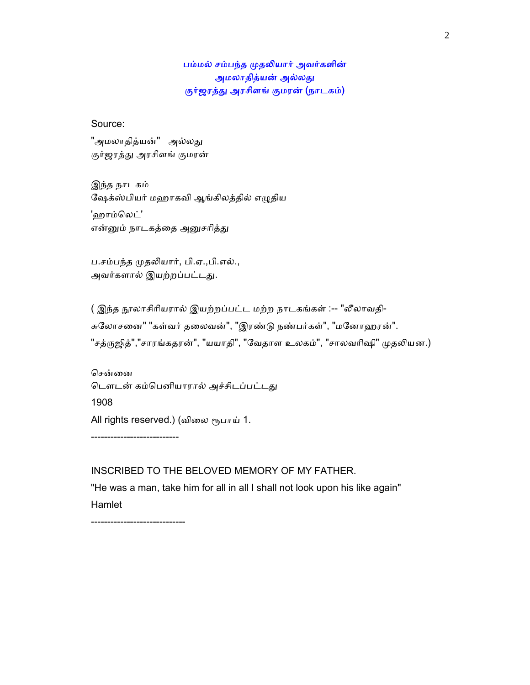## பம்மல் சம்பந்த முதலியார் அவர்களின் அமலாதித்யன் அல்லது குர்ஜரத்து அரசிளங் குமரன் (நாடகம்)

Source:

"அமலாதித்யன்" அல்லது குர்ஜரத்து அரசிளங் குமரன்

 இந்த நாடகம் ேஷக்ஸ்பியர் மஹாகவி ஆங்கிலத்தில் எᾨதிய 'ஹாம்லெட்' என்னும் நாடகத்தை அனுசரித்து

ப.சம்பந்த முதலியார், பி.ஏ.,பி.எல்., அவர்களால் இயற்றப்பட்டது.

( இந்த நூலாசிரியரால் இயற்றப்பட்ட மற்ற நாடகங்கள் :-- "லீலாவதி-சுலோசனை" "கள்வர் தலைவன்", "இரண்டு நண்பர்கள்", "மனோஹரன்". "சத்ருஜித்","சாரங்கதரன்", "யயாதி", "வேதாள உலகம்", "சாலவரிஷி" முதலியன.)

சென்னை டௌடன் கம்பெனியாரால் அச்சிடப்பட்டது 1908 All rights reserved.) (விலை ரூபாய் 1.

INSCRIBED TO THE BELOVED MEMORY OF MY FATHER.

 "He was a man, take him for all in all I shall not look upon his like again" Hamlet

-----------------------------

---------------------------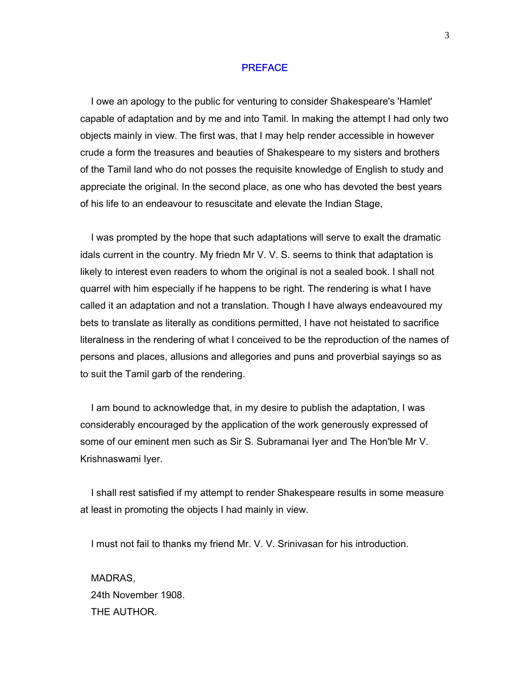#### PREFACE

 I owe an apology to the public for venturing to consider Shakespeare's 'Hamlet' capable of adaptation and by me and into Tamil. In making the attempt I had only two objects mainly in view. The first was, that I may help render accessible in however crude a form the treasures and beauties of Shakespeare to my sisters and brothers of the Tamil land who do not posses the requisite knowledge of English to study and appreciate the original. In the second place, as one who has devoted the best years of his life to an endeavour to resuscitate and elevate the Indian Stage,

 I was prompted by the hope that such adaptations will serve to exalt the dramatic idals current in the country. My friedn Mr V. V. S. seems to think that adaptation is likely to interest even readers to whom the original is not a sealed book. I shall not quarrel with him especially if he happens to be right. The rendering is what I have called it an adaptation and not a translation. Though I have always endeavoured my bets to translate as literally as conditions permitted, I have not heistated to sacrifice literalness in the rendering of what I conceived to be the reproduction of the names of persons and places, allusions and allegories and puns and proverbial sayings so as to suit the Tamil garb of the rendering.

 I am bound to acknowledge that, in my desire to publish the adaptation, I was considerably encouraged by the application of the work generously expressed of some of our eminent men such as Sir S. Subramanai Iyer and The Hon'ble Mr V. Krishnaswami Iyer.

 I shall rest satisfied if my attempt to render Shakespeare results in some measure at least in promoting the objects I had mainly in view.

I must not fail to thanks my friend Mr. V. V. Srinivasan for his introduction.

 MADRAS, 24th November 1908. THE AUTHOR.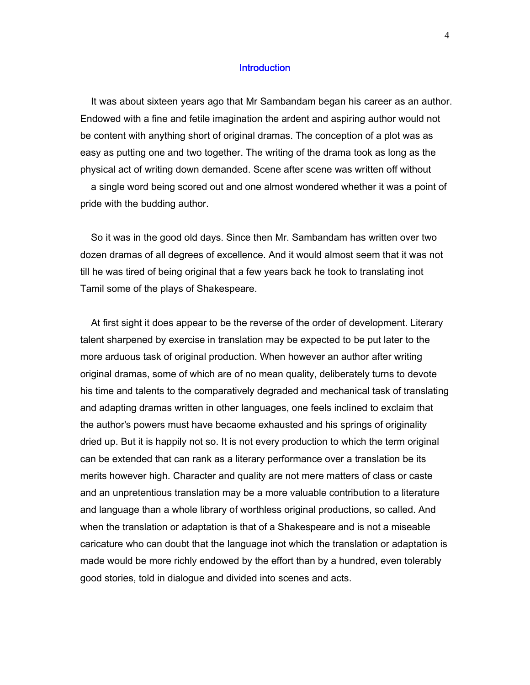### **Introduction**

 It was about sixteen years ago that Mr Sambandam began his career as an author. Endowed with a fine and fetile imagination the ardent and aspiring author would not be content with anything short of original dramas. The conception of a plot was as easy as putting one and two together. The writing of the drama took as long as the physical act of writing down demanded. Scene after scene was written off without

 a single word being scored out and one almost wondered whether it was a point of pride with the budding author.

 So it was in the good old days. Since then Mr. Sambandam has written over two dozen dramas of all degrees of excellence. And it would almost seem that it was not till he was tired of being original that a few years back he took to translating inot Tamil some of the plays of Shakespeare.

 At first sight it does appear to be the reverse of the order of development. Literary talent sharpened by exercise in translation may be expected to be put later to the more arduous task of original production. When however an author after writing original dramas, some of which are of no mean quality, deliberately turns to devote his time and talents to the comparatively degraded and mechanical task of translating and adapting dramas written in other languages, one feels inclined to exclaim that the author's powers must have becaome exhausted and his springs of originality dried up. But it is happily not so. It is not every production to which the term original can be extended that can rank as a literary performance over a translation be its merits however high. Character and quality are not mere matters of class or caste and an unpretentious translation may be a more valuable contribution to a literature and language than a whole library of worthless original productions, so called. And when the translation or adaptation is that of a Shakespeare and is not a miseable caricature who can doubt that the language inot which the translation or adaptation is made would be more richly endowed by the effort than by a hundred, even tolerably good stories, told in dialogue and divided into scenes and acts.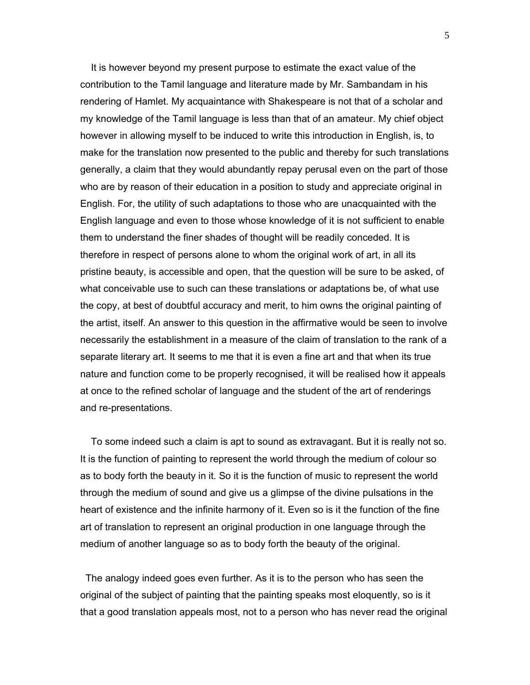It is however beyond my present purpose to estimate the exact value of the contribution to the Tamil language and literature made by Mr. Sambandam in his rendering of Hamlet. My acquaintance with Shakespeare is not that of a scholar and my knowledge of the Tamil language is less than that of an amateur. My chief object however in allowing myself to be induced to write this introduction in English, is, to make for the translation now presented to the public and thereby for such translations generally, a claim that they would abundantly repay perusal even on the part of those who are by reason of their education in a position to study and appreciate original in English. For, the utility of such adaptations to those who are unacquainted with the English language and even to those whose knowledge of it is not sufficient to enable them to understand the finer shades of thought will be readily conceded. It is therefore in respect of persons alone to whom the original work of art, in all its pristine beauty, is accessible and open, that the question will be sure to be asked, of what conceivable use to such can these translations or adaptations be, of what use the copy, at best of doubtful accuracy and merit, to him owns the original painting of the artist, itself. An answer to this question in the affirmative would be seen to involve necessarily the establishment in a measure of the claim of translation to the rank of a separate literary art. It seems to me that it is even a fine art and that when its true nature and function come to be properly recognised, it will be realised how it appeals at once to the refined scholar of language and the student of the art of renderings and re-presentations.

 To some indeed such a claim is apt to sound as extravagant. But it is really not so. It is the function of painting to represent the world through the medium of colour so as to body forth the beauty in it. So it is the function of music to represent the world through the medium of sound and give us a glimpse of the divine pulsations in the heart of existence and the infinite harmony of it. Even so is it the function of the fine art of translation to represent an original production in one language through the medium of another language so as to body forth the beauty of the original.

 The analogy indeed goes even further. As it is to the person who has seen the original of the subject of painting that the painting speaks most eloquently, so is it that a good translation appeals most, not to a person who has never read the original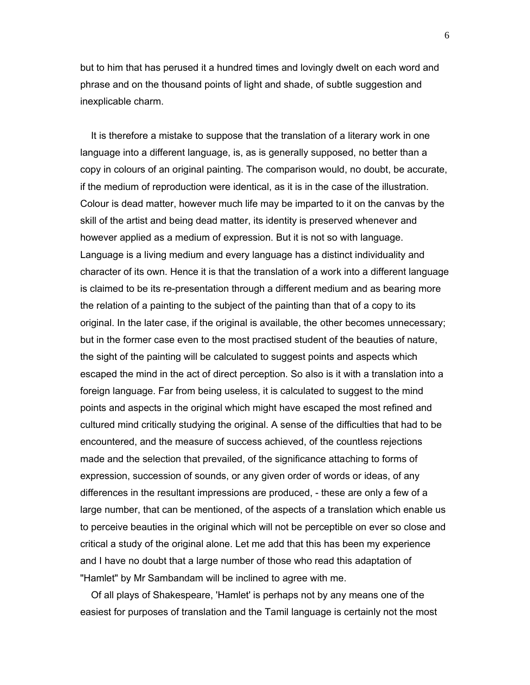but to him that has perused it a hundred times and lovingly dwelt on each word and phrase and on the thousand points of light and shade, of subtle suggestion and inexplicable charm.

 It is therefore a mistake to suppose that the translation of a literary work in one language into a different language, is, as is generally supposed, no better than a copy in colours of an original painting. The comparison would, no doubt, be accurate, if the medium of reproduction were identical, as it is in the case of the illustration. Colour is dead matter, however much life may be imparted to it on the canvas by the skill of the artist and being dead matter, its identity is preserved whenever and however applied as a medium of expression. But it is not so with language. Language is a living medium and every language has a distinct individuality and character of its own. Hence it is that the translation of a work into a different language is claimed to be its re-presentation through a different medium and as bearing more the relation of a painting to the subject of the painting than that of a copy to its original. In the later case, if the original is available, the other becomes unnecessary; but in the former case even to the most practised student of the beauties of nature, the sight of the painting will be calculated to suggest points and aspects which escaped the mind in the act of direct perception. So also is it with a translation into a foreign language. Far from being useless, it is calculated to suggest to the mind points and aspects in the original which might have escaped the most refined and cultured mind critically studying the original. A sense of the difficulties that had to be encountered, and the measure of success achieved, of the countless rejections made and the selection that prevailed, of the significance attaching to forms of expression, succession of sounds, or any given order of words or ideas, of any differences in the resultant impressions are produced, - these are only a few of a large number, that can be mentioned, of the aspects of a translation which enable us to perceive beauties in the original which will not be perceptible on ever so close and critical a study of the original alone. Let me add that this has been my experience and I have no doubt that a large number of those who read this adaptation of "Hamlet" by Mr Sambandam will be inclined to agree with me.

 Of all plays of Shakespeare, 'Hamlet' is perhaps not by any means one of the easiest for purposes of translation and the Tamil language is certainly not the most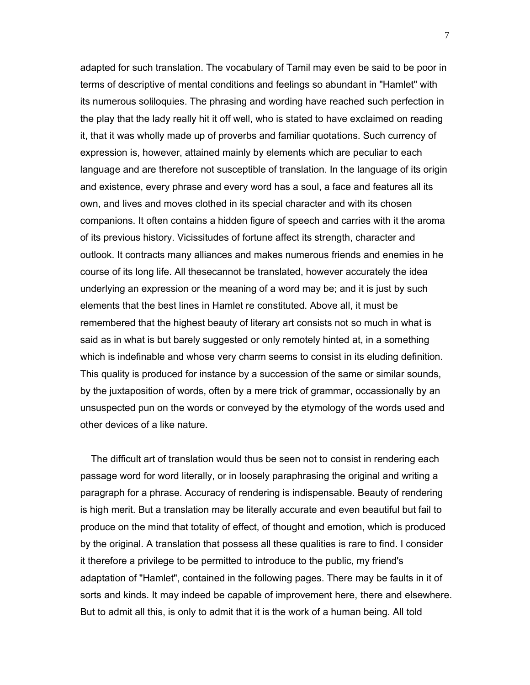adapted for such translation. The vocabulary of Tamil may even be said to be poor in terms of descriptive of mental conditions and feelings so abundant in "Hamlet" with its numerous soliloquies. The phrasing and wording have reached such perfection in the play that the lady really hit it off well, who is stated to have exclaimed on reading it, that it was wholly made up of proverbs and familiar quotations. Such currency of expression is, however, attained mainly by elements which are peculiar to each language and are therefore not susceptible of translation. In the language of its origin and existence, every phrase and every word has a soul, a face and features all its own, and lives and moves clothed in its special character and with its chosen companions. It often contains a hidden figure of speech and carries with it the aroma of its previous history. Vicissitudes of fortune affect its strength, character and outlook. It contracts many alliances and makes numerous friends and enemies in he course of its long life. All thesecannot be translated, however accurately the idea underlying an expression or the meaning of a word may be; and it is just by such elements that the best lines in Hamlet re constituted. Above all, it must be remembered that the highest beauty of literary art consists not so much in what is said as in what is but barely suggested or only remotely hinted at, in a something which is indefinable and whose very charm seems to consist in its eluding definition. This quality is produced for instance by a succession of the same or similar sounds, by the juxtaposition of words, often by a mere trick of grammar, occassionally by an unsuspected pun on the words or conveyed by the etymology of the words used and other devices of a like nature.

 The difficult art of translation would thus be seen not to consist in rendering each passage word for word literally, or in loosely paraphrasing the original and writing a paragraph for a phrase. Accuracy of rendering is indispensable. Beauty of rendering is high merit. But a translation may be literally accurate and even beautiful but fail to produce on the mind that totality of effect, of thought and emotion, which is produced by the original. A translation that possess all these qualities is rare to find. I consider it therefore a privilege to be permitted to introduce to the public, my friend's adaptation of "Hamlet", contained in the following pages. There may be faults in it of sorts and kinds. It may indeed be capable of improvement here, there and elsewhere. But to admit all this, is only to admit that it is the work of a human being. All told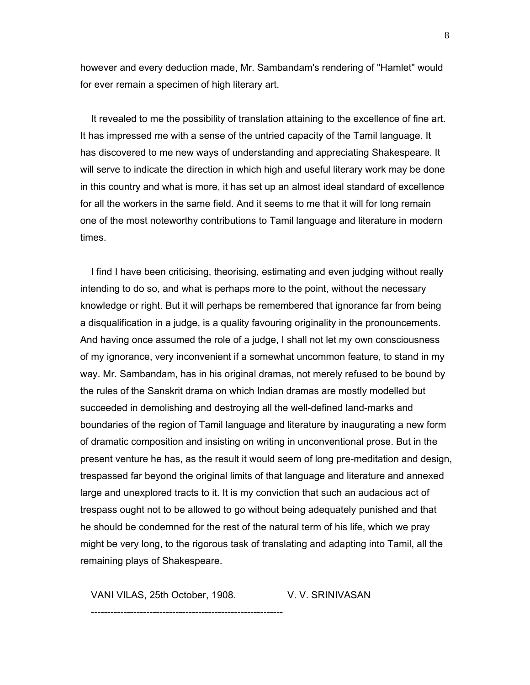however and every deduction made, Mr. Sambandam's rendering of "Hamlet" would for ever remain a specimen of high literary art.

 It revealed to me the possibility of translation attaining to the excellence of fine art. It has impressed me with a sense of the untried capacity of the Tamil language. It has discovered to me new ways of understanding and appreciating Shakespeare. It will serve to indicate the direction in which high and useful literary work may be done in this country and what is more, it has set up an almost ideal standard of excellence for all the workers in the same field. And it seems to me that it will for long remain one of the most noteworthy contributions to Tamil language and literature in modern times.

 I find I have been criticising, theorising, estimating and even judging without really intending to do so, and what is perhaps more to the point, without the necessary knowledge or right. But it will perhaps be remembered that ignorance far from being a disqualification in a judge, is a quality favouring originality in the pronouncements. And having once assumed the role of a judge, I shall not let my own consciousness of my ignorance, very inconvenient if a somewhat uncommon feature, to stand in my way. Mr. Sambandam, has in his original dramas, not merely refused to be bound by the rules of the Sanskrit drama on which Indian dramas are mostly modelled but succeeded in demolishing and destroying all the well-defined land-marks and boundaries of the region of Tamil language and literature by inaugurating a new form of dramatic composition and insisting on writing in unconventional prose. But in the present venture he has, as the result it would seem of long pre-meditation and design, trespassed far beyond the original limits of that language and literature and annexed large and unexplored tracts to it. It is my conviction that such an audacious act of trespass ought not to be allowed to go without being adequately punished and that he should be condemned for the rest of the natural term of his life, which we pray might be very long, to the rigorous task of translating and adapting into Tamil, all the remaining plays of Shakespeare.

VANI VILAS, 25th October, 1908. V. V. SRINIVASAN

-----------------------------------------------------------

8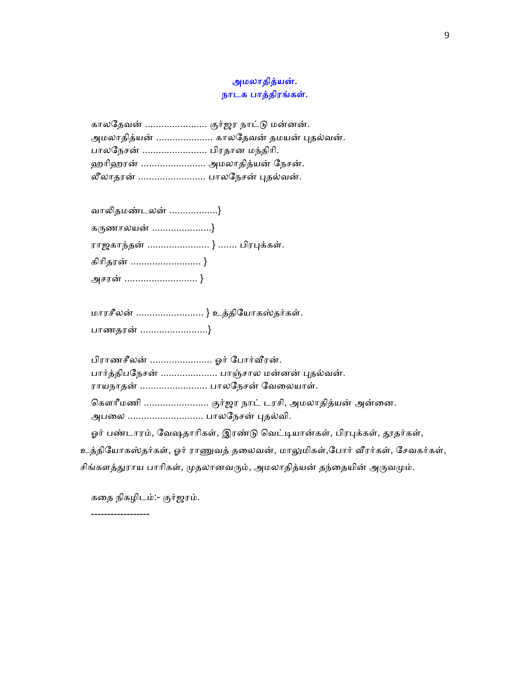## அமலாதித்யன். நாடக பாத்திரங்கள்.

| காலதேவன்  குர்ஜர நாட்டு மன்னன்.       |
|---------------------------------------|
| அமலாதித்யன்  காலதேவன் தமயன் புதல்வன். |
| பாலநேசன்  பிரதான மந்திரி.             |
| ஹரிஹரன்  அமலாதித்யன் நேசன்.           |
| லீலாதரன்  பாலநேசன் புதல்வன்.          |

வாலிதமண்டலன் ..................}

| கருணாலயன் }                |  |
|----------------------------|--|
| ராஜகாந்தன்  }  பிரபுக்கள். |  |
| கிரிதரன்  }                |  |
| அசரன்  }                   |  |

 மாரசீலன் ......................... } உத்திேயாகஸ்தர்கள். பாணதரன் .........................}

பிராணசீலன் ....................... ஓர் போர்வீரன். பார்த்திபநேசன் ..................... பாஞ்சால மன்னன் புதல்வன். ராயநாதன் ......................... பாலேநசன் ேவைலயாள். கௌரீமணி .......................... குர்ஜர நாட் டரசி, அமலாதித்யன் அன்னை. அபலை ............................ பாலநேசன் புதல்வி.

ஓர் பண்டாரம், வேஷதாரிகள், இரண்டு வெட்டியான்கள், பிரபுக்கள், தூதர்கள்,

உத்தியோகஸ்தர்கள், ஓர் ராணுவத் தலைவன், மாலுமிகள்,போர் வீரர்கள், சேவகர்கள்,

சிங்களத்துராய பாரிகள், முதலானவரும், அமலாதித்யன் தந்தையின் அருவமும்.

கைத நிகழிடம்:- குர்ஜரம்.

------------------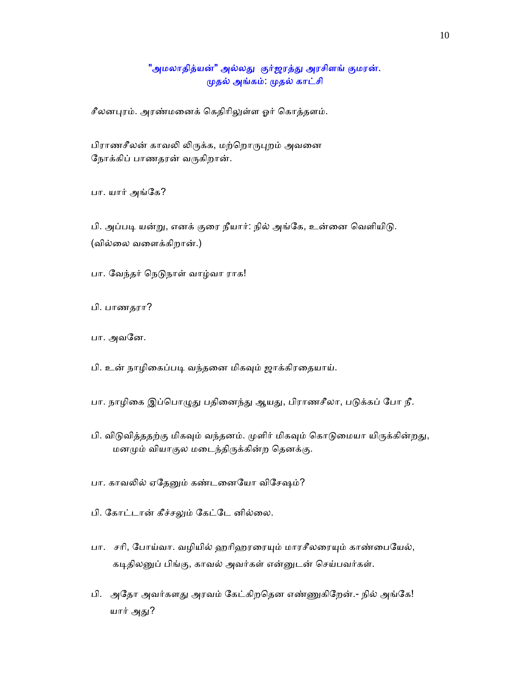### "அமலாதித்யன்" அல்லது குர்ஜரத்து அரசிளங் குமரன். ᾙதல் அங்கம்: ᾙதல் காட்சி

சீலனபுரம். அரண்மனைக் கெதிரிலுள்ள ஓர் கொத்தளம்.

பிராணசீலன் காவலி லிருக்க, மற்றொருபுறம் அவனை ேநாக்கிப் பாணதரன் வᾞகிறான்.

பா. யார் அங்கே?

பி. அப்படி யன்று, எனக் குரை நீயார்: நில் அங்கே, உன்னை வெளியிடு. (வில்ைல வைளக்கிறான்.)

பா. வேந்தர் நெடுநாள் வாழ்வா ராக!

பி. பாணதரா?

பா. அவனே.

பி. உன் நாழிகைப்படி வந்தனை மிகவும் ஜாக்கிரதையாய்.

பா. நாழிகை இப்பொழுது பதினைந்து ஆயது, பிராணசீலா, படுக்கப் போ நீ.

பி. விடுவித்ததற்கு மிகவும் வந்தனம். முளிர் மிகவும் கொடுமையா யிருக்கின்றது, மனமும் வியாகுல மடைந்திருக்கின்ற தெனக்கு.

பா. காவலில் ஏதேனும் கண்டனையோ விசேஷம்?

பி. கோட்டான் கீச்சலும் கேட்டே னில்லை.

பா. சரி, போய்வா. வழியில் ஹரிஹரரையும் மாரசீலரையும் காண்பையேல், கடிதிலனுப் பிங்கு, காவல் அவர்கள் என்னுடன் செய்பவர்கள்.

பி. அதோ அவர்களது அரவம் கேட்கிறதென எண்ணுகிறேன்.- நில் அங்கே! யார் அது?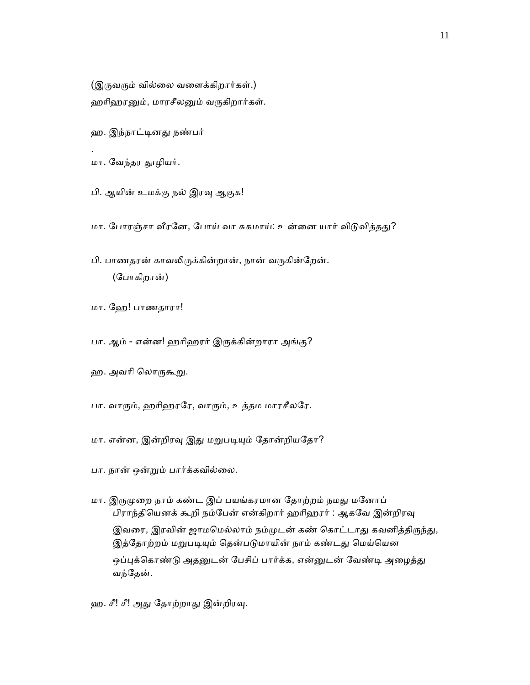(இருவரும் வில்லை வளைக்கிறார்கள்.) ஹரிஹரனும், மாரசீலனும் வருகிறார்கள்.

ஹ. இந்நாட்டினது நண்பர்

மா. ேவந்தர ᾑழியர்.

.

பி. ஆயின் உமக்கு நல் இரவு ஆகுக!

மா. போரஞ்சா வீரனே, போய் வா சுகமாய்: உன்னை யார் விடுவித்தது?

பி. பாணதரன் காவலிருக்கின்றான், நான் வருகின்றேன். (ேபாகிறான்)

மா. ேஹ! பாணதாரா!

பா. ஆம் - என்ன! ஹரிஹரர் இருக்கின்றாரா அங்கு?

ஹ. அவரி லொருக<u>ூறு</u>.

பா. வாரும், ஹரிஹரரே, வாரும், உத்தம மாரசீலரே.

மா. என்ன, இன்றிரவு இது மறுபடியும் தோன்றியதோ?

பா. நான் ஒன்ᾠம் பார்க்கவில்ைல.

மா. இருமுறை நாம் கண்ட இப் பயங்கரமான தோற்றம் நமது மனோப் பிராந்தியெனக் கூறி நம்பேன் என்கிறார் ஹரிஹரர் : ஆகவே இன்றிரவு இவரை, இரவின் ஜாமமெல்லாம் நம்முடன் கண் கொட்டாது கவனித்திருந்து, இத்தோற்றம் மறுபடியும் தென்படுமாயின் நாம் கண்டது மெய்யென ஒப்புக்கொண்டு அதனுடன் பேசிப் பார்க்க, என்னுடன் வேண்டி அழைத்து வந்ேதன்.

ஹ. சீ! சீ! அது தோற்றாது இன்றிரவு.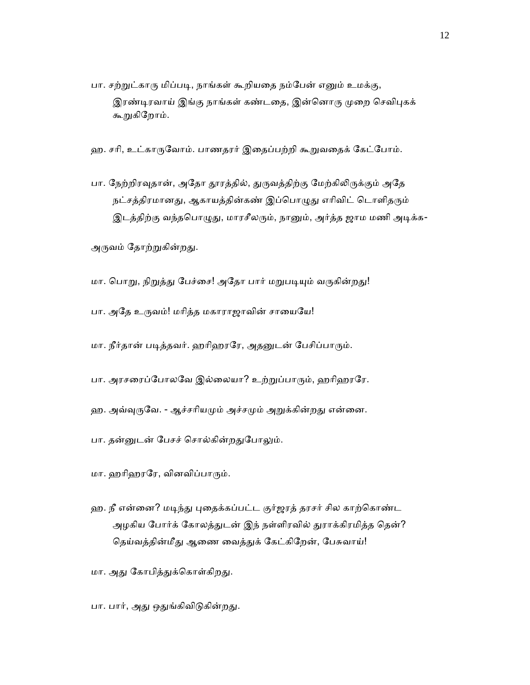பா. சற்றுட்காரு மிப்படி, நாங்கள் கூறியதை நம்பேன் எனும் உமக்கு, இரண்டிரவாய் இங்கு நாங்கள் கண்டதை, இன்னொரு முறை செவிபுகக் கூறுகிறோம்.

ஹ. சரி, உட்காருவோம். பாணதரர் இதைப்பற்றி கூறுவதைக் கேட்போம்.

பா. நேற்றிரவுதான், அதோ தூரத்தில், துருவத்திற்கு மேற்கிலிருக்கும் அதே நட்சத்திரமானது, ஆகாயத்தின்கண் இப்பொழுது எரிவிட் டொளிதரும் இடத்திற்கு வந்தபொழுது, மாரசீலரும், நானும், அர்த்த ஜாம மணி அடிக்க-

அருவம் தோற்றுகின்றது.

- மா. பொறு, நிறுத்து பேச்சை! அதோ பார் மறுபடியும் வருகின்றது!
- பா. அதே உருவம்! மரித்த மகாராஜாவின் சாயையே!
- மா. நீர்தான் படித்தவர். ஹரிஹரரே, அதனுடன் பேசிப்பாரும்.
- பா. அரசரைப்போலவே இல்லையா? உற்றுப்பாரும், ஹரிஹரரே.
- ஹ. அவ்வுருவே. ஆச்சரியமும் அச்சமும் அறுக்கின்றது என்னை.
- பா. தன்னுடன் பேசச் சொல்கின்றதுபோலும்.
- மா. ஹாிஹரேர, வினவிப்பாᾞம்.
- ஹ. நீ என்னை? மடிந்து புதைக்கப்பட்ட குர்ஜரத் தரசர் சில காற்கொண்ட அழகிய போர்க் கோலத்துடன் இந் நள்ளிரவில் துராக்கிரமித்த தென்? தெய்வத்தின்மீது ஆணை வைத்துக் கேட்கிறேன், பேசுவாய்!
- மா. அது கோபித்துக்கொள்கிறது.
- பா. பார், அது ஒதுங்கிவிடுகின்றது.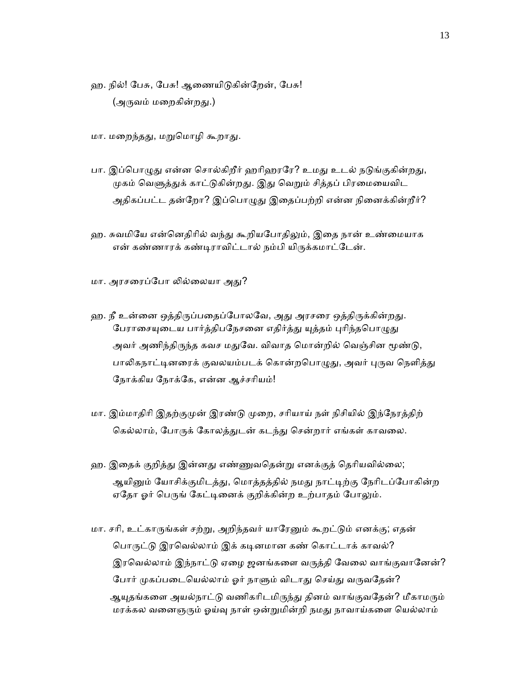- ஹ. நில்! பேசு, பேசு! ஆணையிடுகின்றேன், பேசு! (அருவம் மறைகின்றது.)
- மா. மறைந்தது, மறுமொழி கூறாது.
- பா. இப்பொழுது என்ன சொல்கிறீர் ஹரிஹரரே? உமது உடல் நடுங்குகின்றது, முகம் வெளுத்துக் காட்டுகின்றது. இது வெறும் சித்தப் பிரமையைவிட அதிகப்பட்ட தன்றோ? இப்பொழுது இதைப்பற்றி என்ன நினைக்கின்றீர்?
- ஹ. சுவமியே என்னெதிரில் வந்து கூறியபோதிலும், இதை நான் உண்மையாக என் கண்ணாரக் கண்டிராவிட்டால் நம்பி யிருக்கமாட்டேன்.
- மா. அரசரைப்போ லில்லையா அது?
- ஹ. நீ உன்னை ஒத்திருப்பதைப்போலவே, அது அரசரை ஒத்திருக்கின்றது. பேராசையுடைய பார்த்திபநேசனை எதிர்த்து யுத்தம் புரிந்தபொழுது அவர் அணிந்திருந்த கவச மதுவே. விவாத மொன்றில் வெஞ்சின மூண்டு, பாலிகநாட்டினரைக் குவலயம்படக் கொன்றபொழுது, அவர் புருவ நெளித்து ேநாக்கிய ேநாக்ேக, என்ன ஆச்சாியம்!
- மா. இம்மாதிரி இதற்குமுன் இரண்டு முறை, சரியாய் நள் நிசியில் இந்நேரத்திற் கெல்லாம், போருக் கோலத்துடன் கடந்து சென்றார் எங்கள் காவலை.
- ஹ. இதைக் குறித்து இன்னது எண்ணுவதென்று எனக்குத் தெரியவில்லை; ஆயினும் யோசிக்குமிடத்து, மொத்தத்தில் நமது நாட்டிற்கு நேரிடப்போகின்ற ஏதோ ஓர் பெருங் கேட்டினைக் குறிக்கின்ற உற்பாதம் போலும்.
- மா. சரி, உட்காருங்கள் சற்று, அறிந்தவர் யாரேனும் கூறட்டும் எனக்கு; எதன் பொருட்டு இரவெல்லாம் இக் கடினமான கண் கொட்டாக் காவல்? இரவெல்லாம் இந்நாட்டு ஏழை ஜனங்களை வருத்தி வேலை வாங்குவானேன்? போர் முகப்படையெல்லாம் ஓர் நாளும் விடாது செய்து வருவதேன்? ஆயுதங்களை அயல்நாட்டு வணிகரிடமிருந்து தினம் வாங்குவதேன்? மீகாமரும் மரக்கல வனைஞரும் ஓய்வு நாள் ஒன்றுமின்றி நமது நாவாய்களை யெல்லாம்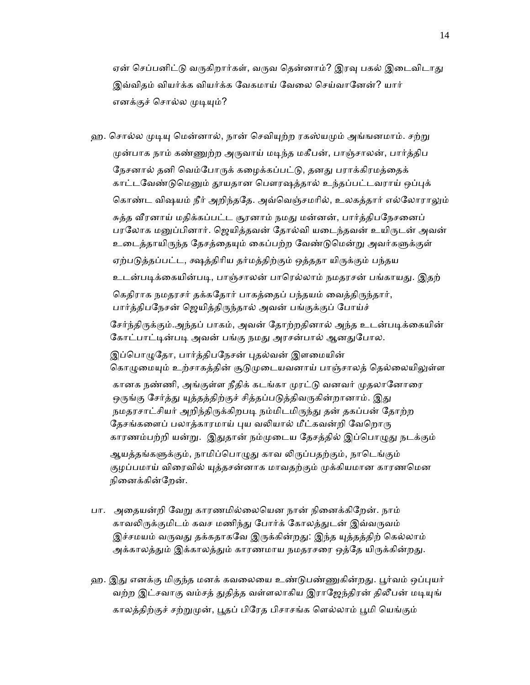ஏன் செப்பனிட்டு வருகிறார்கள், வருவ தென்னாம்? இரவு பகல் இடைவிடாது இவ்விதம் வியர்க்க வியர்க்க ேவகமாய் ேவைல ெசய்வாேனன்? யார் எனக்குச் சொல்ல முடியும்?

ஹ. சொல்ல முடியு மென்னால், நான் செவியுற்ற ரகஸ்யமும் அங்ஙனமாம். சற்று முன்பாக நாம் கண்ணுற்ற அருவாய் மடிந்த மகீபன், பாஞ்சாலன், பார்த்திப நேசனால் தனி வெம்போருக் கழைக்கப்பட்டு, தனது பராக்கிரமத்தைக் காட்டவேண்டுமெனும் தூயதான பௌரஷத்தால் உந்தப்பட்டவராய் ஒப்புக் கொண்ட விஷயம் நீர் அறிந்ததே. அவ்வெஞ்சமரில், உலகத்தார் எல்லோராலும் சுத்த வீரனாய் மதிக்கப்பட்ட சூரனாம் நமது மன்னன், பார்த்திபநேசனைப் பரலோக மனுப்பினார். ஜெயித்தவன் தோல்வி யடைந்தவன் உயிருடன் அவன் உடைத்தாயிருந்த தேசத்தையும் கைப்பற்ற வேண்டுமென்று அவர்களுக்குள் ஏற்படுத்தப்பட்ட, க்ஷத்திரிய தர்மத்திற்கும் ஒத்ததா யிருக்கும் பந்தய உடன்படிக்கையின்படி, பாஞ்சாலன் பாரெல்லாம் நமதரசன் பங்காயது. இதற் கெதிராக நமதரசர் தக்கதோர் பாகத்தைப் பந்தயம் வைத்திருந்தார், பார்த்திபநேசன் ஜெயித்திருந்தால் அவன் பங்குக்குப் போய்ச் சேர்ந்திருக்கும்.அந்தப் பாகம், அவன் தோற்றதினால் அந்த உடன்படிக்கையின் கோட்பாட்டின்படி அவன் பங்கு நமது அரசன்பால் ஆனதுபோல. இப்பொழுதோ, பார்த்திபநேசன் புதல்வன் இளமையின் கொழுமையும் உற்சாகத்தின் சூடுமுடையவனாய் பாஞ்சாலத் தெல்லையிலுள்ள கானக நண்ணி, அங்குள்ள நீதிக் கடங்கா முரட்டு வனவர் முதலானோரை ஒருங்கு சேர்த்து யுத்தத்திற்குச் சித்தப்படுத்திவருகின்றானாம். இது நமதரசாட்சியர் அறிந்திருக்கிறபடி நம்மிடமிருந்து தன் தகப்பன் தோற்ற தேசங்களைப் பலாத்காரமாய் புய வலியால் மீட்கவன்றி வேறொரு காரணம்பற்றி யன்று. இதுதான் நம்முடைய தேசத்தில் இப்பொழுது நடக்கும் ஆயத்தங்களுக்கும், நாமிப்பொழுது காவ லிருப்பதற்கும், நாடெங்கும் குழப்பமாய் விரைவில் யுத்தசன்னாக மாவதற்கும் முக்கியமான காரணமென நினைக்கின்றேன்.

- பா. அதையன்றி வேறு காரணமில்லையென நான் நினைக்கிறேன். நாம் காவலிருக்குமிடம் கவச மணிந்து போர்க் கோலத்துடன் இவ்வருவம் இச்சமயம் வருவது தக்கதாகவே இருக்கின்றது: இந்த யுத்தத்திற் கெல்லாம் அக்காலத்தும் இக்காலத்தும் காரணமாய நமதரசரை ஒத்தே யிருக்கின்றது.
- ஹ. இது எனக்கு மிகுந்த மனக் கவலையை உண்டுபண்ணுகின்றது. பூர்வம் ஒப்புயர் வற்ற இட்சவாகு வம்சத் துதித்த வள்ளலாகிய இராஜேந்திரன் திலீபன் மடியுங் காலத்திற்குச் சற்ᾠᾙன், ᾘதப் பிேரத பிசாசங்க ெளல்லாம் ᾘமி ெயங்கும்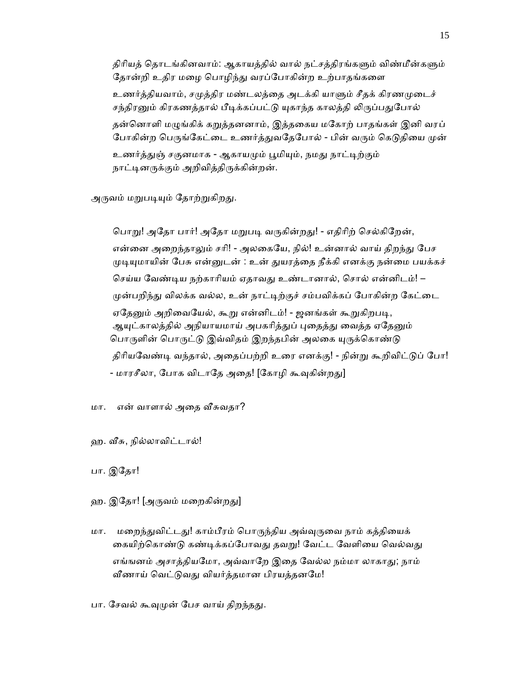திரியத் தொடங்கினவாம்: ஆகாயத்தில் வால் நட்சத்திரங்களும் விண்மீன்களும் தோன்றி உதிர மழை பொழிந்து வரப்போகின்ற உற்பாதங்களை உணர்த்தியவாம், சமுத்திர மண்டலத்தை அடக்கி யாளும் சீதக் கிரணமுடைச் சந்திரனும் கிரகணத்தால் பீடிக்கப்பட்டு யுகாந்த காலத்தி லிருப்பதுபோல் தன்னொளி மழுங்கிக் கறுத்தனனாம், இத்தகைய மகோற் பாதங்கள் இனி வரப் போகின்ற பெருங்கேட்டை உணர்த்துவதேபோல் - பின் வரும் கெடுதியை முன் உணர்த்துஞ் சகுனமாக - ஆகாயமும் பூமியும், நமது நாட்டிற்கும்

நாட்டினருக்கும் அறிவித்திருக்கின்றன்.

அருவம் மறுபடியும் தோற்றுகிறது.

பொறு! அதோ பார்! அதோ மறுபடி வருகின்றது! - எதிரிற் செல்கிறேன், என்னை அறைந்தாலும் சரி! - அலகையே, நில்! உன்னால் வாய் திறந்து பேச முடியுமாயின் பேசு என்னுடன் : உன் துயரத்தை நீக்கி எனக்கு நன்மை பயக்கச் செய்ய வேண்டிய நற்காரியம் ஏதாவது உண்டானால், சொல் என்னிடம்! – முன்பறிந்து விலக்க வல்ல, உன் நாட்டிற்குச் சம்பவிக்கப் போகின்ற கேட்டை ஏதேனும் அறிவையேல், கூறு என்னிடம்! - ஜனங்கள் கூறுகிறபடி, ஆயுட்காலத்தில் அநியாயமாய் அபகரித்துப் புதைத்து வைத்த ஏதேனும் பொருளின் பொருட்டு இவ்விதம் இறந்தபின் அலகை யுருக்கொண்டு திரியவேண்டி வந்தால், அதைப்பற்றி உரை எனக்கு! - நின்று கூறிவிட்டுப் போ! - மாரசீலா, போக விடாதே அதை! [கோழி கூவுகின்றது]

மா. என் வாளால் அதை வீசுவதா?

ஹ. ᾪசு, நில்லாவிட்டால்!

பா. இேதா!

ஹ. இதோ! [அருவம் மறைகின்றது]

மா. மறைந்துவிட்டது! காம்பீரம் பொருந்திய அவ்வுருவை நாம் கத்தியைக் கையிற்கொண்டு கண்டிக்கப்போவது தவறு! வேட்ட வேளியை வெல்வது எங்ஙனம் அசாத்தியமோ, அவ்வாறே இதை வேல்ல நம்மா லாகாது; நாம் வீணாய் வெட்டுவது வியர்த்தமான பிரயத்தனமே!

பா. சேவல் கூவுமுன் பேச வாய் திறந்தது.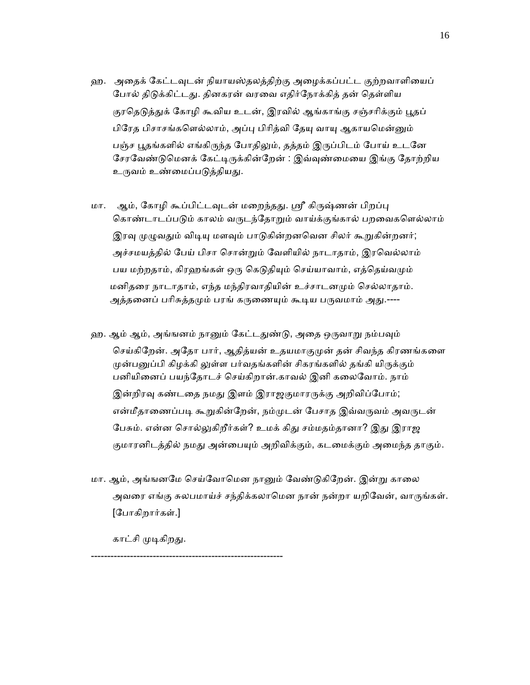- ஹ. அதைக் கேட்டவுடன் நியாயஸ்தலத்திற்கு அழைக்கப்பட்ட குற்றவாளியைப் போல் திடுக்கிட்டது. தினகரன் வரவை எதிர்நோக்கித் தன் தெள்ளிய குரதெடுத்துக் கோழி கூவிய உடன், இரவில் ஆங்காங்கு சஞ்சரிக்கும் பூதப் பிரேத பிசாசங்களெல்லாம், அப்பு பிரித்வி தேயு வாயு ஆகாயமென்னும் பஞ்ச பூதங்களில் எங்கிருந்த போதிலும், தத்தம் இருப்பிடம் போய் உடனே சேரவேண்டுமெனக் கேட்டிருக்கின்றேன் : இவ்வுண்மையை இங்கு தோற்றிய உருவம் உண்மைப்படுத்தியது.
- மா. ஆம், கோழி கூப்பிட்டவுடன் மறைந்தது. ஸ்ரீ கிருஷ்ணன் பிறப்பு கொண்டாடப்படும் காலம் வருடந்தோறும் வாய்க்குங்கால் பறவைகளெல்லாம் இரவு முழுவதும் விடியு மளவும் பாடுகின்றனவென சிலர் கூறுகின்றனர்; அச்சமயத்தில் ேபய் பிசா ெசான்ᾠம் ேவளியில் நாடாதாம், இரெவல்லாம் பய மற்றதாம், கிரஹங்கள் ஒரு கெடுதியும் செய்யாவாம், எத்தெய்வமும் மனிதரை நாடாதாம், எந்த மந்திரவாதியின் உச்சாடனமும் செல்லாதாம். அத்தனைப் பரிசுத்தமும் பரங் கருணையும் கூடிய பருவமாம் அது.----
- ஹ. ஆம் ஆம், அங்ஙனம் நானும் கேட்டதுண்டு, அதை ஒருவாறு நம்பவும் செய்கிறேன். அதோ பார், ஆதித்யன் உதயமாகுமுன் தன் சிவந்த கிரணங்களை முன்பனுப்பி கிழக்கி லுள்ள பர்வதங்களின் சிகரங்களில் தங்கி யிருக்கும் பனியிைனப் பயந்ேதாடச் ெசய்கிறான்.காவல் இனி கைலேவாம். நாம் இன்றிரவு கண்டதை நமது இளம் இராஜகுமாரருக்கு அறிவிப்போம்; என்மீதாணைப்படி கூறுகின்றேன், நம்முடன் பேசாத இவ்வருவம் அவருடன் பேசும். என்ன சொல்லுகிறீர்கள்? உமக் கிது சம்மதம்தானா? இது இராஜ குமாரனிடத்தில் நமது அன்பையும் அறிவிக்கும், கடமைக்கும் அமைந்த தாகும்.
- மா. ஆம், அங்ஙனமே செய்வோமென நானும் வேண்டுகிறேன். இன்று காலை அவரை எங்கு சுலபமாய்ச் சந்திக்கலாமென நான் நன்றா யறிவேன், வாருங்கள். [ேபாகிறார்கள்.]

காட்சி முடிகிறது.

-----------------------------------------------------------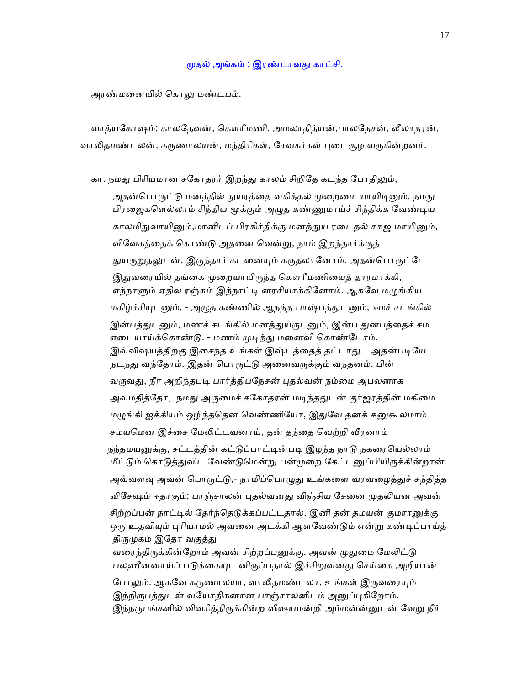### முதல் அங்கம் : இரண்டாவது காட்சி.

அரண்மைனயில் ெகாᾤ மண்டபம்.

 வாத்யேகா ஷம்; காலேதவன், ெகௗாீமணி, அமலாதித்யன்,பாலேநசன், லீலாதரன், வாலிதமண்டலன், கருணாலயன், மந்திரிகள், சேவகர்கள் புடைசூழ வருகின்றனர்.

கா. நமது பிரியமான சகோதரர் இறந்து காலம் சிறிதே கடந்த போதிலும்,

அதன்பொருட்டு மனத்தில் துயரத்தை வகித்தல் முறைமை யாயிடினும், நமது பிரஜைகளெல்லாம் சிந்திய மூக்கும் அழுத கண்ணுமாய்ச் சிந்திக்க வேண்டிய காலமிதுவாயினும்,மானிடப் பிரகிர்திக்கு மனத்துய ரடைதல் சகஜ மாயினும், விேவகத்ைதக் ெகாண்ᾌ அதைன ெவன்ᾠ, நாம் இறந்தார்க்குத் துயருறுதலுடன், இருந்தார் கடனையும் கருதலானோம். அதன்பொருட்டே இதுவரையில் தங்கை முறையாயிருந்த கௌரீமணியைத் தாரமாக்கி, எந்நாளும் ஏதில ரஞ்சும் இந்நாட்டி னரசியாக்கினோம். ஆகவே மழுங்கிய மகிழ்ச்சியுடனும், - அழுத கண்ணில் ஆநந்த பாஷ்பத்துடனும், ஈமச் சடங்கில் இன்பத்துடனும், மணச் சடங்கில் மனத்துயருடனும், இன்ப துனபத்தைச் சம எடையாய்க்கொண்டு. - மணம் முடித்து மனைவி கொண்டோம். இவ்விஷயத்திற்கு இசைந்த உங்கள் இஷ்டத்தைத் தட்டாது. அதன்படியே நடந்து வந்தோம். இதன் பொருட்டு அனைவருக்கும் வந்தனம். பின் வருவது, நீர் அறிந்தபடி பார்த்திபநேசன் புதல்வன் நம்மை அபலனாக அவமதித்தோ, நமது அருமைச் சகோதரன் மடிந்ததுடன் குர்ஜரத்தின் மகிமை மழுங்கி ஐக்கியம் ஒழிந்ததென வெண்ணியோ, இதுவே தனக் கனுகூலமாம் சமயமென இச்சை மேலிட்டவனாய், தன் தந்தை வெற்றி வீரனாம் நந்தமயனுக்கு, சட்டத்தின் கட்டுப்பாட்டின்படி இழந்த நாடு நகரையெல்லாம் மீட்டும் கொடுத்துவிட வேண்டுமென்று பன்முறை கேட்டனுப்பியிருக்கின்றான். அவ்வளவு அவன் பொருட்டு,- நாமிப்பொழுது உங்களை வரவழைத்துச் சந்தித்த விசேஷம் ஈதாகும்; பாஞ்சாலன் புதல்வனது விஞ்சிய சேனை முதலியன அவன் சிற்றப்பன் நாட்டில் தேர்ந்தெடுக்கப்பட்டதால், இனி தன் தமயன் குமாரனுக்கு ஒரு உதவியும் புரியாமல் அவனை அடக்கி ஆளவேண்டும் என்று கண்டிப்பாய்த் திருமுகம் இதோ வகுத்து வரைந்திருக்கின்றோம் அவன் சிற்றப்பனுக்கு. அவன் முதுமை மேலிட்டு பலஹீனனாய்ப் படுக்கையுட னிருப்பதால் இச்சிறுவனது செய்கை அறியான் போலும். ஆகவே கருணாலயா, வாலிகமண்டலா, உங்கள் இருவரையும் இந்நிருபத்துடன் வயோதிகனான பாஞ்சாலனிடம் அனுப்புகிறோம். இந்நருபங்களில் விவரித்திருக்கின்ற விஷயமன்றி அம்மன்ன்னுடன் வேறு நீர்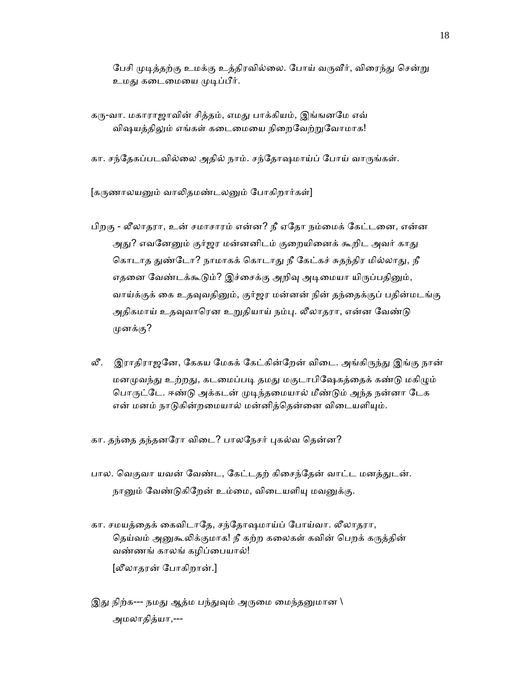பேசி முடித்தற்கு உமக்கு உத்திரவில்லை. போய் வருவீர், விரைந்து சென்று உமது கடைமையை முடிப்பீர்.

கரு-வா. மகாராஜாவின் சித்தம், எமது பாக்கியம், இங்ஙனமே எவ் விஷயத்திலும் எங்கள் கடைமையை நிறைவேற்றுவோமாக!

கா. சந்தேகப்படவில்லை அதில் நாம். சந்தோஷமாய்ப் போய் வாருங்கள்.

[கருணாலயனும் வாலிதமண்டலனும் போகிறார்கள்]

- பிறகு லீலாதரா, உன் சமாசாரம் என்ன? நீ ஏேதா நம்ைமக் ேகட்டைன, என்ன அது? எவனேனும் குர்ஜர மன்னனிடம் குறையினைக் கூறிட அவர் காது கொடாத துண்டோ? நாமாகக் கொடாது நீ கேட்கச் சுதந்திர மில்லாது, நீ எதனை வேண்டக்கூடும்? இச்சைக்கு அறிவு அடிமையா யிருப்பதினும், வாய்க்குக் கை உதவுவதினும், குர்ஜர மன்னன் நின் தந்தைக்குப் பதின்மடங்கு அதிகமாய் உதவுவாரென உறுதியாய் நம்பு. லீலாதரா, என்ன வேண்டு ᾙனக்கு?
- லீ. இராதிராஜனே, கேகய மேகக் கேட்கின்றேன் விடை. அங்கிருந்து இங்கு நான் மனமுவந்து உற்றது, கடமைப்படி தமது மகுடாபிஷேகத்தைக் கண்டு மகிழும் பொருட்டே. ஈண்டு அக்கடன் முடிந்தமையால் மீண்டும் அந்த நன்னா டேக என் மனம் நாடுகின்றமையால் மன்னித்தென்னை விடையளியும்.
- கா. தந்தை தந்தனரோ விடை? பாலநேசர் புகல்வ தென்ன?
- பால. வெகுவா யவன் வேண்ட, கேட்டதற் கிசைந்தேன் வாட்ட மனத்துடன். நானும் வேண்டுகிறேன் உம்மை, விடையளியு மவனுக்கு.
- கா. சமயத்ைதக் ைகவிடாேத, சந்ேதாஷமாய்ப் ேபாய்வா. லீலாதரா, தெய்வம் அனுகூலிக்குமாக! நீ கற்ற கலைகள் கவின் பெறக் கருத்தின் வண்ணங் காலங் கழிப்ைபயால்! [லீலாதரன் ேபாகிறான்.]
- இது நிற்க--- நமது ஆத்ம பந்துவும் அருமை மைந்தனுமான  $\backslash$ அமலாதித்யா,---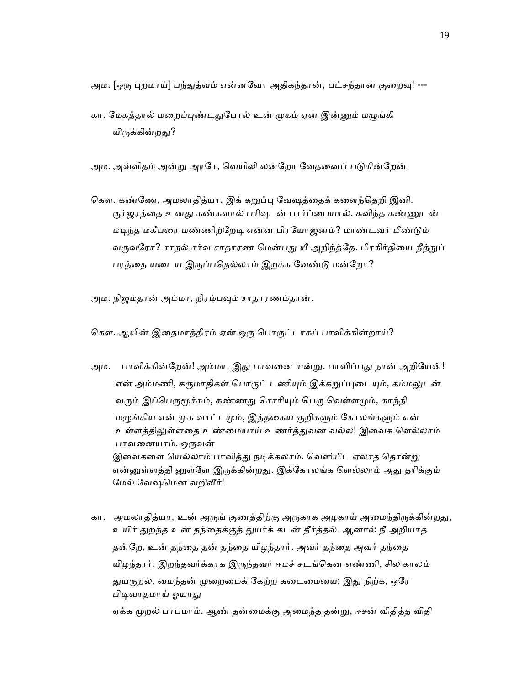அம. [ஒரு புறமாய்] பந்துத்வம் என்னவோ அதிகந்தான், பட்சந்தான் குறைவு! ---

கா. மேகத்தால் மறைப்புண்டதுபோல் உன் முகம் ஏன் இன்னும் மழுங்கி யிருக்கின்றது?

அம. அவ்விதம் அன்று அரசே, வெயிலி லன்றோ வேதனைப் படுகின்றேன்.

கௌ. கண்ணே, அமலாதித்யா, இக் கறுப்பு வேஷத்தைக் களைந்தெறி இனி. குர்ஜரத்தை உனது கண்களால் பரிவுடன் பார்ப்பையால். கவிந்த கண்ணுடன் மடிந்த மகீபரை மண்ணிற்றேடி என்ன பிரயோஜனம்? மாண்டவர் மீண்டும் வருவரோ? சாதல் சர்வ சாதாரண மென்பது யீ அறிந்த்தே. பிரகிர்தியை நீத்துப் பரத்தை யடைய இருப்பதெல்லாம் இறக்க வேண்டு மன்றோ?

அம. நிஜம்தான் அம்மா, நிரம்பᾫம் சாதாரணம்தான்.

கௌ. ஆயின் இதைமாத்திரம் ஏன் ஒரு பொருட்டாகப் பாவிக்கின்றாய்?

- அம. பாவிக்கின்றேன்! அம்மா, இது பாவனை யன்று. பாவிப்பது நான் அறியேன்! என் அம்மணி, கருமாதிகள் பொருட் டணியும் இக்கறுப்புடையும், கம்மலுடன் வரும் இப்பெருமூச்சும், கண்ணது சொரியும் பெரு வெள்ளமும், காந்தி மழுங்கிய என் முக வாட்டமும், இத்தகைய குறிகளும் கோலங்களும் என் உள்ளத்திலுள்ளதை உண்மையாய் உணர்த்துவன வல்ல! இவைக எெல்லாம் பாவனையாம். ஒருவன் இவைகளை யெல்லாம் பாவித்து நடிக்கலாம். வெளியிட ஏலாத தொன்று என்னுள்ளத்தி னுள்ளே இருக்கின்றது. இக்கோலங்க ளெல்லாம் அது தரிக்கும் மேல் வேஷமென வறிவீர்!
- கா. அமலாதித்யா, உன் அருங் குணத்திற்கு அருகாக அழகாய் அமைந்திருக்கின்றது, உயிர் துறந்த உன் தந்தைக்குத் துயர்க் கடன் தீர்த்தல். ஆனால் நீ அறியாத தன்ேற, உன் தந்ைத தன் தந்ைத யிழந்தார். அவர் தந்ைத அவர் தந்ைத யிழந்தார். இறந்தவர்க்காக இᾞந்தவர் ஈமச் சடங்ெகன எண்ணி, சில காலம் துயருறல், மைந்தன் முறைமைக் கேற்ற கடைமையை; இது நிற்க, ஒரே பிடிவாதமாய் ஓயாது ஏக்க முறல் பாபமாம். ஆண் தன்மைக்கு அமைந்த தன்று, ஈசன் விதித்த விதி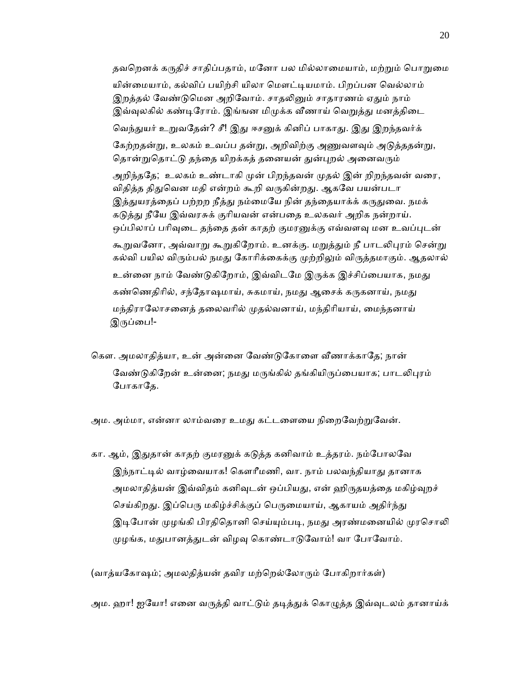தவறெனக் கருதிச் சாதிப்பதாம், மனோ பல மில்லாமையாம், மற்றும் பொறுமை யின்மையாம், கல்விப் பயிற்சி யிலா மௌட்டியமாம். பிறப்பன வெல்லாம் இறத்தல் வேண்டுமென அறிவோம். சாதலினும் சாதாரணம் ஏதும் நாம் இவ்வுலகில் கண்டிரோம். இங்ஙன மிமுக்க வீணாய் வெறுத்து மனத்திடை வெந்துயர் உறுவதேன்? சீ! இது ஈசனுக் கினிப் பாகாது. இது இறந்தவர்க் கேற்றதன்று, உலகம் உவப்ப தன்று, அறிவிற்கு அணுவளவும் அடுத்ததன்று, தொன்றுதொட்டு தந்தை யிறக்கத் தனையன் துன்புறல் அனைவரும் அறிந்ததே; உலகம் உண்டாகி முன் பிறந்தவன் முதல் இன் றிறந்தவன் வரை, விதித்த திதுவென மதி என்றம் கூறி வருகின்றது. ஆகவே பயன்படா இத்துயரத்தைப் பற்றற நீத்து நம்மையே நின் தந்தையாக்க் கருதுவை. நமக் கடுத்து நீயே இவ்வரசுக் குரியவன் என்பதை உலகவர் அறிக நன்றாய். ஒப்பிலாப் பரிவுடை தந்தை தன் காதற் குமரனுக்கு எவ்வளவு மன உவப்புடன் கூறுவனோ, அவ்வாறு கூறுகிறோம். உனக்கு. மறுத்தும் நீ பாடலிபுரம் சென்று கல்வி பயில விரும்பல் நமது கோரிக்கைக்கு முற்றிலும் விருத்தமாகும். ஆதலால் உன்னை நாம் வேண்டுகிறோம், இவ்விடமே இருக்க இச்சிப்பையாக, நமது கண்ணெதிரில், சந்தோஷமாய், சுகமாய், நமது ஆசைக் கருகனாய், நமது மந்திராலோசனைத் தலைவரில் முதல்வனாய், மந்திரியாய், மைந்தனாய் இருப்பை!-

கௌ. அமலாதித்யா, உன் அன்னை வேண்டுகோளை வீணாக்காதே; நான் வேண்டுகிறேன் உன்னை; நமது மருங்கில் தங்கியிருப்பையாக; பாடலிபுரம் போகாதே.

அம. அம்மா, என்னா லாம்வரை உமது கட்டளையை நிறைவேற்றுவேன்.

கா. ஆம், இதுதான் காதற் குமரனுக் கடுத்த கனிவாம் உத்தரம். நம்போலவே இந்நாட்டில் வாழ்வையாக! கௌரீமணி, வா. நாம் பலவந்தியாது தானாக அமலாதித்யன் இவ்விதம் கனிவுடன் ஒப்பியது, என் ஹிருதயத்தை மகிழ்வுறச் செய்கிறது. இப்பெரு மகிழ்ச்சிக்குப் பெருமையாய், ஆகாயம் அதிர்ந்து இடிபோன் முழங்கி பிரதிதொனி செய்யும்படி, நமது அரண்மனையில் முரசொலி முழங்க, மதுபானத்துடன் விழவு கொண்டாடுவோம்! வா போவோம்.

(வாத்யகோஷம்; அமலதித்யன் தவிர மற்றெல்லோரும் போகிறார்கள்)

அம. ஹா! ஐயோ! எனை வருத்தி வாட்டும் தடித்துக் கொழுத்த இவ்வுடலம் தானாய்க்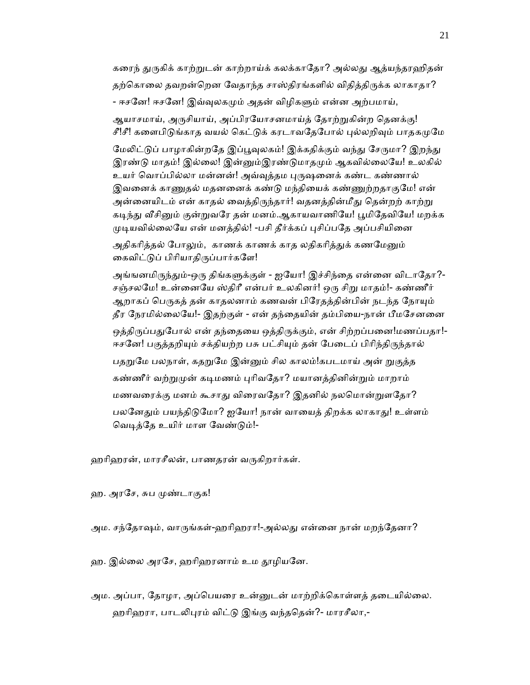கரைந் துருகிக் காற்றுடன் காற்றாய்க் கலக்காதோ? அல்லது ஆத்யந்தரஹிதன் தற்கொலை தவறன்றென வேதாந்த சாஸ்திரங்களில் விதித்திருக்க லாகாதா? - ஈசனே! ஈசனே! இவ்வுலகமும் அதன் விழிகளும் என்ன அற்பமாய், ஆயாசமாய், அருசியாய், அப்பிரயோசனமாய்த் தோற்றுகின்ற தெனக்கு! சீ!சீ! களைபிடுங்காத வயல் கெட்டுக் கரடாவதேபோல் புல்லறிவும் பாதகமுமே

மேலிட்டுப் பாழாகின்றதே இப்பூவுலகம்! இக்கதிக்கும் வந்து சேருமா? இறந்து இரண்டு மாதம்! இல்லை! இன்னும்இரண்டுமாதமும் ஆகவில்லையே! உலகில் உயர் வொப்பில்லா மன்னன்! அவ்வுத்தம புருஷனைக் கண்ட கண்ணால் இவனைக் காணுதல் மதனனைக் கண்டு மந்தியைக் கண்ணுற்றதாகுமே! என் அன்னையிடம் என் காதல் வைத்திருந்தார்! வதனத்தின்மீது தென்றற் காற்று கடிந்து வீசினும் குன்றுவரே தன் மனம்.ஆகாயவாணியே! பூமிதேவியே! மறக்க முடியவில்லையே என் மனத்தில்! -பசி தீர்க்கப் புசிப்பதே அப்பசியினை

அதிகரித்தல் போலும், காணக் காணக் காத லதிகரித்துக் கணமேனும் கைவிட்டுப் பிரியாதிருப்பார்களே!

அங்ஙனமிருந்தும்-ஒரு திங்களுக்குள் - ஐயோ! இச்சிந்தை என்னை விடாதோ?-சஞ்சலமே! உன்னையே ஸ்திரீ என்பர் உலகினர்! ஒரு சிறு மாதம்!- கண்ணீர் ஆறாகப் பெருகத் தன் காதலனாம் கணவன் பிரேதத்தின்பின் நடந்த நோயும் தீர ேநரமில்ைலேய!- இதற்குள் - என் தந்ைதயின் தம்பிைய-நான் பீமேசனைன ஒத்திருப்பதுபோல் என் தந்தையை ஒத்திருக்கும், என் சிற்றப்பனை!மணப்பதா!-ஈசனே! பகுத்தறியும் சக்தியற்ற பசு பட்சியும் தன் பேடைப் பிரிந்திருந்தால் பதறுமே பலநாள், கதறுமே இன்னும் சில காலம்!கபடமாய் அன் றுகுத்த கண்ணீர் வற்றுமுன் கடிமணம் புரிவதோ? மயானத்தினின்றும் மாறாம்

மணவரைக்கு மனம் கூசாது விரைவதோ? இதனில் நலமொன்றுளதோ? பலனேதும் பயந்திடுமோ? ஐயோ! நான் வாயைத் திறக்க லாகாது! உள்ளம் வெடித்தே உயிர் மாள வேண்டும்!-

ஹரிஹரன், மாரசீலன், பாணதரன் வருகிறார்கள்.

ஹ. அரசே, சுப முண்டாகுக!

அம. சந்தோஷம், வாருங்கள்-ஹரிஹரா!-அல்லது என்னை நான் மறந்தேனா?

ஹ. இல்லை அரசே, ஹரிஹரனாம் உம தூழியனே.

அம. அப்பா, தோழா, அப்பெயரை உன்னுடன் மாற்றிக்கொள்ளத் தடையில்லை. ஹரிஹரா, பாடலிபுரம் விட்டு இங்கு வந்ததென்?- மாரசீலா,-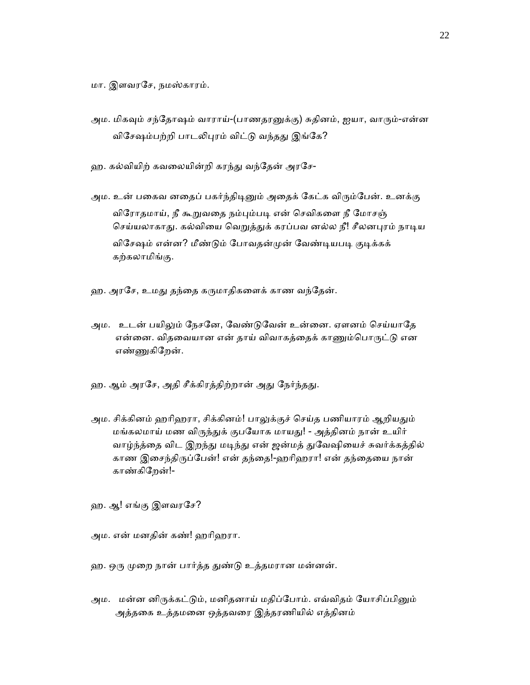மா. இளவரேச, நமஸ்காரம்.

- அம. மிகவும் சந்தோஷம் வாராய்-(பாணதரனுக்கு) சுதினம், ஐயா, வாரும்-என்ன விசேஷம்பற்றி பாடலிபுரம் விட்டு வந்தது இங்கே?
- ஹ. கல்வியிற் கவலையின்றி கரந்து வந்தேன் அரசே-
- அம. உன் பகைவ னதைப் பகர்ந்திடினும் அதைக் கேட்க விரும்பேன். உனக்கு விரோதமாய், நீ கூறுவதை நம்பும்படி என் செவிகளை நீ மோசஞ் செய்யலாகாது. கல்வியை வெறுத்துக் கரப்பவ னல்ல நீ! சீலனபுரம் நாடிய விசேஷம் என்ன? மீண்டும் போவதன்முன் வேண்டியபடி குடிக்கக் கற்கலாமிங்கு.
- ஹ. அரசே, உமது தந்தை கருமாதிகளைக் காண வந்தேன்.
- அம. உடன் பயிலும் நேசனே, வேண்டுவேன் உன்னை. ஏளனம் செய்யாதே என்னை. விதவையான என் தாய் விவாகத்தைக் காணும்பொருட்டு என எண்ணுகிறேன்.
- ஹ. ஆம் அரசே, அதி சீக்கிரத்திற்றான் அது நேர்ந்தது.
- அம. சிக்கினம் ஹரிஹரா, சிக்கினம்! பாலுக்குச் செய்த பணியாரம் ஆறியதும் மங்கலமாய் மண விருந்துக் குபயோக மாயது! - அத்தினம் நான் உயிர் வாழ்ந்த்தை விட இறந்து மடிந்து என் ஜன்மத் துவேஷியைச் சுவர்க்கத்தில் காண இசைந்திருப்பேன்! என் தந்தை!-ஹரிஹரா! என் தந்தையை நான் காண்கிேறன்!-
- ஹ. ஆ! எங்கு இளவரேச?
- அம. என் மனதின் கண்! ஹாிஹரா.
- ஹ. ஒரு முறை நான் பார்த்த துண்டு உத்தமரான மன்னன்.
- அம. மன்ன னிருக்கட்டும், மனிதனாய் மதிப்போம். எவ்விதம் யோசிப்பினும் அத்தைக உத்தமைன ஒத்தவைர இத்தரணியில் எத்தினம்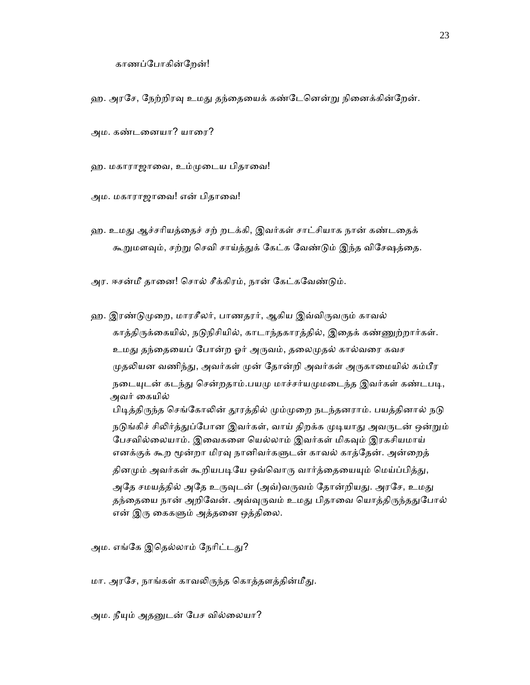ஹ. அரசே, நேற்றிரவு உமது தந்தையைக் கண்டேனென்று நினைக்கின்றேன்.

அம. கண்டைனயா? யாைர?

ஹ. மகாராஜாவை, உம்முடைய பிதாவை!

அம. மகாராஜாவை! என் பிதாவை!

ஹ. உமது ஆச்சரியத்தைச் சற் றடக்கி, இவர்கள் சாட்சியாக நான் கண்டதைக் கூறுமளவும், சற்று செவி சாய்த்துக் கேட்க வேண்டும் இந்த விசேஷத்தை.

அர. ஈசன்மீ தானை! சொல் சீக்கிரம், நான் கேட்கவேண்டும்.

ஹ. இரண்டுமுறை, மாரசீலர், பாணதரர், ஆகிய இவ்விருவரும் காவல் காத்திருக்கையில், நடுநிசியில், காடாந்தகாரத்தில், இதைக் கண்ணுற்றார்கள். உமது தந்தையைப் போன்ற ஓர் அருவம், தலைமுதல் கால்வரை கவச முதலியன வணிந்து, அவர்கள் முன் தோன்றி அவர்கள் அருகாமையில் கம்பீர நடையுடன் கடந்து சென்றதாம்.பயமு மாச்சர்யமுமடைந்த இவர்கள் கண்டபடி, அவர் ைகயில் பிடித்திருந்த செங்கோலின் தூரத்தில் மும்முறை நடந்தனராம். பயத்தினால் நடு நடுங்கிச் சிலிர்த்துப்போன இவர்கள், வாய் திறக்க முடியாது அவருடன் ஒன்றும் பேசவில்லையாம். இவைகளை யெல்லாம் இவர்கள் மிகவும் இரகசியமாய் எனக்குக் கூற மூன்றா மிரவு நானிவர்களுடன் காவல் காத்தேன். அன்றைத் தினமும் அவர்கள் கூறியபடியே ஒவ்வொரு வார்த்தையையும் மெய்ப்பித்து, அதே சமயத்தில் அதே உருவுடன் (அவ்)வருவம் தோன்றியது. அரசே, உமது தந்தையை நான் அறிவேன். அவ்வுருவம் உமது பிதாவை யொத்திருந்ததுபோல்

அம. எங்கே இதெல்லாம் நேரிட்டது?

மா. அரசே, நாங்கள் காவலிருந்த கொத்தளத்தின்மீது.

என் இரு கைகளும் அத்தனை ஒத்திலை.

அம. நீயும் அதனுடன் பேச வில்லையா?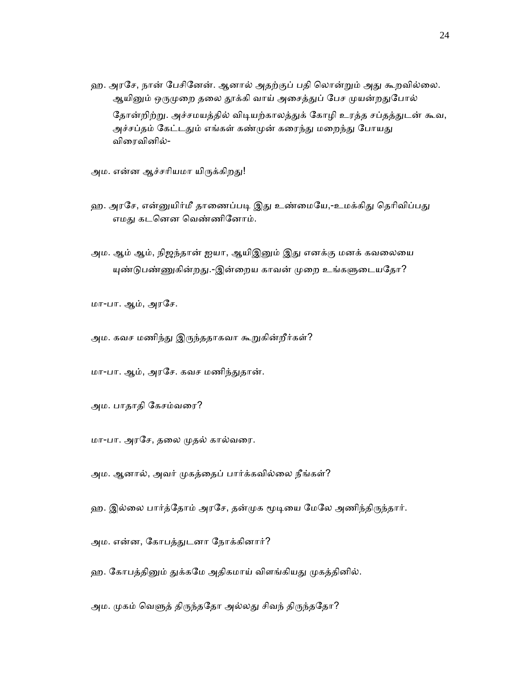ஹ. அரசே, நான் பேசினேன். ஆனால் அதற்குப் பதி லொன்றும் அது கூறவில்லை. ஆயினும் ஒருமுறை தலை தூக்கி வாய் அசைத்துப் பேச முயன்றதுபோல் தோன்றிற்று. அச்சமயத்தில் விடியற்காலத்துக் கோழி உரத்த சப்தத்துடன் கூவ, அச்சப்தம் கேட்டதும் எங்கள் கண்முன் கரைந்து மறைந்து போயது விைரவினில்-

அம. என்ன ஆச்சரியமா யிருக்கிறது!

- ஹ. அரசே, என்னுயிர்மீ தாணைப்படி இது உண்மையே,-உமக்கிது தெரிவிப்பது எமது கடனென வெண்ணினோம்.
- அம. ஆம் ஆம், நிஜந்தான் ஐயா, ஆயிஇனும் இது எனக்கு மனக் கவலையை யுண்டுபண்ணுகின்றது.-இன்றைய காவன் முறை உங்களுடையதோ?

மா-பா. ஆம், அரேச.

அம. கவச மணிந்து இருந்ததாகவா கூறுகின்றீர்கள்?

மா-பா. ஆம், அரசே. கவச மணிந்துதான்.

அம. பாதாதி ேகசம்வைர?

மா-பா. அரேச, தைல ᾙதல் கால்வைர.

அம. ஆனால், அவர் முகத்தைப் பார்க்கவில்லை நீங்கள்?

ஹ. இல்லை பார்த்தோம் அரசே, தன்முக மூடியை மேலே அணிந்திருந்தார்.

அம. என்ன, ேகாபத்ᾐடனா ேநாக்கினார்?

ஹ. கோபத்தினும் துக்கமே அதிகமாய் விளங்கியது முகத்தினில்.

அம. முகம் வெளுத் திருந்ததோ அல்லது சிவந் திருந்ததோ?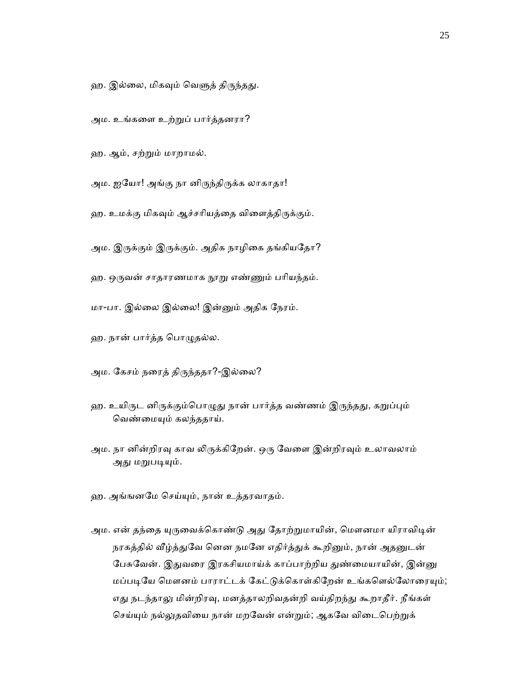- ஹ. இல்லை, மிகவும் வெளுத் திருந்தது.
- அம. உங்கைள உற்ᾠப் பார்த்தனரா?
- ஹ. ஆம், சற்ᾠம் மாறாமல்.
- அம. ஐயோ! அங்கு நா னிருந்திருக்க லாகாதா!
- ஹ. உமக்கு மிகவும் ஆச்சரியத்தை விளைத்திருக்கும்.
- அம. இருக்கும் இருக்கும். அதிக நாழிகை தங்கியதோ?
- ஹ. ஒருவன் சாதாரணமாக நூறு எண்ணும் பரியந்தம்.
- மா-பா. இல்ைல இல்ைல! இன்ᾔம் அதிக ேநரம்.
- ஹ. நான் பார்த்த ெபாᾨதல்ல.
- அம. கேசம் நரைத் திருந்ததா?-இல்லை?
- ஹ. உயிருட னிருக்கும்பொழுது நான் பார்த்த வண்ணம் இருந்தது, கறுப்பும் வெண்மையும் கலந்ததாய்.
- அம. நா னின்றிரவு காவ லிருக்கிறேன். ஒரு வேளை இன்றிரவும் உலாவலாம் அது மறுபடியும்.
- ஹ. அங்ஙனேம ெசய்ᾜம், நான் உத்தரவாதம்.
- அம. என் தந்தை யுருவைக்கொண்டு அது தோற்றுமாயின், மௌனமா யிராவிடின் நரகத்தில் வீழ்த்துவே னென நமனே எதிர்த்துக் கூறினும், நான் அதனுடன் பேசுவேன். இதுவரை இரகசியமாய்க் காப்பாற்றிய துண்மையாயின், இன்னு மப்படியே மௌனம் பாராட்டக் கேட்டுக்கொள்கிறேன் உங்களெல்லோரையும்; எது நடந்தாலு மின்றிரவு, மனத்தாலறிவதன்றி வய்திறந்து கூறாதீர். நீங்கள் செய்யும் நல்லுதவியை நான் மறவேன் என்றும்; ஆகவே விடைபெற்றுக்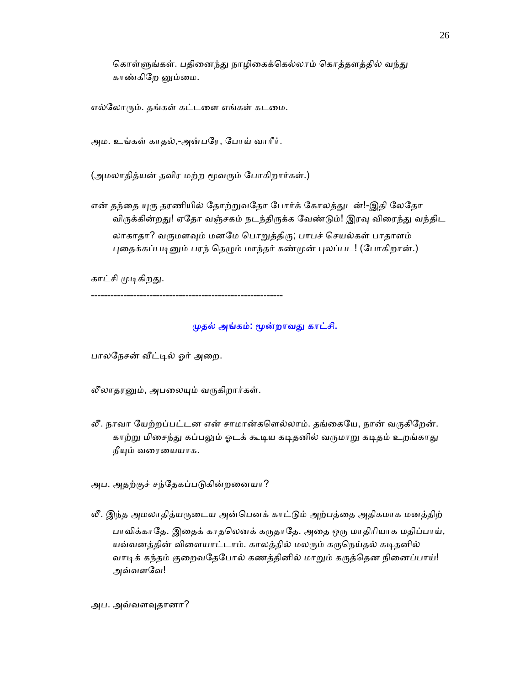கொள்ளுங்கள். பதினைந்து நாழிகைக்கெல்லாம் கொத்தளத்தில் வந்து காண்கிறே னும்மை.

எல்ேலாᾞம். தங்கள் கட்டைள எங்கள் கடைம.

அம. உங்கள் காதல்,-அன்பேர, ேபாய் வாாீர்.

(அமலாதித்யன் தவிர மற்ற மூவரும் போகிறார்கள்.)

என் தந்தை யுரு தரணியில் தோற்றுவதோ போர்க் கோலத்துடன்!-இதி லேதோ விருக்கின்றது! ஏதோ வஞ்சகம் நடந்திருக்க வேண்டும்! இரவு விரைந்து வந்திட

லாகாதா? வருமளவும் மனமே பொறுத்திரு; பாபச் செயல்கள் பாதாளம் புதைக்கப்படினும் பரந் தெழும் மாந்தர் கண்முன் புலப்பட! (போகிறான்.)

காட்சி முடிகிறது.

-----------------------------------------------------------

### முதல் அங்கம்: மூன்றாவது காட்சி.

பாலநேசன் வீட்டில் ஓர் அறை.

லீலாதரனும், அபலையும் வருகிறார்கள்.

- லீ. நாவா யேற்றப்பட்டன என் சாமான்களெல்லாம். தங்கையே, நான் வருகிறேன். காற்று மிசைந்து கப்பலும் ஓடக் கூடிய கடிதனில் வருமாறு கடிதம் உறங்காது நீயும் வரையையாக.
- அப. அதற்குச் சந்தேகப்படுகின்றனையா?
- லீ. இந்த அமலாதித்யருடைய அன்பெனக் காட்டும் அற்பத்தை அதிகமாக மனத்திற் பாவிக்காதே. இதைக் காதலெனக் கருதாதே. அதை ஒரு மாதிரியாக மதிப்பாய், யவ்வனத்தின் விளையாட்டாம். காலத்தில் மலரும் கருநெய்தல் கடிதனில் வாடிக் கந்தம் குறைவதேபோல் கணத்தினில் மாறும் கருத்தென நினைப்பாய்! அவ்வளவே!

அப. அவ்வளᾫதானா?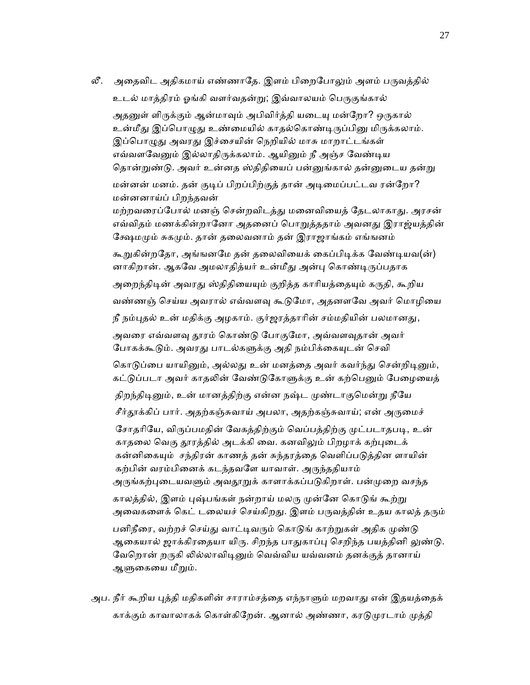லீ. அதைவிட அதிகமாய் எண்ணாதே. இளம் பிறைபோலும் அளம் பருவத்தில்

உடல் மாத்திரம் ஓங்கி வளர்வதன்று; இவ்வாலயம் பெருகுங்கால் அதனுள் ளிருக்கும் ஆன்மாவும் அபிவிர்த்தி யடையு மன்றோ? ஒருகால் உன்மீது இப்பொழுது உண்மையில் காதல்கொண்டிருப்பினு மிருக்கலாம். இப்பொழுது அவரது இச்சையின் நெறியில் மாசு மாறாட்டங்கள் எவ்வளவேனும் இல்லாதிருக்கலாம். ஆயினும் நீ அஞ்ச வேண்டிய தொன்றுண்டு. அவர் உன்னத ஸ்திதியைப் பன்னுங்கால் தன்னுடைய தன்று மன்னன் மனம். தன் குடிப் பிறப்பிற்குத் தான் அடிமைப்பட்டவ ரன்றோ? மன்னனாய்ப் பிறந்தவன்

மற்றவரைப்போல் மனஞ் சென்றவிடத்து மனைவியைத் தேடலாகாது. அரசன் எவ்விதம் மணக்கின்றானோ அதனைப் பொறுத்ததாம் அவனது இராஜ்யத்தின் கேஷமமும் சுகமும். தான் தலைவனாம் தன் இராஜாங்கம் எங்ஙனம்

கூறுகின்றதோ, அங்ஙனமே தன் தலைவியைக் கைப்பிடிக்க வேண்டியவ(ன்) னாகிறான். ஆகவே அமலாதித்யர் உன்மீது அன்பு கொண்டிருப்பதாக அறைந்திடின் அவரது ஸ்திதியையும் குறித்த காரியத்தையும் கருதி, கூறிய வண்ணஞ் செய்ய அவரால் எவ்வளவு கூடுமோ, அதனளவே அவர் மொழியை நீ நம்புதல் உன் மதிக்கு அழகாம். குர்ஜரத்தாரின் சம்மதியின் பலமானது, அவரை எவ்வளவு தூரம் கொண்டு போகுமோ, அவ்வளவுதான் அவர் போகக்கூடும். அவரது பாடல்களுக்கு அதி நம்பிக்கையுடன் செவி கொடுப்பை யாயினும், அல்லது உன் மனத்தை அவர் கவர்ந்து சென்றிடினும், கட்டுப்படா அவர் காதலின் வேண்டுகோளுக்கு உன் கற்பெனும் பேழையைத் திறந்திடினும், உன் மானத்திற்கு என்ன நஷ்ட முண்டாகுமென்று நீயே சீர்தூக்கிப் பார். அதற்கஞ்சுவாய் அபலா, அதற்கஞ்சுவாய்; என் அருமைச் சோதரியே, விருப்பமதின் வேகத்திற்கும் வெப்பத்திற்கு முட்படாதபடி, உன் காதலை வெகு தூரத்தில் அடக்கி வை. கனவிலும் பிறழாக் கற்புடைக் கன்னிகையும் சந்திரன் காணத் தன் சுந்தரத்தை வெளிப்படுத்தின ளாயின் கற்பின் வரம்பினைக் கடந்தவளே யாவாள். அருந்ததியாம் அருங்கற்புடையவளும் அவதூறுக் காளாக்கப்படுகிறாள். பன்முறை வசந்த காலத்தில், இளம் புஷ்பங்கள் நன்றாய் மலரு முன்னே கொடுங் கூற்று அவைகளைக் கெட் டலையச் செய்கிறது. இளம் பருவத்தின் உதய காலத் தரும் பனிநீரை, வற்றச் செய்து வாட்டிவரும் கொடுங் காற்றுகள் அதிக முண்டு ஆகையால் ஜாக்கிரதையா யிரு. சிறந்த பாதுகாப்பு செறிந்த பயத்தினி லுண்டு. வேறொன் றருகி லில்லாவிடினும் வெவ்விய யவ்வனம் தனக்குத் தானாய் ஆளுகையை மீறும்.

அப. நீர் கூறிய புத்தி மதிகளின் சாராம்சத்தை எந்நாளும் மறவாது என் இதயத்தைக் காக்கும் காவாலாகக் கொள்கிறேன். ஆனால் அண்ணா, கரடுமுரடாம் முத்தி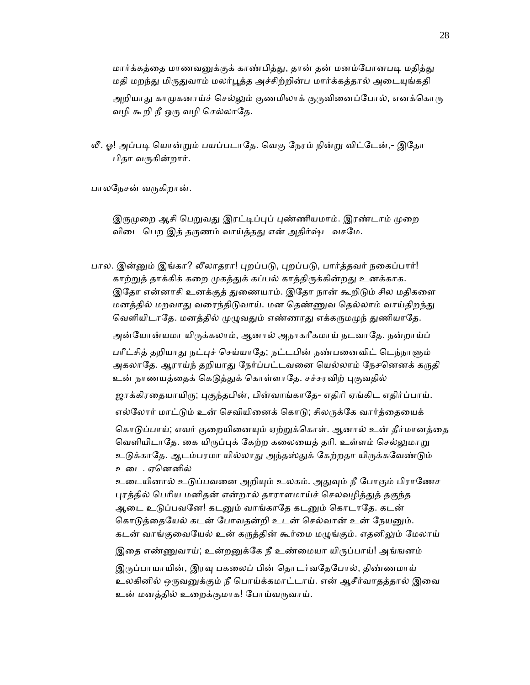மார்க்கத்தை மாணவனுக்குக் காண்பித்து, தான் தன் மனம்போனபடி மதித்து மதி மறந்து மிருதுவாம் மலர்பூத்த அச்சிற்றின்ப மார்க்கத்தால் அடையுங்கதி அறியாது காமுகனாய்ச் செல்லும் குணமிலாக் குருவினைப்போல், எனக்கொரு வழி கூறி நீ ஒரு வழி செல்லாதே.

லீ. ஓ! அப்படி யொன்றும் பயப்படாதே. வெகு நேரம் நின்று விட்டேன்,- இதோ பிதா வᾞகின்றார்.

பாலநேசன் வருகிறான்.

இருமுறை ஆசி பெறுவது இரட்டிப்புப் புண்ணியமாம். இரண்டாம் முறை விடை பெற இத் தருணம் வாய்த்தது என் அதிர்ஷ்ட வசமே.

பால. இன்னும் இங்கா? லீலாதரா! புறப்படு, புறப்படு, பார்த்தவர் நகைப்பார்! காற்றுத் தாக்கிக் கறை முகத்துக் கப்பல் காத்திருக்கின்றது உனக்காக. இதோ என்னாசி உனக்குத் துணையாம். இதோ நான் கூறிடும் சில மதிகளை மனத்தில் மறவாது வரைந்திடுவாய். மன தெண்ணுவ தெல்லாம் வாய்திறந்து வெளியிடாதே. மனத்தில் முழுவதும் எண்ணாது எக்கருமமுந் துணியாதே. அன்யோன்யமா யிருக்கலாம், ஆனால் அநாகரீகமாய் நடவாதே. நன்றாய்ப் பரீட்சித் தறியாது நட்புச் செய்யாதே; நட்டபின் நண்பனைவிட் டெந்நாளும் அகலாதே. ஆராய்ந் தறியாது நேர்ப்பட்டவனை யெல்லாம் நேசனெனக் கருதி உன் நாணயத்தைக் கெடுத்துக் கொள்ளாதே. சச்சரவிற் புகுவதில் ஜாக்கிரதையாயிரு; புகுந்தபின், பின்வாங்காதே- எதிரி ஏங்கிட எதிர்ப்பாய். எல்லோர் மாட்டும் உன் செவியினைக் கொடு; சிலருக்கே வார்த்தையைக் கொடுப்பாய்; எவர் குறையினையும் ஏற்றுக்கொள். ஆனால் உன் தீர்மானத்தை வெளியிடாதே. கை யிருப்புக் கேற்ற கலையைத் தரி. உள்ளம் செல்லுமாறு உடுக்காதே. ஆடம்பரமா யில்லாது அந்தஸ்துக் கேற்றதா யிருக்கவேண்டும் உைட. ஏெனனில் உடையினால் உடுப்பவனை அறியும் உலகம். அதுவும் நீ போகும் பிராணேச புரத்தில் பெரிய மனிதன் என்றால் தாராளமாய்ச் செலவழித்துத் தகுந்த ஆடை உடுப்பவனே! கடனும் வாங்காதே கடனும் கொடாதே. கடன் கொடுத்தையேல் கடன் போவதன்றி உடன் செல்வான் உன் நேயனும். கடன் வாங்குவையேல் உன் கருத்தின் கூர்மை மழுங்கும். எதனிலும் மேலாய் இதை எண்ணுவாய்; உன்றனுக்கே நீ உண்மையா யிருப்பாய்! அங்ஙனம் இருப்பாயாயின், இரவு பகலைப் பின் தொடர்வதேபோல், திண்ணமாய் உலகினில் ஒருவனுக்கும் நீ பொய்க்கமாட்டாய். என் ஆசீர்வாதத்தால் இவை உன் மனத்தில் உைறக்குமாக! ேபாய்வᾞவாய்.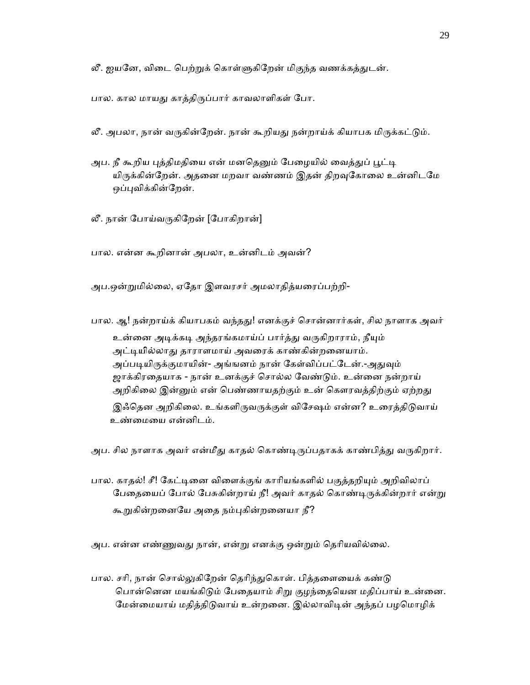லீ. ஐயனே, விடை பெற்றுக் கொள்ளுகிறேன் மிகுந்த வணக்கத்துடன்.

பால. கால மாயது காத்திருப்பார் காவலாளிகள் போ.

- லீ. அபலா, நான் வருகின்றேன். நான் கூறியது நன்றாய்க் கியாபக மிருக்கட்டும்.
- அப. நீ கூறிய புத்திமதியை என் மனதெனும் பேழையில் வைத்துப் பூட்டி யிருக்கின்றேன். அதனை மறவா வண்ணம் இதன் திறவுகோலை உன்னிடமே ஒப்புவிக்கின்றேன்.
- லீ. நான் போய்வருகிறேன் [போகிறான்]

பால. என்ன கூறினான் அபலா, உன்னிடம் அவன்?

அப.ஒன்ᾠமில்ைல, ஏேதா இளவரசர் அமலாதித்யைரப்பற்றி-

பால. ஆ! நன்றாய்க் கியாபகம் வந்தது! எனக்குச் சொன்னார்கள், சில நாளாக அவர் உன்னை அடிக்கடி அந்தரங்கமாய்ப் பார்த்து வருகிறாராம், நீயும் அட்டியில்லாது தாராளமாய் அவரைக் காண்கின்றனையாம். அப்படியிருக்குமாயின்- அங்ஙனம் நான் கேள்விப்பட்டேன்.-அதுவும் ஜாக்கிரதையாக - நான் உனக்குச் சொல்ல வேண்டும். உன்னை நன்றாய் அறிகிலை இன்னும் என் பெண்ணாயதற்கும் உன் கௌரவத்திற்கும் ஏற்றது இஃதென அறிகிலை. உங்களிருவருக்குள் விசேஷம் என்ன? உரைத்திடுவாய் உண்ைமைய என்னிடம்.

அப. சில நாளாக அவர் என்மீது காதல் கொண்டிருப்பதாகக் காண்பித்து வருகிறார்.

பால. காதல்! சீ! கேட்டினை விளைக்குங் காரியங்களில் பகுத்தறியும் அறிவிலாப் பேதையைப் போல் பேசுகின்றாய் நீ! அவர் காதல் கொண்டிருக்கின்றார் என்று கூறுகின்றனையே அதை நம்புகின்றனையா நீ?

அப. என்ன எண்ணுவது நான், என்று எனக்கு ஒன்றும் தெரியவில்லை.

பால. சரி, நான் சொல்லுகிறேன் தெரிந்துகொள். பித்தளையைக் கண்டு பொன்னென மயங்கிடும் பேதையாம் சிறு குழந்தையென மதிப்பாய் உன்னை. மேன்மையாய் மதித்திடுவாய் உன்றனை. இல்லாவிடின் அந்தப் பழமொழிக்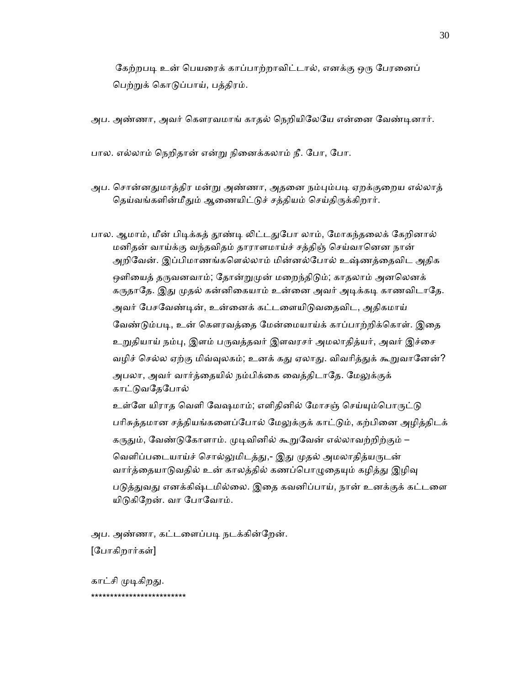கேற்றபடி உன் பெயரைக் காப்பாற்றாவிட்டால், எனக்கு ஒரு பேரனைப் பெற்றுக் கொடுப்பாய், பத்திரம்.

அப. அண்ணா, அவர் கௌரவமாங் காதல் நெறியிலேயே என்னை வேண்டினார்.

பால. எல்லாம் ெநறிதான் என்ᾠ நிைனக்கலாம் நீ. ேபா, ேபா.

அப. சொன்னதுமாத்திர மன்று அண்ணா, அதனை நம்பும்படி ஏறக்குறைய எல்லாத் தெய்வங்களின்மீதும் ஆணையிட்டுச் சத்தியம் செய்திருக்கிறார்.

பால. ஆமாம், மீன் பிடிக்கத் தூண்டி லிட்டதுபோ லாம், மோகந்தலைக் கேறினால் மனிதன் வாய்க்கு வந்தவிதம் தாராளமாய்ச் சத்திஞ் ெசய்வாெனன நான் அறிேவன். இப்பிமாணங்கெளல்லாம் மின்னல்ேபால் உஷ்ணத்ைதவிட அதிக ஒளியைத் தருவனவாம்; தோன்றுமுன் மறைந்திடும்; காதலாம் அனலெனக் கருதாதே. இது முதல் கன்னிகையாம் உன்னை அவர் அடிக்கடி காணவிடாதே. அவர் பேசவேண்டின், உன்னைக் கட்டளையிடுவதைவிட, அதிகமாய் வேண்டும்படி, உன் கௌரவத்தை மேன்மையாய்க் காப்பாற்றிக்கொள். இதை உறுதியாய் நம்பு, இளம் பருவத்தவர் இளவரசர் அமலாதித்யர், அவர் இச்சை வழிச் செல்ல ஏற்கு மிவ்வுலகம்; உனக் கது ஏலாது. விவரித்துக் கூறுவானேன்? அபலா, அவர் வார்த்தையில் நம்பிக்கை வைத்திடாதே. மேலுக்குக் காட்ᾌவேதேபால்

உள்ளே யிராத வெளி வேஷமாம்; எளிதினில் மோசஞ் செய்யும்பொருட்டு பரிசுத்தமான சத்தியங்களைப்போல் மேலுக்குக் காட்டும், கற்பினை அழித்திடக் கருதும், வேண்டுகோளாம். முடிவினில் கூறுவேன் எல்லாவற்றிற்கும் – வெளிப்படையாய்ச் சொல்லுமிடத்து,- இது முதல் அமலாதித்யருடன் வார்த்தையாடுவதில் உன் காலத்தில் கணப்பொழுதையும் கழித்து இழிவு படுத்துவது எனக்கிஷ்டமில்லை. இதை கவனிப்பாய், நான் உனக்குக் கட்டளை யிடுகிறேன். வா போவோம்.

அப. அண்ணா, கட்டளைப்படி நடக்கின்றேன். [ேபாகிறார்கள்]

காட்சி முடிகிறது. \*\*\*\*\*\*\*\*\*\*\*\*\*\*\*\*\*\*\*\*\*\*\*\*\*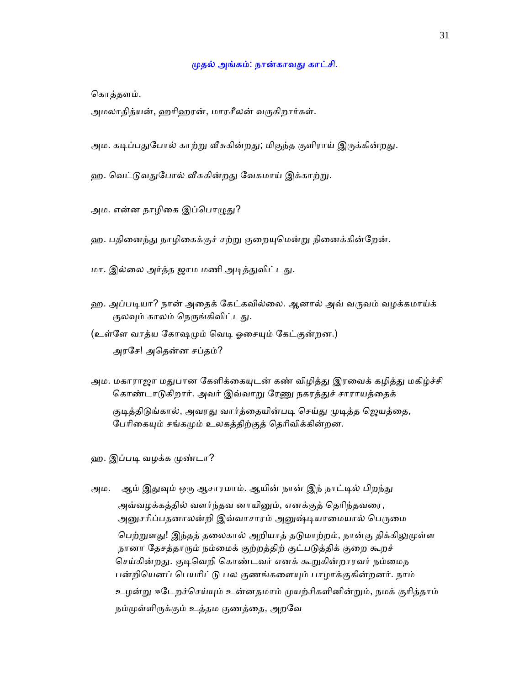### ᾙதல் அங்கம்: நான்காவᾐ காட்சி.

ெகாத்தளம்.

அமலாதித்யன், ஹரிஹரன், மாரசீலன் வருகிறார்கள்.

- அம. கடிப்பதுபோல் காற்று வீசுகின்றது; மிகுந்த குளிராய் இருக்கின்றது.
- ஹ. வெட்டுவதுபோல் வீசுகின்றது வேகமாய் இக்காற்று.
- அம. என்ன நாழிகை இப்பொழுது?
- ஹ. பதினைந்து நாழிகைக்குச் சற்று குறையுமென்று நினைக்கின்றேன்.
- மா. இல்லை அர்த்த ஜாம மணி அடித்துவிட்டது.
- ஹ. அப்படியா? நான் அதைக் கேட்கவில்லை. ஆனால் அவ் வருவம் வழக்கமாய்க் குலவும் காலம் நெருங்கிவிட்டது.
- (உள்ளே வாத்ய கோஷமும் வெடி ஓசையும் கேட்குன்றன.) அரேச! அெதன்ன சப்தம்?
- அம. மகாராஜா மதுபான கேளிக்கையுடன் கண் விழித்து இரவைக் கழித்து மகிழ்ச்சி கொண்டாடுகிறார். அவர் இவ்வாறு ரேணு நகரத்துச் சாராயத்தைக்

குடித்திடுங்கால், அவரது வார்த்தையின்படி செய்து முடித்த ஜெயத்தை, பேரிகையும் சங்கமும் உலகத்திற்குத் தெரிவிக்கின்றன.

- ஹ. இப்படி வழக்க முண்டா?
- அம. ஆம் இதுவும் ஒரு ஆசாரமாம். ஆயின் நான் இந் நாட்டில் பிறந்து அவ்வழக்கத்தில் வளர்ந்தவ னாயினும், எனக்குத் தெரிந்தவரை, அனுசரிப்பதனாலன்றி இவ்வாசாரம் அனுஷ்டியாமையால் பெருமை

பெற்றுளது! இந்தத் தலைகால் அறியாத் தடுமாற்றம், நான்கு திக்கிலுமுள்ள நானா தேசத்தாரும் நம்மைக் குற்றத்திற் குட்படுத்திக் குறை கூறச் செய்கின்றது. குடிவெறி கொண்டவர் எனக் கூறுகின்றாரவர் நம்மைந பன்றியெனப் பெயரிட்டு பல குணங்களையும் பாழாக்குகின்றனர். நாம் உழன்று ஈடேறச்செய்யும் உன்னதமாம் முயற்சிகளினின்றும், நமக் குரித்தாம் நம்முள்ளிருக்கும் உத்தம குணத்தை, அறவே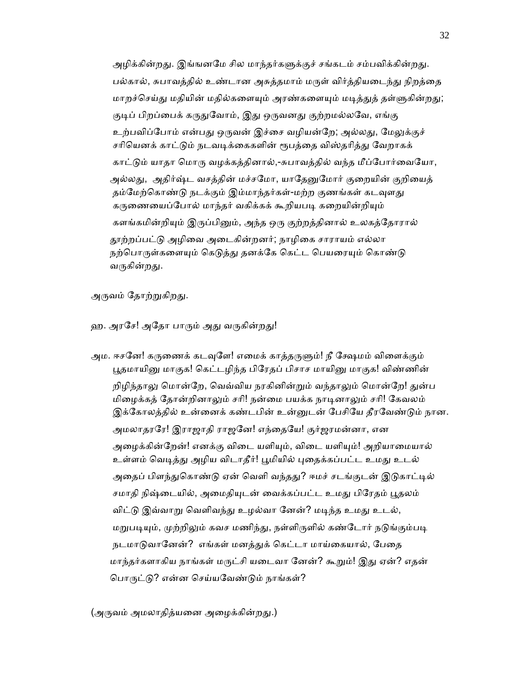அழிக்கின்றது. இங்ஙனமே சில மாந்தர்களுக்குச் சங்கடம் சம்பவிக்கின்றது. பல்கால், சுபாவத்தில் உண்டான அசுத்தமாம் மருள் விர்த்தியடைந்து நிறத்தை மாறச்செய்து மதியின் மதில்களையும் அரண்களையும் மடித்துத் தள்ளுகின்றது; குடிப் பிறப்பைக் கருதுவோம், இது ஒருவனது குற்றமல்லவே, எங்கு உற்பவிப்போம் என்பது ஒருவன் இச்சை வழியன்றே; அல்லது, மேலுக்குச் சரியெனக் காட்டும் நடவடிக்கைகளின் ரூபத்தை விஸ்தரித்து வேறாகக் காட்டும் யாதா மொரு வழக்கத்தினால்,-சுபாவத்தில் வந்த மீப்போர்வையோ, அல்லது, அதிர்ஷ்ட வசத்தின் மச்சமோ, யாதேனுமோர் குறையின் குறியைத் தம்மேற்கொண்டு நடக்கும் இம்மாந்தர்கள்-மற்ற குணங்கள் கடவுளது கருணையைப்போல் மாந்தர் வகிக்கக் கூறியபடி கறையின்றியும் களங்கமின்றியும் இருப்பினும், அந்த ஒரு குற்றத்தினால் உலகத்தோரால் தூற்றப்பட்டு அழிவை அடைகின்றனர்; நாழிகை சாராயம் எல்லா நற்பொருள்களையும் கெடுத்து தனக்கே கெட்ட பெயரையும் கொண்டு வருகின்றது.

அருவம் தோற்றுகிறது.

ஹ. அரசே! அதோ பாரும் அது வருகின்றது!

அம. ஈசனே! கருணைக் கடவுளே! எமைக் காத்தருளும்! நீ க்ஷேமம் விளைக்கும் பூதமாயினு மாகுக! கெட்டழிந்த பிரேதப் பிசாச மாயினு மாகுக! விண்ணின் றிழிந்தாலு மொன்றே, வெவ்விய நரகினின்றும் வந்த<u>ாலு</u>ம் மொன்றே! துன்ப மிழைக்கத் தோன்றினாலும் சரி! நன்மை பயக்க நாடினாலும் சரி! கேவலம் இக்கோலத்தில் உன்னைக் கண்டபின் உன்னுடன் பேசியே தீரவேண்டும் நான. அமலாதரரே! இராஜாதி ராஜனே! எந்தையே! குர்ஜரமன்னா, என அழைக்கின்றேன்! எனக்கு விடை யளியும், விடை யளியும்! அறியாமையால் உள்ளம் வெடித்து அழிய விடாதீர்! பூமியில் புதைக்கப்பட்ட உமது உடல் அதைப் பிளந்துகொண்டு ஏன் வெளி வந்தது? ஈமச் சடங்குடன் இடுகாட்டில் சமாதி நிஷ்டையில், அமைதியுடன் வைக்கப்பட்ட உமது பிரேதம் பூதலம் விட்டு இவ்வாறு வெளிவந்து உழல்வா னேன்? மடிந்த உமது உடல், மறுபடியும், முற்றிலும் கவச மணிந்து, நள்ளிருளில் கண்டோர் நடுங்கும்படி நடமாடுவானேன்? எங்கள் மனத்துக் கெட்டா மாய்கையால், பேதை மாந்தர்களாகிய நாங்கள் மருட்சி யடைவா னேன்? கூறும்! இது ஏன்? எதன் பொருட்டு? என்ன செய்யவேண்டும் நாங்கள்?

(அருவம் அமலாதித்யனை அழைக்கின்றது.)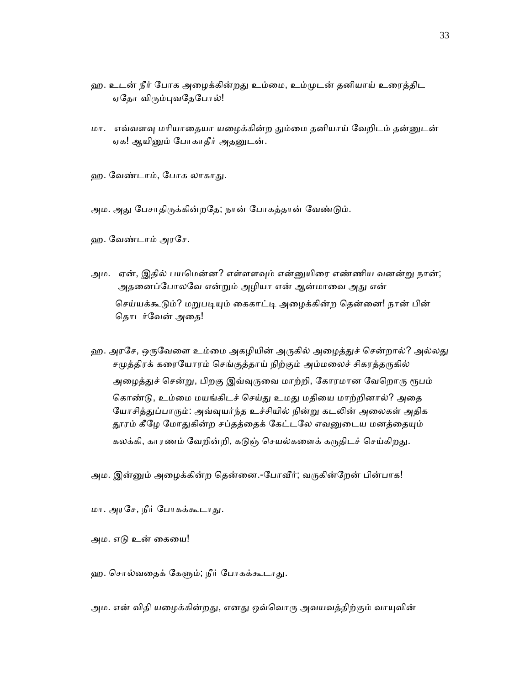- ஹ. உடன் நீர் போக அழைக்கின்றது உம்மை, உம்முடன் தனியாய் உரைத்திட ஏதோ விரும்புவதேபோல்!
- மா. எவ்வளவு மரியாதையா யழைக்கின்ற தும்மை தனியாய் வேறிடம் தன்னுடன் ஏக! ஆயினும் போகாதீர் அதனுடன்.
- ஹ. வேண்டாம், போக லாகாது.
- அம. அது பேசாதிருக்கின்றதே; நான் போகத்தான் வேண்டும்.
- ஹ. ேவண்டாம் அரேச.
- அம. ஏன், இதில் பயமென்ன? எள்ளளவும் என்னுயிரை எண்ணிய வனன்று நான்; அதனைப்போலவே என்றும் அழியா என் ஆன்மாவை அது என் செய்யக்கூடும்? மறுபடியும் கைகாட்டி அழைக்கின்ற தென்னை! நான் பின் ெதாடர்ேவன் அைத!
- ஹ. அரசே, ஒருவேளை உம்மை அகழியின் அருகில் அழைத்துச் சென்றால்? அல்லது சமுத்திரக் கரையோரம் செங்குத்தாய் நிற்கும் அம்மலைச் சிகரத்தருகில் அழைத்துச் சென்று, பிறகு இவ்வுருவை மாற்றி, கோரமான வேறொரு ரூபம் கொண்டு, உம்மை மயங்கிடச் செய்து உமது மதியை மாற்றினால்? அதை யோசித்துப்பாரும்: அவ்வுயர்ந்த உச்சியில் நின்று கடலின் அலைகள் அதிக தூரம் கீழே மோதுகின்ற சப்தத்தைக் கேட்டலே எவனுடைய மனத்தையும் கலக்கி, காரணம் வேறின்றி, கடுஞ் செயல்களைக் கருதிடச் செய்கிறது.

அம. இன்னும் அழைக்கின்ற தென்னை.-போவீர்; வருகின்றேன் பின்பாக!

மா. அரேச, நீர் ேபாகக்கூடாᾐ.

அம. எᾌ உன் ைகைய!

ஹ. சொல்வதைக் கேளும்; நீர் போகக்கூடாது.

அம. என் விதி யழைக்கின்றது, எனது ஒவ்வொரு அவயவத்திற்கும் வாயுவின்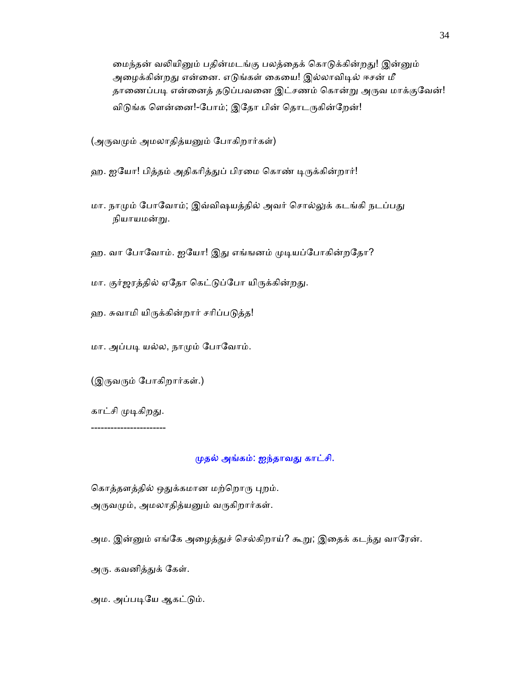மைந்தன் வலியினும் பதின்மடங்கு பலத்தைக் கொடுக்கின்றது! இன்னும் அழைக்கின்றது என்னை. எடுங்கள் கையை! இல்லாவிடில் ஈசன் மீ தாணைப்படி என்னைத் தடுப்பவனை இட்சணம் கொன்று அருவ மாக்குவேன்! விடுங்க ளென்னை!-போம்; இதோ பின் தொடருகின்றேன்!

(அருவமும் அமலாதித்யனும் போகிறார்கள்)

ஹ. ஐயோ! பித்தம் அதிகரித்துப் பிரமை கொண் டிருக்கின்றார்!

- மா. நாமும் போவோம்; இவ்விஷயத்தில் அவர் சொல்லுக் கடங்கி நடப்பது நியாயமன்ᾠ.
- ஹ. வா போவோம். ஐயோ! இது எங்ஙனம் முடியப்போகின்றதோ?
- மா. குர்ஜரத்தில் ஏதோ கெட்டுப்போ யிருக்கின்றது.
- ஹ. சுவாமி யிருக்கின்றார் சரிப்படுத்த!

மா. அப்படி யல்ல, நாமும் போவோம்.

(இருவரும் போகிறார்கள்.)

காட்சி முடிகிறது.

-----------------------

### ᾙதல் அங்கம்: ஐந்தாவᾐ காட்சி.

கொத்தளத்தில் ஒதுக்கமான மற்றொரு புறம். அருவமும், அமலாதித்யனும் வருகிறார்கள்.

அம. இன்னும் எங்கே அழைத்துச் செல்கிறாய்? கூறு; இதைக் கடந்து வாரேன்.

அரு. கவனித்துக் கேள்.

அம. அப்படியே ஆகட்டும்.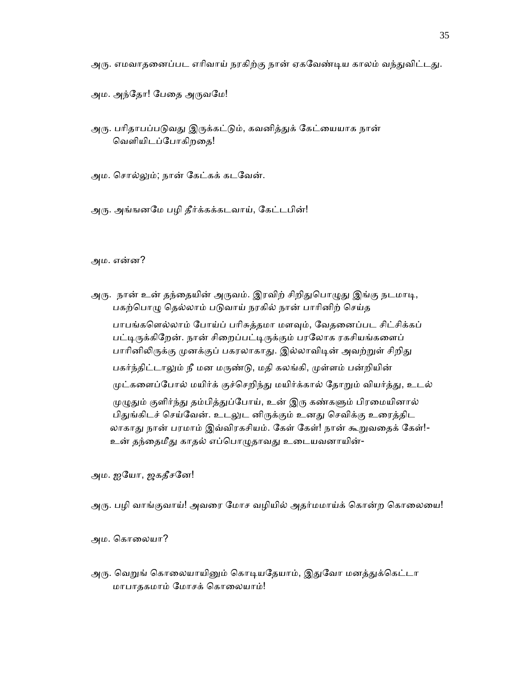அரு. எமவாதனைப்பட எரிவாய் நரகிற்கு நான் ஏகவேண்டிய காலம் வந்துவிட்டது.

அம. அந்தோ! பேதை அருவமே!

அரு. பரிதாபப்படுவது இருக்கட்டும், கவனித்துக் கேட்யையாக நான் ெவளியிடப்ேபாகிறைத!

அம. ெசால்ᾤம்; நான் ேகட்கக் கடேவன்.

அᾞ. அங்ஙனேம பழி தீர்க்கக்கடவாய், ேகட்டபின்!

அம. என்ன?

அரு. நான் உன் தந்தையின் அருவம். இரவிற் சிறிதுபொழுது இங்கு நடமாடி, பகற்பொழு தெல்லாம் படுவாய் நரகில் நான் பாரினிற் செய்த பாபங்களெல்லாம் போய்ப் பரிசுத்தமா மளவும், வேதனைப்பட சிட்சிக்கப் பட்டிருக்கிறேன். நான் சிறைப்பட்டிருக்கும் பரலோக ரகசியங்களைப் பாரினிலிருக்கு முனக்குப் பகரலாகாது. இல்லாவிடின் அவற்றுள் சிறிது பகர்ந்திட்டாலும் நீ மன மருண்டு, மதி கலங்கி, முள்ளம் பன்றியின் முட்களைப்போல் மயிர்க் குச்செறிந்து மயிர்க்கால் தோறும் வியர்த்து, உடல் முழுதும் குளிர்ந்து தம்பித்துப்போய், உன் இரு கண்களும் பிரமையினால் பிதுங்கிடச் செய்வேன். உடலுட னிருக்கும் உனது செவிக்கு உரைத்திட லாகாது நான் பரமாம் இவ்விரகசியம். கேள் கேள்! நான் கூறுவதைக் கேள்!-உன் தந்தைமீது காதல் எப்பொழுதாவது உடையவனாயின்-

அம. ஐேயா, ஜகதீசேன!

அரு. பழி வாங்குவாய்! அவரை மோச வழியில் அதர்மமாய்க் கொன்ற கொலையை!

அம. கொலையா?

அரு. வெறுங் கொலையாயினும் கொடியதேயாம், இதுவோ மனத்துக்கெட்டா மாபாதகமாம் ேமாசக் ெகாைலயாம்!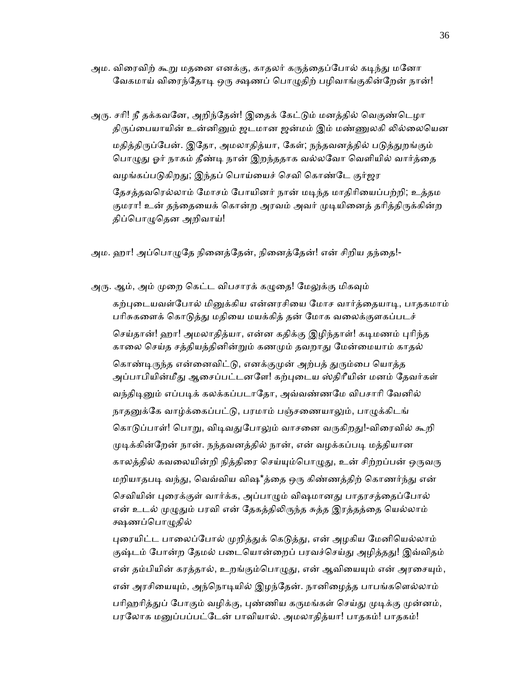அம. விரைவிற் கூறு மதனை எனக்கு, காதலர் கருத்தைப்போல் கடிந்து மனோ வேகமாய் விரைந்தோடி ஒரு க்ஷணப் பொழுதிற் பழிவாங்குகின்றேன் நான்!

அரு. சரி! நீ தக்கவனே, அறிந்தேன்! இதைக் கேட்டும் மனத்தில் வெகுண்டெழா திருப்பையாயின் உன்னினும் ஜடமான ஜன்மம் இம் மண்ணுலகி லில்லையென மதித்திருப்பேன். இதோ, அமலாதித்யா, கேள்; நந்தவனத்தில் படுத்துறங்கும் பொழுது ஓர் நாகம் தீண்டி நான் இறந்ததாக வல்லவோ வெளியில் வார்த்தை வழங்கப்படுகிறது; இந்தப் பொய்யைச் செவி கொண்டே குர்ஜர தேசத்தவரெல்லாம் மோசம் போயினர் நான் மடிந்த மாதிரியைப்பற்றி; உத்தம குமரா! உன் தந்தையைக் கொன்ற அரவம் அவர் முடியினைத் தரித்திருக்கின்ற திப்பொழுதென அறிவாய்!

அம. ஹா! அப்பொழுதே நினைத்தேன், நினைத்தேன்! என் சிறிய தந்தை!-

அரு. ஆம், அம் முறை கெட்ட விபசாரக் கழுதை! மேலுக்கு மிகவும் கற்புடையவள்போல் மினுக்கிய என்னரசியை மோச வார்த்தையாடி, பாதகமாம் பரிசுகளைக் கொடுத்து மதியை மயக்கித் தன் மோக வலைக்குளகப்படச் செய்தான்! ஹா! அமலாதித்யா, என்ன கதிக்கு இழிந்தாள்! கடிமணம் புரிந்த காலை செய்த சத்தியத்தினின்றும் கணமும் தவறாது மேன்மையாம் காதல் கொண்டிருந்த என்னைவிட்டு, எனக்குமுன் அற்பத் துரும்பை யொத்த அப்பாபியின்மீது ஆசைப்பட்டனளே! கற்புடைய ஸ்திரீயின் மனம் தேவர்கள் வந்திடினும் எப்படிக் கலக்கப்படாதோ, அவ்வண்ணமே விபசாரி வேனில் நாதனுக்கே வாழ்க்கைப்பட்டு, பரமாம் பஞ்சணையாலும், பாழுக்கிடங் கொடுப்பாள்! பொறு, விடிவதுபோலும் வாசனை வருகிறது!-விரைவில் கூறி முடிக்கின்றேன் நான். நந்தவனத்தில் நான், என் வழக்கப்படி மத்தியான காலத்தில் கவலையின்றி நித்திரை செய்யும்பொழுது, உன் சிற்றப்பன் ஒருவரு மறியாதபடி வந்து, வெவ்விய விஷ\*த்தை ஒரு கிண்ணத்திற் கொணர்ந்து என் செவியின் புரைக்குள் வார்க்க, அப்பாழும் விஷமானது பாதரசத்தைப்போல் என் உடல் முழுதும் பரவி என் தேகத்திலிருந்த சுத்த இரத்தத்தை யெல்லாம் க்ஷணப்பொழுதில்

புரையிட்ட பாலைப்போல் முறித்துக் கெடுத்து, என் அழகிய மேனியெல்லாம் குஷ்டம் போன்ற தேமல் படையொன்றைப் பரவச்செய்து அழித்தது! இவ்விதம் என் தம்பியின் கரத்தால், உறங்கும்பொழுது, என் ஆவியையும் என் அரசையும், என் அரசியையும், அந்நொடியில் இழந்தேன். நானிழைத்த பாபங்களெல்லாம் பரிஹரித்துப் போகும் வழிக்கு, புண்ணிய கருமங்கள் செய்து முடிக்கு முன்னம், பரலோக மனுப்பப்பட்டேன் பாவியால். அமலாதித்யா! பாதகம்! பாதகம்!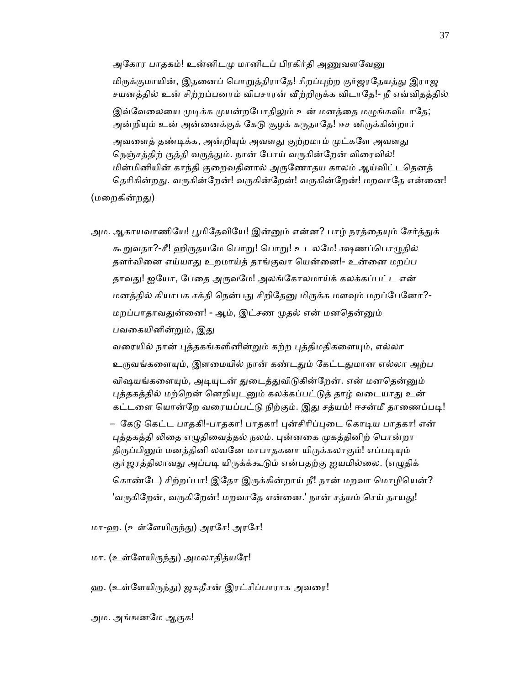அகோர பாதகம்! உன்னிடமு மானிடப் பிரகிர்தி அணுவளவ<u>ேன</u>ு

மிருக்குமாயின், இதனைப் பொறுத்திராதே! சிறப்புற்ற குர்ஜரதேயத்து இராஜ சயனத்தில் உன் சிற்றப்பனாம் விபசாரன் வீற்றிருக்க விடாதே!- நீ எவ்விதத்தில்

இவ்வேலையை முடிக்க முயன்றபோதிலும் உன் மனத்தை மழுங்கவிடாதே; அன்றியும் உன் அன்னைக்குக் கேடு சூழக் கருதாதே! ஈச னிருக்கின்றார்

அவளைத் தண்டிக்க, அன்றியும் அவளது குற்றமாம் முட்களே அவளது நெஞ்சத்திற் குத்தி வருத்தும். நான் போய் வருகின்றேன் விரைவில்! மின்மினியின் காந்தி குறைவதினால் அருணோதய காலம் ஆய்விட்டதெனத் தெரிகின்றது. வருகின்றேன்! வருகின்றேன்! வருகின்றேன்! மறவாதே என்னை!

(மறைகின்றது)

அம. ஆகாயவாணியே! பூமிதேவியே! இன்னும் என்ன? பாழ் நரத்தையும் சேர்த்துக் கூறுவதா?-சீ! ஹிருதயமே பொறு! பொறு! உடலமே! க்ஷணப்பொழுதில் தளர்வினை எய்யாது உறமாய்த் தாங்குவா யென்னை!- உன்னை மறப்ப தாவது! ஐயோ, பேதை அருவமே! அலங்கோலமாய்க் கலக்கப்பட்ட என் மனத்தில் கியாபக சக்தி நென்பது சிறிதேனு மிருக்க மளவும் மறப்பேனோ?-மறப்பாதாவதுன்னை! - ஆம், இட்சண முதல் என் மனதென்னும் பவகையினின்றும், இது

வரையில் நான் புத்தகங்களினின்றும் கற்ற புத்திமதிகளையும், எல்லா உருவங்களையும், இளமையில் நான் கண்டதும் கேட்டதுமான எல்லா அற்ப விஷயங்களையும், அடியுடன் துடைத்துவிடுகின்றேன். என் மனதென்னும் புத்தகத்தில் மற்றென் னெறியுடனும் கலக்கப்பட்டுத் தாழ் வடையாது உன் கட்டளை யொன்றே வரையப்பட்டு நிற்கும். இது சத்யம்! ஈசன்மீ தாணைப்படி! – கேடு கெட்ட பாதகி!-பாதகா! பாதகா! புன்சிரிப்புடை கொடிய பாதகா! என் புத்தகத்தி லிதை எழுதிவைத்தல் நலம். புன்னகை முகத்தினிற் பொன்றா திருப்பினும் மனத்தினி லவனே மாபாதகனா யிருக்கலாகும்! எப்படியும் குர்ஜரத்திலாவது அப்படி யிருக்க்கூடும் என்பதற்கு ஐயமில்லை. (எழுதிக் கொண்டே) சிற்றப்பா! இதோ இருக்கின்றாய் நீ! நான் மறவா மொழியென்? 'வருகிறேன், வருகிறேன்! மறவாதே என்னை.' நான் சத்யம் செய் தாயது!

மா-ஹ. (உள்ளேயிருந்து) அரசே! அரசே!

மா. (உள்ேளயிᾞந்ᾐ) அமலாதித்யேர!

ஹ. (உள்ளேயிருந்து) ஜகதீசன் இரட்சிப்பாராக அவரை!

அம. அங்ஙனேம ஆகுக!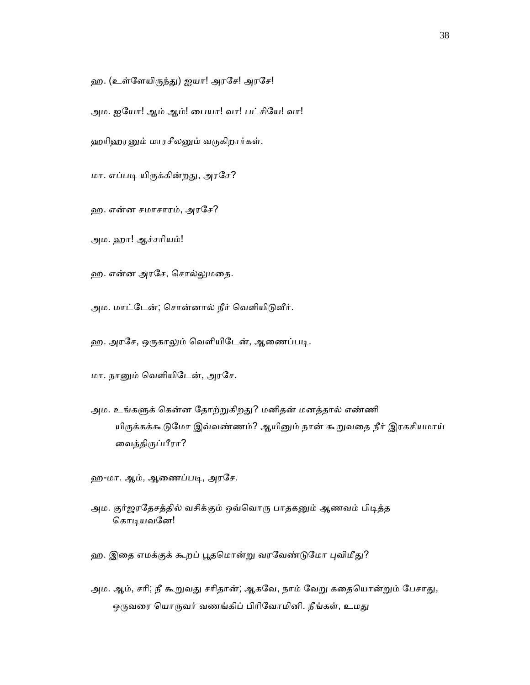ஹ. (உள்ளேயிருந்து) ஐயா! அரசே! அரசே!

அம. ஐேயா! ஆம் ஆம்! ைபயா! வா! பட்சிேய! வா!

ஹரிஹரனும் மாரசீலனும் வருகிறார்கள்.

மா. எப்படி யிருக்கின்றது, அரசே?

ஹ. என்ன சமாசாரம், அரேச?

அம. ஹா! ஆச்சாியம்!

ஹ. என்ன அரேச, ெசால்ᾤமைத.

அம. மாட்டேன்; சொன்னால் நீர் வெளியிடுவீர்.

ஹ. அரசே, ஒருகாலும் வெளியிடேன், ஆணைப்படி.

மா. நாᾔம் ெவளியிேடன், அரேச.

அம. உங்களுக் கென்ன தோற்றுகிறது? மனிதன் மனத்தால் எண்ணி யிருக்கக்கூடுமோ இவ்வண்ணம்? ஆயினும் நான் கூறுவதை நீர் இரகசியமாய் ைவத்திᾞப்பீரா?

ஹ-மா. ஆம், ஆணைப்படி, அரசே.

அம. குர்ஜரதேசத்தில் வசிக்கும் ஒவ்வொரு பாதகனும் ஆணவம் பிடித்த கொடியவனே!

ஹ. இதை எமக்குக் கூறப் பூதமொன்று வரவேண்டுமோ புவிமீது?

அம. ஆம், சரி; நீ கூறுவது சரிதான்; ஆகவே, நாம் வேறு கதையொன்றும் பேசாது, ஒருவரை யொருவர் வணங்கிப் பிரிவோமினி. நீங்கள், உமது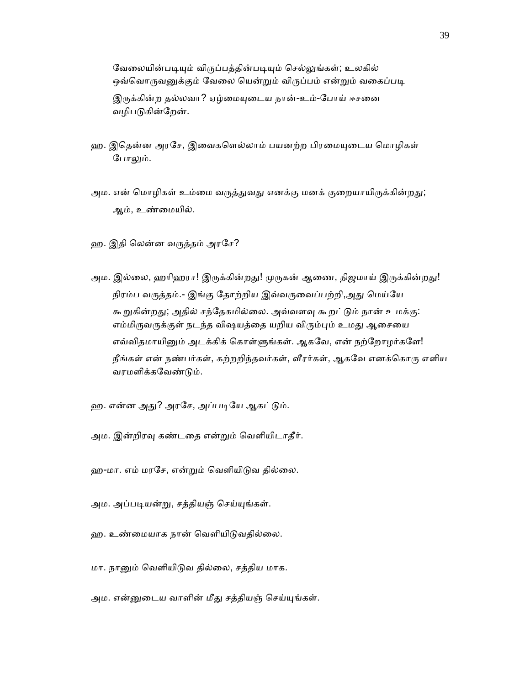வேலையின்படியும் விருப்பத்தின்படியும் செல்லுங்கள்; உலகில் ஒவ்வொருவனுக்கும் வேலை யென்றும் விருப்பம் என்றும் வகைப்படி இருக்கின்ற தல்லவா? ஏழ்மையுடைய நான்-உம்-போய் ஈசனை வழிபடுகின்றேன்.

- ஹ. இதென்ன அரசே, இவைகளெல்லாம் பயனற்ற பிரமையுடைய மொழிகள் போலும்.
- அம. என் மொழிகள் உம்மை வருத்துவது எனக்கு மனக் குறையாயிருக்கின்றது; ஆம், உண்ைமயில்.
- ஹ. இதி ெலன்ன வᾞத்தம் அரேச?
- அம. இல்லை, ஹரிஹரா! இருக்கின்றது! முருகன் ஆணை, நிஜமாய் இருக்கின்றது! நிரம்ப வருத்தம்.- இங்கு தோற்றிய இவ்வருவைப்பற்றி,அது மெய்யே கூறுகின்றது; அதில் சந்தேகமில்லை. அவ்வளவு கூறட்டும் நான் உமக்கு: எம்மிருவருக்குள் நடந்த விஷயத்தை யறிய விரும்பும் உமது ஆசையை எவ்விதமாயினும் அடக்கிக் கொள்ளுங்கள். ஆகவே, என் நற்றோழர்களே! நீங்கள் என் நண்பர்கள், கற்றறிந்தவர்கள், வீரர்கள், ஆகவே எனக்கொரு எளிய வரமளிக்கவேண்டும்.
- ஹ. என்ன அது? அரசே, அப்படியே ஆகட்டும்.
- அம. இன்றிரவு கண்டதை என்றும் வெளியிடாதீர்.
- ஹ-மா. எம் மரசே, என்றும் வெளியிடுவ தில்லை.
- அம. அப்படியன்று, சத்தியஞ் செய்யுங்கள்.
- ஹ. உண்மையாக நான் வெளியிடுவதில்லை.
- மா. நாᾔம் ெவளியிᾌவ தில்ைல, சத்திய மாக.
- அம. என்னுடைய வாளின் மீது சத்தியஞ் செய்யுங்கள்.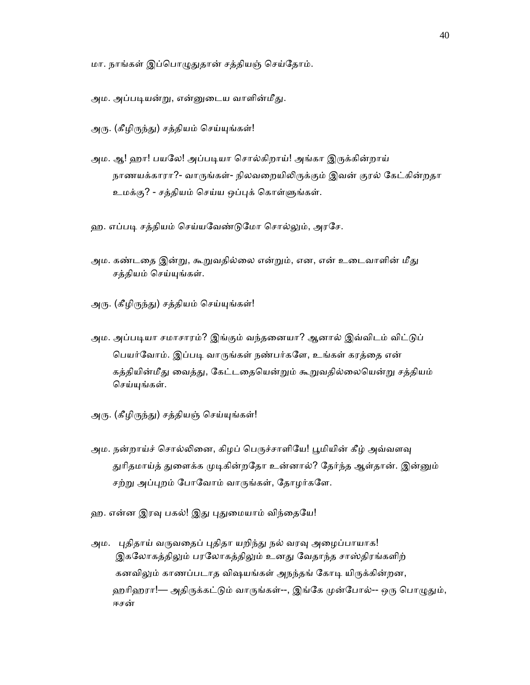மா. நாங்கள் இப்பொழுதுதான் சத்தியஞ் செய்தோம்.

அம. அப்படியன்று, என்னுடைய வாளின்மீது.

அரு. (கீழிருந்து) சத்தியம் செய்யுங்கள்!

அம. ஆ! ஹா! பயலே! அப்படியா சொல்கிறாய்! அங்கா இருக்கின்றாய் நாணயக்காரா?- வாருங்கள்- நிலவறையிலிருக்கும் இவன் குரல் கேட்கின்றதா உமக்கு? - சத்தியம் செய்ய ஒப்புக் கொள்ளுங்கள்.

ஹ. எப்படி சத்தியம் செய்யவேண்டுமோ சொல்லும், அரசே.

- அம. கண்டதை இன்று, கூறுவதில்லை என்றும், என, என் உடைவாளின் மீது சத்தியம் ெசய்ᾜங்கள்.
- அரு. (கீழிருந்து) சத்தியம் செய்யுங்கள்!
- அம. அப்படியா சமாசாரம்? இங்கும் வந்தனையா? ஆனால் இவ்விடம் விட்டுப் பெயர்வோம். இப்படி வாருங்கள் நண்பர்களே, உங்கள் கரத்தை என் கத்தியின்மீது வைத்து, கேட்டதையென்றும் கூறுவதில்லையென்று சத்தியம் செய்யுங்கள்.
- அரு. (கீழிருந்து) சத்தியஞ் செய்யுங்கள்!
- அம. நன்றாய்ச் சொல்லினை, கிழப் பெருச்சாளியே! பூமியின் கீழ் அவ்வளவு துரிதமாய்த் துளைக்க முடிகின்றதோ உன்னால்? தேர்ந்த ஆள்தான். இன்னும் சற்று அப்புறம் போவோம் வாருங்கள், தோழர்களே.
- ஹ. என்ன இரவு பகல்! இது புதுமையாம் விந்தையே!
- அம. புதிதாய் வருவதைப் புதிதா யறிந்து நல் வரவு அழைப்பாயாக! இகலோகத்திலும் பரலோகத்திலும் உனது வேதாந்த சாஸ்திரங்களிற் கனவிலும் காணப்படாத விஷயங்கள் அநந்தங் கோடி யிருக்கின்றன, ஹரிஹரா!— அதிருக்கட்டும் வாருங்கள்--, இங்கே முன்போல்-- ஒரு பொழுதும், ஈசன்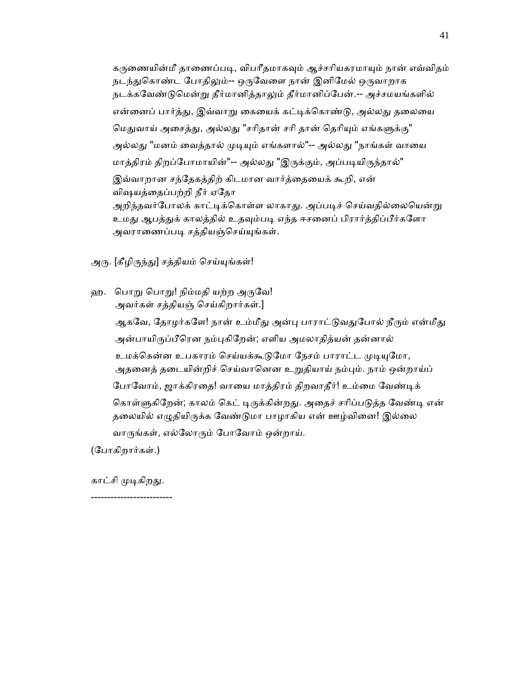கருணையின்மீ தாணைப்படி, விபரீதமாகவும் ஆச்சரியகரமாயும் நான் எவ்விதம் நடந்துகொண்ட போதிலும்-- ஒருவேளை நான் இனிமேல் ஒருவாறாக நடக்கவேண்டுமென்று தீர்மானித்தாலும் தீர்மானிப்பேன்.-- அச்சமயங்களில் என்னைப் பார்த்து, இவ்வாறு கையைக் கட்டிக்கொண்டு, அல்லது தலையை மெதுவாய் அசைத்து, அல்லது "சரிதான் சரி தான் தெரியும் எங்களுக்கு" அல்லது "மனம் வைத்தால் முடியும் எங்களால்"-- அல்லது "நாங்கள் வாயை மாத்திரம் திறப்போமாயின்"-- அல்லது "இருக்கும், அப்படியிருந்தால்" இவ்வாறான சந்தேகத்திற் கிடமான வார்த்தையைக் கூறி, என் விஷயத்ைதப்பற்றி நீர் ஏேதா அறிந்தவர்போலக் காட்டிக்கொள்ள லாகாது. அப்படிச் செய்வதில்லையென்று உமது ஆபத்துக் காலத்தில் உதவும்படி எந்த ஈசனைப் பிரார்த்திப்பீர்களோ அவராணைப்படி சத்தியஞ்செய்யுங்கள்.

அரு. [கீழிருந்து] சத்தியம் செய்யுங்கள்!

ஹ. பொறு பொறு! நிம்மதி யற்ற அருவே! அவர்கள் சத்தியஞ் ெசய்கிறார்கள்.]

ஆகவே, தோழர்களே! நான் உம்மீது அன்பு பாராட்டுவதுபோல் நீரும் என்மீது அன்பாயிருப்பீரென நம்புகிறேன்; எளிய அமலாதித்யன் தன்னால் உமக்கென்ன உபகாரம் செய்யக்கூடுமோ நேசம் பாராட்ட முடியுமோ, அதனைத் தடையின்றிச் செய்வானென உறுதியாய் நம்பும். நாம் ஒன்றாய்ப் போவோம், ஜாக்கிரதை! வாயை மாத்திரம் திறவாதீர்! உம்மை வேண்டிக் கொள்ளுகிறேன்; காலம் கெட் டிருக்கின்றது. அதைச் சரிப்படுத்த வேண்டி என் தலையில் எழுதியிருக்க வேண்டுமா பாழாகிய என் ஊழ்வினை! இல்லை வாருங்கள், எல்லோரும் போவோம் ஒன்றாய்.

(ேபாகிறார்கள்.)

காட்சி முடிகிறது. -------------------------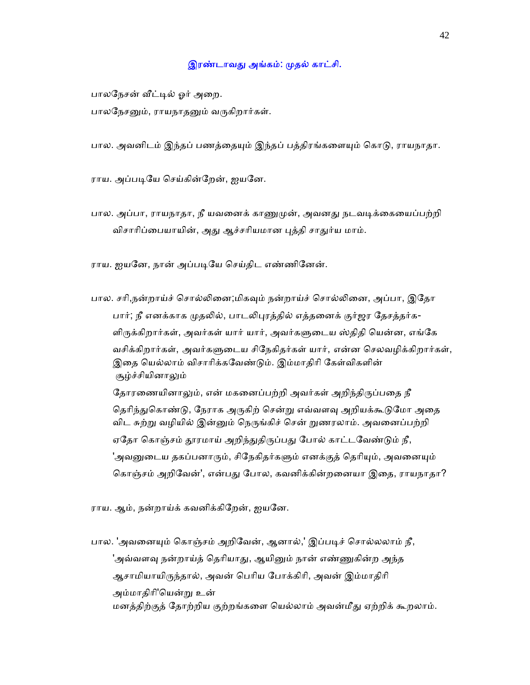## இரண்டாவது அங்கம்: முதல் காட்சி.

பாலநேசன் வீட்டில் ஓர் அறை.

பாலநேசனும், ராயநாதனும் வருகிறார்கள்.

பால. அவனிடம் இந்தப் பணத்தையும் இந்தப் பத்திரங்களையும் கொடு, ராயநாதா.

ராய. அப்படியே செய்கின்றேன், ஐயனே.

பால. அப்பா, ராயநாதா, நீ யவனைக் காணுமுன், அவனது நடவடிக்கையைப்பற்றி விசாரிப்பையாயின், அது ஆச்சரியமான புத்தி சாதுர்ய மாம்.

ராய. ஐயனே, நான் அப்படியே செய்திட எண்ணினேன்.

பால. சரி,நன்றாய்ச் சொல்லினை;மிகவும் நன்றாய்ச் சொல்லினை, அப்பா, இதோ பார்; நீ எனக்காக முதலில், பாடலிபுரத்தில் எத்தனைக் குர்ஜர தேசத்தர்க-ளிருக்கிறார்கள், அவர்கள் யார் யார், அவர்களுடைய ஸ்திதி யென்ன, எங்கே வசிக்கிறார்கள், அவர்களுடைய சிநேகிதர்கள் யார், என்ன செலவழிக்கிறார்கள், இதை யெல்லாம் விசாரிக்கவேண்டும். இம்மாதிரி கேள்விகளின் சூழ்ச்சியினாᾤம் தோரணையினாலும், என் மகனைப்பற்றி அவர்கள் அறிந்திருப்பதை நீ தெரிந்துகொண்டு, நேராக அருகிற் சென்று எவ்வளவு அறியக்கூடுமோ அதை

விட சுற்று வழியில் இன்னும் நெருங்கிச் சென் றுணரலாம். அவனைப்பற்றி ஏதோ கொஞ்சம் தூரமாய் அறிந்துதிருப்பது போல் காட்டவேண்டும் நீ, 'அவனுடைய தகப்பனாரும், சிநேகிதர்களும் எனக்குத் தெரியும், அவனையும் கொஞ்சம் அறிவேன்', என்பது போல, கவனிக்கின்றனையா இதை, ராயநாதா?

ராய. ஆம், நன்றாய்க் கவனிக்கிேறன், ஐயேன.

பால. 'அவனையும் கொஞ்சம் அறிவேன், ஆனால்,' இப்படிச் சொல்லலாம் நீ, 'அவ்வளவு நன்றாய்த் தெரியாது, ஆயினும் நான் எண்ணுகின்ற அந்த ஆசாமியாயிருந்தால், அவன் பெரிய போக்கிரி, அவன் இம்மாதிரி அம்மாகிரி'யென்று உன் மனத்திற்குத் தோற்றிய குற்றங்களை யெல்லாம் அவன்மீது ஏற்றிக் கூறலாம்.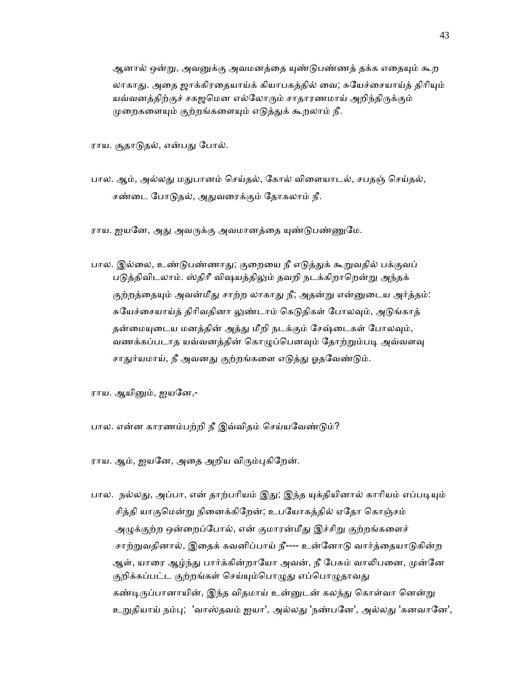ஆனால் ஒன்று, அவனுக்கு அவமனத்தை யுண்டுபண்ணத் தக்க எதையும் கூற லாகாது. அதை ஜாக்கிரதையாய்க் கியாபகத்தில் வை; சுயேச்சையாய்த் திரியும் யவ்வனத்திற்குச் சகஜமென எல்லோரும் சாதாரணமாய் அறிந்திருக்கும் முறைகளையும் குற்றங்களையும் எடுத்துக் கூறலாம் நீ.

ராய. சூதாடுதல், என்பது போல்.

பால. ஆம், அல்லது மதுபானம் செய்தல், கோல் விளையாடல், சபதஞ் செய்தல், சண்டை போடுதல், அதுவரைக்கும் தோகலாம் நீ.

ராய. ஐயனே, அது அவருக்கு அவமானத்தை யுண்டுபண்ணுமே.

பால. இல்லை, உண்டுபண்ணாது; குறையை நீ எடுத்துக் கூறுவதில் பக்குவப் படுத்திவிடலாம். ஸ்திரீ விஷயத்திலும் தவறி நடக்கிறாறென்று அந்தக் குற்றத்தையும் அவன்மீது சாற்ற லாகாது நீ; அதன்று என்னுடைய அர்த்தம்: சுயேச்சையாய்த் திரிவதினா லுண்டாம் கெடுதிகள் போலவும், அடுங்காத் தன்மையுடைய மனத்தின் அத்து மீறி நடக்கும் சேஷ்டைகள் போலவும், வணக்கப்படாத யவ்வனத்தின் கொழுப்பெனவும் தோற்றும்படி அவ்வளவு சாதுர்யமாய், நீ அவனது குற்றங்களை எடுத்து ஓதவேண்டும்.

ராய. ஆயினும், ஐயனே,-

பால. என்ன காரணம்பற்றி நீ இவ்விதம் செய்யவேண்டும்?

ராய. ஆம், ஐயனே, அதை அறிய விரும்புகிறேன்.

பால. நல்லது, அப்பா, என் தாற்பரியம் இது; இந்த யுக்தியினால் காரியம் எப்படியும் சித்தி யாகுமென்று நினைக்கிறேன்; உபயோகத்தில் ஏதோ கொஞ்சம் அழுக்குற்ற ஒன்றைப்போல், என் குமாரன்மீது இச்சிறு குற்றங்களைச் சாற்றுவதினால், இதைக் கவனிப்பாய் நீ---- உன்னோடு வார்த்தையாடுகின்ற ஆள், யாரை ஆழ்ந்து பார்க்கின்றாயோ அவன், நீ பேசும் வாலிபனை, முன்னே குறிக்கப்பட்ட குற்றங்கள் செய்யும்பொழுது எப்பொழுதாவது கண்டிருப்பானாயின், இந்த விதமாய் உன்னுடன் கலந்து கொள்வா னென்று உறுதியாய் நம்பு; 'வாஸ்தவம் ஐயா', அல்லது 'நண்பனே', அல்லது 'கனவானே',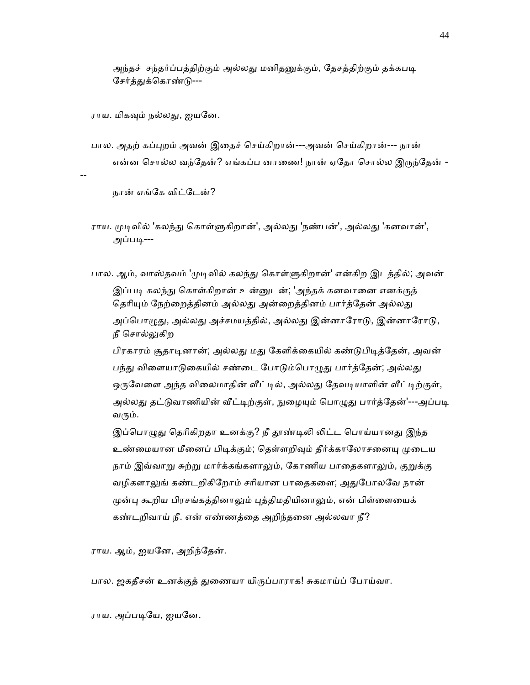அந்தச் சந்தர்ப்பத்திற்கும் அல்லது மனிதனுக்கும், தேசத்திற்கும் தக்கபடி சேர்த்துக்கொண்டு---

ராய. மிகவும் நல்லது, ஐயனே.

பால. அதற் கப்புறம் அவன் இதைச் செய்கிறான்---அவன் செய்கிறான்--- நான் என்ன சொல்ல வந்தேன்? எங்கப்ப னாணை! நான் ஏதோ சொல்ல இருந்தேன் -

--

நான் எங்ேக விட்ேடன்?

- ராய. முடிவில் 'கலந்து கொள்ளுகிறான்', அல்லது 'நண்பன்', அல்லது 'கனவான்', அப்படி---
- பால. ஆம், வாஸ்தவம் 'முடிவில் கலந்து கொள்ளுகிறான்' என்கிற இடத்தில்; அவன் இப்படி கலந்து கொள்கிறான் உன்னுடன்; 'அந்தக் கனவானை எனக்குத் தெரியும் நேற்றைத்தினம் அல்லது அன்றைத்தினம் பார்த்தேன் அல்லது அப்பொழுது, அல்லது அச்சமயத்தில், அல்லது இன்னாரோடு, இன்னாரோடு, நீ சொல்லுகிற

பிரகாரம் சூதாடினான்; அல்லது மது கேளிக்கையில் கண்டுபிடித்தேன், அவன் பந்து விளையாடுகையில் சண்டை போடும்பொழுது பார்த்தேன்; அல்லது ஒருவேளை அந்த விலைமாதின் வீட்டில், அல்லது தேவடியாளின் வீட்டிற்குள், அல்லது தட்டுவாணியின் வீட்டிற்குள், நுழையும் பொழுது பார்த்தேன்'---அப்படி வரும்.

இப்பொழுது தெரிகிறதா உனக்கு? நீ தூண்டிலி லிட்ட பொய்யானது இந்த உண்மையான மீனைப் பிடிக்கும்; தெள்ளறிவும் தீர்க்காலோசனையு முடைய நாம் இவ்வாறு சுற்று மார்க்கங்களாலும், கோணிய பாதைகளாலும், குறுக்கு வழிகளாலுங் கண்டறிகிறோம் சரியான பாதைகளை; அதுபோலவே நான் முன்பு கூறிய பிரசங்கத்தினாலும் புத்திமதியினாலும், என் பிள்ளையைக் கண்டறிவாய் நீ. என் எண்ணத்ைத அறிந்தைன அல்லவா நீ?

ராய. ஆம், ஐயேன, அறிந்ேதன்.

பால. ஜகதீசன் உனக்குத் துணையா யிருப்பாராக! சுகமாய்ப் போய்வா.

ராய. அப்படியே, ஐயனே.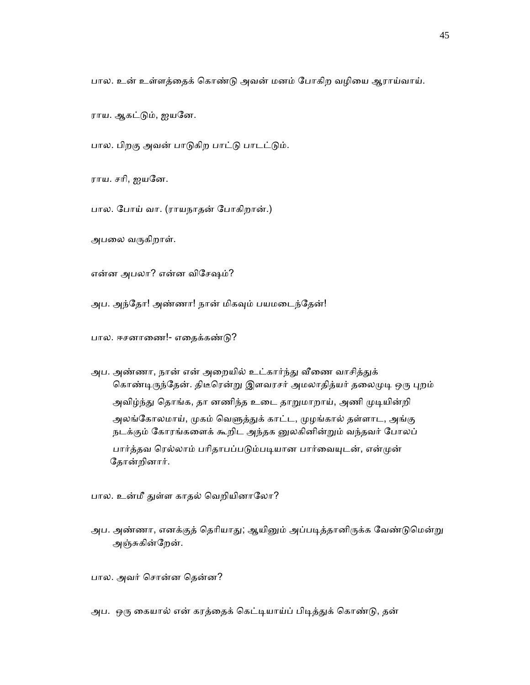பால. உன் உள்ளத்ைதக் ெகாண்ᾌ அவன் மனம் ேபாகிற வழிைய ஆராய்வாய்.

ராய. ஆகட்ᾌம், ஐயேன.

பால. பிறகு அவன் பாடுகிற பாட்டு பாடட்டும்.

ராய. சாி, ஐயேன.

பால. ேபாய் வா. (ராயநாதன் ேபாகிறான்.)

அபலை வருகிறாள்.

என்ன அபலா? என்ன விேசஷம்?

அப. அந்தோ! அண்ணா! நான் மிகவும் பயமடைந்தேன்!

பால. ஈசனாணை!- எதைக்கண்டு?

அப. அண்ணா, நான் என் அறையில் உட்கார்ந்து வீணை வாசித்துக் கொண்டிருந்தேன். திடீரென்று இளவரசர் அமலாதித்யர் தலைமுடி ஒரு புறம் அவிழ்ந்து தொங்க, தா னணிந்த உடை தாறுமாறாய், அணி முடியின்றி அலங்கோலமாய், முகம் வெளுத்துக் காட்ட, முழங்கால் தள்ளாட, அங்கு நடக்கும் கோரங்களைக் கூறிட அந்தக னுலகினின்றும் வந்தவர் போலப் பார்த்தவ ரெல்லாம் பரிதாபப்படும்படியான பார்வையுடன், என்முன் ேதான்றினார்.

பால. உன்மீ துள்ள காதல் வெறியினாலோ?

அப. அண்ணா, எனக்குத் தெரியாது; ஆயினும் அப்படித்தானிருக்க வேண்டுமென்று அஞ்சுகின்றேன்.

பால. அவர் ெசான்ன ெதன்ன?

அப. ஒரு கையால் என் கரத்தைக் கெட்டியாய்ப் பிடித்துக் கொண்டு, தன்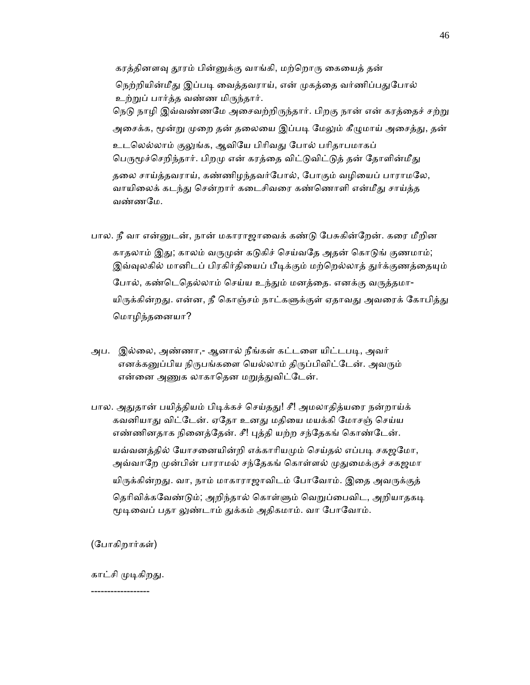கரத்தினளவு தூரம் பின்னுக்கு வாங்கி, மற்றொரு கையைத் தன் நெற்றியின்மீது இப்படி வைத்தவராய், என் முகத்தை வர்ணிப்பதுபோல் உற்ᾠப் பார்த்த வண்ண மிᾞந்தார். நெடு நாழி இவ்வண்ணமே அசைவற்றிருந்தார். பிறகு நான் என் கரத்தைச் சற்று அசைக்க, மூன்று முறை தன் தலையை இப்படி மேலும் கீழுமாய் அசைத்து, தன் உடலெல்லாம் குலுங்க, ஆவியே பிரிவது போல் பரிதாபமாகப் பெருமூச்செறிந்தார். பிறமு என் கரத்தை விட்டுவிட்டுத் தன் தோளின்மீது தலை சாய்த்தவராய், கண்ணிழந்தவர்போல், போகும் வழியைப் பாராமலே, வாயிலைக் கடந்து சென்றார் கடைசிவரை கண்ணொளி என்மீது சாய்த்த வண்ணேம.

- பால. நீ வா என்ᾔடன், நான் மகாராஜாைவக் கண்ᾌ ேபசுகின்ேறன். கைர மீறின காதலாம் இது; காலம் வருமுன் கடுகிச் செய்வதே அதன் கொடுங் குணமாம்; இவ்வுலகில் மானிடப் பிரகிர்தியைப் பீடிக்கும் மற்றெல்லாத் துர்க்குணத்தையும் போல், கண்டெதெல்லாம் செய்ய உந்தும் மனத்தை. எனக்கு வருத்தமா-யிருக்கின்றது. என்ன, நீ கொஞ்சம் நாட்களுக்குள் ஏதாவது அவரைக் கோபித்து ெமாழிந்தைனயா?
- அப. இல்லை, அண்ணா,- ஆனால் நீங்கள் கட்டளை யிட்டபடி, அவர் எனக்கனுப்பிய நிருபங்களை யெல்லாம் திருப்பிவிட்டேன். அவரும் என்னை அணுக லாகாதென மறுத்துவிட்டேன்.
- பால. அதுதான் பயித்தியம் பிடிக்கச் செய்தது! சீ! அமலாதித்யரை நன்றாய்க் கவனியாது விட்டேன். ஏதோ உனது மதியை மயக்கி மோசஞ் செய்ய எண்ணினதாக நினைத்தேன். சீ! புத்தி யற்ற சந்தேகங் கொண்டேன். யவ்வனத்தில் யோசனையின்றி எக்காரியமும் செய்தல் எப்படி சகஜமோ, அவ்வாறே முன்பின் பாராமல் சந்தேகங் கொள்ளல் முதுமைக்குச் சகஜமா யிருக்கின்றது. வா, நாம் மாகாராஜாவிடம் போவோம். இதை அவருக்குத் தெரிவிக்கவேண்டும்; அறிந்தால் கொள்ளும் வெறுப்பைவிட, அறியாதகடி மூடிவைப் பதா லுண்டாம் துக்கம் அதிகமாம். வா போவோம்.

(ேபாகிறார்கள்)

காட்சி முடிகிறது.

------------------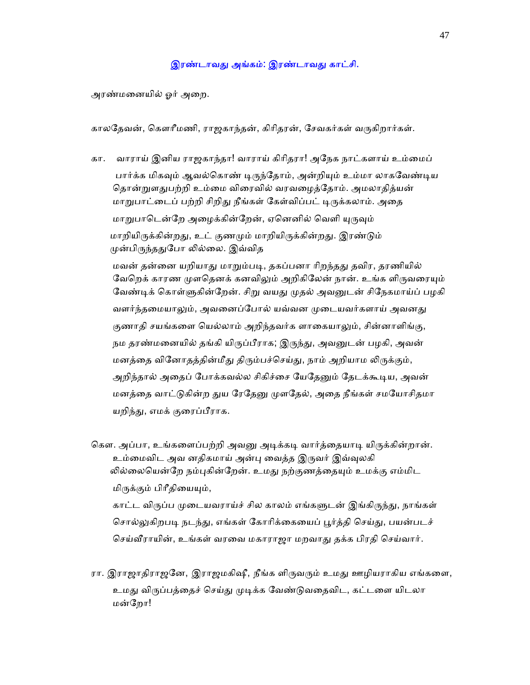## இரண்டாவது அங்கம்: இரண்டாவது காட்சி.

அரண்மைனயில் ஓர் அைற.

காலதேவன், கௌரீமணி, ராஜகாந்தன், கிரிதரன், சேவகர்கள் வருகிறார்கள்.

 கா. வாராய் இனிய ராஜகாந்தா! வாராய் கிாிதரா! அேநக நாட்களாய் உம்ைமப் பார்க்க மிகவும் ஆவல்கொண் டிருந்தோம், அன்றியும் உம்மா லாகவேண்டிய தொன்றுளதுபற்றி உம்மை விரைவில் வரவழைத்தோம். அமலாதித்யன் மாறுபாட்டைப் பற்றி சிறிது நீங்கள் கேள்விப்பட் டிருக்கலாம். அதை மாறுபாடென்றே அழைக்கின்றேன், ஏனெனில் வெளி யுருவும் மாறியிருக்கின்றது, உட் குணமும் மாறியிருக்கின்றது. இரண்டும் முன்பிருந்ததுபோ லில்லை. இவ்வித மவன் தன்னை யறியாது மாறும்படி, தகப்பனா ரிறந்தது தவிர, தரணியில்

வேறெக் காரண முளதெனக் கனவிலும் அறிகிலேன் நான். உங்க ளிருவரையும் வேண்டிக் கொள்ளுகின்றேன். சிறு வயது முதல் அவனுடன் சிநேகமாய்ப் பழகி வளர்ந்தமையாலும், அவனைப்போல் யவ்வன முடையவர்களாய் அவனது குணாதி சயங்களை யெல்லாம் அறிந்தவர்க ளாகையாலும், சின்னாளிங்கு, நம தரண்மனையில் தங்கி யிருப்பீராக; இருந்து, அவனுடன் பழகி, அவன் மனத்தை வினோதத்தின்மீது திரும்பச்செய்து, நாம் அறியாம லிருக்கும், அறிந்தால் அதைப் போக்கவல்ல சிகிச்சை யேதேனும் தேடக்கூடிய, அவன் மனத்தை வாட்டுகின்ற துய ரேதேனு முளதேல், அதை நீங்கள் சமயோசிதமா யறிந்து, எமக் குரைப்பீராக.

கௌ. அப்பா, உங்களைப்பற்றி அவனு அடிக்கடி வார்த்தையாடி யிருக்கின்றான். உம்மைவிட அவ னதிகமாய் அன்பு வைத்த இருவர் இவ்வுலகி லில்லையென்றே நம்புகின்றேன். உமது நற்குணத்தையும் உமக்கு எம்மிட மிருக்கும் பிரீதியையும், காட்ட விருப்ப முடையவராய்ச் சில காலம் எங்களுடன் இங்கிருந்து, நாங்கள்

சொல்லுகிறபடி நடந்து, எங்கள் கோரிக்கையைப் பூர்த்தி செய்து, பயன்படச் செய்வீராயின், உங்கள் வரவை மகாராஜா மறவாது தக்க பிரதி செய்வார்.

ரா. இராஜாதிராஜனே, இராஜமகிஷீ, நீங்க ளிருவரும் உமது ஊழியராகிய எங்களை, உமது விருப்பத்தைச் செய்து முடிக்க வேண்டுவதைவிட, கட்டளை யிடலா மன்ேறா!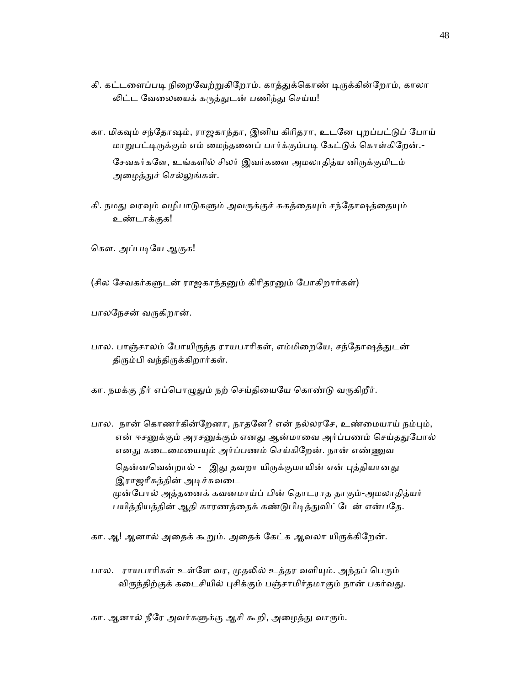- கி. கட்டளைப்படி நிறைவேற்றுகிறோம். காத்துக்கொண் டிருக்கின்றோம், காலா ᾢட்ட ேவைலையக் கᾞத்ᾐடன் பணிந்ᾐ ெசய்ய!
- கா. மிகவும் சந்தோஷம், ராஜகாந்தா, இனிய கிரிதரா, உடனே புறப்பட்டுப் போய் மாறுபட்டிருக்கும் எம் மைந்தனைப் பார்க்கும்படி கேட்டுக் கொள்கிறேன்.-சேவகர்களே, உங்களில் சிலர் இவர்களை அமலாதித்ய னிருக்குமிடம் அழைத்துச் செல்லுங்கள்.
- கி. நமது வரவும் வழிபாடுகளும் அவருக்குச் சுகத்தையும் சந்தோஷத்தையும் உண்டாக்குக!

கௌ. அப்படியே ஆகுக!

(சில சேவகர்களுடன் ராஜகாந்தனும் கிரிதரனும் போகிறார்கள்)

பாலநேசன் வருகிறான்.

- பால. பாஞ்சாலம் போயிருந்த ராயபாரிகள், எம்மிறையே, சந்தோஷத்துடன் திரும்பி வந்திருக்கிறார்கள்.
- கா. நமக்கு நீர் எப்பொழுதும் நற் செய்தியையே கொண்டு வருகிறீர்.
- பால. நான் கொணர்கின்றேனா, நாதனே? என் நல்லரசே, உண்மையாய் நம்பும், என் ஈசனுக்கும் அரசனுக்கும் எனது ஆன்மாவை அர்ப்பணம் செய்ததுபோல் எனது கடைமையையும் அர்ப்பணம் செய்கிறேன். நான் எண்ணுவ தென்னவென்றால் - இது தவறா யிருக்குமாயின் என் புத்தியானது இராஜாீகத்தின் அᾊச்சுவைட ᾙன்ேபால் அத்தைனக் கவனமாய்ப் பின் ெதாடராத தாகும்-அமலாதித்யர் பயித்தியத்தின் ஆதி காரணத்தைக் கண்டுபிடித்துவிட்டேன் என்பதே.
- கா. ஆ! ஆனால் அதைக் கூறும். அதைக் கேட்க ஆவலா யிருக்கிறேன்.
- பால. ராயபாரிகள் உள்ளே வர, முதலில் உத்தர வளியும். அந்தப் பெரும் விருந்திற்குக் கடைசியில் புசிக்கும் பஞ்சாமிர்தமாகும் நான் பகர்வது.
- கா. ஆனால் நீரே அவர்களுக்கு ஆசி கூறி, அழைத்து வாரும்.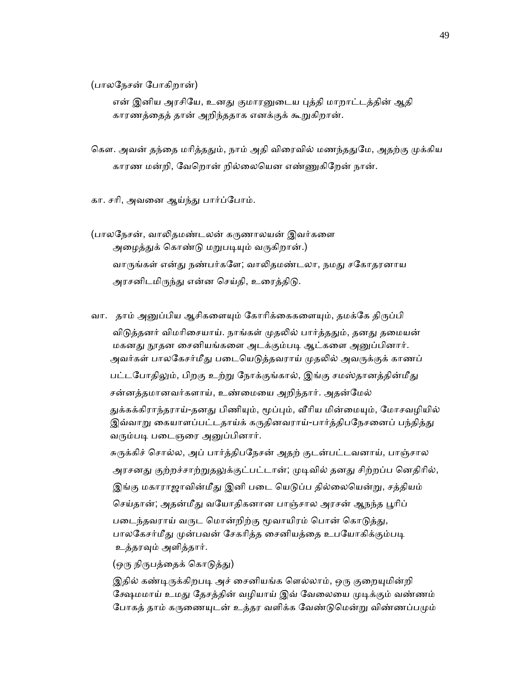(பாலேநசன் ேபாகிறான்)

என் இனிய அரசியே, உனது குமாரனுடைய புத்தி மாறாட்டத்தின் ஆதி காரணத்ைதத் தான் அறிந்ததாக எனக்குக் கூᾠகிறான்.

கௌ. அவன் தந்தை மரித்ததும், நாம் அதி விரைவில் மணந்ததுமே, அதற்கு முக்கிய காரண மன்றி, வேறொன் றில்லையென எண்ணுகிறேன் நான்.

கா. சாி, அவைன ஆய்ந்ᾐ பார்ப்ேபாம்.

 (பாலேநசன், வாᾢதமண்டலன் கᾞணாலயன் இவர்கைள அழைத்துக் கொண்டு மறுபடியும் வருகிறான்.) வாருங்கள் என்து நண்பர்களே; வாலிதமண்டலா, நமது சகோதரனாய அரசனிடமிருந்து என்ன செய்தி, உரைத்திடு.

வா. தாம் அனுப்பிய ஆசிகளையும் கோரிக்கைகளையும், தமக்கே திருப்பி விடுத்தனர் விமரிசையாய். நாங்கள் முதலில் பார்த்ததும், தனது தமையன் மகனது நூதன சைனியங்களை அடக்கும்படி ஆட்களை அனுப்பினார். அவர்கள் பாலகேசர்மீது படையெடுத்தவராய் முதலில் அவருக்குக் காணப் பட்டபோதிலும், பிறகு உற்று நோக்குங்கால், இங்கு சமஸ்தானத்தின்மீது சன்னத்தமானவர்களாய், உண்ைமைய அறிந்தார். அதன்ேமல் துக்கக்கிராந்தராய்-தனது பிணியும், மூப்பும், வீரிய மின்மையும், மோசவழியில்

இவ்வாறு கையாளப்பட்டதாய்க் கருதினவராய்-பார்த்திபநேசனைப் பந்தித்து வரும்படி படைஞரை அனுப்பினார்.

 சுᾞக்கிச் ெசால்ல, அப் பார்த்திபேநசன் அதற் குடன்பட்டவனாய், பாஞ்சால அரசனது குற்றச்சாற்றுதலுக்குட்பட்டான்; முடிவில் தனது சிற்றப்ப னெதிரில், இங்கு மகாராஜாவின்மீது இனி படை யெடுப்ப தில்லையென்று, சத்தியம் செய்தான்; அதன்மீது வயோதிகனான பாஞ்சால அரசன் ஆநந்த பூரிப் படைந்தவராய் வருட மொன்றிற்கு மூவாயிரம் பொன் கொடுத்து, பாலகேசர்மீது முன்பவன் சேகரித்த சைனியத்தை உபயோகிக்கும்படி உத்தரᾫம் அளித்தார்.

(ஒரு நிருபத்தைக் கொடுத்து)

இதில் கண்டிருக்கிறபடி அச் சைனியங்க ளெல்லாம், ஒரு குறையுமின்றி க்ஷேமமாய் உமது தேசத்தின் வழியாய் இவ் வேலையை முடிக்கும் வண்ணம் போகத் தாம் கருணையுடன் உத்தர வளிக்க வேண்டுமென்று விண்ணப்பமும்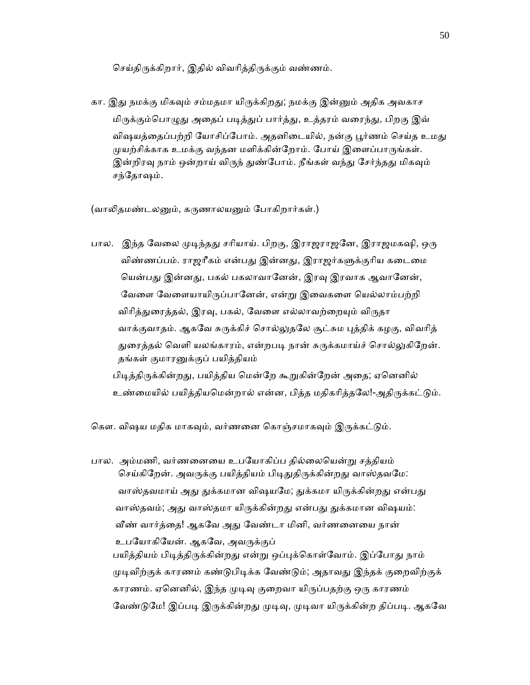செய்கிருக்கிறார், இதில் விவரித்திருக்கும் வண்ணம்.

கா. இது நமக்கு மிகவும் சம்மதமா யிருக்கிறது; நமக்கு இன்னும் அதிக அவகாச மிருக்கும்பொழுது அதைப் படித்துப் பார்த்து, உத்தரம் வரைந்து, பிறகு இவ் விஷயத்தைப்பற்றி யோசிப்போம். அதனிடையில், நன்கு பூர்ணம் செய்த உமது முயற்சிக்காக உமக்கு வந்தன மளிக்கின்றோம். போய் இளைப்பாருங்கள். இன்றிரவு நாம் ஒன்றாய் விருந் துண்போம். நீங்கள் வந்து சேர்ந்தது மிகவும் சந்தோஷம்.

(வாலிதமண்டலனும், கருணாலயனும் போகிறார்கள்.)

பால. இந்த வேலை முடிந்தது சரியாய். பிறகு, இராஜராஜனே, இராஜமகஷி, ஒரு விண்ணப்பம். ராஜரீகம் என்பது இன்னது, இராஜர்களுக்குரிய கடைமை யென்பது இன்னது, பகல் பகலாவானேன், இரவு இரவாக ஆவானேன், வேளை வேளையாயிருப்பானேன், என்று இவைகளை யெல்லாம்பற்றி விரித்துரைத்தல், இரவு, பகல், வேளை எல்லாவற்றையும் விருதா வாக்குவாதம். ஆகவே சுருக்கிச் சொல்லுதலே சூட்சும புத்திக் கழகு, விவரித் துரைத்தல் வெளி யலங்காரம், என்றபடி நான் சுருக்கமாய்ச் சொல்லுகிறேன். தங்கள் குமாரᾔக்குப் பயித்தியம் பிடித்திருக்கின்றது, பயித்திய மென்றே கூறுகின்றேன் அதை; ஏனெனில் உண்மையில் பயித்தியமென்றால் என்ன, பித்த மதிகரித்தலே!-அதிருக்கட்டும்.

கௌ. விஷய மதிக மாகவும், வர்ணனை கொஞ்சமாகவும் இருக்கட்டும்.

பால. அம்மணி, வர்ணனையை உபயோகிப்ப தில்லையென்று சத்தியம் செய்கிறேன். அவருக்கு பயித்தியம் பிடிதுதிருக்கின்றது வாஸ்தவமே: வாஸ்தவமாய் அது துக்கமான விஷயமே; துக்கமா யிருக்கின்றது என்பது வாஸ்தவம்; அது வாஸ்தமா யிருக்கின்றது என்பது துக்கமான விஷயம்: வீண் வார்த்தை! ஆகவே அது வேண்டா மினி, வர்ணனையை நான் உபயோகியேன். ஆகவே, அவருக்குப் பயித்தியம் பிடித்திருக்கின்றது என்று ஒப்புக்கொள்வோம். இப்போது நாம் முடிவிற்குக் காரணம் கண்டுபிடிக்க வேண்டும்; அதாவது இந்தக் குறைவிற்குக் காரணம். ஏனெனில், இந்த முடிவு குறைவா யிருப்பதற்கு ஒரு காரணம் வேண்டுமே! இப்படி இருக்கின்றது முடிவு, முடிவா யிருக்கின்ற திப்படி. ஆகவே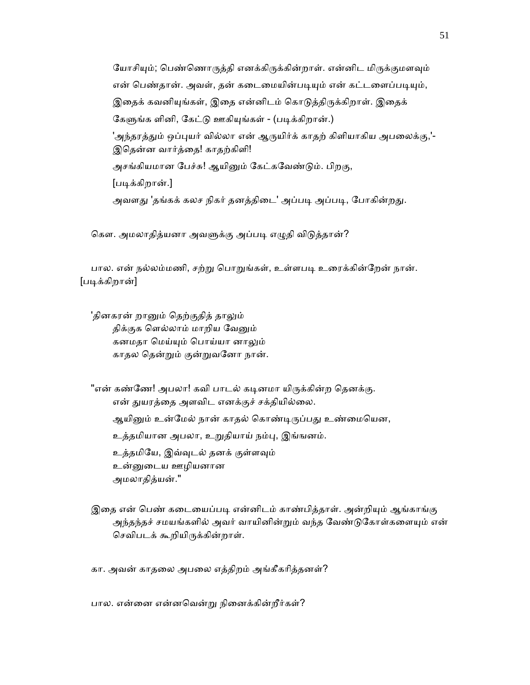யோசியும்; பெண்ணொருத்தி எனக்கிருக்கின்றாள். என்னிட மிருக்குமளவும் என் பெண்தான். அவள், தன் கடைமையின்படியும் என் கட்டளைப்படியும், இதைக் கவனியுங்கள், இதை என்னிடம் கொடுத்திருக்கிறாள். இதைக் கேளுங்க ளினி, கேட்டு ஊகியுங்கள் - (படிக்கிறான்.) 'அந்தரத்தும் ஒப்புயர் வில்லா என் ஆருயிர்க் காதற் கிளியாகிய அபலைக்கு,'- இெதன்ன வார்த்ைத! காதற்கிளி! அசங்கியமான பேச்சு! ஆயினும் கேட்கவேண்டும். பிறகு, [படிக்கிறான்.] அவளது 'தங்கக் கலச நிகர் தனத்திடை' அப்படி அப்படி, போகின்றது.

கௌ. அமலாதித்யனா அவளுக்கு அப்படி எழுதி விடுத்தான்?

பால. என் நல்லம்மணி, சற்று பொறுங்கள், உள்ளபடி உரைக்கின்றேன் நான். [படிக்கிறான்]

'தினகரன் றானும் தெற்குதித் தாலும் திக்குக ளெல்லாம் மாறிய வேனும் கனமதா ெமய்ᾜம் ெபாய்யா னாᾤம் காதல ெதன்ᾠம் குன்ᾠவேனா நான்.

"என் கண்ணே! அபலா! கவி பாடல் கடினமா யிருக்கின்ற தெனக்கு. என் துயரத்தை அளவிட எனக்குச் சக்தியில்லை. ஆயினும் உன்மேல் நான் காதல் கொண்டிருப்பது உண்மையென, உத்தமியான அபலா, உᾠதியாய் நம்ᾗ, இங்ஙனம். உத்தமிேய, இவ்ᾫடல் தனக் குள்ளᾫம் உன்ᾔைடய ஊழியனான அமலாதித்யன்."

இதை என் பெண் கடையைப்படி என்னிடம் காண்பித்தாள். அன்றியும் ஆங்காங்கு அந்தந்தச் சமயங்களில் அவர் வாயினின்றும் வந்த வேண்டுகோள்களையும் என் செவிபடக் கூறியிருக்கின்றாள்.

கா. அவன் காதைல அபைல எத்திறம் அங்கீகாித்தனள்?

பால. என்னை என்னவென்று நினைக்கின்றீர்கள்?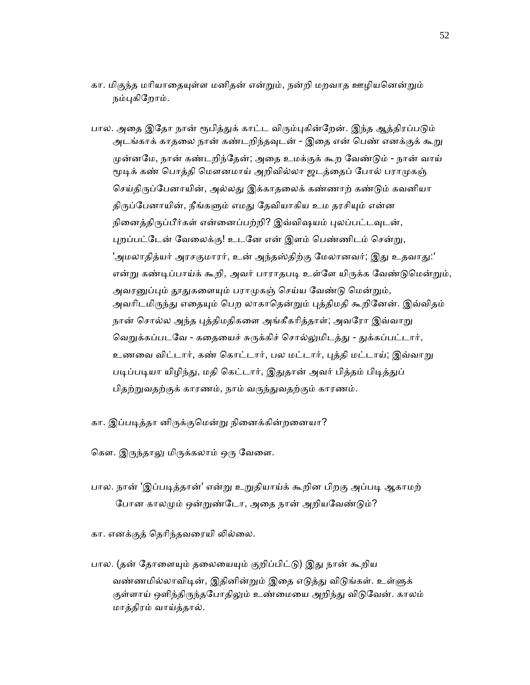கா. மிகுந்த மரியாதையுள்ள மனிதன் என்றும், நன்றி மறவாத ஊழியனென்றும் நம்புகிறோம்.

பால. அதை இதோ நான் ரூபித்துக் காட்ட விரும்புகின்றேன். இந்த ஆத்திரப்படும் அடங்காக் காதலை நான் கண்டறிந்தவுடன் - இதை என் பெண் எனக்குக் கூறு முன்னமே, நான் கண்டறிந்தேன்; அதை உமக்குக் கூற வேண்டும் - நான் வாய் மூடிக் கண் பொத்தி மௌனமாய் அறிவில்லா ஜடத்தைப் போல் பராமுகஞ் செய்திருப்பேனாயின், அல்லது இக்காதலைக் கண்ணாற் கண்டும் கவனியா திருப்பேனாயின், நீங்களும் எமது தேவியாகிய உம தரசியும் என்ன நினைத்திருப்பீர்கள் என்னைப்பற்றி? இவ்விஷயம் புலப்பட்டவுடன், புறப்பட்டேன் வேலைக்கு! உடனே என் இளம் பெண்ணிடம் சென்று, 'அமலாதித்யர் அரசகுமாரர், உன் அந்தஸ்திற்கு மேலானவர்; இது உதவாது:' என்று கண்டிப்பாய்க் கூறி, அவர் பாராதபடி உள்ளே யிருக்க வேண்டுமென்றும், அவரனுப்பும் தூதுகளையும் பராமுகஞ் செய்ய வேண்டு மென்றும், அவரிடமிருந்து எதையும் பெற லாகாதென்றும் புத்திமதி கூறினேன். இவ்விதம் நான் சொல்ல அந்த புத்திமதிகளை அங்கீகரித்தாள்; அவரோ இவ்வாறு வெறுக்கப்படவே - கதையைச் சுருக்கிச் சொல்லுமிடத்து - துக்கப்பட்டார், உணவை விட்டார், கண் கொட்டார், பல மட்டார், புத்தி மட்டாய்; இவ்வாறு படிப்படியா யிழிந்து, மதி கெட்டார், இதுதான் அவர் பித்தம் பிடித்துப் பிதற்றுவதற்குக் காரணம், நாம் வருந்துவதற்கும் காரணம்.

- கா. இப்பᾊத்தா னிᾞக்குெமன்ᾠ நிைனக்கின்றைனயா?
- கௌ. இருந்தாலு மிருக்கலாம் ஒரு வேளை.
- பால. நான் 'இப்படித்தான்' என்று உறுதியாய்க் கூறின பிறகு அப்படி ஆகாமற் போன காலமும் ஒன்றுண்டோ, அதை நான் அறியவேண்டும்?
- கா. எனக்குத் தெரிந்தவரையி லில்லை.
- பால. (தன் தோளையும் தலையையும் குறிப்பிட்டு) இது நான் கூறிய வண்ணமில்லாவிடின், இதினின்றும் இதை எடுத்து விடுங்கள். உள்ளுக் குள்ளாய் ஒளிந்திருந்தபோதிலும் உண்மையை அறிந்து விடுவேன். காலம் மாத்திரம் வாய்த்தால்.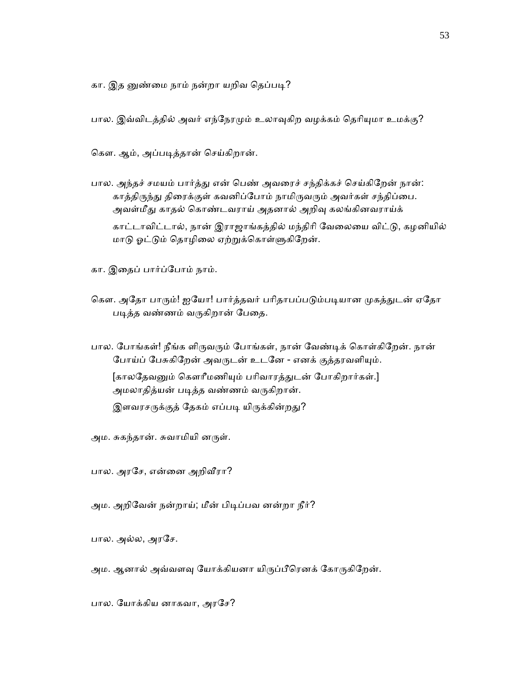கா. இத னுண்மை நாம் நன்றா யறிவ தெப்படி?

பால. இவ்விடத்தில் அவர் எந்நேரமும் உலாவுகிற வழக்கம் தெரியுமா உமக்கு?

ெகௗ. ஆம், அப்பᾊத்தான் ெசய்கிறான்.

பால. அந்தச் சமயம் பார்த்து என் பெண் அவரைச் சந்திக்கச் செய்கிறேன் நான்: காத்திருந்து திரைக்குள் கவனிப்போம் நாமிருவரும் அவர்கள் சந்திப்பை. அவள்மீது காதல் கொண்டவராய் அதனால் அறிவு கலங்கினவராய்க்

 காட்டாவிட்டால், நான் இராஜாங்கத்தில் மந்திாி ேவைலைய விட்ᾌ, கழனியில் மாடு ஓட்டும் தொழிலை ஏற்றுக்கொள்ளுகிறேன்.

கா. இைதப் பார்ப்ேபாம் நாம்.

- கௌ. அதோ பாரும்! ஐயோ! பார்த்தவர் பரிதாபப்படும்படியான முகத்துடன் ஏதோ படித்த வண்ணம் வருகிறான் பேதை.
- பால. போங்கள்! நீங்க ளிருவரும் போங்கள், நான் வேண்டிக் கொள்கிறேன். நான் போய்ப் பேசுகிறேன் அவருடன் உடனே - எனக் குத்தரவளியும். [காலதேவனும் கௌரீமணியும் பரிவாரத்துடன் போகிறார்கள்.] அமலாதித்யன் பᾊத்த வண்ணம் வᾞகிறான். இளவரசருக்குத் தேகம் எப்படி யிருக்கின்றது?

அம. சுகந்தான். சுவாமியி னருள்.

பால. அரசே, என்னை அறிவீரா?

அம. அறிவேன் நன்றாய்; மீன் பிடிப்பவ னன்றா நீர்?

பால. அல்ல, அரசே.

அம. ஆனால் அவ்வளவு யோக்கியனா யிருப்பீரெனக் கோருகிறேன்.

பால. ேயாக்கிய னாகவா, அரேச?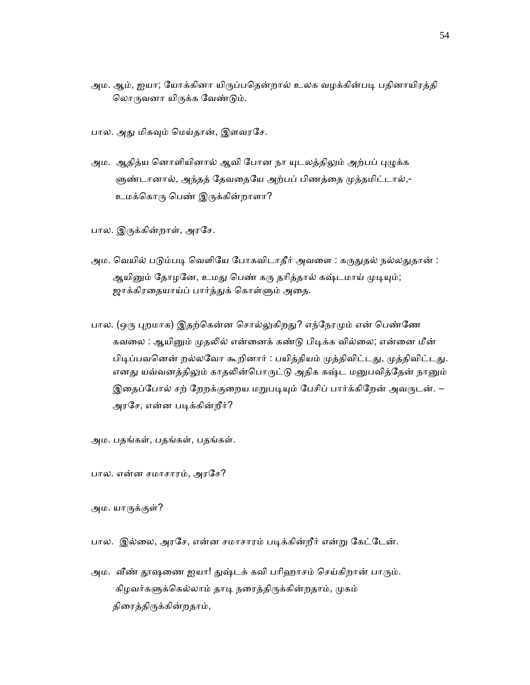அம. ஆம், ஐயா; யோக்கினா யிருப்பதென்றால் உலக வழக்கின்படி பதினாயிரத்தி லொருவனா யிருக்க வேண்டும்.

பால. அது மிகவும் மெய்தான், இளவரசே.

அம. ஆதித்ய னொளியினால் ஆவி போன நா யுடலத்திலும் அற்பப் புழுக்க ளுண்டானால், அந்தத் தேவதையே அற்பப் பிணத்தை முத்தமிட்டால்,-உமக்கொரு பெண் இருக்கின்றாளா?

பால. இருக்கின்றாள், அரசே.

- அம. வெயில் படும்படி வெளியே போகவிடாதீர் அவளை : கருதுதல் நல்லதுதான் : ஆயினும் தோழனே, உமது பெண் கரு தரித்தால் கஷ்டமாய் முடியும்; ஜாக்கிரதையாய்ப் பார்த்துக் கொள்ளும் அதை.
- பால. (ஒரு புறமாக) இதற்கென்ன சொல்லுகிறது? எந்நேரமும் என் பெண்ணே கவலை : ஆயினும் முதலில் என்னைக் கண்டு பிடிக்க வில்லை; என்னை மீன் பிடிப்பவனென் றல்லவோ கூறினார் : பயித்தியம் முத்திவிட்டது, முத்திவிட்டது. எனது யவ்வனத்திலும் காதலின்பொருட்டு அதிக கஷ்ட மனுபவித்தேன் நானும் இதைப்போல் சற் றேறக்குறைய மறுபடியும் பேசிப் பார்க்கிறேன் அவருடன். – அரசே, என்ன படிக்கின்றீர்?

அம. பதங்கள், பதங்கள், பதங்கள்.

பால. என்ன சமாசாரம், அரேச?

அம. யாᾞக்குள்?

பால. இல்லை, அரசே, என்ன சமாசாரம் படிக்கின்றீர் என்று கேட்டேன்.

அம. வீண் தூஷணை ஐயா! துஷ்டக் கவி பரிஹாசம் செய்கிறான் பாரும். கிழவர்களுக்கெல்லாம் தாடி நரைத்திருக்கின்றதாம், முகம் திரைத்திருக்கின்றதாம்,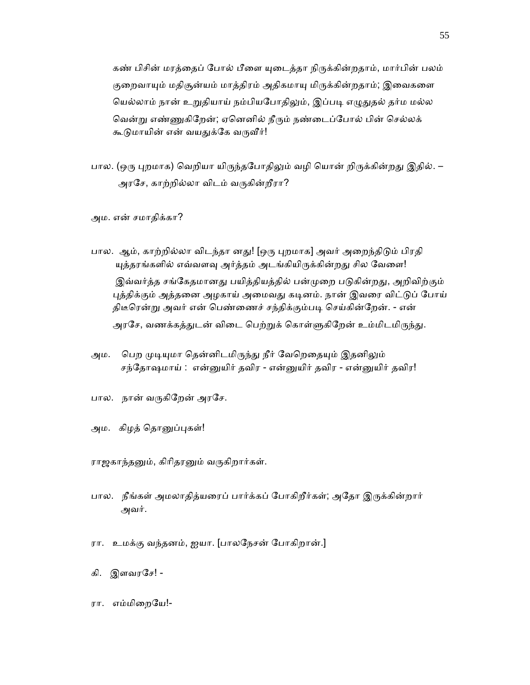கண் பிசின் மரத்தைப் போல் பீளை யுடைத்தா நிருக்கின்றதாம், மார்பின் பலம் குறைவாயும் மதிசூன்யம் மாத்திரம் அதிகமாயு மிருக்கின்றதாம்; இவைகளை யெல்லாம் நான் உறுதியாய் நம்பியபோதிலும், இப்படி எழுதுதல் தர்ம மல்ல வென்று எண்ணுகிறேன்; ஏனெனில் நீரும் நண்டைப்போல் பின் செல்லக் கூடுமாயின் என் வயதுக்கே வருவீர்!

பால. (ஒரு புறமாக) வெறியா யிருந்தபோதிலும் வழி யொன் றிருக்கின்றது இதில். – அரசே, காற்றில்லா விடம் வருகின்றீரா?

அம. என் சமாதிக்கா?

- பால. ஆம், காற்றில்லா விடந்தா னது! [ஒரு புறமாக] அவர் அறைந்திடும் பிரதி யுத்தரங்களில் எவ்வளவு அர்த்தம் அடங்கியிருக்கின்றது சில வேளை! இவ்வர்த்த சங்கேதமானது பயித்தியத்தில் பன்முறை படுகின்றது, அறிவிற்கும் புத்திக்கும் அத்தனை அழகாய் அமைவது கடினம். நான் இவரை விட்டுப் போய் திடீரென்று அவர் என் பெண்ணைச் சந்திக்கும்படி செய்கின்றேன். - என் அரசே, வணக்கத்துடன் விடை பெற்றுக் கொள்ளுகிறேன் உம்மிடமிருந்து.
- அம. பெற முடியுமா தென்னிடமிருந்து நீர் வேறெதையும் இதனிலும் சந்தோஷமாய் : என்னுயிர் தவிர - என்னுயிர் தவிர - என்னுயிர் தவிர!
- பால. நான் வருகிறேன் அரசே.
- அம. கிழத் தொனுப்புகள்!

ராஜகாந்தனும், கிரிதரனும் வருகிறார்கள்.

- பால. நீங்கள் அமலாதித்யரைப் பார்க்கப் போகிறீர்கள்; அதோ இருக்கின்றார் அவர்.
- ரா. உமக்கு வந்தனம், ஐயா. [பாலேநசன் ேபாகிறான்.]
- கி. இளவரசே! -
- ரா. எம்மிைறேய!-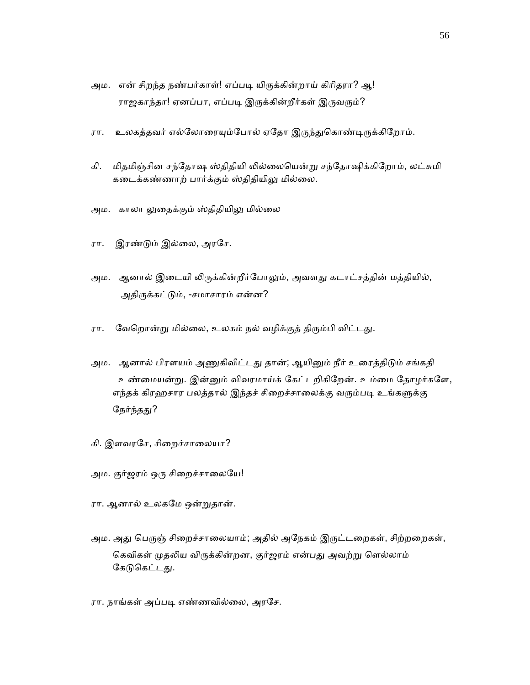- அம. என் சிறந்த நண்பர்காள்! எப்படி யிருக்கின்றாய் கிரிதரா? ஆ! ராஜகாந்தா! ஏனப்பா, எப்படி இருக்கின்றீர்கள் இருவரும்?
- ரா. உலகத்தவர் எல்லோரையும்போல் ஏதோ இருந்துகொண்டிருக்கிறோம்.
- கி. மிதமிஞ்சின சந்தோஷ ஸ்திதியி லில்லையென்று சந்தோஷிக்கிறோம், லட்சுமி கடைக்கண்ணாற் பார்க்கும் ஸ்திதியிலு மில்லை.
- அம. காலா லுதைக்கும் ஸ்திதியிலு மில்லை
- ரா. இரண்ᾌம் இல்ைல, அரேச.
- அம. ஆனால் இடையி லிருக்கின்றீர்போலும், அவளது கடாட்சத்தின் மத்தியில், அதிருக்கட்டும், -சமாசாரம் என்ன?
- ரா. வேறொன்று மில்லை, உலகம் நல் வழிக்குத் திரும்பி விட்டது.
- அம. ஆனால் பிரளயம் அணுகிவிட்டது தான்; ஆயினும் நீர் உரைத்திடும் சங்கதி உண்மையன்று. இன்னும் விவரமாய்க் கேட்டறிகிறேன். உம்மை தோழர்களே, எந்தக் கிரஹசார பலத்தால் இந்தச் சிறைச்சாலைக்கு வரும்படி உங்களுக்கு நேர்ந்தது?
- கி. இளவரசே, சிறைச்சாலையா?
- அம. குர்ஜரம் ஒரு சிறைச்சாலையே!
- ரா. ஆனால் உலகேம ஒன்ᾠதான்.
- அம. அது பெருஞ் சிறைச்சாலையாம்; அதில் அநேகம் இருட்டறைகள், சிற்றறைகள், கெவிகள் முதலிய விருக்கின்றன, குர்ஜரம் என்பது அவற்று ளெல்லாம் கேடுகெட்டது.
- ரா. நாங்கள் அப்படி எண்ணவில்லை, அரசே.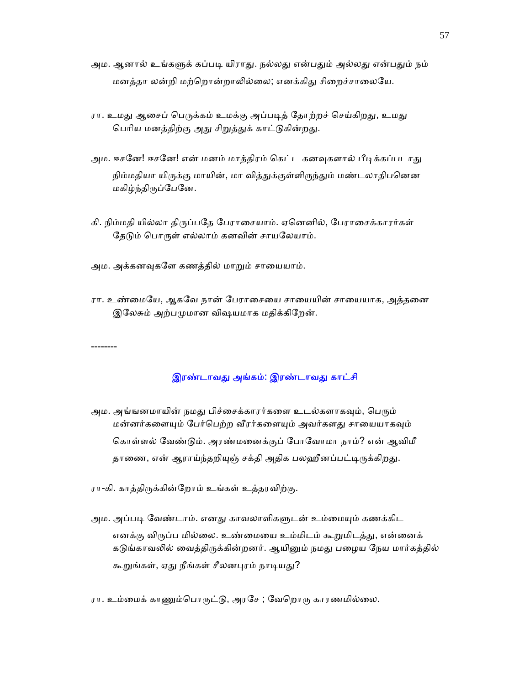- அம. ஆனால் உங்களுக் கப்படி யிராது. நல்லது என்பதும் அல்லது என்பதும் நம் மனத்தா லன்றி மற்றொன்றாலில்லை; எனக்கிது சிறைச்சாலையே.
- ரா. உமது ஆசைப் பெருக்கம் உமக்கு அப்படித் தோற்றச் செய்கிறது, உமது பெரிய மனத்திற்கு அது சிறுத்துக் காட்டுகின்றது.
- அம. ஈசனே! ஈசனே! என் மனம் மாத்திரம் கெட்ட கனவுகளால் பீடிக்கப்படாது நிம்மதியா யிருக்கு மாயின், மா வித்துக்குள்ளிருந்தும் மண்டலாதிபனென மகிழ்ந்திᾞப்ேபேன.
- கி. நிம்மதி யில்லா திருப்பதே பேராசையாம். ஏனெனில், பேராசைக்காரர்கள் தேடும் பொருள் எல்லாம் கனவின் சாயலேயாம்.
- அம. அக்கனவுகளே கணத்தில் மாறும் சாயையாம்.

--------

ரா. உண்மையே, ஆகவே நான் பேராசையை சாயையின் சாயையாக, அத்தனை இலேசும் அற்பமுமான விஷயமாக மதிக்கிறேன்.

இரண்டாவது அங்கம்: இரண்டாவது காட்சி

- அம. அங்ஙனமாயின் நமது பிச்சைக்காரர்களை உடல்களாகவும், பெரும் மன்னர்களையும் பேர்பெற்ற வீரர்களையும் அவர்களது சாயையாகவும் கொள்ளல் வேண்டும். அரண்மனைக்குப் போவோமா நாம்? என் ஆவிமீ தாணை, என் ஆராய்ந்தறியுஞ் சக்தி அதிக பலஹீனப்பட்டிருக்கிறது.
- ரா-கி. காத்திருக்கின்றோம் உங்கள் உத்தரவிற்கு.
- அம. அப்படி வேண்டாம். எனது காவலாளிகளுடன் உம்மையும் கணக்கிட எனக்கு விருப்ப மில்லை. உண்மையை உம்மிடம் கூறுமிடத்து, என்னைக் கடுங்காவலில் வைத்திருக்கின்றனர். ஆயினும் நமது பழைய நேய மார்கத்தில் கூறுங்கள், ஏது நீங்கள் சீலனபுரம் நாடியது?
- ரா. உம்மைக் காணும்பொருட்டு, அரசே ; வேறொரு காரணமில்லை.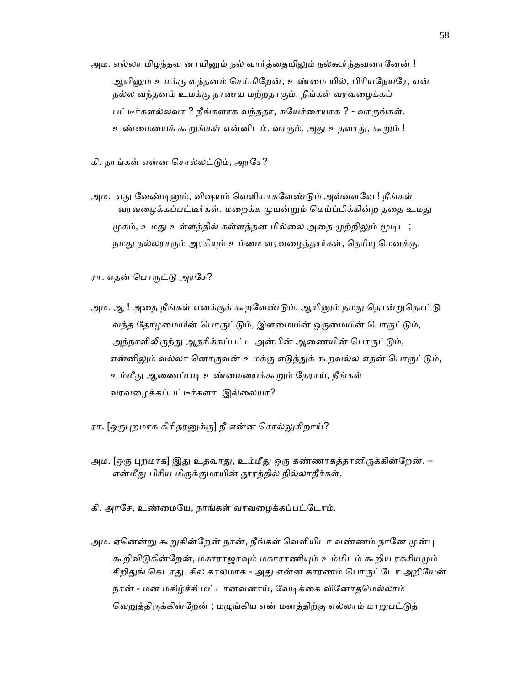அம. எல்லா மிழந்தவ னாயினும் நல் வார்த்தையிலும் நல்கூர்ந்தவனானேன் ! ஆயினும் உமக்கு வந்தனம் செய்கிறேன், உண்மை யில், பிரியநேயரே, என் நல்ல வந்தனம் உமக்கு நாணய மற்றதாகும். நீங்கள் வரவைழக்கப் பட்டீர்களல்லவா ? நீங்களாக வந்ததா, சுயேச்சையாக ? - வாருங்கள். உண்மையைக் கூறுங்கள் என்னிடம். வாரும், அது உதவாது, கூறும் !

கி. நாங்கள் என்ன சொல்லட்டும், அரசே?

அம. எது வேண்டினும், விஷயம் வெளியாகவேண்டும் அவ்வளவே ! நீங்கள் வரவழைக்கப்பட்டீர்கள். மறைக்க முயன்றும் மெய்ப்பிக்கின்ற ததை உமது முகம், உமது உள்ளத்தில் கள்ளத்தன மில்லை அதை முற்றிலும் மூடிட ; நமது நல்லரசரும் அரசியும் உம்மை வரவழைக்கார்கள், தெரியு மெனக்கு.

ரா. எதன் பொருட்டு அரசே?

- அம. ஆ ! அதை நீங்கள் எனக்குக் கூறவேண்டும். ஆயினும் நமது தொன்றுதொட்டு வந்த தோழமையின் பொருட்டும், இளமையின் ஒருமையின் பொருட்டும், அந்நாளிலிருந்து ஆதரிக்கப்பட்ட அன்பின் ஆணையின் பொருட்டும், என்னிலும் வல்லா னொருவன் உமக்கு எடுத்துக் கூறவல்ல எதன் பொருட்டும், உம்மீது ஆணைப்படி உண்மையைக்கூறும் நேராய், நீங்கள் வரவைழக்கப்பட்டீர்களா இல்ைலயா?
- ரா. [ஒருபுறமாக கிரிதரனுக்கு] நீ என்ன சொல்லுகிறாய்?
- அம. [ஒரு புறமாக] இது உதவாது, உம்மீது ஒரு கண்ணாகத்தானிருக்கின்றேன். என்மீது பிரிய மிருக்குமாயின் தூரத்தில் நில்லாதீர்கள்.
- கி. அரேச, உண்ைமேய, நாங்கள் வரவைழக்கப்பட்ேடாம்.
- அம. ஏனென்று கூறுகின்றேன் நான், நீங்கள் வெளியிடா வண்ணம் நானே முன்பு கூறிவிடுகின்றேன், மகாராஜாவும் மகாராணியும் உம்மிடம் கூறிய ரகசியமும் சிறிதுங் கெடாது. சில காலமாக - அது என்ன காரணம் பொருட்டோ அறியேன் நான் - மன மகிழ்ச்சி மட்டானவனாய், வேடிக்கை வினோதமெல்லாம் வெறுத்திருக்கின்றேன் ; மழுங்கிய என் மனத்திற்கு எல்லாம் மாறுபட்டுத்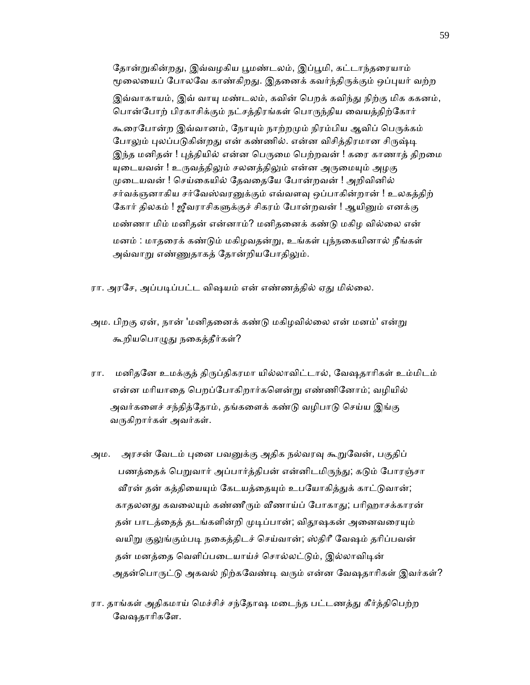தோன்றுகின்றது, இவ்வழகிய பூமண்டலம், இப்பூமி, கட்டாந்தரையாம் மூலையைப் போலவே காண்கிறது. இதனைக் கவர்ந்திருக்கும் ஒப்புயர் வற்ற இவ்வாகாயம், இவ் வாயு மண்டலம், கவின் பெறக் கவிந்து நிற்கு மிக ககனம், பொன்போற் பிரகாசிக்கும் நட்சத்திரங்கள் பொருந்திய வையத்திற்கோர் கூரைபோன்ற இவ்வானம், நோயும் நாற்றமும் நிரம்பிய ஆவிப் பெருக்கம் போலும் புலப்படுகின்றது என் கண்ணில். என்ன விசித்திரமான சிருஷ்டி இந்த மனிதன் ! புத்தியில் என்ன பெருமை பெற்றவன் ! கரை காணாத் திறமை யுடையவன் ! உருவத்திலும் சலனத்திலும் என்ன அருமையும் அழகு ᾙைடயவன் ! ெசய்ைகயில் ேதவைதேய ேபான்றவன் ! அறிவினில் சர்வக்ஞனாகிய சர்வேஸ்வரனுக்கும் எவ்வளவு ஒப்பாகின்றான் ! உலகத்திற் கோர் திலகம் ! ஜீவராசிகளுக்குச் சிகரம் போன்றவன் ! ஆயினும் எனக்கு மண்ணா மிம் மனிதன் என்னாம்? மனிதைனக் கண்ᾌ மகிழ வில்ைல என் மனம் : மாதைரக் கண்ᾌம் மகிழவதன்ᾠ, உங்கள் ᾗந்நைகயினால் நீங்கள் அவ்வாறு எண்ணுதாகத் தோன்றியபோதிலும்.

- ரா. அரசே, அப்படிப்பட்ட விஷயம் என் எண்ணத்தில் ஏது மில்லை.
- அம. பிறகு ஏன், நான் 'மனிதனைக் கண்டு மகிழவில்லை என் மனம்' என்று கூறியபொழுது நகைத்தீர்கள்?
- ரா. மனிதனே உமக்குத் திருப்திகரமா யில்லாவிட்டால், வேஷதாரிகள் உம்மிடம் என்ன மாியாைத ெபறப்ேபாகிறார்கெளன்ᾠ எண்ணிேனாம்; வழியில் அவர்களைச் சந்தித்தோம், தங்களைக் கண்டு வழிபாடு செய்ய இங்கு வருகிறார்கள் அவர்கள்.
- அம. அரசன் வேடம் புனை பவனுக்கு அதிக நல்வரவு கூறுவேன், பகுதிப் பணத்தைக் பெறுவார் அப்பார்த்திபன் என்னிடமிருந்து; கடும் போரஞ்சா வீரன் தன் கத்தியையும் கேடயத்தையும் உபயோகித்துக் காட்டுவான்; காதலனது கவலையும் கண்ணீரும் வீணாய்ப் போகாது; பரிஹாசக்காரன் தன் பாடத்தைத் தடங்களின்றி முடிப்பான்; விதூஷகன் அனைவரையும் வயிறு குலுங்கும்படி நகைத்திடச் செய்வான்; ஸ்திரீ வேஷம் தரிப்பவன் தன் மனத்தை வெளிப்படையாய்ச் சொல்லட்டும், இல்லாவிடின் அதன்பொருட்டு அகவல் நிற்கவேண்டி வரும் என்ன வேஷதாரிகள் இவர்கள்?
- ரா. தாங்கள் அதிகமாய் மெச்சிச் சந்தோஷ மடைந்த பட்டணத்து கீர்த்திபெற்ற ேவஷதாாிகேள.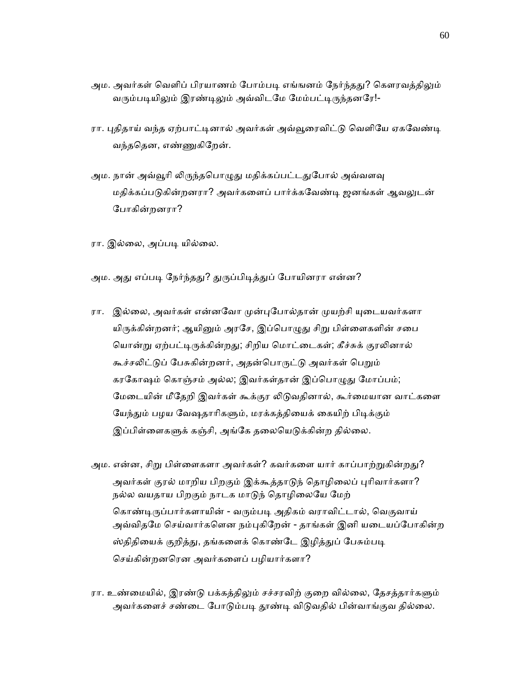- அம. அவர்கள் வெளிப் பிரயாணம் போம்படி எங்ஙனம் நேர்ந்தது? கௌரவத்திலும் வரும்படியிலும் இரண்டிலும் அவ்விடமே மேம்பட்டிருந்தனரே!-
- ரா. புதிதாய் வந்த ஏற்பாட்டினால் அவர்கள் அவ்வூரைவிட்டு வெளியே ஏகவேண்டி வந்தெதன, எண்ᾎகிேறன்.
- அம. நான் அவ்வூரி லிருந்தபொழுது மதிக்கப்பட்டதுபோல் அவ்வளவு மதிக்கப்படுகின்றனரா? அவர்களைப் பார்க்கவேண்டி ஜனங்கள் ஆவலுடன் ேபாகின்றனரா?
- ரா. இல்லை, அப்படி யில்லை.
- அம. அது எப்படி நேர்ந்தது? துருப்பிடித்துப் போயினரா என்ன?
- ரா. இல்லை, அவர்கள் என்னவோ முன்புபோல்தான் முயற்சி யுடையவர்களா யிருக்கின்றனர்; ஆயினும் அரசே, இப்பொழுது சிறு பிள்ளைகளின் சபை யொன்று ஏற்பட்டிருக்கின்றது; சிறிய மொட்டைகள்; கீச்சுக் குரலினால் கூச்சலிட்டுப் பேசுகின்றனர், அதன்பொருட்டு அவர்கள் பெறும் கரகோஷம் கொஞ்சம் அல்ல; இவர்கள்தான் இப்பொழுது மோப்பம்; மேடையின் மீதேறி இவர்கள் கூக்குர லிடுவதினால், கூர்மையான வாட்களை யேந்தும் பழய வேஷதாரிகளும், மரக்கத்தியைக் கையிற் பிடிக்கும் இப்பிள்ளைகளுக் கஞ்சி, அங்கே தலையெடுக்கின்ற தில்லை.
- அம. என்ன, சிறு பிள்ளைகளா அவர்கள்? கவர்களை யார் காப்பாற்றுகின்றது? அவர்கள் குரல் மாறிய பிறகும் இக்கூத்தாடுந் தொழிலைப் புரிவார்களா? நல்ல வயதாய பிறகும் நாடக மாடுந் தொழிலையே மேற் கொண்டிருப்பார்களாயின் - வரும்படி அதிகம் வராவிட்டால், வெகுவாய் அவ்விதமே செய்வார்களென நம்புகிறேன் - தாங்கள் இனி யடையப்போகின்ற ஸ்திதியைக் குறித்து, தங்களைக் கொண்டே இழித்துப் பேசும்படி ெசய்கின்றனெரன அவர்கைளப் பழியார்களா?
- ரா. உண்மையில், இரண்டு பக்கத்திலும் சச்சரவிற் குறை வில்லை, தேசத்தார்களும் அவர்களைச் சண்டை போடும்படி தூண்டி விடுவதில் பின்வாங்குவ தில்லை.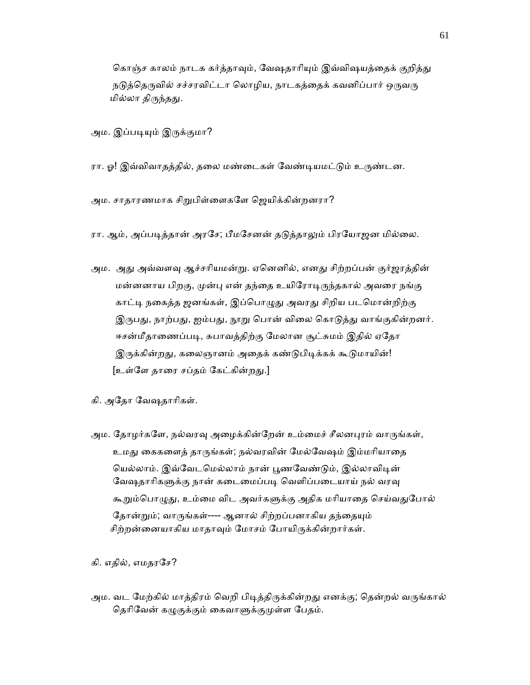கொஞ்ச காலம் நாடக கர்த்தாவும், வேஷதாரியும் இவ்விஷயத்தைக் குறித்து நடுத்தெருவில் சச்சரவிட்டா லொழிய, நாடகத்தைக் கவனிப்பார் ஒருவரு மில்லா திருந்தது.

அம. இப்படியும் இருக்குமா?

- ரா. ஓ! இவ்விவாதத்தில், தலை மண்டைகள் வேண்டியமட்டும் உருண்டன.
- அம. சாதாரணமாக சிறுபிள்ளைகளே ஜெயிக்கின்றனரா?

ரா. ஆம், அப்படித்தான் அரசே; பீமசேனன் தடுத்தாலும் பிரயோஜன மில்லை.

- அம. அது அவ்வளவு ஆச்சரியமன்று. ஏனெனில், எனது சிற்றப்பன் குர்ஜரத்தின் மன்னனாய பிறகு, முன்பு என் தந்தை உயிரோடிருந்தகால் அவரை நங்கு காட்டி நகைத்த ஜனங்கள், இப்பொழுது அவரது சிறிய படமொன்றிற்கு இருபது, நாற்பது, ஐம்பது, நூறு பொன் விலை கொடுத்து வாங்குகின்றனர். ஈசன்மீதாணைப்படி, சுபாவத்திற்கு மேலான சூட்சுமம் இதில் ஏதோ இருக்கின்றது, கலைஞானம் அதைக் கண்டுபிடிக்கக் கூடுமாயின்! [உள்ளே தாரை சப்தம் கேட்கின்றது.]
- கி. அேதா ேவஷதாாிகள்.
- அம. தோழர்களே, நல்வரவு அழைக்கின்றேன் உம்மைச் சீலனபுரம் வாருங்கள், உமது கைகளைத் தாருங்கள்; நல்வரவின் மேல்வேஷம் இம்மரியாதை யெல்லாம். இவ்வேடமெல்லாம் நான் பூணவேண்டும், இல்லாவிடின் வேஷதாரிகளுக்கு நான் கடைமைப்படி வெளிப்படையாய் நல் வரவு கூறும்பொழுது, உம்மை விட அவர்களுக்கு அதிக மரியாதை செய்வதுபோல் தோன்றும்; வாருங்கள்---- ஆனால் சிற்றப்பனாகிய தந்தையும் சிற்றன்னையாகிய மாதாவும் மோசம் போயிருக்கின்றார்கள்.

கி. எதில், எமதரேச?

அம. வட மேற்கில் மாத்திரம் வெறி பிடித்திருக்கின்றது எனக்கு; தென்றல் வருங்கால் தெரிவேன் கழுகுக்கும் கைவாளுக்குமுள்ள பேதம்.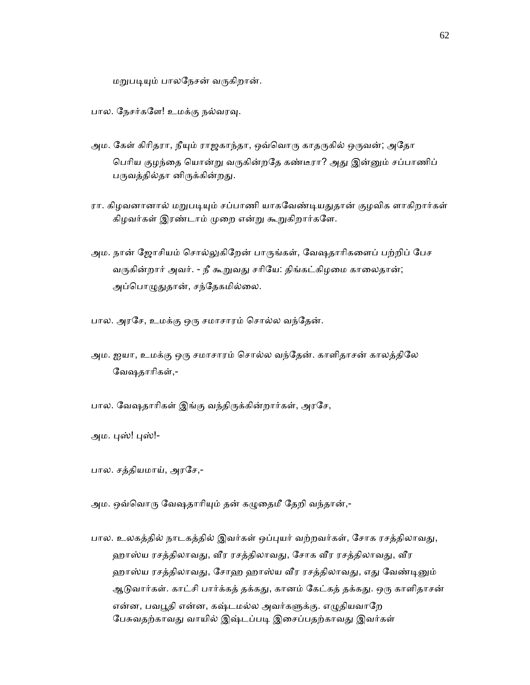மறுபடியும் பாலநேசன் வருகிறான்.

பால. நேசர்களே! உமக்கு நல்வரவு.

- அம. கேள் கிரிதரா, நீயும் ராஜகாந்தா, ஒவ்வொரு காதருகில் ஒருவன்; அதோ பெரிய குழந்தை யொன்று வருகின்றதே கண்டீரா? அது இன்னும் சப்பாணிப் பருவத்தில்தா னிருக்கின்றது.
- ரா. கிழவனானால் மறுபடியும் சப்பாணி யாகவேண்டியதுதான் குழவிக ளாகிறார்கள் கிழவர்கள் இரண்டாம் முறை என்று கூறுகிறார்களே.
- அம. நான் ஜோசியம் சொல்லுகிறேன் பாருங்கள், வேஷதாரிகளைப் பற்றிப் பேச வருகின்றார் அவர். - நீ கூறுவது சரியே: திங்கட்கிழமை காலைதான்; அப்பொழுதுதான், சந்தேகமில்லை.

பால. அரசே, உமக்கு ஒரு சமாசாரம் சொல்ல வந்தேன்.

- அம. ஐயா, உமக்கு ஒᾞ சமாசாரம் ெசால்ல வந்ேதன். காளிதாசன் காலத்திேல ேவஷதாாிகள்,-
- பால. வேஷதாரிகள் இங்கு வந்திருக்கின்றார்கள், அரசே,
- அம. புஸ்! புஸ்!-
- பால. சத்தியமாய், அரேச,-

அம. ஒவ்வொரு வேஷதாரியும் தன் கழுதைமீ தேறி வந்தான்,-

பால. உலகத்தில் நாடகத்தில் இவர்கள் ஒப்புயர் வற்றவர்கள், சோக ரசத்திலாவது, ஹாஸ்ய ரசத்திலாவது, வீர ரசத்திலாவது, சோக வீர ரசத்திலாவது, வீர ஹாஸ்ய ரசத்திலாவது, சோஹ ஹாஸ்ய வீர ரசத்திலாவது, எது வேண்டினும் ஆடுவார்கள். காட்சி பார்க்கத் தக்கது, கானம் கேட்கத் தக்கது. ஒரு காளிதாசன் என்ன, பவபூதி என்ன, கஷ்டமல்ல அவர்களுக்கு. எழுதியவாறே பேசுவதற்காவது வாயில் இஷ்டப்படி இசைப்பதற்காவது இவர்கள்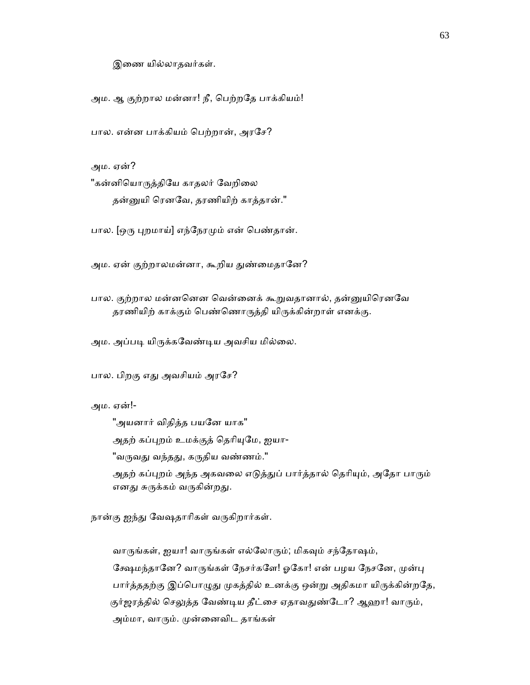இைண யில்லாதவர்கள்.

அம. ஆ குற்றால மன்னா! நீ, ெபற்றேத பாக்கியம்!

பால. என்ன பாக்கியம் ெபற்றான், அரேச?

அம. ஏன்?

"கன்னியொருத்தியே காதலர் வேறிலை தன்னுயி ரெனவே, தரணியிற் காத்தான்."

பால. [ஒரு புறமாய்] எந்நேரமும் என் பெண்தான்.

அம. ஏன் குற்றாலமன்னா, கூறிய துண்மைதானே?

பால. குற்றால மன்னனென வென்னைக் கூறுவதானால், தன்னுயிரெனவே தரணியிற் காக்கும் பெண்ணொருத்தி யிருக்கின்றாள் எனக்கு.

அம. அப்படி யிருக்கவேண்டிய அவசிய மில்லை.

பால. பிறகு எது அவசியம் அரசே?

அம. ஏன்!-

"அயனார் விதித்த பயனே யாக" அதற் கப்புறம் உமக்குத் தெரியுமே, ஐயா-"வருவது வந்தது, கருதிய வண்ணம்." அதற் கப்புறம் அந்த அகவலை எடுத்துப் பார்த்தால் தெரியும், அதோ பாரும் எனது சுருக்கம் வருகின்றது.

நான்கு ஐந்து வேஷதாரிகள் வருகிறார்கள்.

வாருங்கள், ஐயா! வாருங்கள் எல்லோரும்; மிகவும் சந்தோஷம், கேஷமந்தானே? வாருங்கள் நேசர்களே! ஓகோ! என் பழய நேசனே, முன்பு பார்த்ததற்கு இப்பொழுது முகத்தில் உனக்கு ஒன்று அதிகமா யிருக்கின்றதே, குர்ஜரத்தில் செலுத்த வேண்டிய தீட்சை ஏதாவதுண்டோ? ஆஹா! வாரும், அம்மா, வாரும். முன்னைவிட தாங்கள்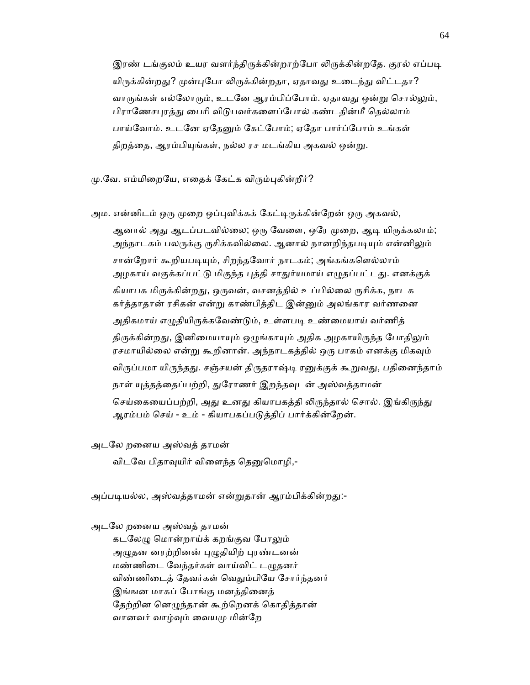இரண் டங்குலம் உயர வளர்ந்திருக்கின்றாற்போ லிருக்கின்றதே. குரல் எப்படி யிருக்கின்றது? முன்புபோ லிருக்கின்றதா, ஏதாவது உடைந்து விட்டதா? வாருங்கள் எல்லோரும், உடனே ஆரம்பிப்போம். ஏதாவது ஒன்று சொல்லும், பிராணேசபுரத்து பைரி விடுபவர்களைப்போல் கண்டதின்மீ தெல்லாம் பாய்வோம். உடனே ஏதேனும் கேட்போம்; ஏதோ பார்ப்போம் உங்கள் திறத்தை, ஆரம்பியுங்கள், நல்ல ரச மடங்கிய அகவல் ஒன்று.

மு.வே. எம்மிறையே, எதைக் கேட்க விரும்புகின்றீர்?

அம. என்னிடம் ஒரு முறை ஒப்புவிக்கக் கேட்டிருக்கின்றேன் ஒரு அகவல்,

ஆனால் அது ஆடப்படவில்லை; ஒரு வேளை, ஒரே முறை, ஆடி யிருக்கலாம்; அந்நாடகம் பலருக்கு ருசிக்கவில்லை. ஆனால் நானறிந்தபடியும் என்னிலும் சான்றோர் கூறியபடியும், சிறந்தவோர் நாடகம்; அங்கங்களெல்லாம் அழகாய் வகுக்கப்பட்டு மிகுந்த புத்தி சாதுர்யமாய் எழுதப்பட்டது. எனக்குக் கியாபக மிருக்கின்றது, ஒருவன், வசனத்தில் உப்பில்லை ருசிக்க, நாடக கர்த்தாதான் ரசிகன் என்று காண்பித்திட இன்னும் அலங்கார வர்ணனை அதிகமாய் எழுதியிருக்கவேண்டும், உள்ளபடி உண்மையாய் வர்ணித் திருக்கின்றது, இனிமையாயும் ஒழுங்காயும் அதிக அழகாயிருந்த போதிலும் ரசமாயில்லை என்று கூறினான். அந்நாடகத்தில் ஒரு பாகம் எனக்கு மிகவும் விருப்பமா யிருந்தது. சஞ்சயன் திருதராஷ்டி ரனுக்குக் கூறுவது, பதினைந்தாம் நாள் யுத்தத்தைப்பற்றி, துரோணர் இறந்தவுடன் அஸ்வத்தாமன் செய்கையைப்பற்றி, அது உனது கியாபகத்தி லிருந்தால் சொல். இங்கிருந்து ஆரம்பம் ெசய் - உம் - கியாபகப்பᾌத்திப் பார்க்கின்ேறன்.

அடேல றைனய அஸ்வத் தாமன்

விடவே பிதாவுயிர் விளைந்த தெனுமொழி,-

அப்படியல்ல, அஸ்வத்தாமன் என்றுதான் ஆரம்பிக்கின்றது:-

அடேல றைனய அஸ்வத் தாமன்

கடலேழு மொன்றாய்க் கறங்குவ போலும் அழுதன னரற்றினன் புழுதியிற் புரண்டனன் மண்ணிடை வேந்தர்கள் வாய்விட் டழுதனர் விண்ணிடைத் தேவர்கள் வெதும்பியே சோர்ந்தனர் இங்ஙன மாகப் போங்கு மனத்தினைத் தேற்றின னெழுந்தான் கூற்றெனக் கொதித்கான் வானவர் வாழ்ᾫம் ைவயᾙ மின்ேற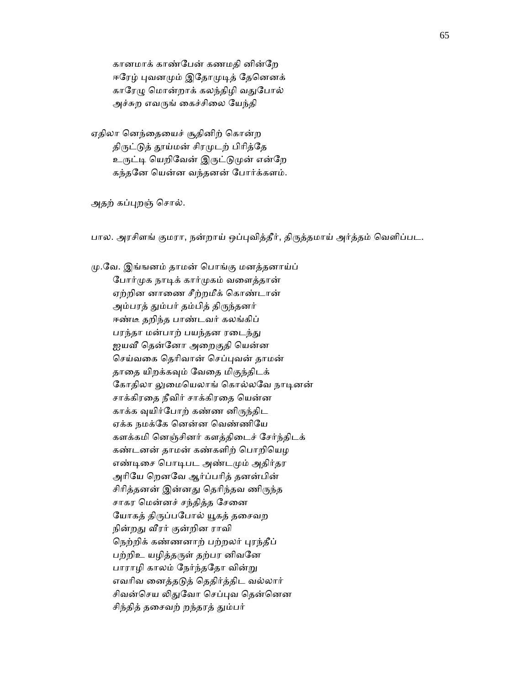கானமாக் காண்ேபன் கணமதி னின்ேற ஈரேழ் புவனமும் இதோமுடித் தேனெனக் காரேழு மொன்றாக் கலந்திழி வதுபோல் அச்சுற எவருங் கைச்சிலை யேந்தி

 ஏதிலா ெனந்ைதையச் சூதினிற் ெகான்ற திருட்டுத் தூய்மன் சிரமுடற் பிரித்தே உருட்டி யெறிவேன் இருட்டுமுன் என்றே கந்தேன ெயன்ன வந்தனன் ேபார்க்களம்.

அதற் கப்புறஞ் சொல்.

பால. அரசிளங் குமரா, நன்றாய் ஒப்புவித்தீர், திருத்தமாய் அர்த்தம் வெளிப்பட.

 ᾙ.ேவ. இங்ஙனம் தாமன் ெபாங்கு மனத்தனாய்ப் போர்முக நாடிக் கார்முகம் வளைத்தான் ஏற்றின னாைண சீற்றமீக் ெகாண்டான் அம்பரத் தும்பர் தம்பித் திருந்தனர் ஈண்டீ தறிந்த பாண்டவர் கலங்கிப் பரந்தா மன்பாற் பயந்தன ரடைந்து ஐயவீ தென்னோ அறைகுதி யென்ன ெசய்வைக ெதாிவான் ெசப்ᾗவன் தாமன் தாதை யிறக்கவும் வேதை மிகுந்திடக் கோதிலா லுமையெலாங் கொல்லவே நாடினன் சாக்கிரதை நீவிர் சாக்கிரதை யென்ன காக்க ᾫயிர்ேபாற் கண்ண னிᾞந்திட ஏக்க நமக்ேக ெனன்ன ெவண்ணிேய களக்கமி ெனஞ்சினர் களத்திைடச் ேசர்ந்திடக் கண்டனன் தாமன் கண்களிற் ெபாறிெயழ எண்டிசை பொடிபட அண்டமும் அதிர்தர அாிேய ெறனேவ ஆர்ப்பாித் தனன்பின் சிரித்தனன் இன்னது தெரிந்தவ ணிருந்த சாகர மென்னச் சந்தித்த சேனை யோகத் திருப்பபோல் யூகத் தசைவற நின்றது வீரர் குன்றின ராவி நெற்றிக் கண்ணனாற் பற்றலர் புரந்தீப் பற்றிஉ யழித்தருள் தற்பர னிவனே பாராழி காலம் நேர்ந்ததோ வின்று எவாிவ ைனத்தᾌத் ெததிர்த்திட வல்லார் சிவன்செய லிதுவோ செப்புவ தென்னென சிந்தித் தசைவற் றந்தரத் தும்பர்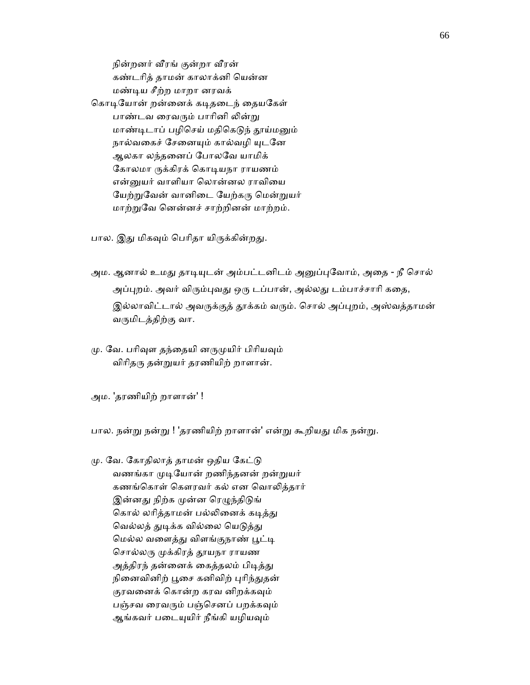நின்றனர் வீரங் குன்றா வீரன் கண்டாித் தாமன் காலாக்னி ெயன்ன மண்ᾊய சீற்ற மாறா னரவக் கொடியோன் றன்னைக் கடிதடைந் தையகேள் பாண்டவ ரைவரும் பாரினி லின்று மாண்டிடாப் பழிசெய் மதிகெடுந் தூய்மனும் நால்வகைச் சேனையும் கால்வழி யுடனே ஆலகா லந்தைனப் ேபாலேவ யாமிக் கோலமா ருக்கிரக் கொடியநா ராயணம் என்னுயர் வாளியா லொன்னல ராவியை யேற்றுவேன் வானிடை யேற்கரு மென்றுயர் மாற்ᾠேவ ெனன்னச் சாற்றினன் மாற்றம்.

பால. இது மிகவும் பெரிதா யிருக்கின்றது.

- அம. ஆனால் உமது தாடியுடன் அம்பட்டனிடம் அனுப்புவோம், அதை நீ சொல் அப்புறம். அவர் விரும்புவது ஒரு டப்பான், அல்லது டம்பாச்சாரி கதை, இல்லாவிட்டால் அவருக்குத் தூக்கம் வரும். சொல் அப்புறம், அஸ்வத்தாமன் வᾞமிடத்திற்கு வா.
- மு. வே. பரிவுள தந்தையி னருமுயிர் பிரியவும் விரிதரு தன்றுயர் தரணியிற் றாளான்.

அம. 'தரணியிற் றாளான்' !

பால. நன்று நன்று ! 'தரணியிற் றாளான்' என்று கூறியது மிக நன்று.

மு. வே. கோதிலாத் தாமன் ஒதிய கேட்டு வணங்கா முடியோன் றணிந்தனன் றன்றுயர் கணங்கொள் கௌரவர் கல் என வொலித்தார் இன்னது நிற்க முன்ன ரெழுந்திடுங் கொல் லரித்தாமன் பல்லினைக் கடித்து வெல்லத் துடிக்க வில்லை யெடுத்து மெல்ல வளைத்து விளங்குநாண் பூட்டி சொல்லரு முக்கிரத் தூயநா ராயண அத்திரந் தன்னைக் கைத்தலம் பிடித்து நினைவினிற் பூசை கனிவிற் புரிந்துதன் குரவனைக் கொன்ற கரவ னிறக்கவும் பஞ்சவ ரைவரும் பஞ்செனப் பறக்கவும் ஆங்கவர் படையுயிர் நீங்கி யழியவும்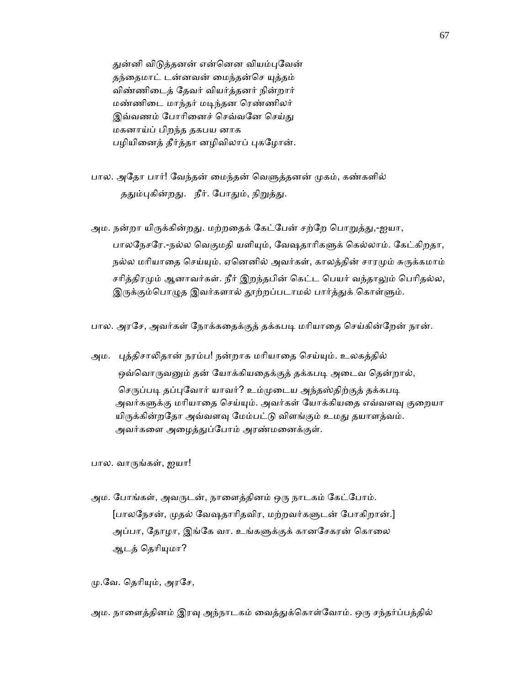துன்னி விடுத்தனன் என்னென வியம்புவேன் தந்தைமாட் டன்னவன் மைந்தன்செ யுத்தம் விண்ணிைடத் ேதவர் வியர்த்தனர் நின்றார் மண்ணிைட மாந்தர் மᾊந்தன ெரண்ணிலர் இவ்வணம் போரினைச் செவ்வனே செய்து மகனாய்ப் பிறந்த தகபய னாக பழியினைத் தீர்த்தா னழிவிலாப் புகழோன்.

பால. அதோ பார்! வேந்தன் மைந்தன் வெளுத்தனன் முகம், கண்களில் ததும்புகின்றது. நீர். போதும், நிறுத்து.

அம. நன்றா யிருக்கின்றது. மற்றதைக் கேட்பேன் சற்றே பொறுத்து,-ஐயா, பாலநேசரே.-நல்ல வெகுமதி யளியும், வேஷதாரிகளுக் கெல்லாம். கேட்கிறதா, நல்ல மரியாதை செய்யும். ஏனெனில் அவர்கள், காலத்தின் சாரமும் சுருக்கமாம் சரித்திரமும் ஆனாவர்கள். நீர் இறந்தபின் கெட்ட பெயர் வந்தாலும் பெரிதல்ல, இருக்கும்பொழுத இவர்களால் தூற்றப்படாமல் பார்த்துக் கொள்ளும்.

பால. அரசே, அவர்கள் நோக்கதைக்குத் தக்கபடி மரியாதை செய்கின்றேன் நான்.

அம. புத்திசாலிதான் நரம்ப! நன்றாக மரியாதை செய்யும். உலகத்தில் ஒவ்வொருவனும் தன் யோக்கியதைக்குத் தக்கபடி அடைவ தென்றால், செருப்படி தப்புவோர் யாவர்? உம்முடைய அந்தஸ்திற்குத் தக்கபடி அவர்களுக்கு மரியாதை செய்யும். அவர்கள் யோக்கியதை எவ்வளவு குறையா யிருக்கின்றதோ அவ்வளவு மேம்பட்டு விளங்கும் உமது தயாளத்வம். அவர்களை அழைத்துப்போம் அரண்மனைக்குள்.

பால. வாᾞங்கள், ஐயா!

அம. போங்கள், அவருடன், நாளைத்தினம் ஒரு நாடகம் கேட்போம். [பாலநேசன், முதல் வேஷதாரிதவிர, மற்றவர்களுடன் போகிறான்.] அப்பா, தோழா, இங்கே வா. உங்களுக்குக் கானசேகரன் கொலை ஆடத் தெரியுமா?

மு.வே. தெரியும், அரசே,

அம. நாளைத்தினம் இரவு அந்நாடகம் வைத்துக்கொள்வோம். ஒரு சந்தர்ப்பத்தில்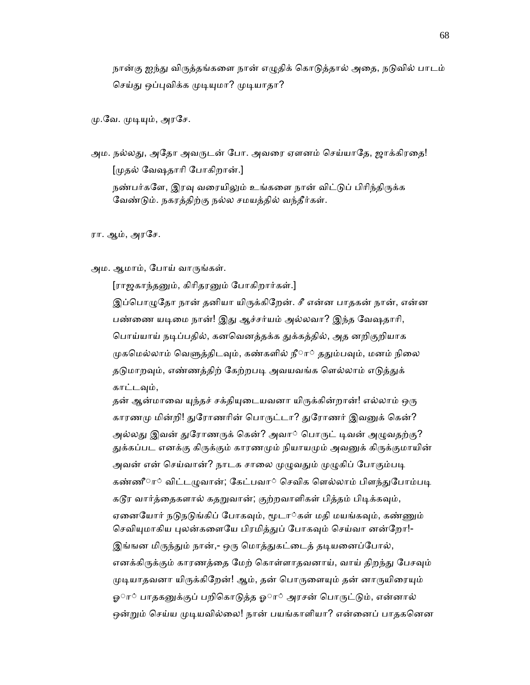நான்கு ஐந்து விருத்தங்களை நான் எழுதிக் கொடுத்தால் அதை, நடுவில் பாடம் செய்து ஒப்புவிக்க முடியுமா? முடியாதா?

மு.வே. முடியும், அரசே.

அம. நல்லது, அதோ அவருடன் போ. அவரை ஏளனம் செய்யாதே, ஜாக்கிரதை! [ᾙதல் ேவஷதாாி ேபாகிறான்.] நண்பர்களே, இரவு வரையிலும் உங்களை நான் விட்டுப் பிரிந்திருக்க ேவண்ᾌம். நகரத்திற்கு நல்ல சமயத்தில் வந்தீர்கள்.

ரா. ஆம், அரேச.

அம. ஆமாம், போய் வாருங்கள்.

[ராஜகாந்தனும், கிரிதரனும் போகிறார்கள்.]

இப்பொழுதோ நான் தனியா யிருக்கிறேன். சீ என்ன பாதகன் நான், என்ன பண்ணை யடிமை நான்! இது ஆச்சர்யம் அல்லவா? இந்த வேஷதாரி, பொய்யாய் நடிப்பதில், கனவெனத்தக்க துக்கத்தில், அத னறிகுறியாக முகமெல்லாம் வெளுத்திடவும், கண்களில் நீா் ததும்பவும், மனம் நிலை தடுமாறவும், எண்ணத்திற் கேற்றபடி அவயவங்க ளெல்லாம் எடுத்துக் காட்டᾫம்,

தன் ஆன்மாவை யுந்தச் சக்தியுடையவனா யிருக்கின்றான்! எல்லாம் ஒரு காரணமு மின்றி! துரோணரின் பொருட்டா? துரோணர் இவனுக் கென்? அல்லது இவன் துரோணருக் கென்? அவா் பொருட் டிவன் அழுவதற்கு? துக்கப்பட எனக்கு கிருக்கும் காரணமும் நியாயமும் அவனுக் கிருக்குமாயின் அவன் என் செய்வான்? நாடக சாலை முழுவதும் முழுகிப் போகும்படி கண்ணீா் விட்டழுவான்; கேட்பவா் செவிக ளெல்லாம் பிளந்துபோம்படி கடூர வார்த்தைகளால் கதறுவான்; குற்றவாளிகள் பித்தம் பிடிக்கவும், ஏனையோர் நடுநடுங்கிப் போகவும், மூடா்கள் மதி மயங்கவும், கண்ணும் செவியுமாகிய புலன்களையே பிரமித்துப் போகவும் செய்வா னன்றோ!-இங்ஙன மிருந்தும் நான்,- ஒரு மொத்துகட்டைத் தடியனைப்போல், எனக்கிருக்கும் காரணத்தை மேற் கொள்ளாதவனாய், வாய் திறந்து பேசவும் முடியாதவனா யிருக்கிறேன்! ஆம், தன் பொருளையும் தன் னாருயிரையும் ஓா் பாதகனுக்குப் பறிகொடுத்த ஓா் அரசன் பொருட்டும், என்னால் ஒன்றும் செய்ய முடியவில்லை! நான் பயங்காளியா? என்னைப் பாதகனென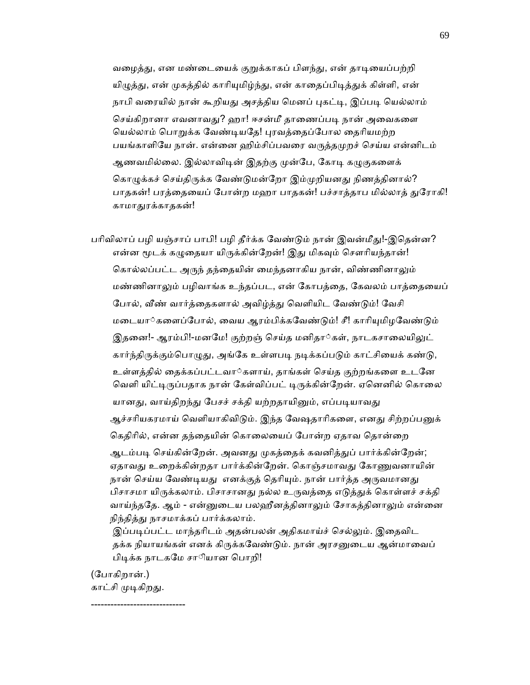வழைத்து, என மண்டையைக் குறுக்காகப் பிளந்து, என் தாடியைப்பற்றி யிழுத்து, என் முகத்தில் காரியுமிழ்ந்து, என் காதைப்பிடித்துக் கிள்ளி, என் நாபி வரையில் நான் கூறியது அசத்திய மெனப் புகட்டி, இப்படி யெல்லாம் செய்கிறானா எவனாவது? ஹா! ஈசன்மீ தாணைப்படி நான் அவைகளை யெல்லாம் பொறுக்க வேண்டியதே! புரவத்தைப்போல தைரியமற்ற பயங்காளியே நான். என்னை ஹிம்சிப்பவரை வருத்தமுறச் செய்ய என்னிடம் ஆணவமில்லை. இல்லாவிடின் இதற்கு முன்பே, கோடி கழுகுகளைக் கொழுக்கச் செய்திருக்க வேண்டுமன்றோ இம்முறியனது நிணத்தினால்? பாதகன்! பரத்தையைப் போன்ற மஹா பாதகன்! பச்சாத்தாப மில்லாத் துரோகி! காமாᾐரக்காதகன்!

பரிவிலாப் பழி யஞ்சாப் பாபி! பழி தீர்க்க வேண்டும் நான் இவன்மீது!-இதென்ன? என்ன மூடக் கழுதையா யிருக்கின்றேன்! இது மிகவும் சௌரியந்தான்! கொல்லப்பட்ட அருந் தந்தையின் மைந்தனாகிய நான், விண்ணினாலும் மண்ணினாலும் பழிவாங்க உந்தப்பட, என் கோபத்தை, கேவலம் பாத்தையைப் போல், வீண் வார்த்தைகளால் அவிழ்த்து வெளியிட வேண்டும்! வேசி மடையா்களைப்போல், வைய ஆரம்பிக்கவேண்டும்! சீ! காரியுமிழவேண்டும் இதனை!- ஆரம்பி!-மனமே! குற்றஞ் செய்த மனிதா்கள், நாடகசாலையிலுட் கார்ந்திருக்கும்பொழுது, அங்கே உள்ளபடி நடிக்கப்படும் காட்சியைக் கண்டு, உள்ளத்தில் ைதக்கப்பட்டவா◌்களாய், தாங்கள் ெசய்த குற்றங்கைள உடேன வெளி யிட்டிருப்பதாக நான் கேள்விப்பட் டிருக்கின்றேன். ஏனெனில் கொலை யானது, வாய்திறந்து பேசச் சக்தி யற்றதாயினும், எப்படியாவது ஆச்சரியகரமாய் வெளியாகிவிடும். இந்த வேஷதாரிகளை, எனது சிற்றப்பனுக் கெதிரில், என்ன தந்தையின் கொலையைப் போன்ற ஏதாவ தொன்றை ஆடம்படி செய்கின்றேன். அவனது முகத்தைக் கவனித்துப் பார்க்கின்றேன்; ஏதாவது உறைக்கின்றதா பார்க்கின்றேன். கொஞ்சமாவது கோணுவனாயின் நான் செய்ய வேண்டியது எனக்குத் தெரியும். நான் பார்த்த அருவமானது பிசாசமா யிருக்கலாம். பிசாசானது நல்ல உருவத்தை எடுத்துக் கொள்ளச் சக்தி வாய்ந்ததே. ஆம் - என்னுடைய பலஹீனத்தினாலும் சோகத்தினாலும் என்னை நிந்தித்து நாசமாக்கப் பார்க்கலாம்.

இப்படிப்பட்ட மாந்தரிடம் அதன்பலன் அதிகமாய்ச் செல்லும். இதைவிட தக்க நியாயங்கள் எனக் கிருக்கவேண்டும். நான் அரசனுடைய ஆன்மாவைப் பிடிக்க நாடகமே சாியான பொறி!

 (ேபாகிறான்.) காட்சி முடிகிறது.

-----------------------------

69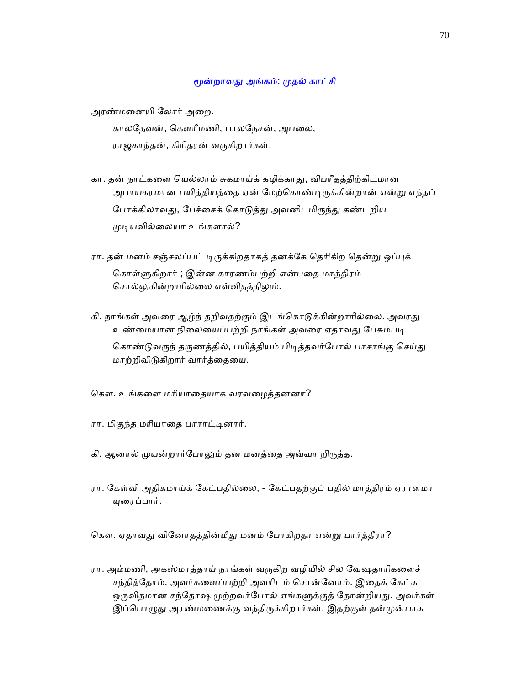## மூன்றாவது அங்கம்: முதல் காட்சி

அரண்மைனயி ேலார் அைற.

காலதேவன், கௌரீமணி, பாலநேசன், அபலை, ராஜகாந்தன், கிரிதரன் வருகிறார்கள்.

- கா. தன் நாட்கைள ெயல்லாம் சுகமாய்க் கழிக்காᾐ, விபாீதத்திற்கிடமான அபாயகரமான பயித்தியத்தை ஏன் மேற்கொண்டிருக்கின்றான் என்று எந்தப் போக்கிலாவது, பேச்சைக் கொடுத்து அவனிடமிருந்து கண்டறிய ᾙᾊயவில்ைலயா உங்களால்?
- ரா. தன் மனம் சஞ்சலப்பட் டிருக்கிறதாகத் தனக்கே தெரிகிற தென்று ஒப்புக் ெகாள்ᾦகிறார் ; இன்ன காரணம்பற்றி என்பைத மாத்திரம் சொல்லுகின்றாரில்லை எவ்விதத்திலும்.
- கி. நாங்கள் அவரை ஆழ்ந் தறிவதற்கும் இடங்கொடுக்கின்றாரில்லை. அவரது உண்மையான நிலையைப்பற்றி நாங்கள் அவரை ஏதாவது பேசும்படி கொண்டுவருந் தருணத்தில், பயித்தியம் பிடித்தவர்போல் பாசாங்கு செய்து மாற்றிவிᾌகிறார் வார்த்ைதைய.

ெகௗ. உங்கைள மாியாைதயாக வரவைழத்தனனா?

- ரா. மிகுந்த மரியாதை பாராட்டினார்.
- கி. ஆனால் முயன்றார்போலும் தன மனத்தை அவ்வா றிருத்த.
- ரா. ேகள்வி அதிகமாய்க் ேகட்பதில்ைல, ேகட்பதற்குப் பதில் மாத்திரம் ஏராளமா ᾜைரப்பார்.

கௌ. ஏதாவது வினோதத்தின்மீது மனம் போகிறதா என்று பார்த்தீரா?

ரா. அம்மணி, அகஸ்மாத்தாய் நாங்கள் வருகிற வழியில் சில வேஷதாரிகளைச் சந்தித்ேதாம். அவர்கைளப்பற்றி அவாிடம் ெசான்ேனாம். இைதக் ேகட்க ஒருவிதமான சந்தோஷ முற்றவர்போல் எங்களுக்குத் தோன்றியது. அவர்கள் இப்பொழுது அரண்மணைக்கு வந்திருக்கிறார்கள். இதற்குள் தன்முன்பாக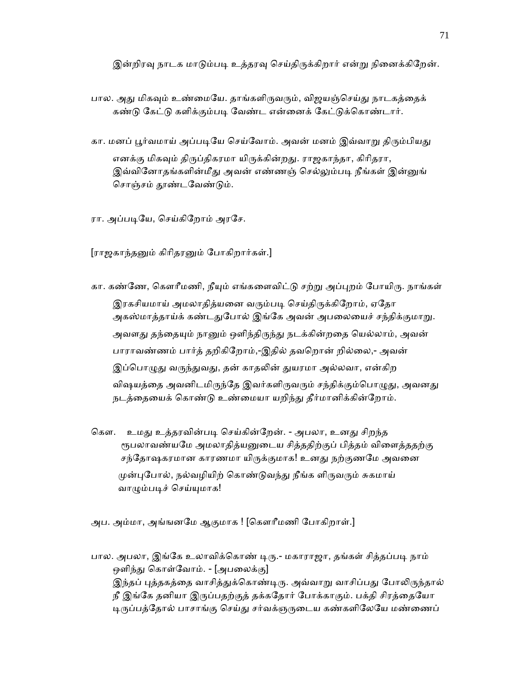இன்றிரவு நாடக மாடும்படி உத்தரவு செய்திருக்கிறார் என்று நினைக்கிறேன்.

பால. அது மிகவும் உண்மையே. தாங்களிருவரும், விஜயஞ்செய்து நாடகத்தைக் கண்டு கேட்டு களிக்கும்படி வேண்ட என்னைக் கேட்டுக்கொண்டார்.

கா. மனப் பூர்வமாய் அப்படியே செய்வோம். அவன் மனம் இவ்வாறு திரும்பியது எனக்கு மிகவும் திருப்திகரமா யிருக்கின்றது. ராஜகாந்தா, கிரிதரா, இவ்வினோதங்களின்மீது அவன் எண்ணஞ் செல்லும்படி நீங்கள் இன்னுங் சொஞ்சம் தூண்டவேண்டும்.

ரா. அப்படியே, செய்கிறோம் அரசே.

[ராஜகாந்தᾔம் கிாிதரᾔம் ேபாகிறார்கள்.]

கா. கண்ணே, கௌரீமணி, நீயும் எங்களைவிட்டு சற்று அப்புறம் போயிரு. நாங்கள் இரகசியமாய் அமலாதித்யனை வரும்படி செய்திருக்கிறோம், ஏதோ அகஸ்மாத்தாய்க் கண்டதுபோல் இங்கே அவன் அபலையைச் சந்திக்குமாறு. அவளது தந்தையும் நானும் ஒளிந்திருந்து நடக்கின்றதை யெல்லாம், அவன் பாராவண்ணம் பார்த் தறிகிேறாம்,-இதில் தவெறான் றில்ைல,- அவன் இப்பொழுது வருந்துவது, தன் காதலின் துயரமா அல்லவா, என்கிற விஷயத்தை அவனிடமிருந்தே இவர்களிருவரும் சந்திக்கும்பொழுது, அவனது நடத்தையைக் கொண்டு உண்மையா யறிந்து தீர்மானிக்கின்றோம்.

கௌ. உமது உத்தரவின்படி செய்கின்றேன். - அபலா, உனது சிறந்த ரூபலாவண்யமே அமலாதித்யனுடைய சித்ததிற்குப் பித்தம் விளைத்ததற்கு சந்தோஷகரமான காரணமா யிருக்குமாக! உனது நற்குணமே அவனை முன்புபோல், நல்வழியிற் கொண்டுவந்து நீங்க ளிருவரும் சுகமாய் வாழும்படிச் செய்யுமாக!

அப. அம்மா, அங்ஙனேம ஆகுமாக ! [ெகௗாீமணி ேபாகிறாள்.]

பால. அபலா, இங்கே உலாவிக்கொண் டிரு.- மகாராஜா, தங்கள் சித்தப்படி நாம் ஒளிந்து கொள்வோம். - [அபலைக்கு] இந்தப் புத்தகத்தை வாசித்துக்கொண்டிரு. அவ்வாறு வாசிப்பது போலிருந்தால் நீ இங்கே தனியா இருப்பதற்குத் தக்கதோர் போக்காகும். பக்தி சிரத்தையோ டிருப்பத்தோல் பாசாங்கு செய்து சர்வக்ஞருடைய கண்களிலேயே மண்ணைப்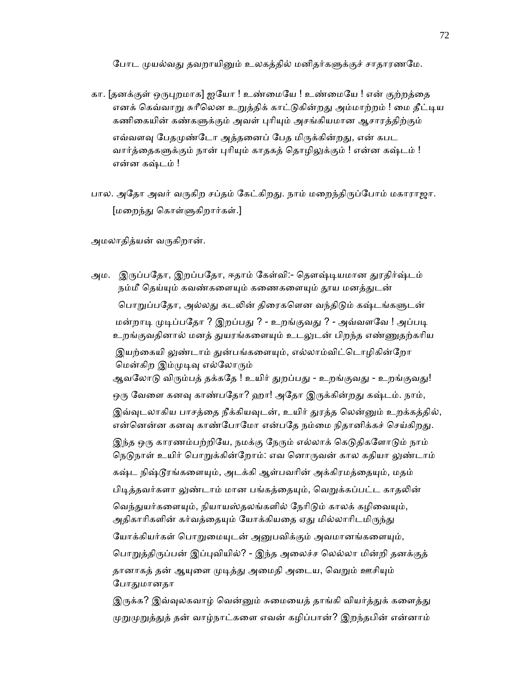போட முயல்வது தவறாயினும் உலகத்தில் மனிதர்களுக்குச் சாதாரணமே.

- கா. [தனக்குள் ஒருபுறமாக] ஐயோ ! உண்மையே ! உண்மையே ! என் குற்றத்தை எனக் கெவ்வாறு சுரீலென உறுத்திக் காட்டுகின்றது அம்மாற்றம் ! மை தீட்டிய கணிகையின் கண்களுக்கும் அவள் புரியும் அசங்கியமான ஆசாரத்திற்கும் எவ்வளவு பேதமுண்டோ அத்தனைப் பேத மிருக்கின்றது, என் கபட வார்த்தைகளுக்கும் நான் புரியும் காதகத் தொழிலுக்கும் ! என்ன கஷ்டம் ! என்ன கஷ்டம் !
- பால. அதோ அவர் வருகிற சப்தம் கேட்கிறது. நாம் மறைந்திருப்போம் மகாராஜா. [மைறந்ᾐ ெகாள்ᾦகிறார்கள்.]

அமலாதித்யன் வருகிறான்.

அம. இருப்பதோ, இறப்பதோ, ஈதாம் கேள்வி:- தௌஷ்டியமான துரதிர்ஷ்டம் நம்மீ தெய்யும் கவண்களையும் கணைகளையும் தூய மனத்துடன் பொறுப்பதோ, அல்லது கடலின் திரைகளென வந்திடும் கஷ்டங்களுடன் மன்றாடி முடிப்பதோ ? இறப்பது ? - உறங்குவது ? - அவ்வளவே ! அப்படி உறங்குவதினால் மனத் துயரங்களையும் உடலுடன் பிறந்த எண்ணுதற்கரிய இயற்கையி லுண்டாம் துன்பங்களையும், எல்லாம்விட்டொழிகின்றோ ெமன்கிற இம்ᾙᾊᾫ எல்ேலாᾞம் ஆவலோடு விரும்பத் தக்கதே ! உயிர் துறப்பது - உறங்குவது - உறங்குவது! ஒரு வேளை கனவு காண்பதோ? ஹா! அதோ இருக்கின்றது கஷ்டம். நாம், இவ்வுடலாகிய பாசத்தை நீக்கியவுடன், உயிர் துரத்த லென்னும் உறக்கத்தில், என்னென்ன கனவு காண்போமோ என்பதே நம்மை நிதானிக்கச் செய்கிறது. இந்த ஒரு காரணம்பற்றியே, நமக்கு நேரும் எல்லாக் கெடுதிகளோடும் நாம் நெடுநாள் உயிர் பொறுக்கின்றோம்: எவ னொருவன் கால கதியா லுண்டாம் கஷ்ட நிஷ்டூரங்களையும், அடக்கி ஆள்பவரின் அக்கிரமத்தையும், மதம் பிடித்தவர்களா லுண்டாம் மான பங்கத்தையும், வெறுக்கப்பட்ட காதலின் வெந்துயர்களையும், நியாயஸ்தலங்களில் நேரிடும் காலக் கழிவையும், அதிகாரிகளின் கர்வத்தையும் யோக்கியதை ஏது மில்லாரிடமிருந்து யோக்கியர்கள் பொறுமையுடன் அனுபவிக்கும் அவமானங்களையும், பொறுத்திருப்பன் இப்புவியில்? - இந்த அலைச்ச லெல்லா மின்றி தனக்குத் தானாகத் தன் ஆயுளை முடித்து அமைதி அடைய, வெறும் ஊசியும் போதுமானதா இருக்க? இவ்வுலகவாழ் வென்னும் சுமையைத் தாங்கி வியர்த்துக் களைத்து

ᾙᾠᾙᾠத்ᾐத் தன் வாழ்நாட்கைள எவன் கழிப்பான்? இறந்தபின் என்னாம்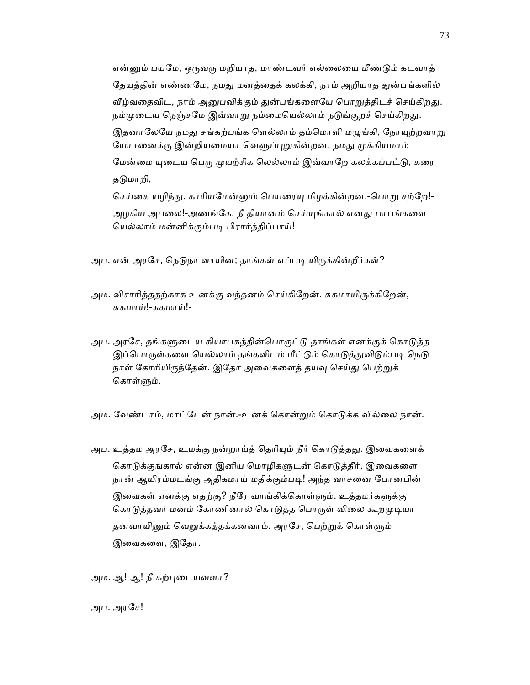என்னும் பயமே, ஒருவரு மறியாத, மாண்டவர் எல்லையை மீண்டும் கடவாத் தேயத்தின் எண்ணமே, நமது மனத்தைக் கலக்கி, நாம் அறியாத துன்பங்களில் வீழ்வதைவிட, நாம் அனுபவிக்கும் துன்பங்களையே பொறுத்திடச் செய்கிறது. நம்முடைய நெஞ்சமே இவ்வாறு நம்மையெல்லாம் நடுங்குறச் செய்கிறது. இதனாலேயே நமது சங்கற்பங்க ளெல்லாம் தம்மொளி மழுங்கி, நோயுற்றவாறு யோசனைக்கு இன்றியமையா வெளுப்புறுகின்றன. நமது முக்கியமாம் மேன்மை யுடைய பெரு முயற்சிக லெல்லாம் இவ்வாறே கலக்கப்பட்டு, கரை தடுமாறி, செய்கை யழிந்து, காரியமேன்னும் பெயரையு மிழக்கின்றன.-பொறு சற்றே!-அழகிய அபலை!-அணங்கே, நீ தியானம் செய்யுங்கால் எனது பாபங்களை

அப. என் அரசே, நெடுநா ளாயின; தாங்கள் எப்படி யிருக்கின்றீர்கள்?

ெயல்லாம் மன்னிக்கும்பᾊ பிரார்த்திப்பாய்!

- அம. விசாரித்ததற்காக உனக்கு வந்தனம் செய்கிறேன். சுகமாயிருக்கிறேன், சுகமாய்!-சுகமாய்!-
- அப. அரசே, தங்களுடைய கியாபகத்தின்பொருட்டு தாங்கள் எனக்குக் கொடுத்த இப்பொருள்களை யெல்லாம் தங்களிடம் மீட்டும் கொடுத்துவிடும்படி நெடு நாள் கோரியிருந்தேன். இதோ அவைகளைத் தயவு செய்து பெற்றுக் கொள்ளும்.
- அம. வேண்டாம், மாட்டேன் நான்.-உனக் கொன்றும் கொடுக்க வில்லை நான்.
- அப. உத்தம அரசே, உமக்கு நன்றாய்த் தெரியும் நீர் கொடுத்தது. இவைகளைக் கொடுக்குங்கால் என்ன இனிய மொழிகளுடன் கொடுத்தீர், இவைகளை நான் ஆயிரம்மடங்கு அதிகமாய் மதிக்கும்படி! அந்த வாசனை போனபின் இவைகள் எனக்கு எதற்கு? நீரே வாங்கிக்கொள்ளும். உத்தமர்களுக்கு கொடுத்தவர் மனம் கோணினால் கொடுத்த பொருள் விலை கூறமுடியா தனவாயினும் வெறுக்கத்தக்கனவாம். அரசே, பெற்றுக் கொள்ளும் இைவகைள, இேதா.

அம. ஆ! ஆ! நீ கற்புடையவளா?

அப. அரேச!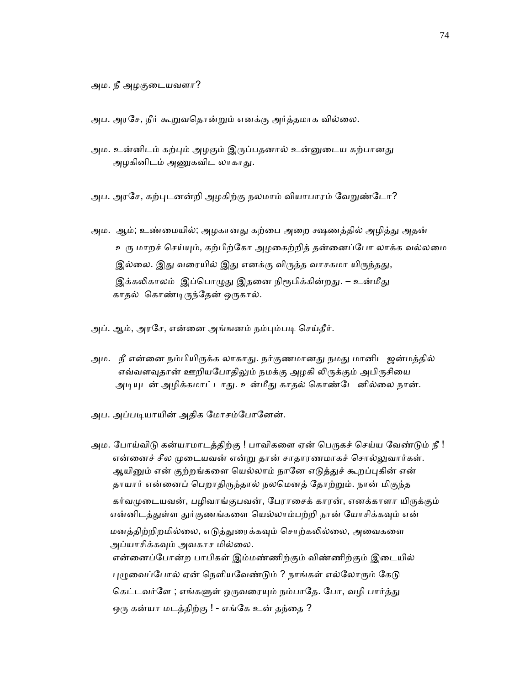அப. அரசே, நீர் கூறுவதொன்றும் எனக்கு அர்த்தமாக வில்லை.

அம. உன்னிடம் கற்பும் அழகும் இருப்பதனால் உன்னுடைய கற்பானது அழகினிடம் அணுகவிட லாகாது.

அப. அரசே, கற்புடனன்றி அழகிற்கு நலமாம் வியாபாரம் வேறுண்டோ?

- அம. ஆம்; உண்மையில்; அழகானது கற்பை அறை க்ஷணத்தில் அழித்து அதன் உரு மாறச் செய்யும், கற்பிற்கோ அழகைற்றித் தன்னைப்போ லாக்க வல்லமை இல்லை. இது வரையில் இது எனக்கு விருத்த வாசகமா யிருந்தது, இக்கலிகாலம் இப்பொழுது இதனை நிரூபிக்கின்றது. – உன்மீது காதல் கொண்டிருந்தேன் ஒருகால்.
- அப். ஆம், அரசே, என்னை அங்ஙனம் நம்பும்படி செய்தீர்.
- அம. நீ என்னை நம்பியிருக்க லாகாது. நர்குணமானது நமது மானிட ஜன்மத்தில் எவ்வளவுதான் ஊறியபோதிலும் நமக்கு அழகி லிருக்கும் அபிருசியை அடியுடன் அழிக்கமாட்டாது. உன்மீது காதல் கொண்டே னில்லை நான்.
- அப. அப்படியாயின் அதிக மோசம்போனேன்.

அம. போய்விடு கன்யாமாடத்திற்கு ! பாவிகளை ஏன் பெருகச் செய்ய வேண்டும் நீ ! என்னைச் சீல முடையவன் என்று தான் சாதாரணமாகச் சொல்லுவார்கள். ஆயினும் என் குற்றங்களை யெல்லாம் நானே எடுத்துச் கூறப்புகின் என் தாயார் என்னைப் பெறாதிருந்தால் நலமெனத் தோற்றும். நான் மிகுந்த கர்வமுடையவன், பழிவாங்குபவன், பேராசைக் காரன், எனக்காளா யிருக்கும் என்னிடத்துள்ள துர்குணங்களை யெல்லாம்பற்றி நான் யோசிக்கவும் என் மனத்திற்றிறமில்லை, எடுத்துரைக்கவும் சொற்கலில்லை, அவைகளை அப்யாசிக்கவும் அவகாச மில்லை. என்ைனப்ேபான்ற பாபிகள் இம்மண்ணிற்கும் விண்ணிற்கும் இைடயில் புழுவைப்போல் ஏன் நெளியவேண்டும் ? நாங்கள் எல்லோரும் கேடு கெட்டவர்ளே ; எங்களுள் ஒருவரையும் நம்பாதே. போ, வழி பார்த்து ஒரு கன்யா மடத்திற்கு ! - எங்கே உன் தந்தை ?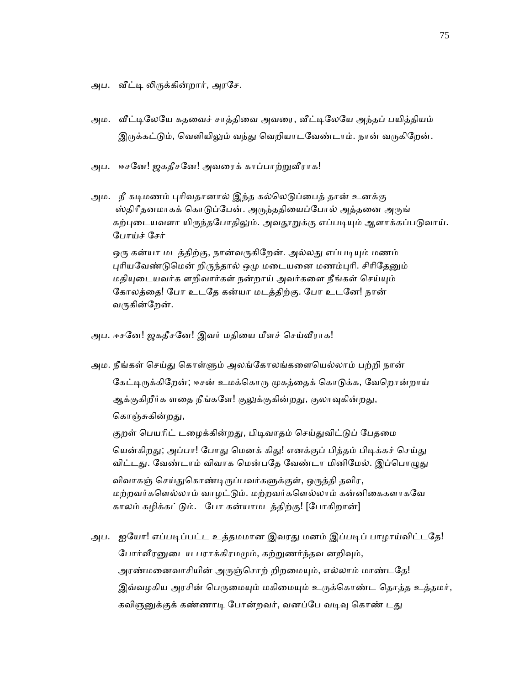அப. வீட்டி லிருக்கின்றார், அரசே.

- அம. வீட்டிலேயே கதவைச் சாத்திவை அவரை, வீட்டிலேயே அந்தப் பயித்தியம் இருக்கட்டும், வெளியிலும் வந்து வெறியாடவேண்டாம். நான் வருகிறேன்.
- அப. ஈசனே! ஜகதீசனே! அவரைக் காப்பாற்றுவீராக!
- அம. நீ கடிமணம் புரிவதானால் இந்த கல்லெடுப்பைத் தான் உனக்கு ஸ்திரீதனமாகக் கொடுப்பேன். அருந்ததியைப்போல் அத்தனை அருங் கற்புடையவளா யிருந்தபோதிலும். அவதூறுக்கு எப்படியும் ஆளாக்கப்படுவாய். ேபாய்ச் ேசர்

ஒரு கன்யா மடத்திற்கு, நான்வருகிறேன். அல்லது எப்படியும் மணம் புரியவேண்டுமென் றிருந்தால் ஒமு மடையனை மணம்புரி. சிரிதேனும் மதியுடையவர்க ளறிவார்கள் நன்றாய் அவர்களை நீங்கள் செய்யும் ேகாலத்ைத! ேபா உடேத கன்யா மடத்திற்கு. ேபா உடேன! நான் வருகின்றேன்.

- அப. ஈசனே! ஜகதீசனே! இவர் மதியை மீளச் செய்வீராக!
- அம. நீங்கள் செய்து கொள்ளும் அலங்கோலங்களையெல்லாம் பற்றி நான் கேட்டிருக்கிறேன்; ஈசன் உமக்கொரு முகத்தைக் கொடுக்க, வேறொன்றாய் ஆக்குகிறீர்க ளதை நீங்களே! குலுக்குகின்றது, குலாவுகின்றது, கொஞ்சுகின்றது, குறள் பெயரிட் டழைக்கின்றது, பிடிவாதம் செய்துவிட்டுப் பேதமை

யென்கிறது; அப்பா! போது மெனக் கிது! எனக்குப் பித்தம் பிடிக்கச் செய்து விட்டது. வேண்டாம் விவாக மென்பதே வேண்டா மினிமேல். இப்பொழுது

விவாகஞ் செய்துகொண்டிருப்பவர்களுக்குள், ஒருத்தி தவிர, மற்றவர்களெல்லாம் வாழட்டும். மற்றவர்களெல்லாம் கன்னிகைகளாகவே காலம் கழிக்கட்ᾌம். ேபா கன்யாமடத்திற்கு! [ேபாகிறான்]

அப. ஐயோ! எப்படிப்பட்ட உத்தமமான இவரது மனம் இப்படிப் பாழாய்விட்டதே! போர்வீரனுடைய பராக்கிரமமும், கற்றுணர்ந்தவ னறிவும், அரண்மனைவாசியின் அருஞ்சொற் றிறமையும், எல்லாம் மாண்டதே! இவ்வழகிய அரசின் பெருமையும் மகிமையும் உருக்கொண்ட தொத்த உத்தமர், கவிஞனுக்குக் கண்ணாடி போன்றவர், வனப்பே வடிவு கொண் டது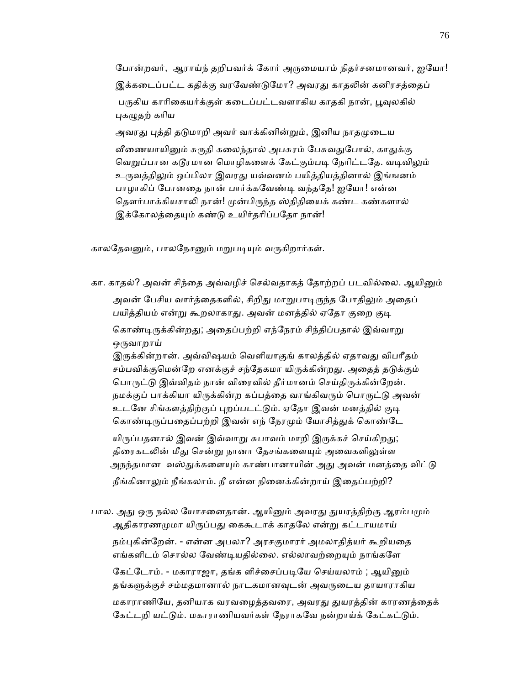போன்றவர், ஆராய்ந் தறிபவர்க் கோர் அருமையாம் நிதர்சனமானவர், ஐயோ! இக்கடைப்பட்ட கதிக்கு வரவேண்டுமோ? அவரது காதலின் கனிரசத்தைப் பருகிய காரிகையர்க்குள் கடைப்பட்டவளாகிய காதகி நான், பூவுலகில் புகழுதற் கரிய

அவரது புத்தி தடுமாறி அவர் வாக்கினின்றும், இனிய நாதமுடைய

வீணையாயினும் சுருதி கலைந்தால் அபசுரம் பேசுவதுபோல், காதுக்கு வெறுப்பான கடூரமான மொழிகளைக் கேட்கும்படி நேரிட்டதே. வடிவிலும் உருவத்திலும் ஒப்பிலா இவரது யவ்வனம் பயித்தியத்தினால் இங்ஙனம் பாழாகிப் ேபானைத நான் பார்க்கேவண்ᾊ வந்தேத! ஐேயா! என்ன தௌர்பாக்கியசாலி நான்! முன்பிருந்த ஸ்திதியைக் கண்ட கண்களால் இக்கோலத்தையும் கண்டு உயிர்தரிப்பதோ நான்!

காலதேவனும், பாலநேசனும் மறுபடியும் வருகிறார்கள்.

கா. காதல்? அவன் சிந்தை அவ்வழிச் செல்வதாகத் தோற்றப் படவில்லை. ஆயினும் அவன் பேசிய வார்த்தைகளில், சிறிது மாறுபாடிருந்த போதிலும் அதைப் பயித்தியம் என்று கூறலாகாது. அவன் மனத்தில் ஏதோ குறை குடி கொண்டிருக்கின்றது; அதைப்பற்றி எந்நேரம் சிந்திப்பதால் இவ்வாறு ஒருவாறாய்

இருக்கின்றான். அவ்விஷயம் வெளியாகுங் காலத்தில் ஏதாவது விபரீதம் சம்பவிக்குமென்றே எனக்குச் சந்தேகமா யிருக்கின்றது. அதைத் தடுக்கும் பொருட்டு இவ்விதம் நான் விரைவில் தீர்மானம் செய்திருக்கின்றேன். நமக்குப் பாக்கியா யிருக்கின்ற கப்பத்தை வாங்கிவரும் பொருட்டு அவன் உடனே சிங்களத்திற்குப் புறப்படட்டும். ஏதோ இவன் மனத்தில் குடி கொண்டிருப்பதைப்பற்றி இவன் எந் நேரமும் யோசித்துக் கொண்டே

யிருப்பதனால் இவன் இவ்வாறு சுபாவம் மாறி இருக்கச் செய்கிறது; திரைகடலின் மீது சென்று நானா தேசங்களையும் அவைகளிலுள்ள அநந்தமான வஸ்துக்களையும் காண்பானாயின் அது அவன் மனத்தை விட்டு நீங்கினாᾤம் நீங்கலாம். நீ என்ன நிைனக்கின்றாய் இைதப்பற்றி?

பால. அது ஒரு நல்ல யோசனைதான். ஆயினும் அவரது துயரத்திற்கு ஆரம்பமும் ஆதிகாரணமுமா யிருப்பது கைகூடாக் காதலே என்று கட்டாயமாய்

நம்புகின்றேன். - என்ன அபலா? அரசகுமாரர் அமலாதித்யர் கூறியதை எங்களிடம் சொல்ல வேண்டியதில்லை. எல்லாவற்றையும் நாங்களே கேட்டோம். - மகாராஜா, தங்க ளிச்சைப்படியே செய்யலாம் ; ஆயினும் தங்களுக்குச் சம்மதமானால் நாடகமானவுடன் அவருடைய தாயாராகிய மகாராணியே, தனியாக வரவழைத்தவரை, அவரது துயரத்தின் காரணத்தைக் கேட்டறி யட்டும். மகாராணியவர்கள் நேராகவே நன்றாய்க் கேட்கட்டும்.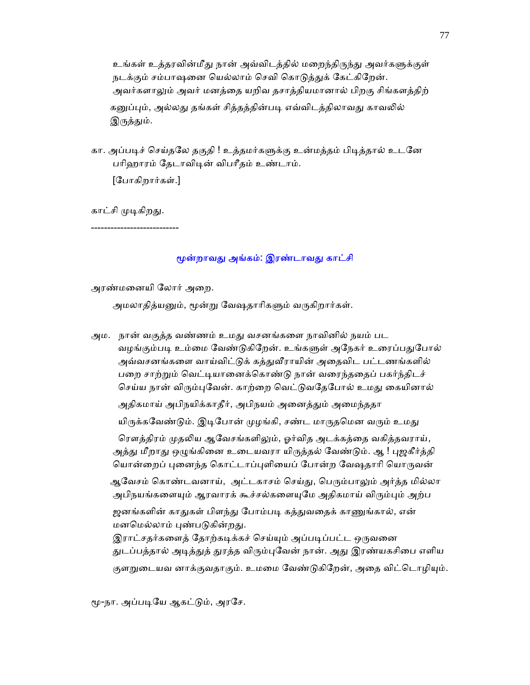உங்கள் உத்தரவின்மீது நான் அவ்விடத்தில் மறைந்திருந்து அவர்களுக்குள் நடக்கும் சம்பாஷனை யெல்லாம் செவி கொடுத்துக் கேட்கிறேன். அவர்களாலும் அவர் மனத்தை யறிவ தசாத்தியமானால் பிறகு சிங்களத்திற் கனுப்பும், அல்லது தங்கள் சித்தத்தின்படி எவ்விடத்திலாவது காவலில் இருத்தும்.

கா. அப்படிச் செய்தலே தகுதி ! உத்தமர்களுக்கு உன்மத்தம் பிடித்தால் உடனே பரிஹாரம் தேடாவிடின் விபரீதம் உண்டாம்.

[ேபாகிறார்கள்.]

காட்சி முடிகிறது.

---------------------------

## மூன்றாவது அங்கம்: இரண்டாவது காட்சி

அரண்மைனயி ேலார் அைற.

அமலாதித்யனும், மூன்று வேஷதாரிகளும் வருகிறார்கள்.

 அம. நான் வகுத்த வண்ணம் உமᾐ வசனங்கைள நாவினில் நயம் பட வழங்கும்படி உம்மை வேண்டுகிறேன். உங்களுள் அநேகர் உரைப்பதுபோல் அவ்வசனங்களை வாய்விட்டுக் கத்துவீராயின் அதைவிட பட்டணங்களில் பறை சாற்றும் வெட்டியானைக்கொண்டு நான் வரைந்ததைப் பகர்ந்திடச் செய்ய நான் விரும்புவேன். காற்றை வெட்டுவதேபோல் உமது கையினால்

அதிகமாய் அபிநயிக்காதீர், அபிநயம் அனைத்தும் அமைந்ததா

யிருக்கவேண்டும். இடிபோன் முழங்கி, சண்ட மாருதமென வரும் உமது

ரௌத்திரம் முதலிய ஆவேசங்களிலும், ஓர்வித அடக்கத்தை வகித்தவராய், அத்து மீறாது ஒழுங்கினை உடையவரா யிருத்தல் வேண்டும். ஆ ! புஜகீர்த்தி யொன்றைப் புனைந்த கொட்டாப்புளியைப் போன்ற வேஷதாரி யொருவன்

ஆவேசம் கொண்டவனாய், அட்டகாசம் செய்து, பெரும்பாலும் அர்த்த மில்லா அபிநயங்களையும் ஆரவாரக் கூச்சல்களையுமே அதிகமாய் விரும்பும் அற்ப

ஜனங்களின் காதுகள் பிளந்து போம்படி கத்துவதைக் காணுங்கால், என் மனமெல்லாம் புண்படுகின்றது.

இராட்சதர்களைத் தோற்கடிக்கச் செய்யும் அப்படிப்பட்ட ஒருவனை துடப்பத்தால் அடித்துத் துரத்த விரும்புவேன் நான். அது இரண்யகசிபை எளிய குளறுடையவ னாக்குவதாகும். உமமை வேண்டுகிறேன், அதை விட்டொழியும்.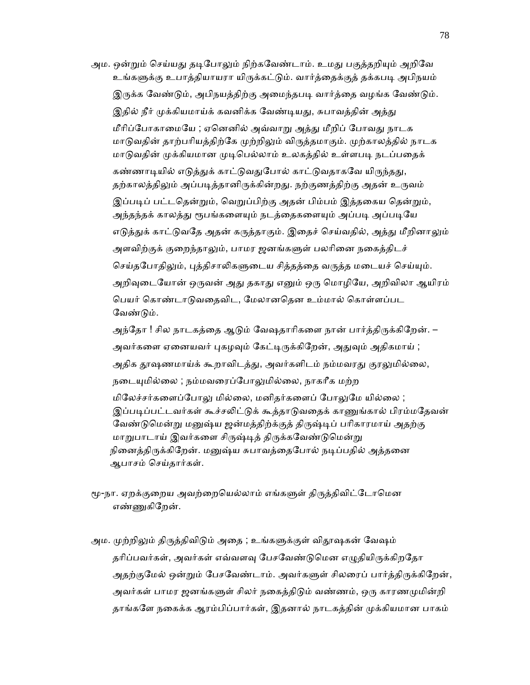அம. ஒன்றும் செய்யது தடிபோலும் நிற்கவேண்டாம். உமது பகுத்தறியும் அறிவே உங்களுக்கு உபாத்தியாயரா யிருக்கட்டும். வார்த்தைக்குத் தக்கபடி அபிநயம் இருக்க வேண்டும், அபிநயத்திற்கு அமைந்தபடி வார்த்தை வழங்க வேண்டும். இதில் நீர் முக்கியமாய்க் கவனிக்க வேண்டியது, சுபாவத்தின் அத்து மீரிப்போகாமையே ; ஏனெனில் அவ்வாறு அத்து மீறிப் போவது நாடக மாடுவதின் தாற்பரியத்திற்கே முற்றிலும் விருத்தமாகும். முற்காலத்தில் நாடக மாடுவதின் முக்கியமான முடிபெல்லாம் உலகத்தில் உள்ளபடி நடப்பதைக் கண்ணாடியில் எடுத்துக் காட்டுவதுபோல் காட்டுவதாகவே யிருந்தது, தற்காலத்திலும் அப்படித்தானிருக்கின்றது. நற்குணத்திற்கு அதன் உருவம் இப்படிப் பட்டதென்றும், வெறுப்பிற்கு அதன் பிம்பம் இத்தகைய தென்றும், அந்தந்தக் காலத்து ரூபங்களையும் நடத்தைகளையும் அப்படி அப்படியே எடுத்துக் காட்டுவதே அதன் கருத்தாகும். இதைச் செய்வதில், அத்து மீறினாலும் அளவிற்குக் குறைந்தாலும், பாமர ஜனங்களுள் பலரினை நகைத்திடச் செய்தபோதிலும், புத்திசாலிகளுடைய சித்தத்தை வருத்த மடையச் செய்யும். அறிவுடையோன் ஒருவன் அது தகாது எனும் ஒரு மொழியே, அறிவிலா ஆயிரம் பெயர் கொண்டாடுவதைவிட, மேலானதென உம்மால் கொள்ளப்பட வேண்டும்.

அந்தோ ! சில நாடகத்தை ஆடும் வேஷதாரிகளை நான் பார்த்திருக்கிறேன். – அவர்களை ஏனையவர் புகழவும் கேட்டிருக்கிறேன், அதுவும் அதிகமாய் ; அதிக தூஷணமாய்க் கூறாவிடத்து, அவர்களிடம் நம்மவரது குரலுமில்லை, நடையுமில்லை ; நம்மவரைப்போலுமில்லை, நாகரீக மற்ற மிலேச்சர்களைப்போலு மில்லை, மனிதர்களைப் போலுமே யில்லை ; இப்படிப்பட்டவர்கள் கூச்சலிட்டுக் கூத்தாடுவதைக் காணுங்கால் பிரம்மதேவன் வேண்டுமென்று மனுஷ்ய ஜன்மத்திற்க்குத் திருஷ்டிப் பரிகாரமாய் அதற்கு மாறுபாடாய் இவர்களை சிருஷ்டித் திருக்கவேண்டுமென்று நினைத்திருக்கிறேன். மனுஷ்ய சுபாவத்தைபோல் நடிப்பதில் அத்தனை ஆபாசம் ெசய்தார்கள்.

- மூ-நா. ஏறக்குறைய அவற்றையெல்லாம் எங்களுள் திருத்திவிட்டோமென எண்ணுகிறேன்.
- அம. முற்றிலும் திருத்திவிடும் அதை ; உங்களுக்குள் விதூஷகன் வேஷம் தரிப்பவர்கள், அவர்கள் எவ்வளவு பேசவேண்டுமென எழுதியிருக்கிறதோ அதற்குமேல் ஒன்றும் பேசவேண்டாம். அவர்களுள் சிலரைப் பார்த்திருக்கிறேன், அவர்கள் பாமர ஜனங்களுள் சிலர் நகைத்திடும் வண்ணம், ஒரு காரணமுமின்றி தாங்களே நகைக்க ஆரம்பிப்பார்கள், இதனால் நாடகத்தின் முக்கியமான பாகம்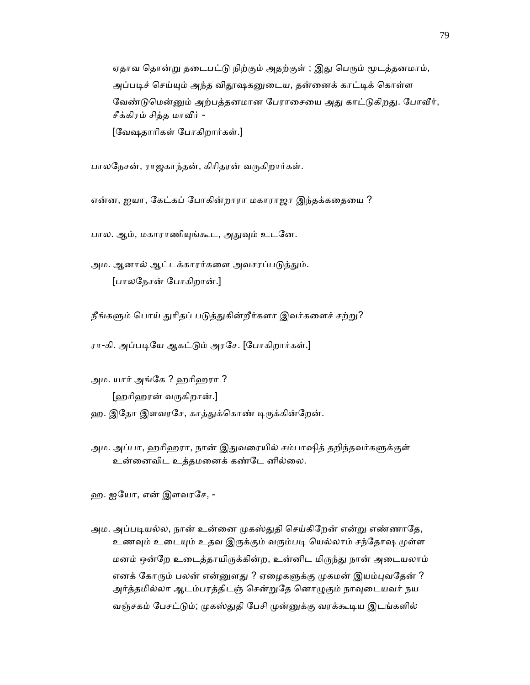ஏதாவ தொன்று தடைபட்டு நிற்கும் அதற்குள் ; இது பெரும் மூடத்தனமாம், அப்படிச் செய்யும் அந்த விதூஷகனுடைய, தன்னைக் காட்டிக் கொள்ள வேண்டுமென்னும் அற்பத்தனமான பேராசையை அது காட்டுகிறது. போவீர், சீக்கிரம் சித்த மாᾪர் - [ேவஷதாாிகள் ேபாகிறார்கள்.]

பாலநேசன், ராஜகாந்தன், கிரிதரன் வருகிறார்கள்.

என்ன, ஐயா, ேகட்கப் ேபாகின்றாரா மகாராஜா இந்தக்கைதைய ?

பால. ஆம், மகாராணியுங்கூட, அதுவும் உடனே.

அம. ஆனால் ஆட்டக்காரர்களை அவசரப்படுத்தும். [பாலேநசன் ேபாகிறான்.]

நீங்களும் பொய் துரிதப் படுத்துகின்றீர்களா இவர்களைச் சற்று?

ரா-கி. அப்படியே ஆகட்டும் அரசே. [போகிறார்கள்.]

 அம. யார் அங்ேக ? ஹாிஹரா ? [ஹாிஹரன் வᾞகிறான்.]

ஹ. இதோ இளவரசே, காத்துக்கொண் டிருக்கின்றேன்.

அம. அப்பா, ஹரிஹரா, நான் இதுவரையில் சம்பாஷித் தறிந்தவர்களுக்குள் உன்னைவிட உத்தமனைக் கண்டே னில்லை.

ஹ. ஐேயா, என் இளவரேச, -

அம. அப்படியல்ல, நான் உன்னை முகஸ்துதி செய்கிறேன் என்று எண்ணாதே, உணவும் உடையும் உதவ இருக்கும் வரும்படி யெல்லாம் சந்தோஷ முள்ள மனம் ஒன்றே உடைத்தாயிருக்கின்ற, உன்னிட மிருந்து நான் அடையலாம் எனக் கோரும் பலன் என்னுளது ? ஏழைகளுக்கு முகமன் இயம்புவதேன் ? அர்த்தமில்லா ஆடம்பரத்திடஞ் சென்றுதே னொழுகும் நாவுடையவர் நய வஞ்சகம் பேசட்டும்; முகஸ்துதி பேசி முன்னுக்கு வரக்கூடிய இடங்களில்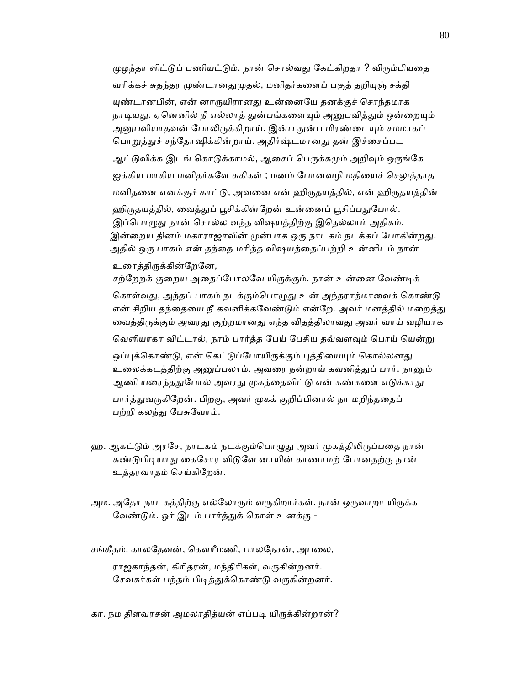முழந்தா ளிட்டுப் பணியட்டும். நான் சொல்வது கேட்கிறதா ? விரும்பியதை வரிக்கச் சுதந்தர முண்டானதுமுதல், மனிதர்களைப் பகுத் தறியுஞ் சக்தி யுண்டானபின், என் னாருயிரானது உன்னையே தனக்குச் சொந்தமாக நாடியது. ஏனெனில் நீ எல்லாத் துன்பங்களையும் அனுபவித்தும் ஒன்றையும் அனுபவியாதவன் போலிருக்கிறாய். இன்ப துன்ப மிரண்டையும் சமமாகப் பொறுத்துச் சந்தோஷிக்கின்றாய். அதிர்ஷ்டமானது தன் இச்சைப்பட ஆட்டுவிக்க இடங் கொடுக்காமல், ஆசைப் பெருக்கமும் அறிவும் ஒருங்கே ஐக்கிய மாகிய மனிதர்களே சுகிகள் ; மனம் போனவழி மதியைச் செலுத்தாத மனிதனை எனக்குச் காட்டு, அவனை என் ஹிருதயத்தில், என் ஹிருதயத்தின் ஹிருதயத்தில், வைத்துப் பூசிக்கின்றேன் உன்னைப் பூசிப்பதுபோல். இப்பொழுது நான் சொல்ல வந்த விஷயத்திற்கு இதெல்லாம் அதிகம். இன்றைய தினம் மகாராஜாவின் முன்பாக ஒரு நாடகம் நடக்கப் போகின்றது. அதில் ஒரு பாகம் என் தந்தை மரித்த விஷயத்தைப்பற்றி உன்னிடம் நான் உைரத்திᾞக்கின்ேறேன, சற்றேறக் குறைய அதைப்போலவே யிருக்கும். நான் உன்னை வேண்டிக் கொள்வது, அந்தப் பாகம் நடக்கும்பொழுது உன் அந்தராத்மாவைக் கொண்டு என் சிறிய தந்தையை நீ கவனிக்கவேண்டும் என்றே. அவர் மனத்தில் மறைத்து வைத்திருக்கும் அவரது குற்றமானது எந்த விதத்திலாவது அவர் வாய் வழியாக வெளியாகா விட்டால், நாம் பார்த்த பேய் பேசிய தவ்வளவும் பொய் யென்று ஒப்புக்கொண்டு, என் கெட்டுப்போயிருக்கும் புத்தியையும் கொல்லனது உலைக்கடத்திற்கு அனுப்பலாம். அவரை நன்றாய் கவனித்துப் பார். நானும் ஆணி யரைந்ததுபோல் அவரது முகத்தைவிட்டு என் கண்களை எடுக்காது பார்த்துவருகிறேன். பிறகு, அவர் முகக் குறிப்பினால் நா மறிந்ததைப் பற்றி கலந்து பேசுவோம்.

- ஹ. ஆகட்டும் அரசே, நாடகம் நடக்கும்பொழுது அவர் முகத்திலிருப்பதை நான் கண்டுபிடியாது கைசோர விடுவே னாயின் காணாமற் போனதற்கு நான் உத்தரவாதம் ெசய்கிேறன்.
- அம. அதோ நாடகத்திற்கு எல்லோரும் வருகிறார்கள். நான் ஒருவாறா யிருக்க வேண்டும். ஓர் இடம் பார்த்துக் கொள் உனக்கு -

சங்கீதம். காலதேவன், கௌரீமணி, பாலநேசன், அபலை, ராஜகாந்தன், கிரிதரன், மந்திரிகள், வருகின்றனர். சேவகர்கள் பந்தம் பிடித்துக்கொண்டு வருகின்றனர்.

கா. நம திளவரசன் அமலாதித்யன் எப்படி யிருக்கின்றான்?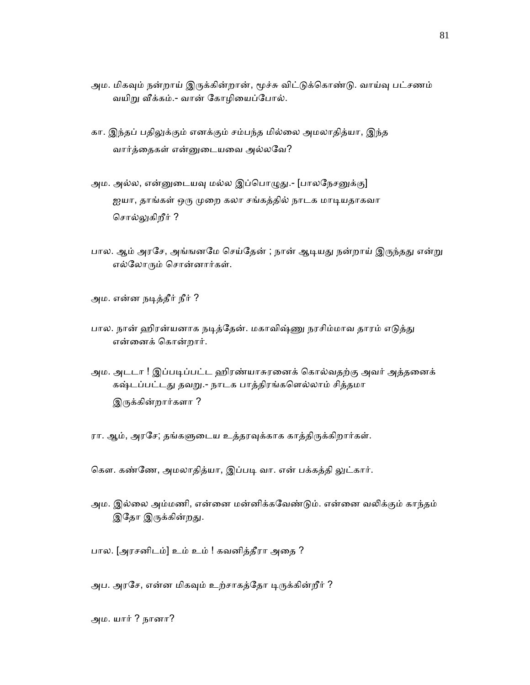- அம. மிகவும் நன்றாய் இருக்கின்றான், மூச்சு விட்டுக்கொண்டு. வாய்வு பட்சணம் வயிறு வீக்கம்.- வான் கோழியைப்போல்.
- கா. இந்தப் பதிலுக்கும் எனக்கும் சம்பந்த மில்லை அமலாதித்யா, இந்த வார்த்ைதகள் என்ᾔைடயைவ அல்லேவ?
- அம. அல்ல, என்னுடையவு மல்ல இப்பொழுது.- [பாலநேசனுக்கு] ஐயா, தாங்கள் ஒரு முறை கலா சங்கத்தில் நாடக மாடியதாகவா சொல்லுகிறீர் ?
- பால. ஆம் அரசே, அங்ஙனமே செய்தேன் ; நான் ஆடியது நன்றாய் இருந்தது என்று எல்ேலாᾞம் ெசான்னார்கள்.
- அம. என்ன நᾊத்தீர் நீர் ?
- பால. நான் ஹிரன்யனாக நடித்தேன். மகாவிஷ்ணு நரசிம்மாவ தாரம் எடுத்து என்ைனக் ெகான்றார்.
- அம. அடடா ! இப்படிப்பட்ட ஹிரண்யாசுரனைக் கொல்வதற்கு அவர் அத்தனைக் கஷ்டப்பட்டது தவறு.- நாடக பாத்திரங்களெல்லாம் சித்தமா இருக்கின்றார்களா ?
- ரா. ஆம், அரசே; தங்களுடைய உத்தரவுக்காக காத்திருக்கிறார்கள்.
- கௌ. கண்ணே, அமலாதித்யா, இப்படி வா. என் பக்கத்தி லுட்கார்.
- அம. இல்லை அம்மணி, என்னை மன்னிக்கவேண்டும். என்னை வலிக்கும் காந்தம் இதோ இருக்கின்றது.
- பால. [அரசனிடம்] உம் உம் ! கவனித்தீரா அைத ?
- அப. அரசே, என்ன மிகவும் உற்சாகத்தோ டிருக்கின்றீர் ?

அம. யார் ? நானா?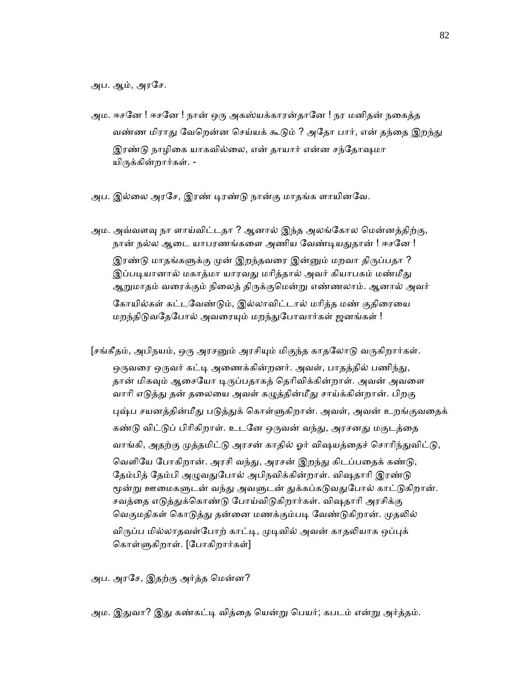அப. ஆம், அரேச.

- அம. ஈசனே ! ஈசனே ! நான் ஒரு அகஸ்யக்காரன்தானே ! நர மனிதன் நகைத்த வண்ண மிராது வேறென்ன செய்யக் கூடும் ? அதோ பார், என் தந்தை இறந்து இரண்டு நாழிகை யாகவில்லை, என் தாயார் என்ன சந்தோஷமா யிருக்கின்றார்கள். -
- அப. இல்லை அரசே, இரண் டிரண்டு நான்கு மாதங்க ளாயினவே.

அம. அவ்வளவு நா ளாய்விட்டதா ? ஆனால் இந்த அலங்கோல மென்னத்திற்கு, நான் நல்ல ஆடை யாபரணங்களை அணிய வேண்டியதுதான் ! ஈசனே ! இரண்டு மாதங்களுக்கு முன் இறந்தவரை இன்னும் மறவா திருப்பதா ? இப்படியானால் மகாத்மா யாரவது மரித்தால் அவர் கியாபகம் மண்மீது ஆᾠமாதம் வைரக்கும் நிைலத் திᾞக்குெமன்ᾠ எண்ணலாம். ஆனால் அவர் கோயில்கள் கட்டவேண்டும், இல்லாவிட்டால் மரித்த மண் குதிரையை மறந்திடுவதேபோல் அவரையும் மறந்துபோவார்கள் ஜனங்கள் !

[சங்கீதம், அபிநயம், ஒரு அரசனும் அரசியும் மிகுந்த காதலோடு வருகிறார்கள். ஒருவரை ஒருவர் கட்டி அணைக்கின்றனர். அவள், பாதத்தில் பணிந்து, தான் மிகவும் ஆசையோ டிருப்பதாகத் தெரிவிக்கின்றாள். அவன் அவளை வாரி எடுத்து தன் தலையை அவள் கழுத்தின்மீது சாய்க்கின்றான். பிறகு புஷ்ப சயனத்தின்மீது படுத்துக் கொள்ளுகிறான். அவள், அவன் உறங்குவதைக் கண்டு விட்டுப் பிரிகிறாள். உடனே ஒருவன் வந்து, அரசனது மகுடத்தை வாங்கி, அதற்கு முத்தமிட்டு அரசன் காதில் ஓர் விஷயத்தைச் சொரிந்துவிட்டு, வெளியே போகிறான். அரசி வந்து, அரசன் இறந்து கிடப்பதைக் கண்டு, தேம்பித் தேம்பி அழுவதுபோல் அபிநவிக்கின்றாள். விஷதாரி இரண்டு மூன்று ஊமைகளுடன் வந்து அவளுடன் துக்கப்கடுவதுபோல் காட்டுகிறான். சவத்தை எடுத்துக்கொண்டு போய்விடுகிறார்கள். விஷதாரி அரசிக்கு வெகுமதிகள் கொடுத்து தன்னை மணக்கும்படி வேண்டுகிறான். முதலில் விருப்ப மில்லாதவள்போற் காட்டி, முடிவில் அவன் காதலியாக ஒப்புக் கொள்ளுகிறாள். [போகிறார்கள்]

அப. அரேச, இதற்கு அர்த்த ெமன்ன?

அம. இதுவா? இது கண்கட்டி வித்தை யென்று பெயர்; கபடம் என்று அர்த்தம்.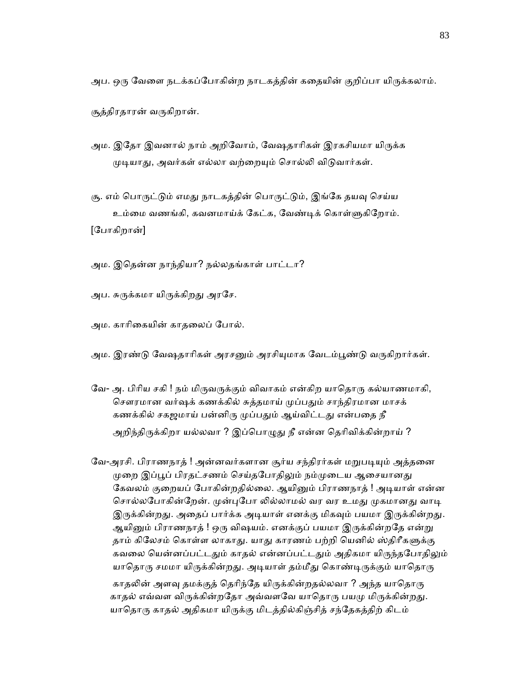அப. ஒரு வேளை நடக்கப்போகின்ற நாடகத்தின் கதையின் குறிப்பா யிருக்கலாம்.

சூத்திரதாரன் வᾞகிறான்.

- அம. இதோ இவனால் நாம் அறிவோம், வேஷதாரிகள் இரகசியமா யிருக்க முடியாது, அவர்கள் எல்லா வற்றையும் சொல்லி விடுவார்கள்.
- சூ. எம் பொருட்டும் எமது நாடகத்தின் பொருட்டும், இங்கே தயவு செய்ய உம்மை வணங்கி, கவனமாய்க் கேட்க, வேண்டிக் கொள்ளுகிறோம்.

[ேபாகிறான்]

- அம. இெதன்ன நாந்தியா? நல்லதங்காள் பாட்டா?
- அப. சுருக்கமா யிருக்கிறது அரசே.
- அம. காாிைகயின் காதைலப் ேபால்.
- அம. இரண்டு வேஷதாரிகள் அரசனும் அரசியுமாக வேடம்பூண்டு வருகிறார்கள்.
- வே- அ. பிரிய சகி ! நம் மிருவருக்கும் விவாகம் என்கிற யாதொரு கல்யாணமாகி, சௌரமான வர்ஷக் கணக்கில் சுத்தமாய் முப்பதும் சாந்திரமான மாசக் கணக்கில் சகஜமாய் பன்னிரு முப்பதும் ஆய்விட்டது என்பதை நீ அறிந்திருக்கிறா யல்லவா ? இப்பொழுது நீ என்ன தெரிவிக்கின்றாய் ?
- வே-அரசி. பிராணநாத் ! அன்னவர்களான சூர்ய சந்திரர்கள் மறுபடியும் அத்தனை முறை இப்பூப் பிரதட்சணம் செய்தபோதிலும் நம்முடைய ஆசையானது கேவலம் குறையப் போகின்றதில்லை. ஆயினும் பிராணநாத் ! அடியாள் என்ன சொல்லபோகின்றேன். முன்புபோ லில்லாமல் வர வர உமது முகமானது வாடி இருக்கின்றது. அதைப் பார்க்க அடியாள் எனக்கு மிகவும் பயமா இருக்கின்றது. ஆயினும் பிராணநாத் ! ஒரு விஷயம். எனக்குப் பயமா இருக்கின்றதே என்று தாம் கிலேசம் கொள்ள லாகாது. யாது காரணம் பற்றி யெனில் ஸ்திரீகளுக்கு கவலை யென்னப்பட்டதும் காதல் என்னப்பட்டதும் அதிகமா யிருந்தபோதிலும் யாதொரு சமமா யிருக்கின்றது. அடியாள் தம்மீது கொண்டிருக்கும் யாதொரு
	- காதலின் அளவு தமக்குத் தெரிந்தே யிருக்கின்றதல்லவா ? அந்த யாதொரு காதல் எவ்வள விருக்கின்றதோ அவ்வளவே யாதொரு பயமு மிருக்கின்றது. யாதொரு காதல் அதிகமா யிருக்கு மிடத்தில்கிஞ்சித் சந்தேகத்திற் கிடம்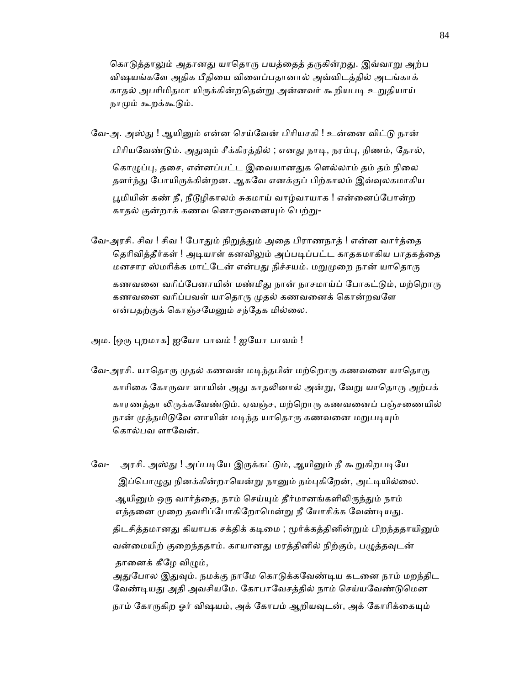கொடுத்தாலும் அதானது யாதொரு பயத்தைத் தருகின்றது. இவ்வாறு அற்ப விஷயங்கேள அதிக பீதிைய விைளப்பதானால் அவ்விடத்தில் அடங்காக் காதல் அபரிமிதமா யிருக்கின்றதென்று அன்னவர் கூறியபடி உறுதியாய் நாமும் கூறக்கூடும்.

- வே-அ. அஸ்து ! ஆயினும் என்ன செய்வேன் பிரியசகி ! உன்னை விட்டு நான் பிரியவேண்டும். அதுவும் சீக்கிரத்தில் ; எனது நாடி, நரம்பு, நிணம், தோல், கொழுப்பு, தசை, என்னப்பட்ட இவையானதுக எெல்லாம் தம் தம் நிலை தளர்ந்து போயிருக்கின்றன. ஆகவே எனக்குப் பிற்காலம் இவ்வுலகமாகிய பூமியின் கண் நீ, நீடூழிகாலம் சுகமாய் வாழ்வாயாக ! என்னைப்போன்ற காதல் குன்றாக் கணவ னொருவனையும் பெற்று-
- வே-அரசி. சிவ ! சிவ ! போதும் நிறுத்தும் அதை பிராணநாத் ! என்ன வார்த்தை தெரிவித்தீர்கள் ! அடியாள் கனவிலும் அப்படிப்பட்ட காதகமாகிய பாதகத்தை மனசார ஸ்மரிக்க மாட்டேன் என்பது நிச்சயம். மறுமுறை நான் யாதொரு கணவனை வரிப்பேனாயின் மண்மீது நான் நாசமாய்ப் போகட்டும், மற்றொரு கணவனை வரிப்பவள் யாதொரு முதல் கணவனைக் கொன்றவளே என்பதற்குக் கொஞ்சமேனும் சந்தேக மில்லை.

அம. [ஒரு புறமாக] ஐயோ பாவம் ! ஐயோ பாவம் !

- வே-அரசி. யாதொரு முதல் கணவன் மடிந்தபின் மற்றொரு கணவனை யாதொரு காரிகை கோருவா ளாயின் அது காதலினால் அன்று, வேறு யாதொரு அற்பக் காரணத்தா லிருக்கவேண்டும். ஏவஞ்ச, மற்றொரு கணவனைப் பஞ்சணையில் நான் முத்தமிடுவே னாயின் மடிந்த யாதொரு கணவனை மறுபடியும் கொல்பவ ளாவேன்.
- வே- அரசி. அஸ்து ! அப்படியே இருக்கட்டும், ஆயினும் நீ கூறுகிறபடியே இப்பொழுது நினக்கின்றாயென்று நானும் நம்புகிறேன், அட்டியில்லை. ஆயினும் ஒரு வார்த்தை, நாம் செய்யும் தீர்மானங்களிலிருந்தும் நாம் எத்தனை முறை தவரிப்போகிறோமென்று நீ யோசிக்க வேண்டியது. திடசித்தமானது கியாபக சக்திக் கடிமை ; மூர்க்கத்தினின்றும் பிறந்ததாயினும் வன்மையிற் குறைந்ததாம். காயானது மரத்தினில் நிற்கும், பழுத்தவுடன் தானைக் கீழே விமும், அதுபோல இதுவும். நமக்கு நாமே கொடுக்கவேண்டிய கடனை நாம் மறந்திட வேண்டியது அதி அவசியமே. கோபாவேசத்தில் நாம் செய்யவேண்டுமென நாம் கோருகிற ஓர் விஷயம், அக் கோபம் ஆறியவுடன், அக் கோரிக்கையும்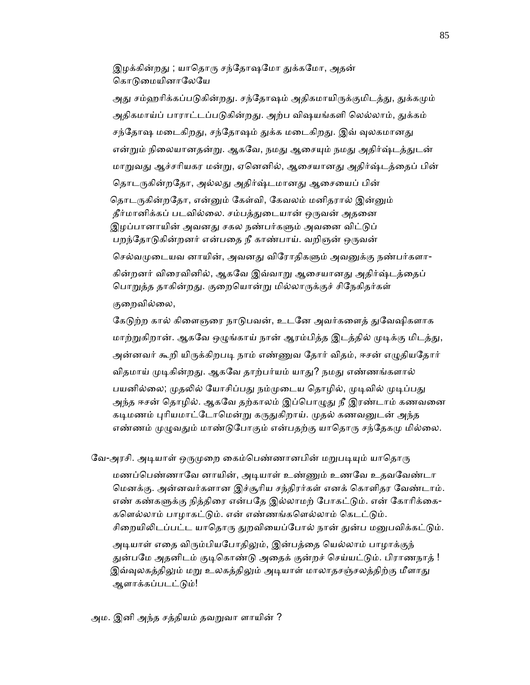இழக்கின்றது ; யாதொரு சந்தோஷமோ துக்கமோ, அதன் கொடுமையினாலேயே

அது சம்ஹரிக்கப்படுகின்றது. சந்தோஷம் அதிகமாயிருக்குமிடத்து, துக்கமும் அதிகமாய்ப் பாராட்டப்படுகின்றது. அற்ப விஷயங்களி லெல்லாம், துக்கம் சந்தோஷ மடைகிறது, சந்தோஷம் துக்க மடைகிறது. இவ் வுலகமானது என்றும் நிலையானதன்று. ஆகவே, நமது ஆசையும் நமது அதிர்ஷ்டத்துடன் மாறுவது ஆச்சரியகர மன்று, ஏனெனில், ஆசையானது அதிர்ஷ்டத்தைப் பின் தொடருகின்றதோ, அல்லது அதிர்ஷ்டமானது ஆசையைப் பின் தொடருகின்றதோ, என்னும் கேள்வி, கேவலம் மனிதரால் இன்னும் தீர்மானிக்கப் படவில்லை. சம்பத்துடையான் ஒருவன் அதனை இழப்பானாயின் அவனது சகல நண்பர்களும் அவனை விட்டுப் பறந்தோடுகின்றனர் என்பதை நீ காண்பாய். வறிஞன் ஒருவன் செல்வமுடையவ னாயின், அவனது விரோதிகளும் அவனுக்கு நண்பர்களா-கின்றனர் விரைவினில், ஆகவே இவ்வாறு ஆசையானது அதிர்ஷ்டத்தைப் பொறுத்த தாகின்றது. குறையொன்று மில்லாருக்குச் சிநேகிதர்கள் குைறவில்ைல,

கேடுற்ற கால் கிளைஞரை நாடுபவன், உடனே அவர்களைத் துவேஷிகளாக மாற்றுகிறான். ஆகவே ஒழுங்காய் நான் ஆரம்பித்த இடத்தில் முடிக்கு மிடத்து, அன்னவர் கூறி யிருக்கிறபடி நாம் எண்ணுவ தோர் விதம், ஈசன் எழுதியதோர் விதமாய் முடிகின்றது. ஆகவே தாற்பர்யம் யாது? நமது எண்ணங்களால் பயனில்லை; முதலில் யோசிப்பது நம்முடைய தொழில், முடிவில் முடிப்பது அந்த ஈசன் தொழில். ஆகவே தற்காலம் இப்பொழுது நீ இரண்டாம் கணவனை கடிமணம் புரியமாட்டோமென்று கருதுகிறாய். முதல் கணவனுடன் அந்த எண்ணம் முழுவதும் மாண்டுபோகும் என்பதற்கு யாதொரு சந்தேகமு மில்லை.

வே-அரசி. அடியாள் ஒருமுறை கைம்பெண்ணானபின் மறுபடியும் யாதொரு

மணப்பெண்ணாவே னாயின், அடியாள் உண்ணும் உணவே உதவவேண்டா ெமனக்கு. அன்னவர்களான இச்சூாிய சந்திரர்கள் எனக் ெகாளிதர ேவண்டாம். எண் கண்களுக்கு நித்திரை என்பதே இல்லாமற் போகட்டும். என் கோரிக்கை-களெல்லாம் பாழாகட்டும். என் எண்ணங்களெல்லாம் கெடட்டும். சிறையிலிடப்பட்ட யாதொரு துறவியைப்போல் நான் துன்ப மனுபவிக்கட்டும்.

அடியாள் எதை விரும்பியபோதிலும், இன்பத்தை யெல்லாம் பாழாக்குந் துன்பமே அதனிடம் குடிகொண்டு அதைக் குன்றச் செய்யட்டும். பிராணநாத் ! இவ்வுலகத்திலும் மறு உலகத்திலும் அடியாள் மாலாதசஞ்சலத்திற்கு மீளாது ஆளாக்கப்படட்டும்!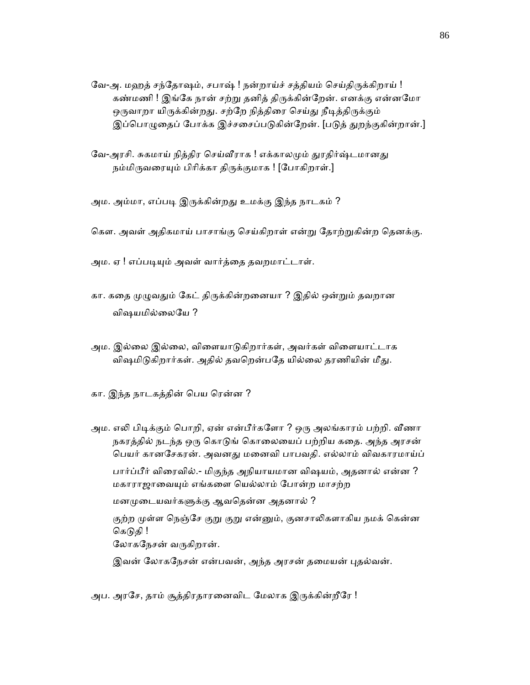- வே-அ. மஹத் சந்தோஷம், சபாஷ் ! நன்றாய்ச் சத்தியம் செய்திருக்கிறாய் ! கண்மணி ! இங்கே நான் சற்று தனித் திருக்கின்றேன். எனக்கு என்னமோ ஒருவாறா யிருக்கின்றது. சற்றே நித்திரை செய்து நீடித்திருக்கும் இப்பொழுதைப் போக்க இச்சசைப்படுகின்றேன். [படுத் துறந்குகின்றான்.]
- வே-அரசி. சுகமாய் நித்திர செய்வீராக ! எக்காலமும் துரதிர்ஷ்டமானது நம்மிருவரையும் பிரிக்கா திருக்குமாக ! [போகிறாள்.]
- அம. அம்மா, எப்படி இருக்கின்றது உமக்கு இந்த நாடகம் ?
- கௌ. அவள் அதிகமாய் பாசாங்கு செய்கிறாள் என்று தோற்றுகின்ற தெனக்கு.
- அம. ஏ ! எப்படியும் அவள் வார்த்தை தவறமாட்டாள்.
- கா. கதை முழுவதும் கேட் திருக்கின்றனையா ? இதில் ஒன்றும் தவறான விஷயமில்ைலேய ?
- அம. இல்லை இல்லை, விளையாடுகிறார்கள், அவர்கள் விளையாட்டாக விஷமிடுகிறார்கள். அதில் தவறென்பதே யில்லை தரணியின் மீது.
- கா. இந்த நாடகத்தின் பெய ரென்ன ?
- அம. எலி பிடிக்கும் பொறி, ஏன் என்பீர்களோ ? ஒரு அலங்காரம் பற்றி. வீணா நகரத்தில் நடந்த ஒரு கொடுங் கொலையைப் பற்றிய கதை. அந்த அரசன் பெயர் கானசேகரன். அவனது மனைவி பாபவதி. எல்லாம் விவகாரமாய்ப்

 பார்ப்பீர் விைரவில்.- மிகுந்த அநியாயமான விஷயம், அதனால் என்ன ? மகாராஜாைவᾜம் எங்கைள ெயல்லாம் ேபான்ற மாசற்ற

மனமுடையவர்களுக்கு ஆவதென்ன அதனால் ?

குற்ற முள்ள நெஞ்சே குறு குறு என்னும், குனசாலிகளாகிய நமக் கென்ன கெடுதி !

லோகநேசன் வருகிறான்.

இவன் லோகநேசன் என்பவன், அந்த அரசன் தமையன் புதல்வன்.

அப. அரசே, தாம் சூத்திரதாரனைவிட மேலாக இருக்கின்றீரே !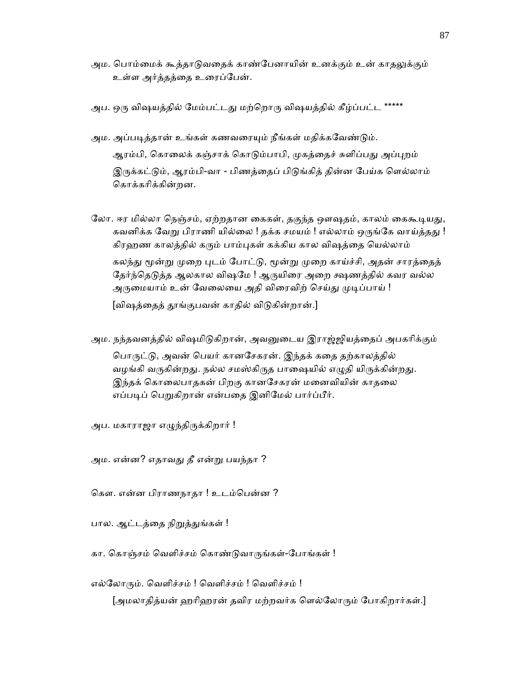- அம. பொம்மைக் கூத்தாடுவதைக் காண்பேனாயின் உனக்கும் உன் கா<u>தலு</u>க்கும் உள்ள அர்த்தத்ைத உைரப்ேபன்.
- அப. ஒரு விஷயத்தில் மேம்பட்டது மற்றொரு விஷயத்தில் கீழ்ப்பட்ட \*\*\*\*\*
- அம. அப்படித்தான் உங்கள் கணவரையும் நீங்கள் மதிக்கவேண்டும். ஆரம்பி, கொலைக் கஞ்சாக் கொடும்பாபி, முகத்தைச் சுளிப்பது அப்புறம் இருக்கட்டும், ஆரம்பி-வா - பிணத்தைப் பிடுங்கித் தின்ன பேய்க ளெல்லாம் ெகாக்காிக்கின்றன.
- லோ. ஈர மில்லா நெஞ்சம், ஏற்றதான கைகள், தகுந்த ஔஷதம், காலம் கைகூடியது, கவனிக்க வேறு பிராணி யில்லை ! தக்க சமயம் ! எல்லாம் ஒருங்கே வாய்த்தது ! கிரஹண காலத்தில் கரும் பாம்புகள் கக்கிய கால விஷத்தை யெல்லாம் கலந்து மூன்று முறை புடம் போட்டு, மூன்று முறை காய்ச்சி, அதன் சாரத்தைத் தேர்ந்தெடுத்த ஆலகால விஷமே ! ஆருயிரை அறை க்ஷணத்தில் கவர வல்ல அருமையாம் உன் வேலையை அதி விரைவிற் செய்து முடிப்பாய் !

[விஷத்தைத் தூங்குபவன் காதில் விடுகின்றான்.]

அம. நந்தவனத்தில் விஷமிடுகிறான், அவனுடைய இராஜ்ஜியத்தைப் அபகரிக்கும் பொருட்டு, அவன் பெயர் கானசேகரன். இந்தக் கதை தற்காலத்தில் வழங்கி வருகின்றது. நல்ல சமஸ்கிருத பாஷையில் எழுதி யிருக்கின்றது. இந்தக் கொலைபாதகன் பிறகு கானசேகரன் மனைவியின் காதலை எப்படிப் பெறுகிறான் என்பதை இனிமேல் பார்ப்பீர்.

அப. மகாராஜா எழுந்திருக்கிறார் !

அம. என்ன? எதாவᾐ தீ என்ᾠ பயந்தா ?

கௌ. என்ன பிராணநாதா ! உடம்பென்ன ?

பால. ஆட்டத்தை நிறுத்துங்கள் !

கா. கொஞ்சம் வெளிச்சம் கொண்டுவாருங்கள்-போங்கள் !

எல்லோரும். வெளிச்சம் ! வெளிச்சம் ! வெளிச்சம் !

[அமலாதித்யன் ஹரிஹரன் தவிர மற்றவர்க ளெல்லோரும் போகிறார்கள்.]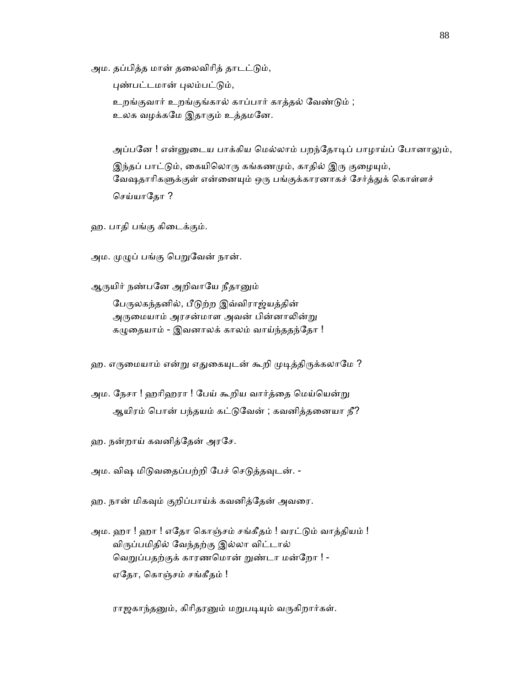அம. தப்பித்த மான் தலைவிரித் தாடட்டும்,

புண்பட்டமான் புலம்பட்டும்,

 உறங்குவார் உறங்குங்கால் காப்பார் காத்தல் ேவண்ᾌம் ; உலக வழக்கேம இதாகும் உத்தமேன.

அப்பனே ! என்னுடைய பாக்கிய மெல்லாம் பறந்தோடிப் பாழாய்ப் போனாலும், இந்தப் பாட்டும், கையிலொரு கங்கணமும், காதில் இரு குழையும், வேஷதாரிகளுக்குள் என்னையும் ஒரு பங்குக்காரனாகச் சேர்த்துக் கொள்ளச் செய்யாகோ ?

ஹ. பாதி பங்கு கிைடக்கும்.

அம. முழுப் பங்கு பெறுவேன் நான்.

ஆருயிர் நண்பனே அறிவாயே நீதானும்

பேருலகந்தனில், பீடுற்ற இவ்விராஜ்யத்தின் அருமையாம் அரசன்மாள அவன் பின்னாலின்று கழுதையாம் - இவனாலக் காலம் வாய்ந்ததந்தோ !

ஹ. எருமையாம் என்று எதுகையுடன் கூறி முடித்திருக்கலாமே ?

அம. நேசா ! ஹரிஹரா ! பேய் கூறிய வார்த்தை மெய்யென்று ஆயிரம் பொன் பந்தயம் கட்டுவேன் ; கவனித்தனையா நீ?

ஹ. நன்றாய் கவனித்ேதன் அரேச.

அம. விஷ மிடுவதைப்பற்றி பேச் செடுத்தவுடன். -

ஹ. நான் மிகᾫம் குறிப்பாய்க் கவனித்ேதன் அவைர.

அம. ஹா ! ஹா ! எதோ கொஞ்சம் சங்கீதம் ! வரட்டும் வாத்தியம் ! விᾞப்பமிதில் ேவந்தற்கு இல்லா விட்டால் வெறுப்பதற்குக் காரணமொன் றுண்டா மன்றோ ! -ஏேதா, ெகாஞ்சம் சங்கீதம் !

ராஜகாந்தனும், கிரிதரனும் மறுபடியும் வருகிறார்கள்.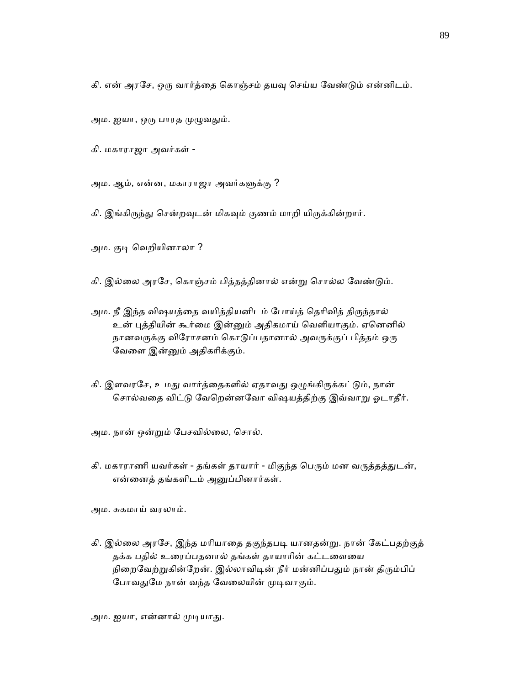கி. என் அரசே, ஒரு வார்த்தை கொஞ்சம் தயவு செய்ய வேண்டும் என்னிடம்.

அம. ஐயா, ஒரு பாரத முழுவதும்.

கி. மகாராஜா அவர்கள் -

அம. ஆம், என்ன, மகாராஜா அவர்களுக்கு ?

கி. இங்கிருந்து சென்றவுடன் மிகவும் குணம் மாறி யிருக்கின்றார்.

அம. குடி வெறியினாலா ?

கி. இல்லை அரசே, கொஞ்சம் பித்தத்தினால் என்று சொல்ல வேண்டும்.

- அம. நீ இந்த விஷயத்தை வயித்தியனிடம் போய்த் தெரிவித் திருந்தால் உன் புத்தியின் கூர்மை இன்னும் அதிகமாய் வெளியாகும். ஏனெனில் நானவருக்கு விரோசனம் கொடுப்பதானால் அவருக்குப் பித்தம் ஒரு ேவைள இன்ᾔம் அதிகாிக்கும்.
- கி. இளவரசே, உமது வார்த்தைகளில் ஏதாவது ஒழுங்கிருக்கட்டும், நான் சொல்வதை விட்டு வேறென்னவோ விஷயத்திற்கு இவ்வாறு ஓடாதீர்.

அம. நான் ஒன்ᾠம் ேபசவில்ைல, ெசால்.

கி. மகாராணி யவர்கள் - தங்கள் தாயார் - மிகுந்த பெரும் மன வருத்தத்துடன், என்ைனத் தங்களிடம் அᾔப்பினார்கள்.

அம. சுகமாய் வரலாம்.

கி. இல்லை அரசே, இந்த மரியாதை தகுந்தபடி யானதன்று. நான் கேட்பதற்குத் தக்க பதில் உரைப்பதனால் தங்கள் தாயாரின் கட்டளையை நிறைவேற்றுகின்றேன். இல்லாவிடின் நீர் மன்னிப்பதும் நான் திரும்பிப் போவதுமே நான் வந்த வேலையின் முடிவாகும்.

அம. ஐயா, என்னால் முடியாது.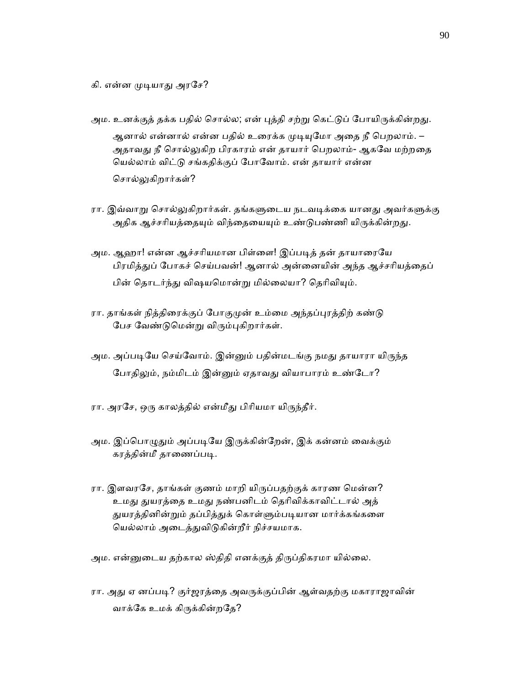கி. என்ன முடியாது அரசே?

- அம. உனக்குத் தக்க பதில் சொல்ல; என் புத்தி சற்று கெட்டுப் போயிருக்கின்றது. ஆனால் என்னால் என்ன பதில் உரைக்க முடியுமோ அதை நீ பெறலாம். – அதாவது நீ சொல்லுகிற பிரகாரம் என் தாயார் பெறலாம்- ஆகவே மற்றதை யெல்லாம் விட்டு சங்கதிக்குப் போவோம். என் தாயார் என்ன சொல்லுகிறார்கள்?
- ரா. இவ்வாறு சொல்லுகிறார்கள். தங்களுடைய நடவடிக்கை யானது அவர்களுக்கு அதிக ஆச்சரியத்தையும் விந்தையையும் உண்டுபண்ணி யிருக்கின்றது.
- அம. ஆஹா! என்ன ஆச்சரியமான பிள்ளை! இப்படித் தன் தாயாரையே பிரமித்துப் போகச் செய்பவன்! ஆனால் அன்னையின் அந்த ஆச்சரியத்தைப் பின் தொடர்ந்து விஷயமொன்று மில்லையா? தெரிவியும்.
- ரா. தாங்கள் நித்திரைக்குப் போகுமுன் உம்மை அந்தப்புரத்திற் கண்டு பேச வேண்டுமென்று விரும்புகிறார்கள்.
- அம. அப்படியே செய்வோம். இன்னும் பதின்மடங்கு நமது தாயாரா யிருந்த போதிலும், நம்மிடம் இன்னும் ஏதாவது வியாபாரம் உண்டோ?
- ரா. அரசே, ஒரு காலத்தில் என்மீது பிரியமா யிருந்தீர்.
- அம. இப்பொழுதும் அப்படியே இருக்கின்றேன், இக் கன்னம் வைக்கும் கரத்தின்மீ தாணைப்படி.
- ரா. இளவரசே, தாங்கள் குணம் மாறி யிருப்பதற்குக் காரண மென்ன? உமது துயரத்தை உமது நண்பனிடம் தெரிவிக்காவிட்டால் அத் துயரத்தினின்றும் தப்பித்துக் கொள்ளும்படியான மார்க்கங்களை ெயல்லாம் அைடத்ᾐவிᾌகின்றீர் நிச்சயமாக.
- அம. என்னுடைய தற்கால ஸ்திதி எனக்குத் திருப்திகரமா யில்லை.
- ரா. அது ஏ னப்படி? குர்ஜரத்தை அவருக்குப்பின் ஆள்வதற்கு மகாராஜாவின் வாக்ேக உமக் கிᾞக்கின்றேத?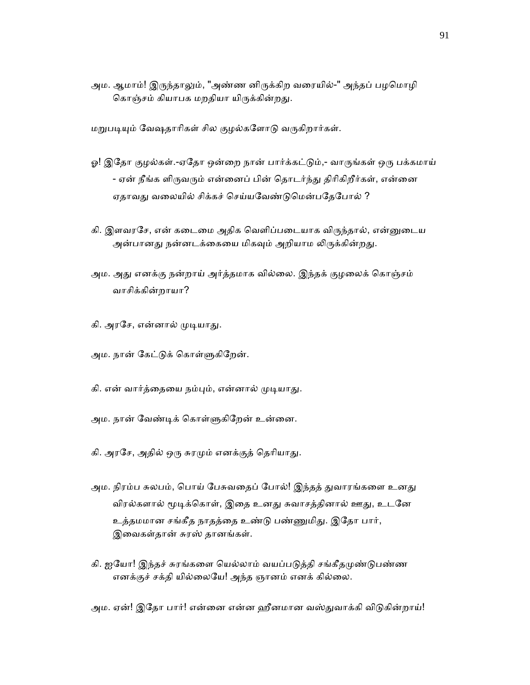அம. ஆமாம்! இருந்தாலும், "அண்ண னிருக்கிற வரையில்-" அந்தப் பழமொழி கொஞ்சம் கியாபக மறதியா யிருக்கின்றது.

மறுபடியும் வேஷதாரிகள் சில குழல்களோடு வருகிறார்கள்.

- ஓ! இதோ குழல்கள்.-ஏதோ ஒன்றை நான் பார்க்கட்டும்,- வாருங்கள் ஒரு பக்கமாய் - ஏன் நீங்க ளிருவரும் என்னைப் பின் தொடர்ந்து திரிகிறீர்கள், என்னை ஏதாவது வலையில் சிக்கச் செய்யவேண்டுமென்பதேபோல் ?
- கி. இளவரசே, என் கடைமை அதிக வெளிப்படையாக விருந்தால், என்னுடைய அன்பானது நன்னடக்கையை மிகவும் அறியாம லிருக்கின்றது.
- அம. அது எனக்கு நன்றாய் அர்த்தமாக வில்லை. இந்தக் குழலைக் கொஞ்சம் வாசிக்கின்றாயா?
- கி. அரசே, என்னால் முடியாது.
- அம. நான் கேட்டுக் கொள்ளுகிறேன்.
- கி. என் வார்த்தையை நம்பும், என்னால் முடியாது.
- அம. நான் வேண்டிக் கொள்ளுகிறேன் உன்னை.
- கி. அரசே, அதில் ஒரு சுரமும் எனக்குத் தெரியாது.
- அம. நிரம்ப சுலபம், பொய் பேசுவதைப் போல்! இந்தத் துவாரங்களை உனது விரல்களால் மூடிக்கொள், இதை உனது சுவாசத்தினால் ஊது, உடனே உத்தமமான சங்கீத நாதத்தை உண்டு பண்ணுமிது. இதோ பார், இைவகள்தான் சுரஸ் தானங்கள்.
- கி. ஐயோ! இந்தச் சுரங்களை யெல்லாம் வயப்படுத்தி சங்கீதமுண்டுபண்ண எனக்குச் சக்தி யில்ைலேய! அந்த ஞானம் எனக் கில்ைல.

அம. ஏன்! இதோ பார்! என்னை என்ன ஹீனமான வஸ்துவாக்கி விடுகின்றாய்!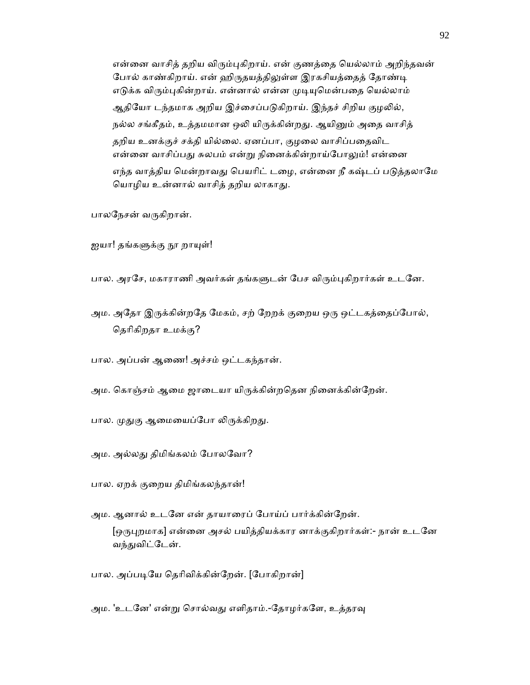என்னை வாசித் தறிய விரும்புகிறாய். என் குணத்தை யெல்லாம் அறிந்தவன் போல் காண்கிறாய். என் ஹிருதயத்திலுள்ள இரகசியத்தைத் தோண்டி எடுக்க விரும்புகின்றாய். என்னால் என்ன முடியுமென்பதை யெல்லாம் ஆதியோ டந்தமாக அறிய இச்சைப்படுகிறாய். இந்தச் சிறிய குழலில், நல்ல சங்கீதம், உத்தமமான ஒலி யிருக்கின்றது. ஆயினும் அதை வாசித் தறிய உனக்குச் சக்தி யில்லை. ஏனப்பா, குழலை வாசிப்பதைவிட என்னை வாசிப்பது சுலபம் என்று நினைக்கின்றாய்போலும்! என்னை எந்த வாத்திய மென்றாவது பெயரிட் டழை, என்னை நீ கஷ்டப் படுத்தலாமே ெயாழிய உன்னால் வாசித் தறிய லாகாᾐ.

பாலநேசன் வருகிறான்.

ஐயா! தங்களுக்கு நூ றாயுள்!

பால. அரசே, மகாராணி அவர்கள் தங்களுடன் பேச விரும்புகிறார்கள் உடனே.

அம. அதோ இருக்கின்றதே மேகம், சற் றேறக் குறைய ஒரு ஒட்டகத்தைப்போல், ெதாிகிறதா உமக்கு?

பால. அப்பன் ஆைண! அச்சம் ஒட்டகந்தான்.

அம. கொஞ்சம் ஆமை ஜாடையா யிருக்கின்றதென நினைக்கின்றேன்.

பால. முதுகு ஆமையைப்போ லிருக்கிறது.

அம. அல்லᾐ திமிங்கலம் ேபாலேவா?

பால. ஏறக் குைறய திமிங்கலந்தான்!

 அம. ஆனால் உடேன என் தாயாைரப் ேபாய்ப் பார்க்கின்ேறன். [ஒருபுறமாக] என்னை அசல் பயித்தியக்கார னாக்குகிறார்கள்:- நான் உடனே வந்துவிட்டேன்.

பால. அப்படியே தெரிவிக்கின்றேன். [போகிறான்]

அம. 'உடனே' என்று சொல்வது எளிதாம்.-தோழர்களே, உத்தரவு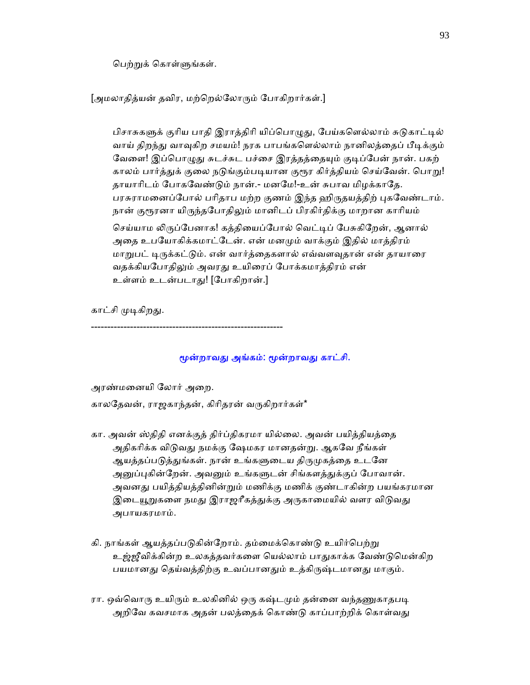பெற்றுக் கொள்ளுங்கள்.

[அமலாதித்யன் தவிர, மற்றெல்லோரும் போகிறார்கள்.]

பிசாசுகளுக் குரிய பாதி இராத்திரி யிப்பொழுது, பேய்களெல்லாம் சுடுகாட்டில் வாய் திறந்து வாவுகிற சமயம்! நரக பாபங்களெல்லாம் நானிலத்தைப் பீடிக்கும் வேளை! இப்பொழுது சுடச்சுட பச்சை இரத்தத்தையும் குடிப்பேன் நான். பகற் காலம் பார்த்துக் குலை நடுங்கும்படியான குரூர கிர்த்தியம் செய்வேன். பொறு! தாயாரிடம் போகவேண்டும் நான்.- மனமே!-உன் சுபாவ மிழக்காதே. பரசுராமனைப்போல் பரிதாப மற்ற குணம் இந்த ஹிருதயத்திற் புகவேண்டாம். நான் குரூரனா யிருந்தபோதிலும் மானிடப் பிரகிர்திக்கு மாறான காரியம்

செய்யாம லிருப்பேனாக! கத்தியைப்போல் வெட்டிப் பேசுகிறேன், ஆனால் அதை உபயோகிக்கமாட்டேன். என் மனமும் வாக்கும் இதில் மாத்திரம் மாறுபட் டிருக்கட்டும். என் வார்த்தைகளால் எவ்வளவுதான் என் தாயாரை வதக்கியபோதிலும் அவரது உயிரைப் போக்கமாத்திரம் என் உள்ளம் உடன்படாᾐ! [ேபாகிறான்.]

காட்சி முடிகிறது.

மூன்றாவது அங்கம்: மூன்றாவது காட்சி.

அரண்மைனயி ேலார் அைற.

காலதேவன், ராஜகாந்தன், கிரிதரன் வருகிறார்கள்\*

-----------------------------------------------------------

- கா. அவன் ஸ்திதி எனக்குத் திர்ப்திகரமா யில்ைல. அவன் பயித்தியத்ைத அதிகரிக்க விடுவது நமக்கு ஷேமகர மானதன்று. ஆகவே நீங்கள் ஆயத்தப்படுத்துங்கள். நான் உங்களுடைய திருமுகத்தை உடனே அனுப்புகின்றேன். அவனும் உங்களுடன் சிங்களத்துக்குப் போவான். அவனது பயித்தியத்தினின்றும் மணிக்கு மணிக் குண்டாகின்ற பயங்கரமான இடையூறுகளை நமது இராஜரீகத்துக்கு அருகாமையில் வளர விடுவது அபாயகரமாம்.
- கி. நாங்கள் ஆயத்தப்படுகின்றோம். தம்மைக்கொண்டு உயிர்பெற்று உஜ்ஜீவிக்கின்ற உலகத்தவர்களை யெல்லாம் பாதுகாக்க வேண்டுமென்கிற பயமானது தெய்வத்திற்கு உவப்பானதும் உத்கிருஷ்டமானது மாகும்.
- ரா. ஒவ்வொரு உயிரும் உலகினில் ஒரு கஷ்டமும் தன்னை வந்தணுகாதபடி அறிவே கவசமாக அதன் பலத்தைக் கொண்டு காப்பாற்றிக் கொள்வது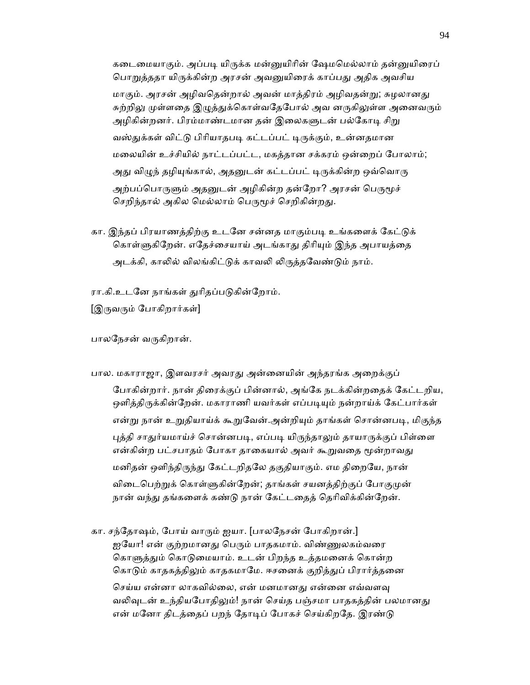கடைமையாகும். அப்படி யிருக்க மன்னுயிரின் ஷேமமெல்லாம் தன்னுயிரைப் பொறுத்ததா யிருக்கின்ற அரசன் அவனுயிரைக் காப்பது அதிக அவசிய மாகும். அரசன் அழிவதென்றால் அவன் மாத்திரம் அழிவதன்று; சுழலானது சுற்றிலு முள்ளதை இழுத்துக்கொள்வதேபோல் அவ னருகிலுள்ள அனைவரும் அழிகின்றனர். பிரம்மாண்டமான தன் இலைகளுடன் பல்கோடி சிறு வஸ்துக்கள் விட்டு பிரியாதபடி கட்டப்பட் டிருக்கும், உன்னதமான மைலயின் உச்சியில் நாட்டப்பட்ட, மகத்தான சக்கரம் ஒன்ைறப் ேபாலாம்; அது விழுந் தழியுங்கால், அதனுடன் கட்டப்பட் டிருக்கின்ற ஒவ்வொரு அற்பப்பொருளும் அதனுடன் அழிகின்ற தன்றோ? அரசன் பெருமூச் செறிந்தால் அகில மெல்லாம் பெருமூச் செறிகின்றது.

கா. இந்தப் பிரயாணத்திற்கு உடனே சன்னத மாகும்படி உங்களைக் கேட்டுக் கொள்ளுகிறேன். எதேச்சையாய் அடங்காது திரியும் இந்த அபாயத்தை அடக்கி, காலில் விலங்கிட்டுக் காவலி லிருத்தவேண்டும் நாம்.

ரா.கி.உடனே நாங்கள் துரிதப்படுகின்றோம்.

[இருவரும் போகிறார்கள்]

பாலநேசன் வருகிறான்.

- பால. மகாராஜா, இளவரசர் அவரது அன்னையின் அந்தரங்க அறைக்குப் ேபாகின்றார். நான் திைரக்குப் பின்னால், அங்ேக நடக்கின்றைதக் ேகட்டறிய, ஒளித்திருக்கின்றேன். மகாராணி யவர்கள் எப்படியும் நன்றாய்க் கேட்பார்கள் என்று நான் உறுதியாய்க் கூறுவேன்.அன்றியும் தாங்கள் சொன்னபடி, மிகுந்த புத்தி சாதுர்யமாய்ச் சொன்னபடி, எப்படி யிருந்தாலும் தாயாருக்குப் பிள்ளை என்கின்ற பட்சபாதம் போகா தாகையால் அவர் கூறுவதை மூன்றாவது மனிதன் ஒளிந்திருந்து கேட்டறிதலே தகுதியாகும். எம திறையே, நான் விடைபெற்றுக் கொள்ளுகின்றேன்; தாங்கள் சயனத்திற்குப் போகுமுன் நான் வந்து தங்களைக் கண்டு நான் கேட்டதைத் தெரிவிக்கின்றேன்.
- கா. சந்தோஷம், போய் வாரும் ஐயா. [பாலநேசன் போகிறான்.] ஐயோ! என் குற்றமானது பெரும் பாதகமாம். விண்ணுலகம்வரை கொளுத்தும் கொடுமையாம். உடன் பிறந்த உத்தமனைக் கொன்ற கொடும் காதகத்திலும் காதகமாமே. ஈசனைக் குறித்துப் பிரார்த்தனை செய்ய என்னா லாகவில்லை, என் மனமானது என்னை எவ்வளவு வலிவுடன் உந்தியபோதிலும்! நான் செய்த பஞ்சமா பாதகத்தின் பலமானது என் மனோ திடத்தைப் பறந் தோடிப் போகச் செய்கிறதே. இரண்டு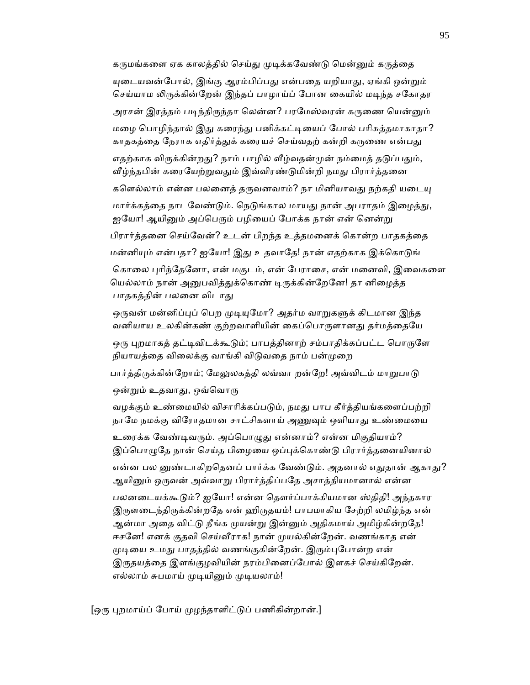கருமங்களை ஏக காலத்தில் செய்து முடிக்கவேண்டு மென்னும் கருத்தை யுடையவன்போல், இங்கு ஆரம்பிப்பது என்பதை யறியாது, ஏங்கி ஒன்றும் செய்யாம லிருக்கின்றேன் இந்தப் பாழாய்ப் போன கையில் மடிந்த சகோதர அரசன் இரத்தம் படிந்திருந்தா லென்ன? பரமேஸ்வரன் கருணை யென்னும் மழை பொழிந்தால் இது கரைந்து பனிக்கட்டியைப் போல் பரிசுத்தமாகாதா? காதகத்தை நேராக எதிர்த்துக் கரையச் செய்வதற் கன்றி கருணை என்பது எதற்காக விருக்கின்றது? நாம் பாழில் வீழ்வதன்முன் நம்மைத் தடுப்பதும், வீழ்ந்தபின் கரையேற்றுவதும் இவ்விரண்டுமின்றி நமது பிரார்த்தனை களெல்லாம் என்ன பலனைத் தருவனவாம்? நா மினியாவது நற்கதி யடையு மார்க்கக்தை நாடவேண்டும். நெடுங்கால மாயது நான் அபராதம் இழைத்து, ஐயோ! ஆயினும் அப்பெரும் பழியைப் போக்க நான் என் னென்று பிரார்த்தைன ெசய்ேவன்? உடன் பிறந்த உத்தமைனக் ெகான்ற பாதகத்ைத மன்னியும் என்பதா? ஐயோ! இது உதவாதே! நான் எதற்காக இக்கொடுங்

கொலை புரிந்தேனோ, என் மகுடம், என் பேராசை, என் மனைவி, இவைகளை யெல்லாம் நான் அனுபவித்துக்கொண் டிருக்கின்றேனே! தா னிழைத்த பாதகத்தின் பலனை விடாது

ஒருவன் மன்னிப்புப் பெற முடியுமோ? அதர்ம வாறுகளுக் கிடமான இந்த வனியாய உலகின்கண் குற்றவாளியின் கைப்பொருளானது தர்மத்தையே

ஒரு புறமாகத் தட்டிவிடக்கூடும்; பாபத்தினாற் சம்பாதிக்கப்பட்ட பொருளே நியாயத்தை விலைக்கு வாங்கி விடுவதை நாம் பன்முறை

பார்த்திருக்கின்றோம்; மேலுலகத்தி லவ்வா றன்றே! அவ்விடம் மாறுபாடு

ஒன்றும் உதவாது, ஒவ்வொரு

வழக்கும் உண்மையில் விசாரிக்கப்படும், நமது பாப கீர்த்தியங்களைப்பற்றி நாமே நமக்கு விரோதமான சாட்சிகளாய் அணுவும் ஒளியாது உண்மையை

உரைக்க வேண்டிவரும். அப்பொழுது என்னாம்? என்ன மிகுதியாம்? இப்பொழுதே நான் செய்த பிழையை ஒப்புக்கொண்டு பிரார்த்தனையினால்

என்ன பல னுண்டாகிறதெனப் பார்க்க வேண்டும். அதனால் எதுதான் ஆகாது? ஆயினும் ஒருவன் அவ்வாறு பிரார்த்திப்பதே அசாத்தியமானால் என்ன

பலனடையக்கூடும்? ஐயோ! என்ன தௌர்ப்பாக்கியமான ஸ்திதி! அந்தகார இருளடைந்திருக்கின்றதே என் ஹிருதயம்! பாபமாகிய சேற்றி லமிழ்ந்த என் ஆன்மா அதை விட்டு நீங்க முயன்று இன்னும் அதிகமாய் அமிழ்கின்றதே! ஈசனே! எனக் குதவி செய்வீராக! நான் முயல்கின்றேன். வணங்காத என் முடியை உமது பாதத்தில் வணங்குகின்றேன். இரும்புபோன்ற என் இருதயத்தை இளங்குழவியின் நரம்பினைப்போல் இளகச் செய்கிறேன். எல்லாம் சுபமாய் முடியினும் முடியலாம்!

[ஒரு புறமாய்ப் போய் முழந்தாளிட்டுப் பணிகின்றான்.]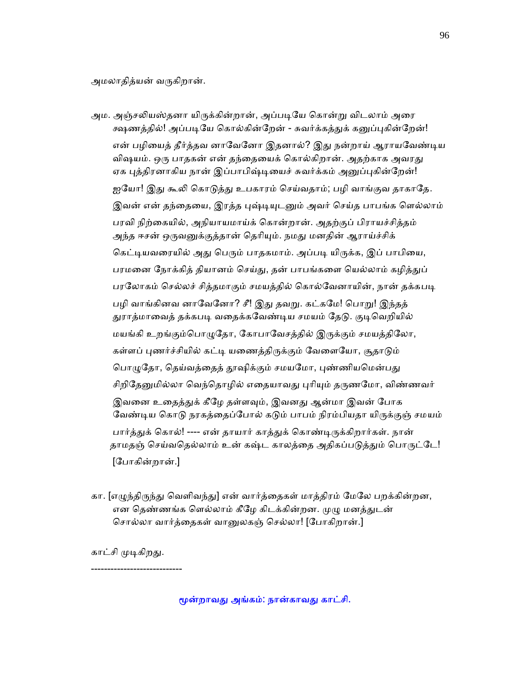அமலாதித்யன் வருகிறான்.

- அம. அஞ்சலியஸ்தனா யிருக்கின்றான், அப்படியே கொன்று விடலாம் அரை க்ஷணத்தில்! அப்படியே கொல்கின்றேன் - சுவர்க்கத்துக் கனுப்புகின்றேன்! என் பழியைத் தீர்த்தவ னாவேனோ இதனால்? இது நன்றாய் ஆராயவேண்டிய விஷயம். ஒரு பாதகன் என் தந்தையைக் கொல்கிறான். அதற்காக அவரது ஏக புத்திரனாகிய நான் இப்பாபிஷ்டியைச் சுவர்க்கம் அனுப்புகின்றேன்! ஐயோ! இது கூலி கொடுத்து உபகாரம் செய்வதாம்; பழி வாங்குவ தாகாதே. இவன் என் தந்தையை, இரத்த புஷ்டியுடனும் அவர் செய்த பாபங்க ளெல்லாம் பரவி நிற்ைகயில், அநியாயமாய்க் ெகான்றான். அதற்குப் பிராயச்சித்தம் அந்த ஈசன் ஒருவனுக்குத்தான் தெரியும். நமது மனதின் ஆராய்ச்சிக் கெட்டியவரையில் அது பெரும் பாதகமாம். அப்படி யிருக்க, இப் பாபியை, பரமனை நோக்கித் தியானம் செய்து, தன் பாபங்களை யெல்லாம் கழித்துப் பரலோகம் செல்லச் சித்தமாகும் சமயத்தில் கொல்வேனாயின், நான் தக்கபடி பழி வாங்கினவ னாவேனோ? சீ! இது தவறு. கட்கமே! பொறு! இந்தத் துராத்மாவைத் தக்கபடி வதைக்கவேண்டிய சமயம் தேடு. குடிவெறியில் மயங்கி உறங்கும்பொழுதோ, கோபாவேசத்தில் இருக்கும் சமயத்திலோ, கள்ளப் புணர்ச்சியில் கட்டி யணைத்திருக்கும் வேளையோ, சூதாடும் பொழுதோ, தெய்வத்தைத் தூஷிக்கும் சமயமோ, புண்ணியமென்பது சிறிதேனுமில்லா வெந்தொழில் எதையாவது புரியும் தருணமோ, விண்ணவர் இவனை உதைத்துக் கீழே தள்ளவும், இவனது ஆன்மா இவன் போக வேண்டிய கொடு நரகத்தைப்போல் கடும் பாபம் நிரம்பியதா யிருக்குஞ் சமயம் பார்த்துக் கொல்! ---- என் தாயார் காத்துக் கொண்டிருக்கிறார்கள். நான் தாமதஞ் செய்வதெல்லாம் உன் கஷ்ட காலத்தை அதிகப்படுத்தும் பொருட்டே! [ேபாகின்றான்.]
- கா. [எழுந்திருந்து வெளிவந்து] என் வார்த்தைகள் மாத்திரம் மேலே பறக்கின்றன, என தெண்ணங்க ளெல்லாம் கீழே கிடக்கின்றன. முழு மனத்துடன் சொல்லா வார்த்தைகள் வானுலகஞ் செல்லா! [போகிறான்.]

காட்சி முடிகிறது.

----------------------------

மூன்றாவது அங்கம்: நான்காவது காட்சி.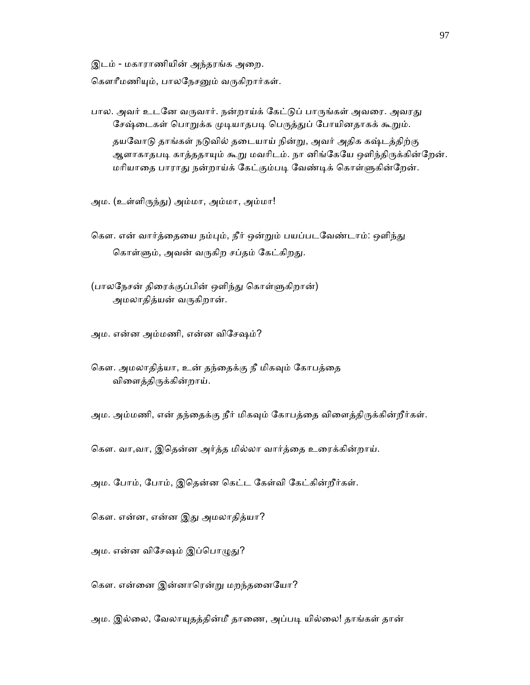இடம் - மகாராணியின் அந்தரங்க அைற.

கௌரீமணியும், பாலநேசனும் வருகிறார்கள்.

- பால. அவர் உடனே வருவார். நன்றாய்க் கேட்டுப் பாருங்கள் அவரை. அவரது சேஷ்டைகள் பொறுக்க முடியாதபடி பெருத்துப் போயினதாகக் கூறும். தயவோடு தாங்கள் நடுவில் தடையாய் நின்று, அவர் அதிக கஷ்டத்திற்கு ஆளாகாதபடி காத்ததாயும் கூறு மவரிடம். நா னிங்கேயே ஒளிந்திருக்கின்றேன். மரியாதை பாராது நன்றாய்க் கேட்கும்படி வேண்டிக் கொள்ளுகின்றேன்.
- அம. (உள்ளிᾞந்ᾐ) அம்மா, அம்மா, அம்மா!
- கௌ. என் வார்த்தையை நம்பும், நீர் ஒன்றும் பயப்படவேண்டாம்: ஒளிந்து கொள்ளும், அவன் வருகிற சப்தம் கேட்கிறது.
- (பாலநேசன் திரைக்குப்பின் ஒளிந்து கொள்ளுகிறான்) அமலாதித்யன் வருகிறான்.

அம. என்ன அம்மணி, என்ன விேசஷம்?

கௌ. அமலாதித்யா, உன் தந்தைக்கு நீ மிகவும் கோபத்தை விைளத்திᾞக்கின்றாய்.

அம. அம்மணி, என் தந்தைக்கு நீர் மிகவும் கோபத்தை விளைத்திருக்கின்றீர்கள்.

கௌ. வா,வா, இதென்ன அர்த்த மில்லா வார்த்தை உரைக்கின்றாய்.

அம. ேபாம், ேபாம், இெதன்ன ெகட்ட ேகள்வி ேகட்கின்றீர்கள்.

கௌ. என்ன, என்ன இது அமலாதித்யா?

அம. என்ன விசேஷம் இப்பொழுது?

ெகௗ. என்ைன இன்னாெரன்ᾠ மறந்தைனேயா?

அம. இல்லை, வேலாயுதத்தின்மீ தாணை, அப்படி யில்லை! தாங்கள் தான்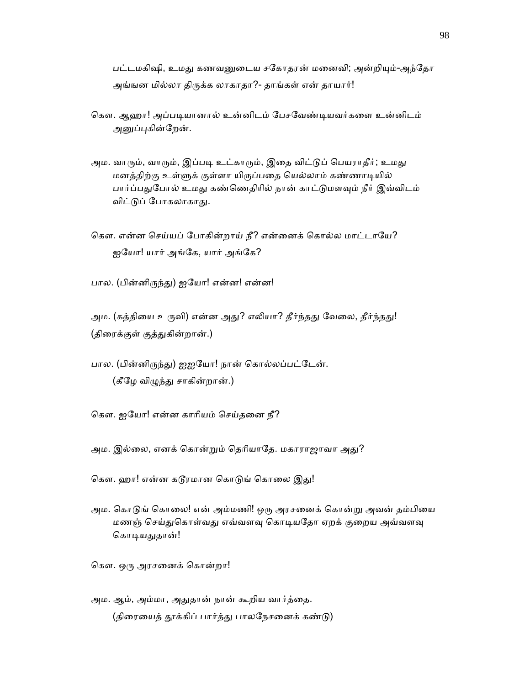பட்டமகிஷி, உமது கணவனுடைய சகோதரன் மனைவி; அன்றியும்-அந்தோ அங்ஙன மில்லா திருக்க லாகாதா?- தாங்கள் என் தாயார்!

- கௌ. ஆஹா! அப்படியானால் உன்னிடம் பேசவேண்டியவர்களை உன்னிடம் அனுப்புகின்றேன்.
- அம. வாரும், வாரும், இப்படி உட்காரும், இதை விட்டுப் பெயராதீர்; உமது மனத்திற்கு உள்ᾦக் குள்ளா யிᾞப்பைத ெயல்லாம் கண்ணாᾊயில் பார்ப்பதுபோல் உமது கண்ணெதிரில் நான் காட்டுமளவும் நீர் இவ்விடம் விட்டுப் போகலாகாது.
- கௌ. என்ன செய்யப் போகின்றாய் நீ? என்னைக் கொல்ல மாட்டாயே? ஐயோ! யார் அங்கே, யார் அங்கே?

பால. (பின்னிருந்து) ஐயோ! என்ன! என்ன!

அம. (கத்தியை உருவி) என்ன அது? எலியா? தீர்ந்தது வேலை, தீர்ந்தது! (திரைக்குள் குத்துகின்றான்.)

- பால. (பின்னிருந்து) ஐஐயோ! நான் கொல்லப்பட்டேன். (கீழே விழுந்து சாகின்றான்.)
- ெகௗ. ஐேயா! என்ன காாியம் ெசய்தைன நீ?
- அம. இல்லை, எனக் கொன்றும் தெரியாதே. மகாராஜாவா அது?
- கௌ. ஹா! என்ன கடூரமான கொடுங் கொலை இது!
- அம. கொடுங் கொலை! என் அம்மணி! ஒரு அரசனைக் கொன்று அவன் தம்பியை மணஞ் செய்துகொள்வது எவ்வளவு கொடியதோ ஏறக் குறைய அவ்வளவு கொடியதுதான்!

கௌ. ஒரு அரசனைக் கொன்றா!

அம. ஆம், அம்மா, அதுதான் நான் கூறிய வார்த்தை. (திரையைத் தூக்கிப் பார்த்து பாலநேசனைக் கண்டு)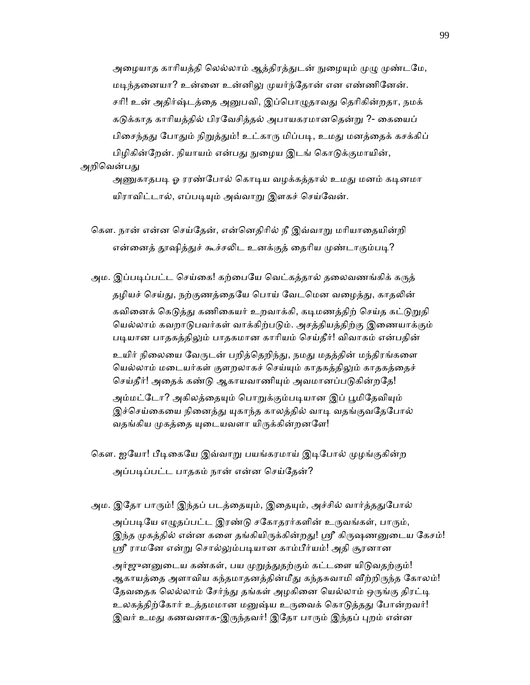அழையாத காரியத்தி லெல்லாம் ஆத்திரத்துடன் நுழையும் முழு முண்டமே, மடிந்தனையா? உன்னை உன்னிலு முயர்ந்தோன் என எண்ணினேன். சரி! உன் அதிர்ஷ்டத்தை அனுபவி, இப்பொழுதாவது தெரிகின்றதா, நமக் கடுக்காத காரியத்தில் பிரவேசித்தல் அபாயகரமானதென்று ?- கையைப் பிசைந்தது போதும் நிறுத்தும்! உட்காரு மிப்படி, உமது மனத்தைக் கசக்கிப் பிழிகின்றேன். நியாயம் என்பது நுழைய இடங் கொடுக்குமாயின்,

## அறிவென்பது

அணுகாதபடி ஓ ரரண்போல் கொடிய வழக்கத்தால் உமது மனம் கடினமா யிராவிட்டால், எப்படியும் அவ்வாறு இளகச் செய்வேன்.

கௌ. நான் என்ன செய்தேன், என்னெதிரில் நீ இவ்வாறு மரியாதையின்றி என்னைத் தூஷித்துச் கூச்சலிட உனக்குத் தைரிய முண்டாகும்படி?

அம. இப்படிப்பட்ட செய்கை! கற்பையே வெட்கத்தால் தலைவணங்கிக் கருத் தழியச் செய்து, நற்குணத்தையே பொய் வேடமென வழைத்து, காதலின் கவினைக் கெடுத்து கணிகையர் உறவாக்கி, கடிமணத்திற் செய்த கட்டுறுதி யெல்லாம் கவறாடுபவர்கள் வாக்கிற்படும். அசத்தியத்திற்கு இணையாக்கும் படியான பாதகத்திலும் பாதகமான காரியம் செய்தீர்! விவாகம் என்பதின் உயிர் நிலையை வேருடன் பறித்தெறிந்து, நமது மதத்தின் மந்திரங்களை யெல்லாம் மடையர்கள் குளறலாகச் செய்யும் காதகத்திலும் காதகத்தைச் செய்தீர்! அதைக் கண்டு ஆகாயவாணியும் அவமானப்படுகின்றதே! அம்மட்டோ? அகிலத்தையும் பொறுக்கும்படியான இப் பூமிதேவியும் இச்செய்கையை நினைத்து யுகாந்த காலத்தில் வாடி வதங்குவதேபோல் வதங்கிய முகத்தை யுடையவளா யிருக்கின்றனளே!

கௌ. ஐயோ! பீடிகையே இவ்வாறு பயங்கரமாய் இடிபோல் முழங்குகின்ற அப்படிப்பட்ட பாதகம் நான் என்ன செய்தேன்?

அம. இதோ பாரும்! இந்தப் படத்தையும், இதையும், அச்சில் வார்த்ததுபோல் அப்படியே எழுதப்பட்ட இரண்டு சகோதரர்களின் உருவங்கள், பாரும், இந்த முகத்தில் என்ன களை தங்கியிருக்கின்றது! ஸ்ரீ கிருஷணனுடைய கேசம்! ஸ்ரீ ராமனே என்று சொல்லும்படியான காம்பீர்யம்! அதி சூரனான அர்ஜுனனுடைய கண்கள், பய முறுத்துதற்கும் கட்டளை யிடுவதற்கும்! ஆகாயத்தை அளாவிய கந்தமாதனத்தின்மீது கந்தசுவாமி வீற்றிருந்த கோலம்!

தேவதைக லெல்லாம் சேர்ந்து தங்கள் அழகினை யெல்லாம் ஒருங்கு திரட்டி உலகத்திற்கோர் உத்தமமான மனுஷ்ய உருவைக் கொடுத்தது போன்றவர்! இவர் உமது கணவனாக-இருந்தவர்! இதோ பாரும் இந்தப் புறம் என்ன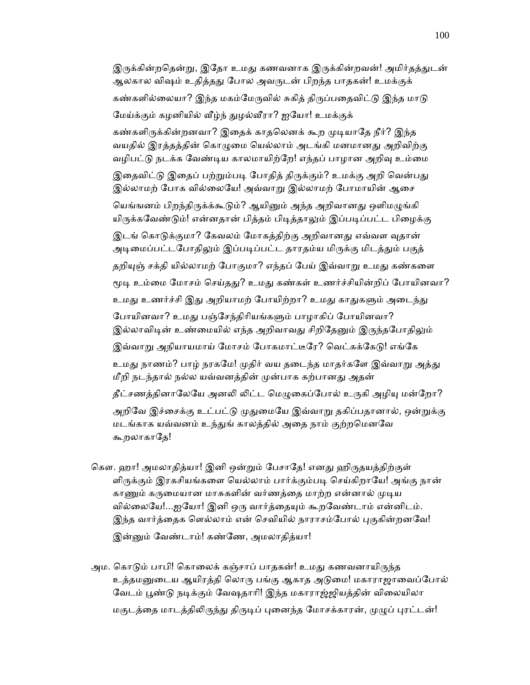இருக்கின்றதென்று, இதோ உமது கணவனாக இருக்கின்றவன்! அமிர்தத்துடன் ஆலகால விஷம் உதித்தது போல அவருடன் பிறந்த பாதகன்! உமக்குக் கண்களில்லையா? இந்த மகம்மேருவில் சுகித் திருப்பதைவிட்டு இந்த மாடு மேய்க்கும் கழனியில் வீழ்ந் துழல்வீரா? ஐயோ! உமக்குக் கண்களிருக்கின்றனவா? இதைக் காதலெனக் கூற முடியாதே நீர்? இந்த வயதில் இரத்தத்தின் கொழுமை யெல்லாம் அடங்கி மனமானது அறிவிற்கு வழிபட்டு நடக்க வேண்டிய காலமாயிற்றே! எந்தப் பாழான அறிவு உம்மை இதைவிட்டு இதைப் பற்றும்படி போதித் திருக்கும்? உமக்கு அறி வென்பது இல்லாமற் போக வில்லையே! அவ்வாறு இல்லாமற் போமாயின் ஆசை யெங்ஙனம் பிறந்திருக்க்கூடும்? ஆயினும் அந்த அறிவானது ஒளிமழுங்கி யிருக்கவேண்டும்! என்னதான் பித்தம் பிடித்தாலும் இப்படிப்பட்ட பிழைக்கு இடங் கொடுக்குமா? கேவலம் மோகத்திற்கு அறிவானது எவ்வள வுதான் அடிமைப்பட்டபோதிலும் இப்படிப்பட்ட தாரதம்ய மிருக்கு மிடத்தும் பகுத் தறியுஞ் சக்தி யில்லாமற் போகுமா? எந்தப் பேய் இவ்வாறு உமது கண்களை மூடி உம்மை மோசம் செய்தது? உமது கண்கள் உணர்ச்சியின்றிப் போயினவா? உமது உணர்ச்சி இது அறியாமற் போயிற்றா? உமது காதுகளும் அடைந்து போயினவா? உமது பஞ்சேந்திரியங்களும் பாழாகிப் போயினவா? இல்லாவிடின் உண்மையில் எந்த அறிவாவது சிறிதேனும் இருந்தபோதிலும் இவ்வாறு அநியாயமாய் மோசம் போகமாட்டீரே? வெட்கக்கேடு! எங்கே உமது நாணம்? பாழ் நரகமே! முதிர் வய தடைந்த மாதர்களே இவ்வாறு அத்து மீறி நடந்தால் நல்ல யவ்வனத்தின் முன்பாக கற்பானது அதன் தீட்சணத்தினாலேயே அனலி லிட்ட மெழுகைப்போல் உருகி அழியு மன்றோ? அறிவே இச்சைக்கு உட்பட்டு முதுமையே இவ்வாறு தகிப்பதானால், ஒன்றுக்கு மடங்காக யவ்வனம் உந்துங் காலத்தில் அதை நாம் குற்றமெனவே கூறலாகாதே!

- கௌ. ஹா! அமலாதித்யா! இனி ஒன்றும் பேசாதே! எனது ஹிருதயத்திற்குள் ளிருக்கும் இரகசியங்களை யெல்லாம் பார்க்கும்படி செய்கிறாயே! அங்கு நான் காணும் கருமையான மாசுகளின் வர்ணத்தை மாற்ற என்னால் முடிய வில்லையே!...ஐயோ! இனி ஒரு வார்த்தையும் கூறவேண்டாம் என்னிடம். இந்த வார்த்தைக ளெல்லாம் என் செவியில் நாராசம்போல் புகுகின்றனவே! இன்னும் வேண்டாம்! கண்ணே, அமலாதித்யா!
- அம. கொடும் பாபி! கொலைக் கஞ்சாப் பாதகன்! உமது கணவனாயிருந்த உத்தமனுடைய ஆயிரத்தி லொரு பங்கு ஆகாத அடுமை! மகாராஜாவைப்போல் வேடம் பூண்டு நடிக்கும் வேஷதாரி! இந்த மகாராஜ்ஜியத்தின் விலையிலா மகுடத்தை மாடத்திலிருந்து திருடிப் புனைந்த மோசக்காரன், முழுப் புரட்டன்!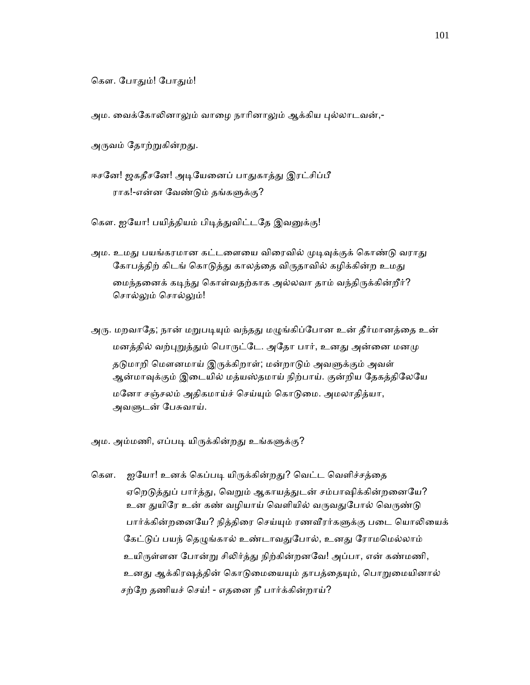கௌ. போதும்! போதும்!

அம. வைக்கோலினாலும் வாழை நாரினாலும் ஆக்கிய புல்லாடவன்,-

அருவம் தோற்றுகின்றது.

ஈசனே! ஜகதீசனே! அடியேனைப் பாதுகாத்து இரட்சிப்பீ ராக!-என்ன வேண்டும் தங்களுக்கு?

கௌ. ஐயோ! பயித்தியம் பிடித்துவிட்டதே இவனுக்கு!

அம. உமது பயங்கரமான கட்டளையை விரைவில் முடிவுக்குக் கொண்டு வராது கோபத்திற் கிடங் கொடுத்து காலத்தை விருதாவில் கழிக்கின்ற உமது மைந்தனைக் கடிந்து கொள்வதற்காக அல்லவா தாம் வந்திருக்கின்றீர்? சொல்லும் சொல்லும்!

அரு. மறவாதே; நான் மறுபடியும் வந்தது மழுங்கிப்போன உன் தீர்மானத்தை உன் மனத்தில் வற்புறுத்தும் பொருட்டே. அதோ பார், உனது அன்னை மனமு தடுமாறி மௌனமாய் இருக்கிறாள்; மன்றாடும் அவளுக்கும் அவள் ஆன்மாவுக்கும் இடையில் மத்யஸ்தமாய் நிற்பாய். குன்றிய தேகத்திலேயே மேனா சஞ்சலம் அதிகமாய்ச் ெசய்ᾜம் ெகாᾌைம. அமலாதித்யா, அவளுடன் பேசுவாய்.

அம. அம்மணி, எப்படி யிருக்கின்றது உங்களுக்கு?

கௌ. ஐயோ! உனக் கெப்படி யிருக்கின்றது? வெட்ட வெளிச்சத்தை ஏறெடுத்துப் பார்த்து, வெறும் ஆகாயத்துடன் சம்பாஷிக்கின்றனையே? உன துயிரே உன் கண் வழியாய் வெளியில் வருவதுபோல் வெருண்டு பார்க்கின்றனையே? நித்திரை செய்யும் ரணவீரர்களுக்கு படை யொலியைக் கேட்டுப் பயந் தெழுங்கால் உண்டாவதுபோல், உனது ரோமமெல்லாம் உயிருள்ளன போன்று சிலிர்த்து நிற்கின்றனவே! அப்பா, என் கண்மணி, உனது ஆக்கிரஷத்தின் கொடுமையையும் தாபத்தையும், பொறுமையினால் சற்ேற தணியச் ெசய்! - எதைன நீ பார்க்கின்றாய்?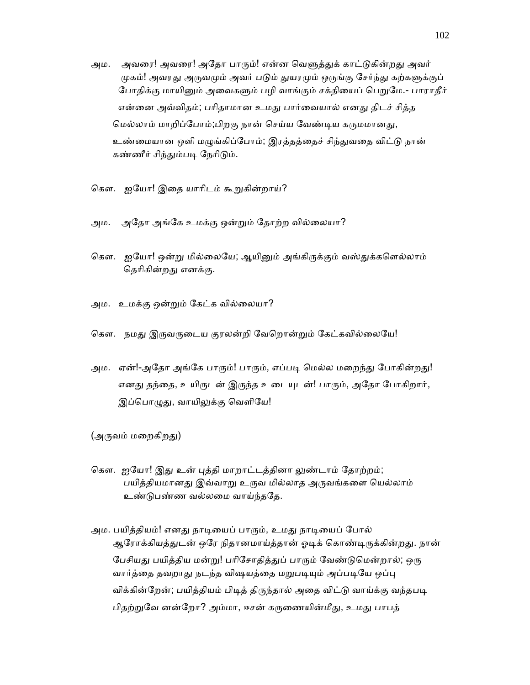- அம. அவரை! அவரை! அதோ பாரும்! என்ன வெளுத்துக் காட்டுகின்றது அவர் முகம்! அவரது அருவமும் அவர் படும் துயரமும் ஒருங்கு சேர்ந்து கற்களுக்குப் போதிக்கு மாயினும் அவைகளும் பழி வாங்கும் சக்தியைப் பெறுமே.- பாராதீர் என்னை அவ்விதம்; பரிதாமான உமது பார்வையால் எனது திடச் சித்த மெல்லாம் மாறிப்போம்;பிறகு நான் செய்ய வேண்டிய கருமமானது, உண்மையான ஒளி மழுங்கிப்போம்; இரத்தத்தைச் சிந்துவதை விட்டு நான் கண்ணீர் சிந்தும்படி நேரிடும்.
- கௌ. ஐயோ! இதை யாரிடம் கூறுகின்றாய்?
- அம. அேதா அங்ேக உமக்கு ஒன்ᾠம் ேதாற்ற வில்ைலயா?
- கௌ. ஐயோ! ஒன்று மில்லையே; ஆயினும் அங்கிருக்கும் வஸ்துக்களெல்லாம் தெரிகின்றது எனக்கு.
- அம. உமக்கு ஒன்ᾠம் ேகட்க வில்ைலயா?
- கௌ. நமது இருவருடைய குரலன்றி வேறொன்றும் கேட்கவில்லையே!
- அம. ஏன்!-அதோ அங்கே பாரும்! பாரும், எப்படி மெல்ல மறைந்து போகின்றது! எனது தந்தை, உயிருடன் இருந்த உடையுடன்! பாரும், அதோ போகிறார், இப்பொழுது, வாயிலுக்கு வெளியே!

(அருவம் மறைகிறது)

- கௌ. ஐயோ! இது உன் புத்தி மாறாட்டத்தினா லுண்டாம் தோற்றம்; பயித்தியமானது இவ்வாறு உருவ மில்லாத அருவங்களை யெல்லாம் உண்ᾌபண்ண வல்லைம வாய்ந்தேத.
- அம. பயித்தியம்! எனது நாடியைப் பாரும், உமது நாடியைப் போல் ஆரோக்கியத்துடன் ஒரே நிதானமாய்த்தான் ஓடிக் கொண்டிருக்கின்றது. நான் பேசியது பயித்திய மன்று! பரிசோதித்துப் பாரும் வேண்டுமென்றால்; ஒரு வார்த்தை தவறாது நடந்த விஷயத்தை மறுபடியும் அப்படியே ஒப்பு விக்கின்றேன்; பயித்தியம் பிடித் திருந்தால் அதை விட்டு வாய்க்கு வந்தபடி பிதற்றுவே னன்றோ? அம்மா, ஈசன் கருணையின்மீது, உமது பாபத்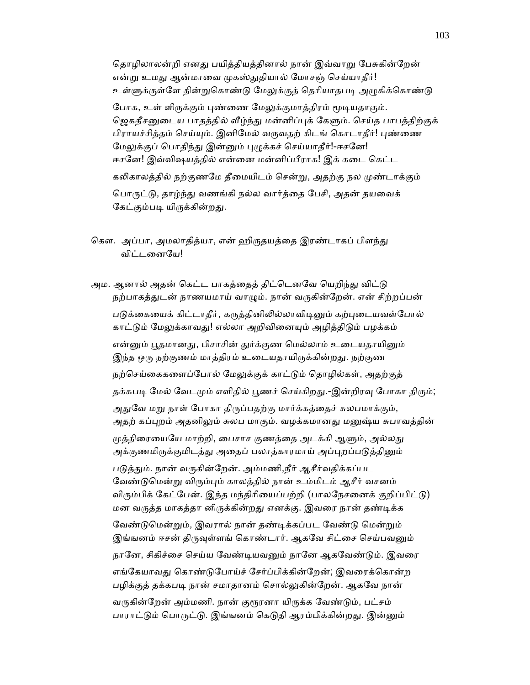தொழிலாலன்றி எனது பயித்தியத்தினால் நான் இவ்வாறு பேசுகின்றேன் என்று உமது ஆன்மாவை முகஸ்துதியால் மோசஞ் செய்யாதீர்! உள்ளுக்குள்ளே தின்றுகொண்டு மேலுக்குத் தெரியாதபடி அழுகிக்கொண்டு போக, உள் ளிருக்கும் புண்ணை மேலுக்குமாத்திரம் மூடியதாகும். ஜெகதீசனுடைய பாதத்தில் வீழ்ந்து மன்னிப்புக் கேளும். செய்த பாபத்திற்குக் பிராயச்சித்தம் செய்யும். இனிமேல் வருவதற் கிடங் கொடாதீர்! புண்ணை மேலுக்குப் பொதிந்து இன்னும் புழுக்கச் செய்யாதீர்!-ஈசனே! ஈசனே! இவ்விஷயத்தில் என்னை மன்னிப்பீராக! இக் கடை கெட்ட கலிகாலத்தில் நற்குணமே தீமையிடம் சென்று, அதற்கு நல முண்டாக்கும் பொருட்டு, தாழ்ந்து வணங்கி நல்ல வார்த்தை பேசி, அதன் தயவைக் கேட்கும்படி யிருக்கின்றது.

கௌ. அப்பா, அமலாதித்யா, என் ஹிருதயத்தை இரண்டாகப் பிளந்து விட்டைனேய!

அம. ஆனால் அதன் கெட்ட பாகத்தைத் திட்டெனவே யெறிந்து விட்டு நற்பாகத்துடன் நாணயமாய் வாழும். நான் வருகின்றேன். என் சிற்றப்பன் படுக்கையைக் கிட்டாதீர், கருத்தினிலில்லாவிடினும் கற்புடையவள்போல் காட்டும் மேலுக்காவது! எல்லா அறிவினையும் அழித்திடும் பழக்கம் என்னும் பூதமானது, பிசாசின் துர்க்குண மெல்லாம் உடையதாயினும் இந்த ஒரு நற்குணம் மாத்திரம் உடையதாயிருக்கின்றது. நற்குண நற்செய்கைகளைப்போல் மேலுக்குக் காட்டும் தொழில்கள், அதற்குத் தக்கபடி மேல் வேடமும் எளிதில் பூணச் செய்கிறது.-இன்றிரவு போகா திரும்; அதுவே மறு நாள் போகா திருப்பதற்கு மார்க்கத்தைச் சுலபமாக்கும், அதற் கப்புறம் அதனிலும் சுலப மாகும். வழக்கமானது மனுஷ்ய சுபாவத்தின் முத்திரையையே மாற்றி, பைசாச குணத்தை அடக்கி ஆளும், அல்லது அக்குணமிருக்குமிடத்து அதைப் பலாத்காரமாய் அப்புறப்படுத்தினும் படுத்தும். நான் வருகின்றேன். அம்மணி,நீர் ஆசீர்வதிக்கப்பட வேண்டுமென்று விரும்பும் காலத்தில் நான் உம்மிடம் ஆசீர் வசனம் விரும்பிக் கேட்பேன். இந்த மந்திரியைப்பற்றி (பாலநேசனைக் குறிப்பிட்டு) மன வருத்த மாகத்தா னிருக்கின்றது எனக்கு. இவரை நான் தண்டிக்க வேண்டுமென்றும், இவரால் நான் தண்டிக்கப்பட வேண்டு மென்றும் இங்ஙனம் ஈசன் திருவுள்ளங் கொண்டார். ஆகவே சிட்சை செய்பவனும் நானே, சிகிச்சை செய்ய வேண்டியவனும் நானே ஆகவேண்டும். இவரை எங்கேயாவது கொண்டுபோய்ச் சேர்ப்பிக்கின்றேன்; இவரைக்கொன்ற பழிக்குத் தக்கபடி நான் சமாதானம் சொல்லுகின்றேன். ஆகவே நான் வருகின்றேன் அம்மணி. நான் குரூரனா யிருக்க வேண்டும், பட்சம் பாராட்டும் பொருட்டு. இங்ஙனம் கெடுதி ஆரம்பிக்கின்றது. இன்னும்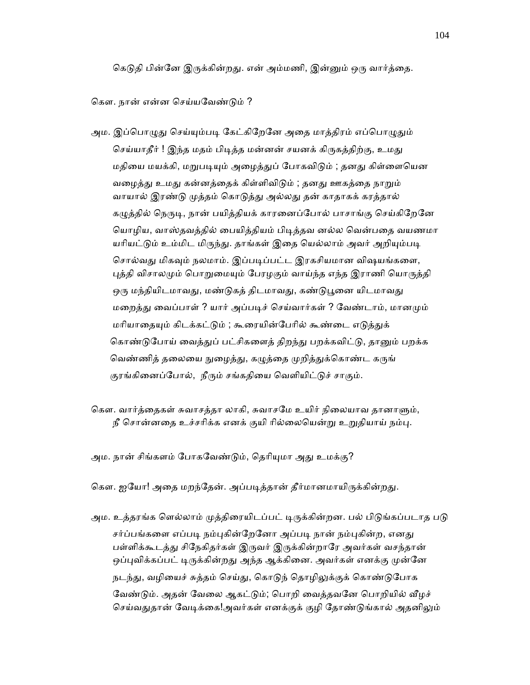கெடுதி பின்னே இருக்கின்றது. என் அம்மணி, இன்னும் ஒரு வார்த்தை.

கௌ. நான் என்ன செய்யவேண்டும் ?

அம. இப்பொழுது செய்யும்படி கேட்கிறேனே அதை மாத்திரம் எப்பொழுதும் செய்யாதீர் ! இந்த மதம் பிடித்த மன்னன் சயனக் கிருகத்திற்கு, உமது மதியை மயக்கி, மறுபடியும் அழைத்துப் போகவிடும் ; தனது கிள்ளையென வழைத்து உமது கன்னத்தைக் கிள்ளிவிடும் ; தனது ஊகத்தை நாறும் வாயால் இரண்டு முத்தம் கொடுத்து அல்லது தன் காதாகக் கரத்தால் கழுத்தில் நெருடி, நான் பயித்தியக் காரனைப்போல் பாசாங்கு செய்கிறேனே யொழிய, வாஸ்தவத்தில் பையித்தியம் பிடித்தவ னல்ல வென்பதை வயணமா யரியட்டும் உம்மிட மிருந்து. தாங்கள் இதை யெல்லாம் அவர் அறியும்படி சொல்வது மிகவும் நலமாம். இப்படிப்பட்ட இரகசியமான விஷயங்களை, புத்தி விசாலமும் பொறுமையும் பேரழகும் வாய்ந்த எந்த இராணி யொருத்தி ஒரு மந்தியிடமாவது, மண்டுகத் திடமாவது, கண்டுபூனை யிடமாவது மறைத்து வைப்பாள் ? யார் அப்படிச் செய்வார்கள் ? வேண்டாம், மானமும் மரியாதையும் கிடக்கட்டும் ; கூரையின்பேரில் கூண்டை எடுத்துக் கொண்டுபோய் வைத்துப் பட்சிகளைத் திறந்து பறக்கவிட்டு, தானும் பறக்க வெண்ணித் தலையை நுழைத்து, கழுத்தை முறித்துக்கொண்ட கருங் குரங்கினைப்போல், நீரும் சங்கதியை வெளியிட்டுச் சாகும்.

கௌ. வார்த்தைகள் சுவாசத்தா லாகி, சுவாசமே உயிர் நிலையாவ தானாளும், நீ சொன்னதை உச்சரிக்க எனக் குயி ரில்லையென்று உறுதியாய் நம்பு.

அம. நான் சிங்களம் போகவேண்டும், தெரியுமா அது உமக்கு?

கௌ. ஐயோ! அதை மறந்தேன். அப்படித்தான் தீர்மானமாயிருக்கின்றது.

அம. உத்தரங்க ளெல்லாம் முத்திரையிடப்பட் டிருக்கின்றன. பல் பிடுங்கப்படாத படு சர்ப்பங்களை எப்படி நம்புகின்றேனோ அப்படி நான் நம்புகின்ற, எனது பள்ளிக்கூடத்து சிநேகிதர்கள் இருவர் இருக்கின்றாரே அவர்கள் வசந்தான் ஒப்புவிக்கப்பட் டிருக்கின்றது அந்த ஆக்கினை. அவர்கள் எனக்கு முன்னே நடந்து, வழியைச் சுத்தம் செய்து, கொடுந் தொழிலுக்குக் கொண்டுபோக வேண்டும். அதன் வேலை ஆகட்டும்; பொறி வைத்தவனே பொறியில் வீழச் செய்வதுதான் வேடிக்கை!அவர்கள் எனக்குக் குழி தோண்டுங்கால் அதனிலும்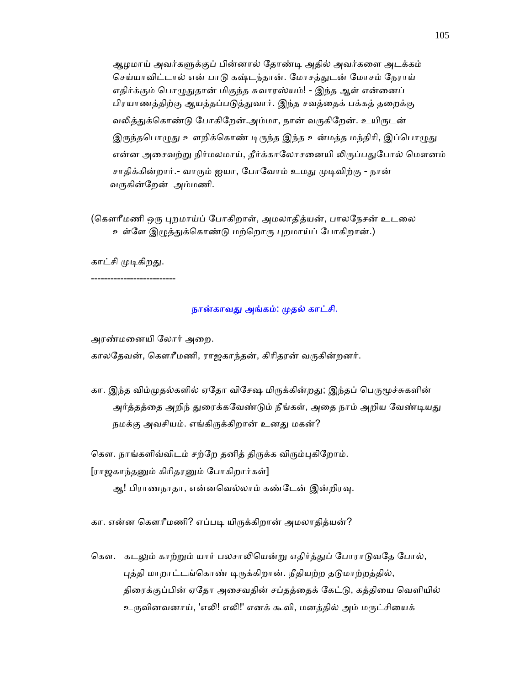ஆழமாய் அவர்கᾦக்குப் பின்னால் ேதாண்ᾊ அதில் அவர்கைள அடக்கம் செய்யாவிட்டால் என் பாடு கஷ்டந்தான். மோசத்துடன் மோசம் நேராய் எதிர்க்கும் பொழுதுதான் மிகுந்த சுவாரஸ்யம்! - இந்த ஆள் என்னைப் பிரயாணத்திற்கு ஆயத்தப்படுத்துவார். இந்த சவத்தைக் பக்கத் தறைக்கு வலித்துக்கொண்டு போகிறேன்.அம்மா, நான் வருகிறேன். உயிருடன் இருந்தபொழுது உளறிக்கொண் டிருந்த இந்த உன்மத்த மந்திரி, இப்பொழுது என்ன அசைவற்று நிர்மலமாய், தீர்க்காலோசனையி லிருப்பதுபோல் மௌனம் சாதிக்கின்றார்.- வாரும் ஐயா, போவோம் உமது முடிவிற்கு - நான் வருகின்றேன் அம்மணி.

(கௌரீமணி ஒரு புறமாய்ப் போகிறாள், அமலாதித்யன், பாலநேசன் உடலை உள்ளே இழுத்துக்கொண்டு மற்றொரு புறமாய்ப் போகிறான்.)

காட்சி முடிகிறது.

--------------------------

## நான்காவது அங்கம்: முதல் காட்சி.

அரண்மைனயி ேலார் அைற.

காலதேவன், கௌரீமணி, ராஜகாந்தன், கிரிதரன் வருகின்றனர்.

கா. இந்த விம்முதல்களில் ஏதோ விசேஷ மிருக்கின்றது; இந்தப் பெருமூச்சுகளின் அர்த்தத்தை அறிந் துரைக்கவேண்டும் நீங்கள், அதை நாம் அறிய வேண்டியது நமக்கு அவசியம். எங்கிருக்கிறான் உனது மகன்?

கௌ. நாங்களிவ்விடம் சற்றே தனித் திருக்க விரும்புகிறோம்.

[ராஜகாந்தனும் கிரிதரனும் போகிறார்கள்]

ஆ! பிராணநாதா, என்னவெல்லாம் கண்டேன் இன்றிரவு.

கா. என்ன கௌரீமணி? எப்படி யிருக்கிறான் அமலாதித்யன்?

கௌ. கடலும் காற்றும் யார் பலசாலியென்று எதிர்த்துப் போராடுவதே போல், புத்தி மாறாட்டங்கொண் டிருக்கிறான். நீதியற்ற தடுமாற்றத்தில், திரைக்குப்பின் ஏதோ அசைவதின் சப்தத்தைக் கேட்டு, கத்தியை வெளியில் உருவினவனாய், 'எலி! எலி!' எனக் கூவி, மனத்தில் அம் மருட்சியைக்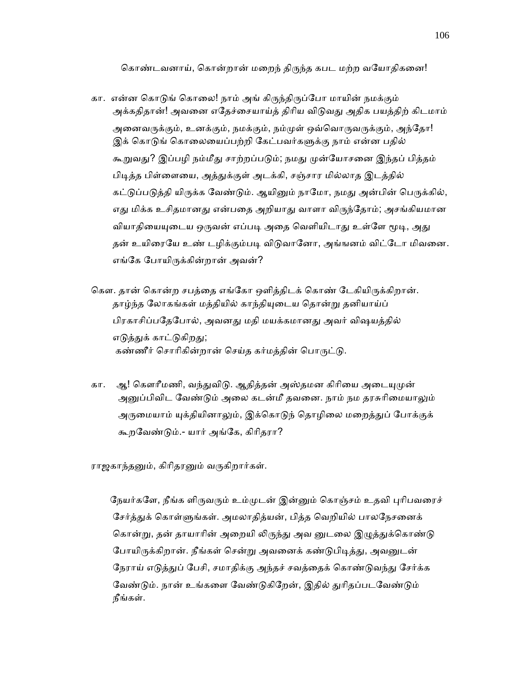கொண்டவனாய், கொன்றான் மறைந் திருந்த கபட மற்ற வயோதிகனை!

- கா. என்ன கொடுங் கொலை! நாம் அங் கிருந்திருப்போ மாயின் நமக்கும் அக்கதிதான்! அவனை எதேச்சையாய்த் திரிய விடுவது அதிக பயத்திற் கிடமாம் அனைவருக்கும், உனக்கும், நமக்கும், நம்முள் ஒவ்வொருவருக்கும், அந்தோ! இக் கொடுங் கொலையைப்பற்றி கேட்பவர்களுக்கு நாம் என்ன பதில் கூறுவது? இப்பழி நம்மீது சாற்றப்படும்; நமது முன்யோசனை இந்தப் பித்தம் பிடித்த பிள்ளையை, அத்துக்குள் அடக்கி, சஞ்சார மில்லாத இடத்தில் கட்டுப்படுத்தி யிருக்க வேண்டும். ஆயினும் நாமோ, நமது அன்பின் பெருக்கில், எது மிக்க உசிதமானது என்பதை அறியாது வாளா விருந்தோம்; அசங்கியமான வியாதியையுடைய ஒருவன் எப்படி அதை வெளியிடாது உள்ளே மூடி, அது தன் உயிரையே உண் டமிக்கும்படி விடுவானோ, அங்ஙனம் விட்டோ மிவனை. எங்ேக ேபாயிᾞக்கின்றான் அவன்?
- கௌ. தான் கொன்ற சபத்தை எங்கோ ஒளித்திடக் கொண் டேகியிருக்கிறான். தாழ்ந்த லோகங்கள் மத்தியில் காந்தியுடைய தொன்று தனியாய்ப் பிரகாசிப்பதேபோல், அவனது மதி மயக்கமானது அவர் விஷயத்தில் எடுத்துக் காட்டுகிறது; கண்ணீர் சொரிகின்றான் செய்த கர்மத்தின் பொருட்டு.
- கா. ஆ! கௌரீமணி, வந்துவிடு. ஆதித்தன் அஸ்தமன கிரியை அடையுமுன் அனுப்பிவிட வேண்டும் அலை கடன்மீ தவனை. நாம் நம தரசுரிமையாலும் அருமையாம் யுக்தியினாலும், இக்கொடுந் தொழிலை மறைத்துப் போக்குக் கூறேவண்ᾌம்.- யார் அங்ேக, கிாிதரா?

ராஜகாந்தனும், கிரிதரனும் வருகிறார்கள்.

நேயர்களே, நீங்க ளிருவரும் உம்முடன் இன்னும் கொஞ்சம் உதவி புரிபவரைச் சேர்த்துக் கொள்ளுங்கள். அமலாதித்யன், பித்த வெறியில் பாலநேசனைக் கொன்று, தன் தாயாரின் அறையி லிருந்து அவ னுடலை இழுத்துக்கொண்டு போயிருக்கிறான். நீங்கள் சென்று அவனைக் கண்டுபிடித்து, அவனுடன் நேராய் எடுத்துப் பேசி, சமாதிக்கு அந்தச் சவத்தைக் கொண்டுவந்து சேர்க்க வேண்டும். நான் உங்களை வேண்டுகிறேன், இதில் துரிதப்படவேண்டும் நீங்கள்.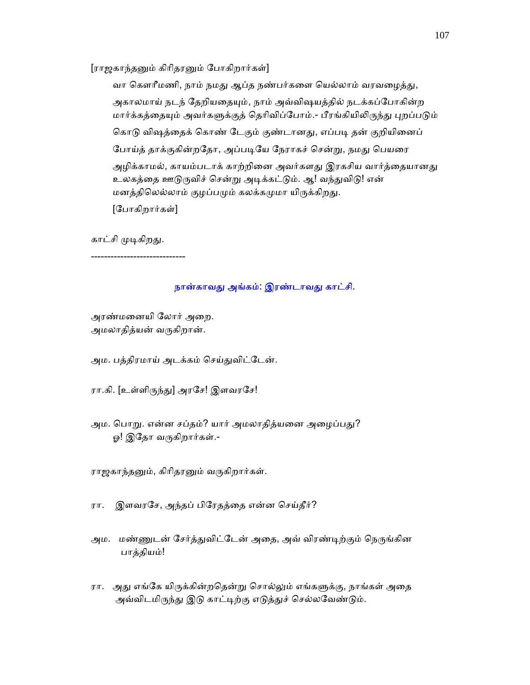[ராஜகாந்தனும் கிரிதரனும் போகிறார்கள்]

வா கௌரீமணி, நாம் நமது ஆப்த நண்பர்களை யெல்லாம் வரவழைத்து, அகாலமாய் நடந் தேறியதையும், நாம் அவ்விஷயத்தில் நடக்கப்போகின்ற மார்க்கத்தையும் அவர்களுக்குத் தெரிவிப்போம்.- பீரங்கியிலிருந்து புறப்படும் கொடு விஷத்தைக் கொண் டேகும் குண்டானது, எப்படி தன் குறியினைப் போய்த் தாக்குகின்றதோ, அப்படியே நேராகச் சென்று, நமது பெயரை அழிக்காமல், காயம்படாக் காற்றினை அவர்களது இரகசிய வார்த்தையானது உலகத்தை ஊடுருவிச் சென்று அடிக்கட்டும். ஆ! வந்துவிடு! என் மனத்திலெல்லாம் குழப்பமும் கலக்கமுமா யிருக்கிறது. [ேபாகிறார்கள்]

காட்சி முடிகிறது.

-----------------------------

## நான்காவது அங்கம்: இரண்டாவது காட்சி.

 அரண்மைனயி ேலார் அைற. அமலாதித்யன் வருகிறான்.

அம. பத்திரமாய் அடக்கம் செய்துவிட்டேன்.

ரா.கி. [உள்ளிருந்து] அரசே! இளவரசே!

அம. பொறு. என்ன சப்தம்? யார் அமலாதித்யனை அழைப்பது? ஓ! இதோ வருகிறார்கள்.-

ராஜகாந்தனும், கிரிதரனும் வருகிறார்கள்.

ரா. இளவரேச, அந்தப் பிேரதத்ைத என்ன ெசய்தீர்?

அம. மண்ணுடன் சேர்த்துவிட்டேன் அதை, அவ் விரண்டிற்கும் நெருங்கின பாத்தியம்!

ரா. அது எங்கே யிருக்கின்றதென்று சொல்லும் எங்களுக்கு, நாங்கள் அதை அவ்விடமிருந்து இடு காட்டிற்கு எடுத்துச் செல்லவேண்டும்.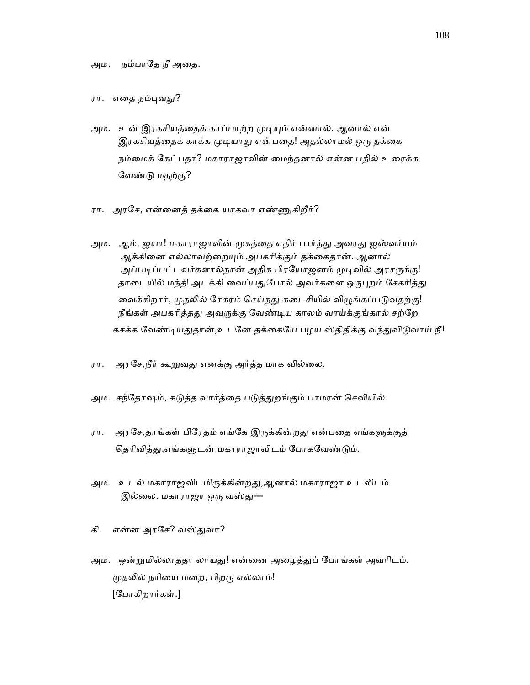ரா. எதை நம்புவது?

- அம. உன் இரகசியத்தைக் காப்பாற்ற முடியும் என்னால். ஆனால் என் இரகசியத்தைக் காக்க முடியாது என்பதை! அதல்லாமல் ஒரு தக்கை நம்மைக் கேட்பதா? மகாராஜாவின் மைந்தனால் என்ன பதில் உரைக்க ேவண்ᾌ மதற்கு?
- ரா. அரசே, என்னைத் தக்கை யாகவா எண்ணுகிறீர்?
- அம. ஆம், ஐயா! மகாராஜாவின் முகத்தை எதிர் பார்த்து அவரது ஐஸ்வர்யம் ஆக்கினை எல்லாவற்றையும் அபகரிக்கும் தக்கைதான். ஆனால் அப்படிப்பட்டவர்களால்தான் அதிக பிரயோஜனம் முடிவில் அரசருக்கு! தாடையில் மந்தி அடக்கி வைப்பதுபோல் அவர்களை ஒருபுறம் சேகரித்து வைக்கிறார், முதலில் சேகரம் செய்தது கடைசியில் விழுங்கப்படுவதற்கு! நீங்கள் அபகரித்தது அவருக்கு வேண்டிய காலம் வாய்க்குங்கால் சற்றே கசக்க வேண்டியதுதான்,உடனே தக்கையே பழய ஸ்திதிக்கு வந்துவிடுவாய் நீ!
- ரா. அரசே,நீர் கூறுவது எனக்கு அர்த்த மாக வில்லை.
- அம. சந்தோஷம், கடுத்த வார்த்தை படுத்துறங்கும் பாமரன் செவியில்.
- ரா. அரசே,தாங்கள் பிரேதம் எங்கே இருக்கின்றது என்பதை எங்களுக்குத் தெரிவித்து,எங்களுடன் மகாராஜாவிடம் போகவேண்டும்.
- அம. உடல் மகாராஜவிடமிருக்கின்றது,ஆனால் மகாராஜா உடலிடம் இல்லை. மகாராஜா ஒரு வஸ்து---
- கி. என்ன அரசே? வஸ்துவா?
- அம. ஒன்றுமில்லாததா லாயது! என்னை அழைத்துப் போங்கள் அவரிடம். முதலில் நரியை மறை, பிறகு எல்லாம்! [ேபாகிறார்கள்.]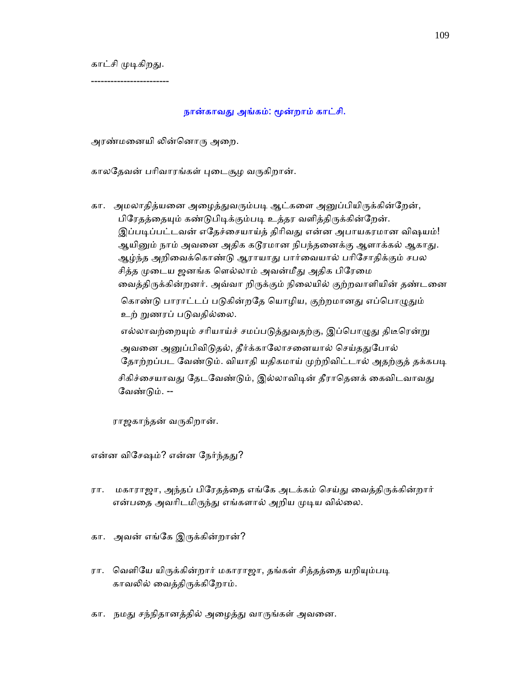காட்சி முடிகிறது.

------------------------

நான்காவது அங்கம்: மூன்றாம் காட்சி.

அரண்மனையி லின்னொரு அறை.

காலதேவன் பரிவாரங்கள் புடைசூழ வருகிறான்.

கா. அமலாதித்யனை அழைத்துவரும்படி ஆட்களை அனுப்பியிருக்கின்றேன், பிரேதத்தையும் கண்டுபிடிக்கும்படி உத்தர வளித்திருக்கின்றேன். இப்படிப்பட்டவன் எதேச்சையாய்த் திரிவது என்ன அபாயகரமான விஷயம்! ஆயினும் நாம் அவனை அதிக கடூரமான நிபந்தனைக்கு ஆளாக்கல் ஆகாது. ஆழ்ந்த அறிவைக்கொண்டு ஆராயாது பார்வையால் பரிசோதிக்கும் சபல சித்த முடைய ஜனங்க ளெல்லாம் அவன்மீது அதிக பிரேமை வைத்திருக்கின்றனர். அவ்வா றிருக்கும் நிலையில் குற்றவாளியின் தண்டனை கொண்டு பாராட்டப் படுகின்றதே யொழிய, குற்றமானது எப்பொழுதும் உற் றுணரப் படுவதில்லை. எல்லாவற்றையும் சரியாய்ச் சமப்படுத்துவதற்கு, இப்பொழுது திடீரென்று அவனை அனுப்பிவிடுதல், தீர்க்காலோசனையால் செய்ததுபோல் தோற்றப்பட வேண்டும். வியாதி யதிகமாய் முற்றிவிட்டால் அதற்குத் தக்கபடி சிகிச்சையாவது தேடவேண்டும், இல்லாவிடின் தீராதெனக் கைவிடவாவது வேண்டும். --

ராஜகாந்தன் வᾞகிறான்.

என்ன விசேஷம்? என்ன நேர்ந்தது?

- ரா. மகாராஜா, அந்தப் பிரேதத்தை எங்கே அடக்கம் செய்து வைத்திருக்கின்றார் என்பதை அவரிடமிருந்து எங்களால் அறிய முடிய வில்லை.
- கா. அவன் எங்கே இருக்கின்றான்?
- ரா. வெளியே யிருக்கின்றார் மகாராஜா, தங்கள் சித்தத்தை யறியும்படி காவᾢல் ைவத்திᾞக்கிேறாம்.
- கா. நமது சந்நிதானத்தில் அழைத்து வாருங்கள் அவனை.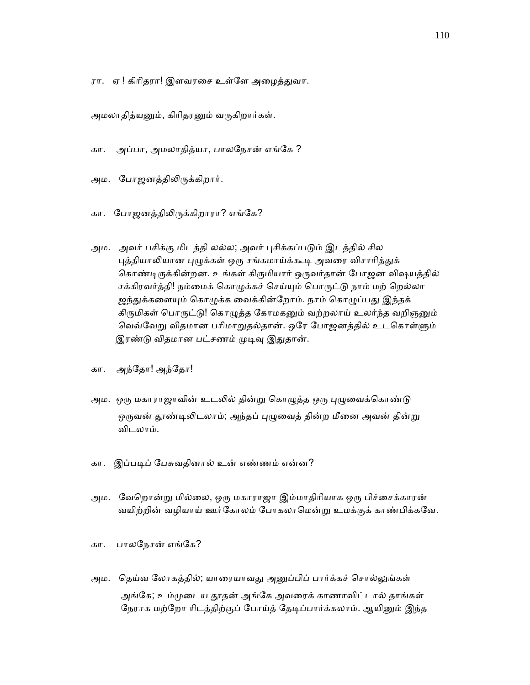ரா. ஏ ! கிரிதரா! இளவரசை உள்ளே அழைத்துவா.

அமலாதித்யனும், கிரிதரனும் வருகிறார்கள்.

- கா. அப்பா, அமலாதித்யா, பாலேநசன் எங்ேக ?
- அம. போஜனத்திலிருக்கிறார்.
- கா. போஜனத்திலிருக்கிறாரா? எங்கே?
- அம. அவர் பசிக்கு மிடத்தி லல்ல; அவர் புசிக்கப்படும் இடத்தில் சில புத்தியாலியான புழுக்கள் ஒரு சங்கமாய்க்கூடி அவரை விசாரித்துக் கொண்டிருக்கின்றன. உங்கள் கிருமியார் ஒருவர்தான் போஜன விஷயத்தில் சக்கிரவர்த்தி! நம்மைக் கொழுக்கச் செய்யும் பொருட்டு நாம் மற் றெல்லா ஜந்துக்களையும் கொழுக்க வைக்கின்றோம். நாம் கொழுப்பது இந்தக் கிருமிகள் பொருட்டு! கொழுத்த கோமகனும் வற்றலாய் உலர்ந்த வறிஞனும் வெவ்வேறு விதமான பரிமாறுதல்தான். ஒரே போஜனத்தில் உடகொள்ளும் இரண்டு விதமான பட்சணம் முடிவு இதுதான்.
- கா. அந்ேதா! அந்ேதா!
- அம. ஒரு மகாராஜாவின் உடலில் தின்று கொழுத்த ஒரு புழுவைக்கொண்டு ஒருவன் தூண்டிலிடலாம்; அந்தப் புழுவைத் தின்ற மீனை அவன் தின்று விடலாம்.
- கா. இப்பᾊப் ேபசுவதினால் உன் எண்ணம் என்ன?
- அம. வேறொன்று மில்லை, ஒரு மகாராஜா இம்மாதிரியாக ஒரு பிச்சைக்காரன் வயிற்றின் வழியாய் ஊர்கோலம் போகலாமென்று உமக்குக் காண்பிக்கவே.
- கா. பாலநேசன் எங்கே?
- அம. தெய்வ லோகத்தில்; யாரையாவது அனுப்பிப் பார்க்கச் சொல்லுங்கள் அங்கே; உம்முடைய தூதன் அங்கே அவரைக் காணாவிட்டால் தாங்கள் நேராக மற்றோ ரிடத்திற்குப் போய்த் தேடிப்பார்க்கலாம். ஆயினும் இந்த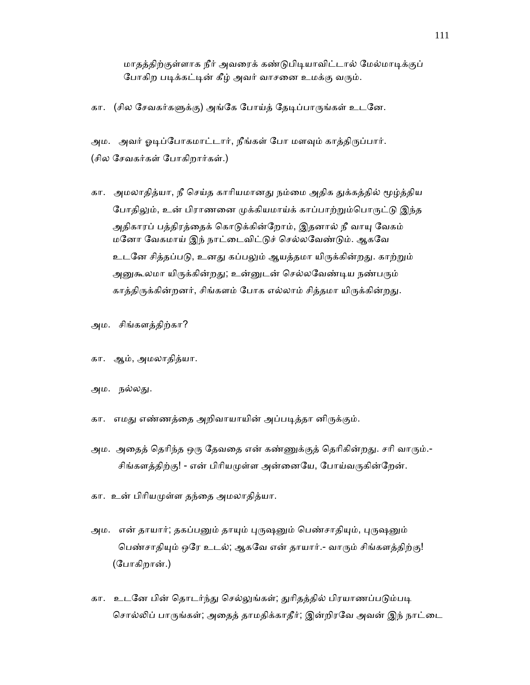மாதத்திற்குள்ளாக நீர் அவரைக் கண்டுபிடியாவிட்டால் மேல்மாடிக்குப் போகிற படிக்கட்டின் கீழ் அவர் வாசனை உமக்கு வரும்.

கா. (சில சேவகர்களுக்கு) அங்கே போய்த் தேடிப்பாருங்கள் உடனே.

அம. அவர் ஓடிப்போகமாட்டார், நீங்கள் போ மளவும் காத்திருப்பார். (சில ேசவகர்கள் ேபாகிறார்கள்.)

- கா. அமலாதித்யா, நீ செய்த காரியமானது நம்மை அதிக துக்கத்தில் மூழ்த்திய போதிலும், உன் பிராணனை முக்கியமாய்க் காப்பாற்றும்பொருட்டு இந்த அதிகாரப் பத்திரத்தைக் கொடுக்கின்றோம், இதனால் நீ வாயு வேகம் மேனா ேவகமாய் இந் நாட்ைடவிட்ᾌச் ெசல்லேவண்ᾌம். ஆகேவ உடனே சித்தப்படு, உனது கப்பலும் ஆயத்தமா யிருக்கின்றது. காற்றும் அனுகூலமா யிருக்கின்றது; உன்னுடன் செல்லவேண்டிய நண்பரும் காத்திருக்கின்றனர், சிங்களம் போக எல்லாம் சித்தமா யிருக்கின்றது.
- அம. சிங்களத்திற்கா?
- கா. ஆம், அமலாதித்யா.
- அம. நல்லது.
- கா. எமது எண்ணத்தை அறிவாயாயின் அப்படித்தா னிருக்கும்.
- அம. அதைத் தெரிந்த ஒரு தேவதை என் கண்ணுக்குத் தெரிகின்றது. சரி வாரும்.-சிங்களத்திற்கு! - என் பிரியமுள்ள அன்னையே, போய்வருகின்றேன்.
- கா. உன் பிாியᾙள்ள தந்ைத அமலாதித்யா.
- அம. என் தாயார்; தகப்பனும் தாயும் புருஷனும் பெண்சாதியும், புருஷனும் பெண்சாதியும் ஒரே உடல்; ஆகவே என் தாயார்.- வாரும் சிங்களத்திற்கு! (ேபாகிறான்.)
- கா. உடனே பின் தொடர்ந்து செல்லுங்கள்; துரிதத்தில் பிரயாணப்படும்படி சொல்லிப் பாருங்கள்; அதைத் தாமதிக்காதீர்; இன்றிரவே அவன் இந் நாட்டை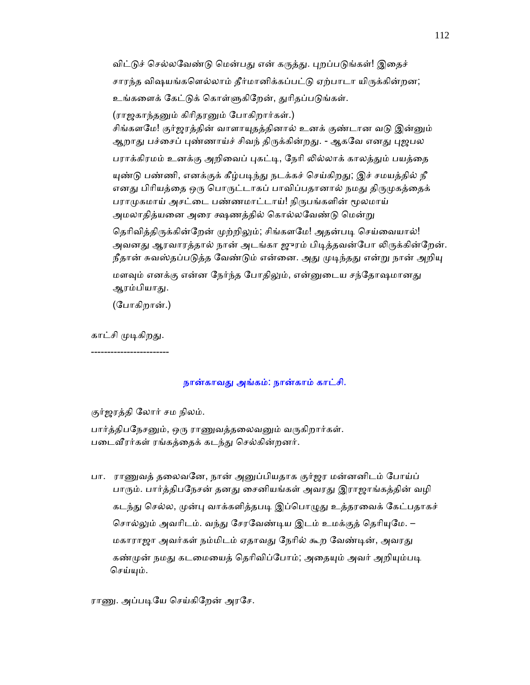விட்டுச் செல்லவேண்டு மென்பது என் கருத்து. புறப்படுங்கள்! இதைச் சாரந்த விஷயங்களெல்லாம் தீர்மானிக்கப்பட்டு ஏற்பாடா யிருக்கின்றன; உங்களைக் கேட்டுக் கொள்ளுகிறேன், துரிதப்படுங்கள். (ராஜகாந்தனும் கிரிதரனும் போகிறார்கள்.)

சிங்களமே! குர்ஜரத்தின் வாளாயுதத்தினால் உனக் குண்டான வடு இன்னும் ஆறாது பச்சைப் புண்ணாய்ச் சிவந் திருக்கின்றது. - ஆகவே எனது புஜபல பராக்கிரமம் உனக்கு அறிவைப் புகட்டி, நேரி லில்லாக் காலத்தும் பயத்தை

யுண்டு பண்ணி, எனக்குக் கீழ்படிந்து நடக்கச் செய்கிறது; இச் சமயத்தில் நீ எனது பிரியத்தை ஒரு பொருட்டாகப் பாவிப்பதானால் நமது திருமுகத்தைக் பராமுகமாய் அசட்டை பண்ணமாட்டாய்! நிருபங்களின் மூலமாய் அமலாதித்யனை அரை க்ஷணத்தில் கொல்லவேண்டு மென்று

தெரிவித்திருக்கின்றேன் முற்றிலும்; சிங்களமே! அதன்படி செய்வையால்! அவனது ஆரவாரத்தால் நான் அடங்கா ஜுரம் பிடித்தவன்போ லிருக்கின்றேன். நீதான் சுவஸ்தப்படுத்த வேண்டும் என்னை. அது முடிந்தது என்று நான் அறியு

மளவும் எனக்கு என்ன நேர்ந்த போதிலும், என்னுடைய சந்தோஷமானது ஆரம்பியாது.

(ேபாகிறான்.)

காட்சி முடிகிறது.

------------------------

# நான்காவᾐ அங்கம்: நான்காம் காட்சி.

குர்ஜரத்தி ேலார் சம நிலம்.

பார்த்திபநேசனும், ஒரு ராணுவத்தலைவனும் வருகிறார்கள். படைவீரர்கள் ரங்கத்தைக் கடந்து செல்கின்றனர்.

 பா. ராᾎவத் தைலவேன, நான் அᾔப்பியதாக குர்ஜர மன்னனிடம் ேபாய்ப் பாரும். பார்த்திபநேசன் தனது சைனியங்கள் அவரது இராஜாங்கத்தின் வழி கடந்து செல்ல, முன்பு வாக்களித்தபடி இப்பொழுது உத்தரவைக் கேட்பதாகச் சொல்லும் அவரிடம். வந்து சேரவேண்டிய இடம் உமக்குத் தெரியுமே. – மகாராஜா அவர்கள் நம்மிடம் ஏதாவது நேரில் கூற வேண்டின், அவரது கண்முன் நமது கடமையைத் தெரிவிப்போம்; அதையும் அவர் அறியும்படி செய்யும்.

ராணு. அப்படியே செய்கிறேன் அரசே.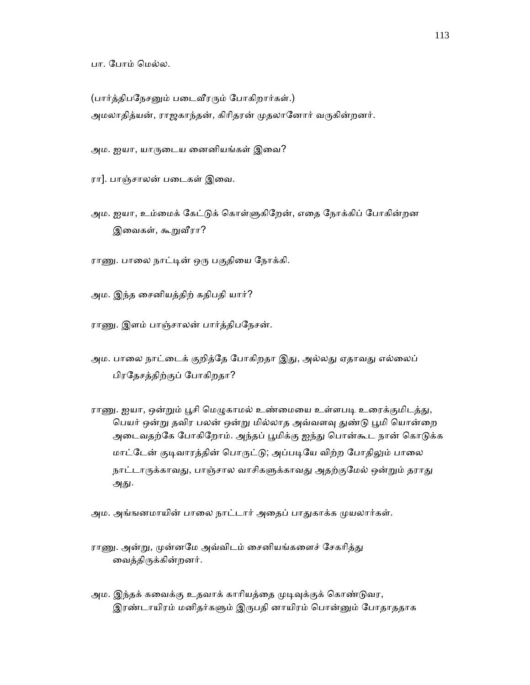பா. போம் மெல்ல.

(பார்த்திபநேசனும் படைவீரரும் போகிறார்கள்.) அமலாதித்யன், ராஜகாந்தன், கிரிதரன் முதலானோர் வருகின்றனர்.

அம. ஐயா, யாருடைய னைனியங்கள் இவை?

ரா]. பாஞ்சாலன் படைகள் இவை.

அம. ஐயா, உம்மைக் கேட்டுக் கொள்ளுகிறேன், எதை நோக்கிப் போகின்றன இவைகள், கூறுவீரா?

ராணு. பாலை நாட்டின் ஒரு பகுதியை நோக்கி.

அம. இந்த ைசனியத்திற் கதிபதி யார்?

ராணு. இளம் பாஞ்சாலன் பார்த்திபநேசன்.

- அம. பாலை நாட்டைக் குறித்தே போகிறதா இது, அல்லது ஏதாவது எல்லைப் பிரேதசத்திற்குப் ேபாகிறதா?
- ராணு. ஐயா, ஒன்றும் பூசி மெழுகாமல் உண்மையை உள்ளபடி உரைக்குமிடத்து, பெயர் ஒன்று தவிர பலன் ஒன்று மில்லாத அவ்வளவு துண்டு பூமி யொன்றை அடைவதற்கே போகிறோம். அந்தப் பூமிக்கு ஐந்து பொன்கூட நான் கொடுக்க மாட்டேன் குடிவாரத்தின் பொருட்டு; அப்படியே விற்ற போதிலும் பாலை நாட்டாருக்காவது, பாஞ்சால வாசிகளுக்காவது அதற்குமேல் ஒன்றும் தராது அது.

அம. அங்ஙனமாயின் பாலை நாட்டார் அதைப் பாதுகாக்க முயலார்கள்.

- ராணு. அன்று, முன்னமே அவ்விடம் சைனியங்களைச் சேகரித்து ைவத்திᾞக்கின்றனர்.
- அம. இந்தக் கவைக்கு உதவாக் காரியத்தை முடிவுக்குக் கொண்டுவர, இரண்டாயிரம் மனிதர்களும் இருபதி னாயிரம் பொன்னும் போதாததாக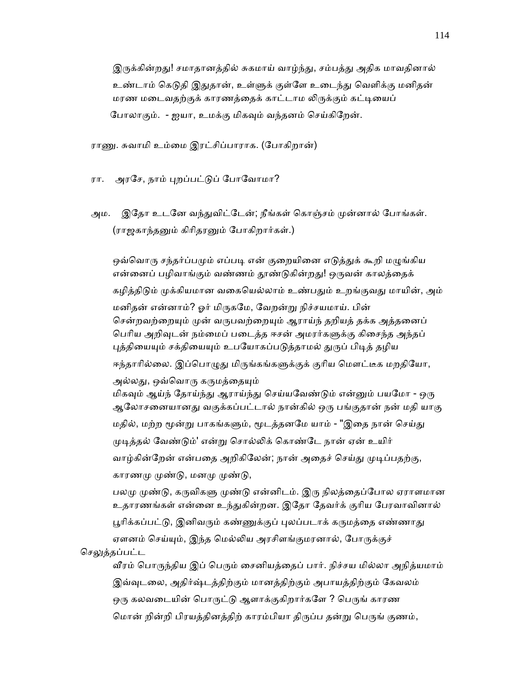இருக்கின்றது! சமாதானத்தில் சுகமாய் வாழ்ந்து, சம்பத்து அதிக மாவதினால் உண்டாம் கெடுதி இதுதான், உள்ளுக் குள்ளே உடைந்து வெளிக்கு மனிதன் மரண மடைவதற்குக் காரணத்தைக் காட்டாம லிருக்கும் கட்டியைப் ேபாலாகும். - ஐயா, உமக்கு மிகᾫம் வந்தனம் ெசய்கிேறன்.

ராணு. சுவாமி உம்மை இரட்சிப்பாராக. (போகிறான்)

ரா. அரசே, நாம் புறப்பட்டுப் போவோமா?

அம. இதோ உடனே வந்துவிட்டேன்; நீங்கள் கொஞ்சம் முன்னால் போங்கள். (ராஜகாந்தᾔம் கிாிதரᾔம் ேபாகிறார்கள்.)

ஒவ்வொரு சந்தர்ப்பமும் எப்படி என் குறையினை எடுத்துக் கூறி மழுங்கிய என்னைப் பழிவாங்கும் வண்ணம் தூண்டுகின்றது! ஒருவன் காலத்தைக் கழித்திடும் முக்கியமான வகையெல்லாம் உண்பதும் உறங்குவது மாயின், அம் மனிதன் என்னாம்? ஓர் மிருகமே, வேறன்று நிச்சயமாய். பின் சென்றவற்றையும் முன் வருபவற்றையும் ஆராய்ந் தறியத் தக்க அத்தனைப் பெரிய அறிவுடன் நம்மைப் படைத்த ஈசன் அமரர்களுக்கு கிசைந்த அந்தப் புத்தியையும் சக்தியையும் உபயோகப்படுத்தாமல் துருப் பிடித் தழிய ஈந்தாரில்லை. இப்பொழுது மிருங்கங்களுக்குக் குரிய மௌட்டீக மறதியோ, அல்லது, ஒவ்வொரு கருமத்தையும் மிகவும் ஆய்ந் தோய்ந்து ஆராய்ந்து செய்யவேண்டும் என்னும் பயமோ - ஒரு ஆலோசனையானது வகுக்கப்பட்டால் நான்கில் ஒரு பங்குதான் நன் மதி யாகு மதில், மற்ற மூன்று பாகங்களும், மூடத்தனமே யாம் - "இதை நான் செய்து முடித்தல் வேண்டும்' என்று சொல்லிக் கொண்டே நான் ஏன் உயிர் வாழ்கின்றேன் என்பதை அறிகிலேன்; நான் அதைச் செய்து முடிப்பதற்கு, காரணமு முண்டு, மனமு முண்டு, பலமு முண்டு, கருவிகளு முண்டு என்னிடம். இரு நிலத்தைப்போல ஏராளமான உதாரணங்கள் என்னை உந்துகின்றன. இதோ தேவர்க் குரிய பேரவாவினால் பூரிக்கப்பட்டு, இனிவரும் கண்ணுக்குப் புலப்படாக் கருமத்தை எண்ணாது ஏளனம் செய்யும், இந்த மெல்லிய அரசிளங்குமரனால், போருக்குச்

செலுத்தப்பட்ட

வீரம் பொருந்திய இப் பெரும் சைனியத்தைப் பார். நிச்சய மில்லா அநித்யமாம் இவ்வுடலை, அதிர்ஷ்டத்திற்கும் மானத்திற்கும் அபாயத்திற்கும் கேவலம் ஒரு கலவடையின் பொருட்டு ஆளாக்குகிறார்களே ? பெருங் காரண மொன் றின்றி பிரயத்தினத்திற் காரம்பியா திருப்ப தன்று பெருங் குணம்,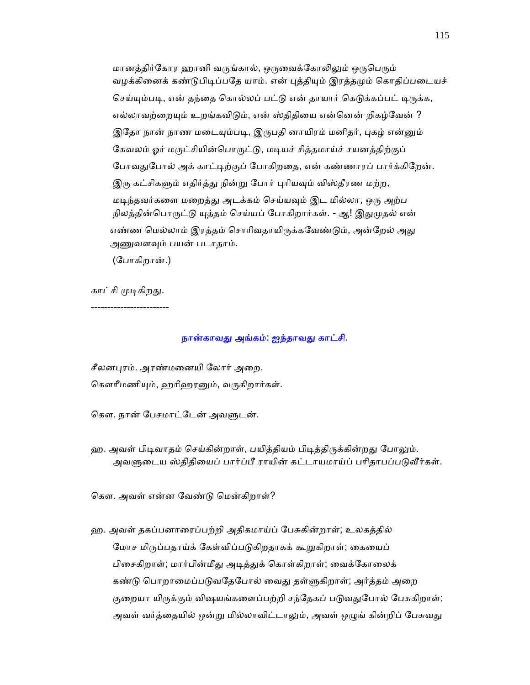மானத்திர்கோர ஹானி வருங்கால், ஒருவைக்கோலிலும் ஒருபெரும் வழக்கினைக் கண்டுபிடிப்பதே யாம். என் புத்தியும் இரத்தமும் கொதிப்படையச் செய்யும்படி, என் தந்தை கொல்லப் பட்டு என் தாயார் கெடுக்கப்பட் டிருக்க, எல்லாவற்றையும் உறங்கவிடும், என் ஸ்திதியை என்னென் றிகழ்வேன் ? இதோ நான் நாண மடையும்படி, இருபதி னாயிரம் மனிதர், புகழ் என்னும் கேவலம் ஓர் மருட்சியின்பொருட்டு, மடியச் சித்தமாய்ச் சயனத்திற்குப் போவதுபோல் அக் காட்டிற்குப் போகிறதை, என் கண்ணாரப் பார்க்கிறேன். இரு கட்சிகளும் எதிர்த்து நின்று போர் புரியவும் விஸ்தீரண மற்ற, மடிந்தவர்களை மறைத்து அடக்கம் செய்யவும் இட மில்லா, ஒரு அற்ப நிலத்தின்பொருட்டு யுத்தம் செய்யப் போகிறார்கள். - ஆ! இதுமுதல் என் எண்ண மெல்லாம் இரத்தம் சொரிவதாயிருக்கவேண்டும், அன்றேல் அது அணுவளவும் பயன் படாதாம்.

(ேபாகிறான்.)

காட்சி முடிகிறது.

------------------------

### நான்காவது அங்கம்: ஐந்தாவது காட்சி.

சீலனபுரம். அரண்மனையி லோர் அறை.

கௌரீமணியும், ஹரிஹரனும், வருகிறார்கள்.

கௌ. நான் பேசமாட்டேன் அவளுடன்.

ஹ. அவள் பிடிவாதம் செய்கின்றாள், பயித்தியம் பிடித்திருக்கின்றது போலும். அவளுடைய ஸ்திதியைப் பார்ப்பீ ராயின் கட்டாயமாய்ப் பரிதாபப்படுவீர்கள்.

ெகௗ. அவள் என்ன ேவண்ᾌ ெமன்கிறாள்?

 ஹ. அவள் தகப்பனாைரப்பற்றி அதிகமாய்ப் ேபசுகின்றாள்; உலகத்தில் மோச மிருப்பதாய்க் கேள்விப்படுகிறதாகக் கூறுகிறாள்; கையைப் பிசைகிறாள்; மார்பின்மீது அடித்துக் கொள்கிறாள்; வைக்கோலைக் கண்டு பொறாமைப்படுவதேபோல் வைது தள்ளுகிறாள்; அர்த்தம் அறை குறையா யிருக்கும் விஷயங்களைப்பற்றி சந்தேகப் படுவதுபோல் பேசுகிறாள்; அவள் வர்த்தையில் ஒன்று மில்லாவிட்டாலும், அவள் ஒழுங் கின்றிப் பேசுவது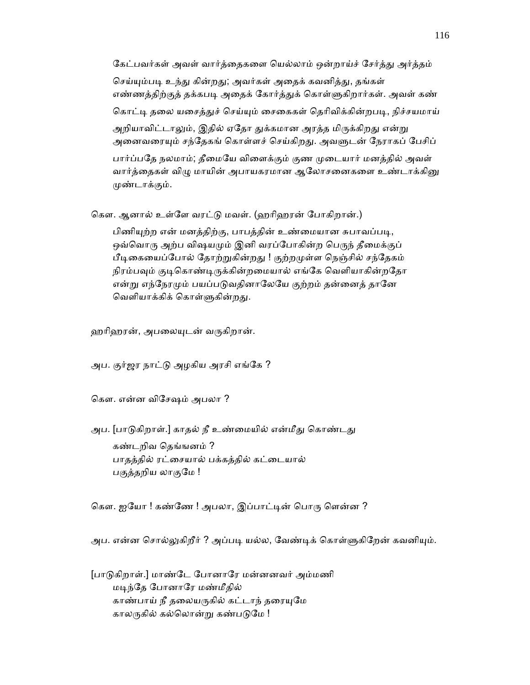கேட்பவர்கள் அவள் வார்த்தைகளை யெல்லாம் ஒன்றாய்ச் சேர்த்து அர்த்தம் செய்யும்படி உந்து கின்றது; அவர்கள் அதைக் கவனித்து, தங்கள் எண்ணத்திற்குத் தக்கபடி அதைக் கோர்த்துக் கொள்ளுகிறார்கள். அவள் கண் கொட்டி தலை யசைத்துச் செய்யும் சைகைகள் தெரிவிக்கின்றபடி, நிச்சயமாய் அறியாவிட்டாலும், இதில் ஏதோ துக்கமான அரத்த மிருக்கிறது என்று அனைவரையும் சந்தேகங் கொள்ளச் செய்கிறது. அவளுடன் நேராகப் பேசிப் பார்ப்பதே நலமாம்; தீமையே விளைக்கும் குண முடையார் மனத்தில் அவள் வார்த்தைகள் விழு மாயின் அபாயகரமான ஆலோசனைகளை உண்டாக்கினு ᾙண்டாக்கும்.

கௌ. ஆனால் உள்ளே வரட்டு மவள். (ஹரிஹரன் போகிறான்.)

பிணியுற்ற என் மனத்திற்கு, பாபத்தின் உண்மையான சுபாவப்படி, ஒவ்வொரு அற்ப விஷயமும் இனி வரப்போகின்ற பெருந் தீமைக்குப் பீடிகையைப்போல் தோற்றுகின்றது ! குற்றமுள்ள நெஞ்சில் சந்தேகம் நிரம்பவும் குடிகொண்டிருக்கின்றமையால் எங்கே வெளியாகின்றதோ என்று எந்நேரமும் பயப்படுவதினாலேயே குற்றம் தன்னைத் தானே வெளியாக்கிக் கொள்ளுகின்றது.

ஹரிஹரன், அபலையுடன் வருகிறான்.

அப. குர்ஜர நாட்ᾌ அழகிய அரசி எங்ேக ?

ெகௗ. என்ன விேசஷம் அபலா ?

அப. [பாடுகிறாள்.] காதல் நீ உண்மையில் என்மீது கொண்டது கண்டறிவ ெதங்ஙனம் ? பாதத்தில் ரட்ைசயால் பக்கத்தில் கட்ைடயால் பகுத்தறிய லாகுமே !

கௌ. ஐயோ ! கண்ணே ! அபலா, இப்பாட்டின் பொரு ளென்ன ?

அப. என்ன சொல்லுகிறீர் ? அப்படி யல்ல, வேண்டிக் கொள்ளுகிறேன் கவனியும்.

 [பாᾌகிறாள்.] மாண்ேட ேபானாேர மன்னனவர் அம்மணி மடிந்தே போனாரே மண்மீதில் காண்பாய் நீ தலையருகில் கட்டாந் தரையுமே காலருகில் கல்லொன்று கண்படுமே !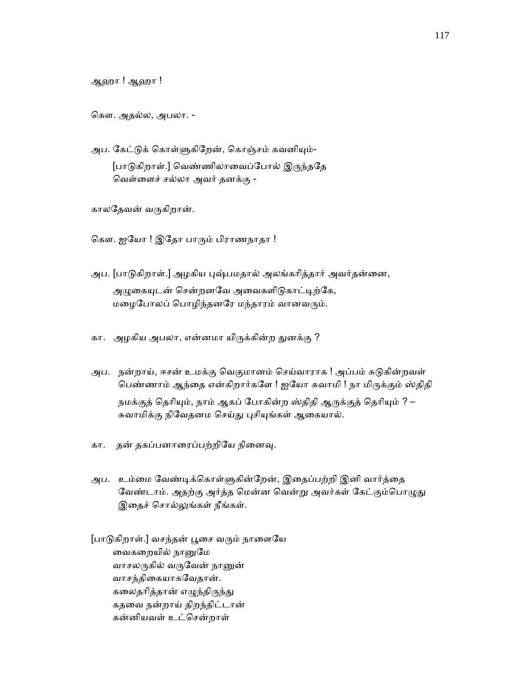ஆஹா ! ஆஹா !

ெகௗ. அதல்ல, அபலா. -

அப. கேட்டுக் கொள்ளுகிறேன், கொஞ்சம் கவனியும்-[பாடுகிறாள்.] வெண்ணிலாவைப்போல் இருந்ததே ெவள்ைளச் சல்லா அவர் தனக்கு -

காலதேவன் வருகிறான்.

கௌ. ஐயோ ! இதோ பாரும் பிராணநாதா !

- அப. [பாடுகிறாள்.] அழகிய புஷ்பமதால் அலங்கரித்தார் அவர்தன்னை, அழுகையுடன் சென்றனவே அவைகளிடுகாட்டிற்கே, மழைபோலப் பொழிந்தனரே மந்தாரம் வானவரும்.
- கா. அழகிய அபலா, என்னமா யிருக்கின்ற துனக்கு ?
- அப. நன்றாய், ஈசன் உமக்கு வெகுமானம் செய்வாராக ! அப்பம் சுடுகின்றவள் பெண்ணாம் ஆந்தை என்கிறார்களே ! ஐயோ சுவாமி ! நா மிருக்கும் ஸ்திதி நமக்குத் தெரியும், நாம் ஆகப் போகின்ற ஸ்திதி ஆருக்குத் தெரியும் ? – சுவாமிக்கு நிவேதனம செய்து புசியுங்கள் ஆகையால்.
- கா. தன் தகப்பனாரைப்பற்றியே நினைவு.
- அப. உம்மை வேண்டிக்கொள்ளுகின்றேன், இதைப்பற்றி இனி வார்த்தை வேண்டாம். அதற்கு அர்த்த மென்ன வென்று அவர்கள் கேட்கும்பொழுது இதைச் சொல்லுங்கள் நீங்கள்.
- [பாடுகிறாள்.] வசந்தன் பூசை வரும் நாளையே ைவகைறயில் நாᾔேம வாசலருகில் வருவேன் நானுன் வாசந்திைகயாகேவதான். கலைதரித்தான் எழுந்திருந்து கதைவ நன்றாய் திறந்திட்டான் கன்னியவள் உட்ெசன்றாள்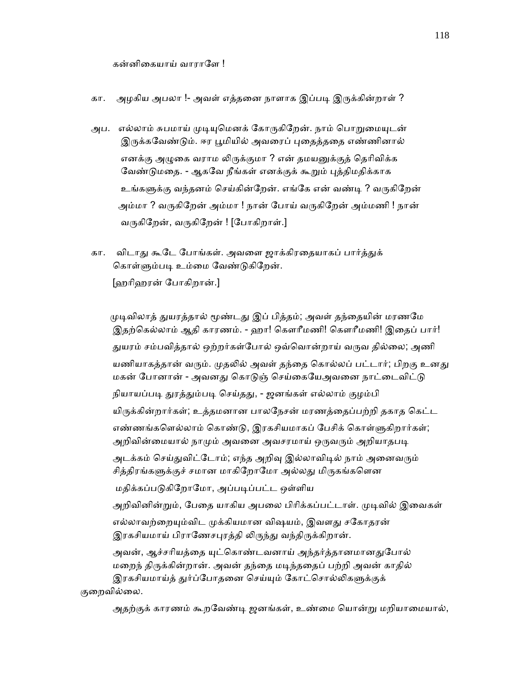கன்னிகையாய் வாராளே !

### கா. அழகிய அபலா !- அவள் எத்தனை நாளாக இப்படி இருக்கின்றாள் ?

- அப. எல்லாம் சுபமாய் முடியுமெனக் கோருகிறேன். நாம் பொறுமையுடன் இருக்கவேண்டும். ஈர பூமியில் அவரைப் புதைத்ததை எண்ணினால் எனக்கு அழுகை வராம லிருக்குமா ? என் தமயனுக்குத் தெரிவிக்க வேண்டுமதை. - ஆகவே நீங்கள் எனக்குக் கூறும் புத்திமதிக்காக உங்களுக்கு வந்தனம் செய்கின்றேன். எங்கே என் வண்டி ? வருகிறேன் அம்மா ? வருகிறேன் அம்மா ! நான் போய் வருகிறேன் அம்மணி ! நான் வருகிறேன், வருகிறேன் ! [போகிறாள்.]
- கா. விடாது கூடே போங்கள். அவளை ஜாக்கிரதையாகப் பார்த்துக் கொள்ளும்படி உம்மை வேண்டுகிறேன். [ஹாிஹரன் ேபாகிறான்.]

முடிவிலாத் துயரத்தால் மூண்டது இப் பித்தம்; அவள் தந்தையின் மரணமே இதற்ெகல்லாம் ஆதி காரணம். - ஹா! ெகௗாீமணி! ெகௗாீமணி! இைதப் பார்! துயரம் சம்பவித்தால் ஒற்றர்கள்போல் ஒவ்வொன்றாய் வருவ தில்லை; அணி யணியாகத்தான் வரும். முதலில் அவள் தந்தை கொல்லப் பட்டார்; பிறகு உனது மகன் போனான் - அவனது கொடுஞ் செய்கையேஅவனை நாட்டைவிட்டு நியாயப்படி துரத்தும்படி செய்தது, - ஜனங்கள் எல்லாம் குழம்பி யிருக்கின்றார்கள்; உத்தமனான பாலநேசன் மரணத்தைப்பற்றி தகாத கெட்ட எண்ணங்களெல்லாம் கொண்டு, இரகசியமாகப் பேசிக் கொள்ளுகிறார்கள்; அறிவின்மையால் நாமும் அவனை அவசரமாய் ஒருவரும் அறியாதபடி அடக்கம் செய்துவிட்டோம்; எந்த அறிவு இல்லாவிடில் நாம் அனைவரும் சித்திரங்களுக்குச் சமான மாகிறோமோ அல்லது மிருகங்களென மதிக்கப்படுகிறோமோ, அப்படிப்பட்ட ஒள்ளிய அறிவினின்றும், பேதை யாகிய அபலை பிரிக்கப்பட்டாள். முடிவில் இவைகள் எல்லாவற்றையும்விட முக்கியமான விஷயம், இவளது சகோதரன் இரகசியமாய் பிராணேசபுரத்தி லிருந்து வந்திருக்கிறான். அவன், ஆச்சரியத்தை யுட்கொண்டவனாய் அந்தர்த்தானமானதுபோல் மறைந் திருக்கின்றான். அவன் தந்தை மடிந்ததைப் பற்றி அவன் காதில்

இரகசியமாய்த் துர்ப்போதனை செய்யும் கோட்சொல்லிகளுக்குக் குைறவில்ைல.

அதற்குக் காரணம் கூறவேண்டி ஜனங்கள், உண்மை யொன்று மறியாமையால்,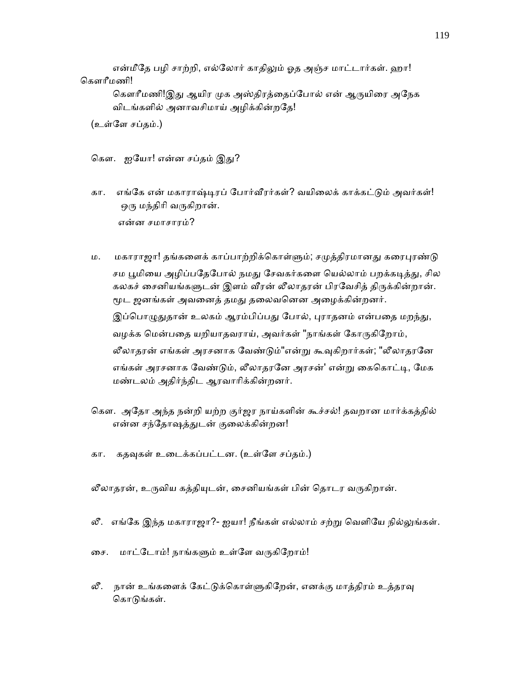என்மீதே பழி சாற்றி, எல்லோர் காதிலும் ஓத அஞ்ச மாட்டார்கள். ஹா! ெகௗாீமணி!

கௌரீமணி!இது ஆயிர முக அஸ்திரத்தைப்போல் என் ஆருயிரை அநேக விடங்களில் அனாவசிமாய் அழிக்கின்றேத!

(உள்ேள சப்தம்.)

கௌ. ஐயோ! என்ன சப்தம் இது?

- கா. எங்கே என் மகாராஷ்டிரப் போர்வீரர்கள்? வயிலைக் காக்கட்டும் அவர்கள்! ஒரு மந்திரி வருகிறான். என்ன சமாசாரம்?
- ம. மகாராஜா! தங்களைக் காப்பாற்றிக்கொள்ளும்; சமுத்திரமானது கரைபுரண்டு சம பூமியை அழிப்பதேபோல் நமது சேவகர்களை யெல்லாம் பறக்கடித்து, சில கலகச் சைனியங்களுடன் இளம் வீரன் லீலாதரன் பிரவேசித் திருக்கின்றான். மூட ஜனங்கள் அவனைத் தமது தலைவனென அழைக்கின்றனர். இப்பொழுதுதான் உலகம் ஆரம்பிப்பது போல், புராதனம் என்பதை மறந்து, வழக்க மென்பதை யறியாதவராய், அவர்கள் "நாங்கள் கோருகிறோம், லீலாதரன் எங்கள் அரசனாக வேண்டும்"என்று கூவுகிறார்கள்; "லீலாதரனே எங்கள் அரசனாக வேண்டும், லீலாதரனே அரசன்' என்று கைகொட்டி, மேக மண்டலம் அதிர்ந்திட ஆரவாாிக்கின்றனர்.
- ெகௗ. அேதா அந்த நன்றி யற்ற குர்ஜர நாய்களின் கூச்சல்! தவறான மார்க்கத்தில் என்ன சந்தோஷத்துடன் குலைக்கின்றன!
- கா. கதவுகள் உடைக்கப்பட்டன. (உள்ளே சப்தம்.)

லீலாதரன், உருவிய கத்தியுடன், சைனியங்கள் பின் தொடர வருகிறான்.

- லீ. எங்கே இந்த மகாராஜா?- ஐயா! நீங்கள் எல்லாம் சற்று வெளியே நில்லுங்கள்.
- ைச. மாட்ேடாம்! நாங்கᾦம் உள்ேள வᾞகிேறாம்!
- லீ. நான் உங்களைக் கேட்டுக்கொள்ளுகிறேன், எனக்கு மாத்திரம் உத்தரவு கொடுங்கள்.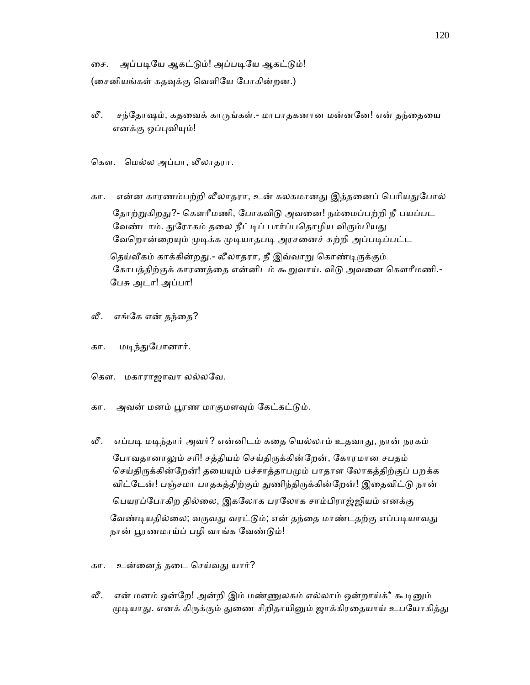ைச. அப்பᾊேய ஆகட்ᾌம்! அப்பᾊேய ஆகட்ᾌம்! (சைனியங்கள் கதவுக்கு வெளியே போகின்றன.)

லீ. சந்தோஷம், கதவைக் காருங்கள்.- மாபாதகனான மன்னனே! என் தந்தையை எனக்கு ஒப்புவியும்!

ெகௗ. ெமல்ல அப்பா, லீலாதரா.

- கா. என்ன காரணம்பற்றி லீலாதரா, உன் கலகமானது இத்தனைப் பெரியதுபோல் தோற்றுகிறது?- கௌரீமணி, போகவிடு அவனை! நம்மைப்பற்றி நீ பயப்பட வேண்டாம். துரோகம் தலை நீட்டிப் பார்ப்பதொழிய விரும்பியது வேறொன்றையும் முடிக்க முடியாதபடி அரசனைச் சுற்றி அப்படிப்பட்ட தெய்வீகம் காக்கின்றது.- லீலாதரா, நீ இவ்வாறு கொண்டிருக்கும் கோபத்திற்குக் காரணத்தை என்னிடம் கூறுவாய். விடு அவனை கௌரீமணி.-ேபசு அடா! அப்பா!
- லீ. எங்கே என் தந்தை?
- கா. மடிந்துபோனார்.
- கௌ. மகாராஜாவா லல்லவே.
- கா. அவன் மனம் பூரண மாகுமளவும் கேட்கட்டும்.
- லீ. எப்படி மடிந்தார் அவர்? என்னிடம் கதை யெல்லாம் உதவாது, நான் நரகம் போவதானாலும் சரி! சத்தியம் செய்திருக்கின்றேன், கோரமான சபதம் செய்திருக்கின்றேன்! தயையும் பச்சாத்தாபமும் பாதாள லோகத்திற்குப் பறக்க விட்டேன்! பஞ்சமா பாதகத்திற்கும் துணிந்திருக்கின்றேன்! இதைவிட்டு நான் ெபயரப்ேபாகிற தில்ைல, இகேலாக பரேலாக சாம்பிராஜ்ஜியம் எனக்கு வேண்டியதில்லை; வருவது வரட்டும்; என் தந்தை மாண்டதற்கு எப்படியாவது நான் பூரணமாய்ப் பழி வாங்க வேண்டும்!
- கா. உன்ைனத் தைட ெசய்வᾐ யார்?
- லீ. என் மனம் ஒன்றே! அன்றி இம் மண்ணுலகம் எல்லாம் ஒன்றாய்க்\* கூடினும் முடியாது. எனக் கிருக்கும் துணை சிறிதாயினும் ஜாக்கிரதையாய் உபயோகித்து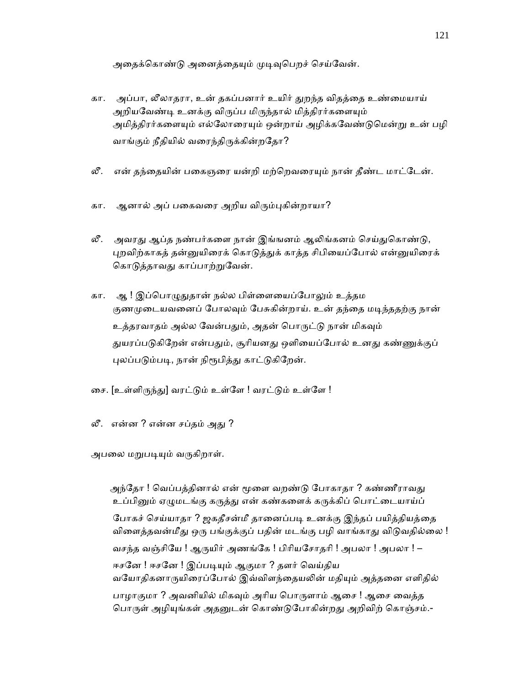அதைக்கொண்டு அனைத்தையும் முடிவுபெறச் செய்வேன்.

- கா. அப்பா, லீலாதரா, உன் தகப்பனார் உயிர் ᾐறந்த விதத்ைத உண்ைமயாய் அறியவேண்டி உனக்கு விருப்ப மிருந்தால் மித்திரர்களையும் அமித்திரர்களையும் எல்லோரையும் ஒன்றாய் அழிக்கவேண்டுமென்று உன் பழி வாங்கும் நீதியில் வரைந்திருக்கின்றதோ?
- லீ. என் தந்தையின் பகைஞரை யன்றி மற்றெவரையும் நான் தீண்ட மாட்டேன்.
- கா. ஆனால் அப் பகைவரை அறிய விரும்புகின்றாயா?
- லீ. அவரது ஆப்த நண்பர்களை நான் இங்ஙனம் ஆலிங்கனம் செய்துகொண்டு, புறவிற்காகத் தன்னுயிரைக் கொடுத்துக் காத்த சிபியைப்போல் என்னுயிரைக் கொடுத்தாவது காப்பாற்றுவேன்.
- கா. ஆ ! இப்பொழுதுதான் நல்ல பிள்ளையைப்போலும் உத்தம குணமுடையவனைப் போலவும் பேசுகின்றாய். உன் தந்தை மடிந்ததற்கு நான் உத்தரவாதம் அல்ல வேன்பதும், அதன் பொருட்டு நான் மிகவும் துயரப்படுகிறேன் என்பதும், சூரியனது ஒளியைப்போல் உனது கண்ணுக்குப் புலப்படும்படி, நான் நிரூபித்து காட்டுகிறேன்.
- ைச. [உள்ளிᾞந்ᾐ] வரட்ᾌம் உள்ேள ! வரட்ᾌம் உள்ேள !
- லீ. என்ன ? என்ன சப்தம் அது ?

அபலை மறுபடியும் வருகிறாள்.

அந்தோ ! வெப்பத்தினால் என் மூளை வறண்டு போகாதா ? கண்ணீராவது உப்பினும் ஏழுமடங்கு கருத்து என் கண்களைக் கருக்கிப் பொட்டையாய்ப் போகச் செய்யாதா ? ஜகதீசன்மீ தானைப்படி உனக்கு இந்தப் பயித்தியத்தை விளைத்தவன்மீது ஒரு பங்குக்குப் பதின் மடங்கு பழி வாங்காது விடுவதில்லை ! வசந்த வஞ்சியே ! ஆருயிர் அணங்கே ! பிரியசோதரி ! அபலா ! அபலா ! – ஈசனே ! ஈசனே ! இப்படியும் ஆகுமா ? தளர் வெய்திய வயோதிகனாருயிரைப்போல் இவ்விளந்தையலின் மதியும் அத்தனை எளிதில் பாழாகுமா ? அவனியில் மிகவும் அரிய பொருளாம் ஆசை ! ஆசை வைத்த பொருள் அழியுங்கள் அதனுடன் கொண்டுபோகின்றது அறிவிற் கொஞ்சம்.-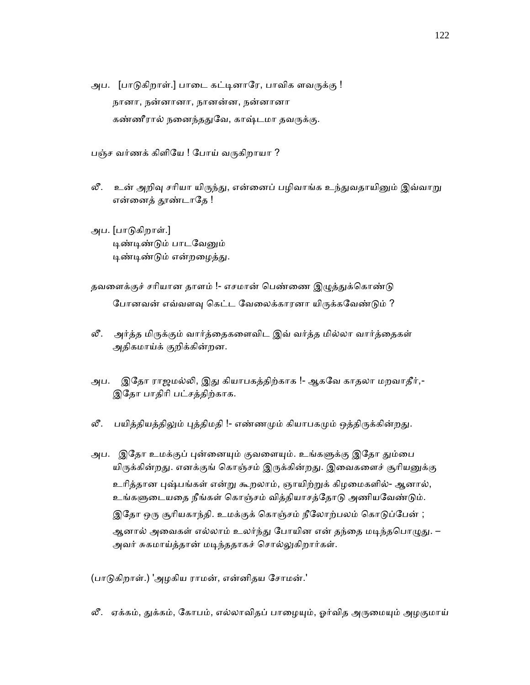அப. [பாடுகிறாள்.] பாடை கட்டினாரே, பாவிக ளவருக்கு ! நானா, நன்னானா, நான ன்ன, நன்னானா கண்ணீரால் நனைந்ததுவே, காஷ்டமா தவருக்கு.

பஞ்ச வர்ணக் கிளியே ! போய் வருகிறாயா ?

- லீ. உன் அறிவு சரியா யிருந்து, என்னைப் பழிவாங்க உந்துவதாயினும் இவ்வாறு என்னைத் தூண்டாதே !
- அப. [பாᾌகிறாள்.] டிண்டிண்டும் பாடவேனும் டிண்டிண்டும் என்றழைத்து.
- தவளைக்குச் சரியான தாளம் !- எசமான் பெண்ணை இழுத்துக்கொண்டு போனவன் எவ்வளவு கெட்ட வேலைக்காரனா யிருக்கவேண்டும் ?
- லீ. அர்த்த மிருக்கும் வார்த்தைகளைவிட இவ் வர்த்த மில்லா வார்த்தைகள் அதிகமாய்க் குறிக்கின்றன.
- அப. இேதா ராஜமல்ᾢ, இᾐ கியாபகத்திற்காக !- ஆகேவ காதலா மறவாதீர்,- இேதா பாதிாி பட்சத்திற்காக.
- லீ. பயித்தியத்திலும் புத்திமதி !- எண்ணமும் கியாபகமும் ஒத்திருக்கின்றது.
- அப. இதோ உமக்குப் புன்னையும் குவளையும். உங்களுக்கு இதோ தும்பை யிருக்கின்றது. எனக்குங் கொஞ்சம் இருக்கின்றது. இவைகளைச் சூரியனுக்கு உரித்தான புஷ்பங்கள் என்று கூறலாம், ஞாயிற்றுக் கிழமைகளில்- ஆனால், உங்களுடையதை நீங்கள் கொஞ்சம் வித்தியாசத்தோடு அணியவேண்டும். இதோ ஒரு சூரியகாந்தி. உமக்குக் கொஞ்சம் நீலோற்பலம் கொடுப்பேன் ; ஆனால் அவைகள் எல்லாம் உலர்ந்து போயின என் தந்தை மடிந்தபொழுது. – அவர் சுகமாய்த்தான் மடிந்ததாகச் சொல்லுகிறார்கள்.

(பாடுகிறாள்.) 'அழகிய ராமன், என்னிதய சோமன்.'

லீ. ஏக்கம், துக்கம், கோபம், எல்லாவிதப் பாழையும், ஓர்வித அருமையும் அழகுமாய்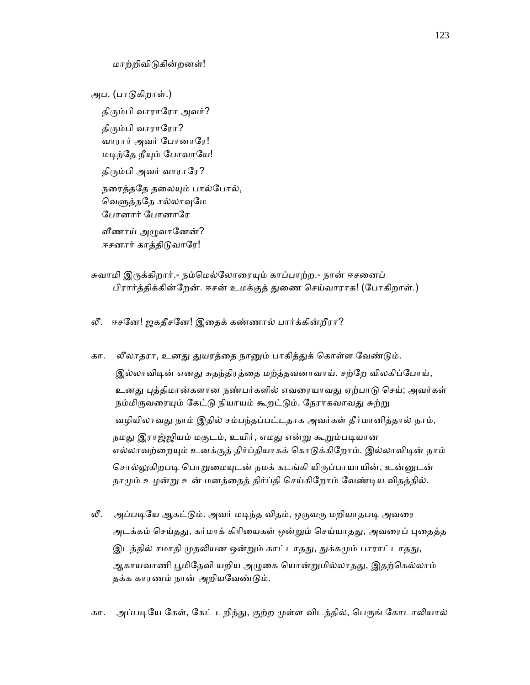மாற்றிவிᾌகின்றனள்!

 அப. (பாᾌகிறாள்.) திரும்பி வாராரோ அவர்? திரும்பி வாராரோ? வாரார் அவர் ேபானாேர! மடிந்தே நீயும் போவாயே! திரும்பி அவர் வாராரே? நரைத்ததே தலையும் பால்போல், வெளுத்ததே சல்லாவுமே ேபானார் ேபானாேர வீணாய் அழுவானேன்? ஈசனார் காத்திடுவாரே!

- சுவாமி இருக்கிறார்.- நம்மெல்லோரையும் காப்பாற்ற.- நான் ஈசனைப் பிரார்த்திக்கின்றேன். ஈசன் உமக்குத் துணை செய்வாராக! (போகிறாள்.)
- லீ. ஈசேன! ஜகதீசேன! இைதக் கண்ணால் பார்க்கின்றீரா?
- கா. லீலாதரா, உனது துயரத்தை நானும் பாகித்துக் கொள்ள வேண்டும். இல்லாவிடின் எனது சுதந்திரத்தை மற்த்தவனாவாய். சற்றே விலகிப்போய், உனது புத்திமான்களான நண்பர்களில் எவரையாவது ஏற்பாடு செய்; அவர்கள் நம்மிருவரையும் கேட்டு நியாயம் கூறட்டும். நேராகவாவது சுற்று வழியிலாவᾐ நாம் இதில் சம்பந்தப்பட்டதாக அவர்கள் தீர்மானித்தால் நாம், நமது இராஜ்ஜியம் மகுடம், உயிர், எமது என்று கூறும்படியான எல்லாவற்றையும் உனக்குத் திர்ப்தியாகக் கொடுக்கிறோம். இல்லாவிடின் நாம் சொல்லுகிறபடி பொறுமையுடன் நமக் கடங்கி யிருப்பாயாயின், உன்னுடன் நாமும் உழன்று உன் மனத்தைத் திர்ப்தி செய்கிறோம் வேண்டிய விதத்தில்.
- லீ. அப்படியே ஆகட்டும். அவர் மடிந்த விதம், ஒருவரு மறியாதபடி அவரை அடக்கம் செய்தது, கர்மாக் கிரியைகள் ஒன்றும் செய்யாதது, அவரைப் புதைத்த இடத்தில் சமாதி முதலியன ஒன்றும் காட்டாதது, துக்கமும் பாராட்டாதது, ஆகாயவாணி பூமிதேவி யறிய அழுகை யொன்றுமில்லாதது, இதற்கெல்லாம் தக்க காரணம் நான் அறியவேண்டும்.
- கா. அப்படியே கேள், கேட் டறிந்து, குற்ற முள்ள விடத்தில், பெருங் கோடாலியால்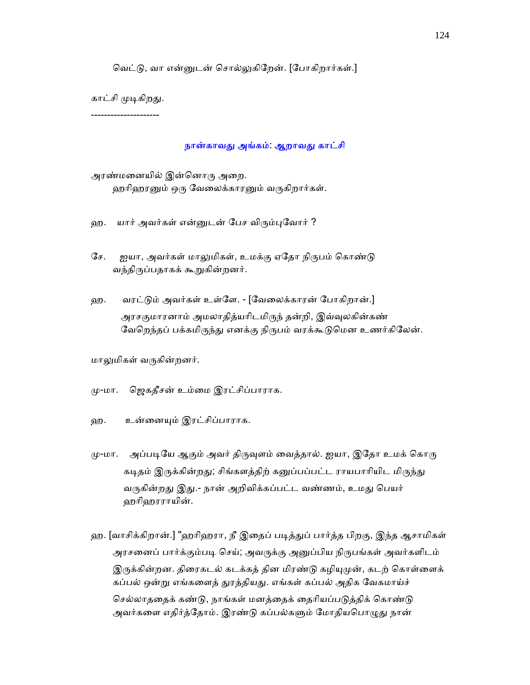வெட்டு, வா என்னுடன் சொல்லுகிறேன். [போகிறார்கள்.]

காட்சி முடிகிறது.

---------------------

#### நான்காவது அங்கம்: ஆறாவது காட்சி

அரண்மனையில் இன்னொரு அறை. ஹரிஹரனும் ஒரு வேலைக்காரனும் வருகிறார்கள்.

- ஹ. யார் அவர்கள் என்னுடன் பேச விரும்புவோர் ?
- சே. ஐயா, அவர்கள் மாலுமிகள், உமக்கு ஏதோ நிருபம் கொண்டு வந்திருப்பதாகக் கூறுகின்றனர்.
- ஹ. வரட்ᾌம் அவர்கள் உள்ேள. [ேவைலக்காரன் ேபாகிறான்.] அரசகுமாரனாம் அமலாதித்யரிடமிருந் தன்றி, இவ்வுலகின்கண் வேறெந்தப் பக்கமிருந்து எனக்கு நிருபம் வரக்கூடுமென உணர்கிலேன்.

மாலுமிகள் வருகின்றனர்.

- ᾙ-மா. ெஜகதீசன் உம்ைம இரட்சிப்பாராக.
- ஹ. உன்ைனᾜம் இரட்சிப்பாராக.
- மு-மா. அப்படியே ஆகும் அவர் திருவுளம் வைத்தால். ஐயா, இதோ உமக் கொரு கடிதம் இருக்கின்றது; சிங்களத்திற் கனுப்பப்பட்ட ராயபாரியிட மிருந்து வருகின்றது இது.- நான் அறிவிக்கப்பட்ட வண்ணம், உமது பெயர் ஹாிஹரராயின்.
- ஹ. [வாசிக்கிறான்.] "ஹரிஹரா, நீ இதைப் படித்துப் பார்த்த பிறகு, இந்த ஆசாமிகள் அரசனைப் பார்க்கும்படி செய்; அவருக்கு அனுப்பிய நிருபங்கள் அவர்களிடம் இருக்கின்றன. திரைகடல் கடக்கத் தின மிரண்டு கழியுமுன், கடற் கொள்ளைக் கப்பல் ஒன்று எங்களைத் துரத்தியது. எங்கள் கப்பல் அதிக வேகமாய்ச் செல்லாததைக் கண்டு, நாங்கள் மனத்தைக் தைரியப்படுத்திக் கொண்டு அவர்களை எதிர்த்தோம். இரண்டு கப்பல்களும் மோதியபொழுது நான்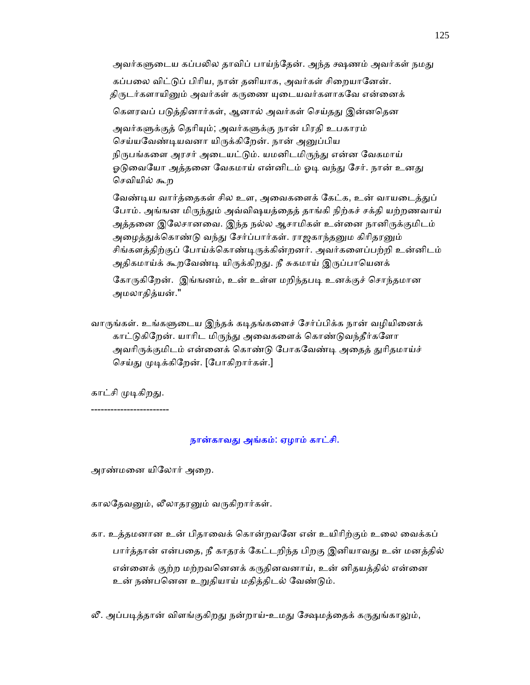அவர்களுடைய கப்பலில தாவிப் பாய்ந்தேன். அந்த க்ஷணம் அவர்கள் நமது கப்பலை விட்டுப் பிரிய, நான் தனியாக, அவர்கள் சிறையானேன். திருடர்களாயினும் அவர்கள் கருணை யுடையவர்களாகவே என்னைக் கௌரவப் படுத்தினார்கள், ஆனால் அவர்கள் செய்தது இன்னதென அவர்களுக்குத் தெரியும்; அவர்களுக்கு நான் பிரதி உபகாரம் செய்யவேண்டியவனா யிருக்கிறேன். நான் அனுப்பிய நிருபங்களை அரசர் அடையட்டும். யமனிடமிருந்து என்ன வேகமாய் ஓடுவையோ அத்தனை வேகமாய் என்னிடம் ஓடி வந்து சேர். நான் உனது ெசவியில் கூற வேண்டிய வார்த்தைகள் சில உள, அவைகளைக் கேட்க, உன் வாயடைத்துப் போம். அங்ஙன மிருந்தும் அவ்விஷயத்தைத் தாங்கி நிற்கச் சக்தி யற்றணவாய் அத்தனை இலேசானவை. இந்த நல்ல ஆசாமிகள் உன்னை நானிருக்குமிடம<mark>்</mark> அழைத்துக்கொண்டு வந்து சேர்ப்பார்கள். ராஜகாந்தனும கிரிதரனும்

 சிங்கள த்திற்குப் ேபாய்க்ெகாண்ᾊᾞக்கின்றனர். அவர்கைளப்பற்றி உன்னிடம் அதிகமாய்க் கூறவேண்டி யிருக்கிறது. நீ சுகமாய் இருப்பாயெனக்

கோருகிறேன். இங்ஙனம், உன் உள்ள மறிந்தபடி உனக்குச் சொந்தமான அமலாதித்யன்."

வாருங்கள். உங்களுடைய இந்தக் கடிதங்களைச் சேர்ப்பிக்க நான் வழியினைக் காட்டுகிறேன். யாரிட மிருந்து அவைகளைக் கொண்டுவந்தீர்களோ அவரிருக்குமிடம் என்னைக் கொண்டு போகவேண்டி அதைத் துரிதமாய்ச் செய்து முடிக்கிறேன். [போகிறார்கள்.]

காட்சி முடிகிறது.

------------------------

### நான்காவᾐ அங்கம்: ஏழாம் காட்சி.

அரண்மைன யிேலார் அைற.

காலதேவனும், லீலாதரனும் வருகிறார்கள்.

 கா. உத்தமனான உன் பிதாைவக் ெகான்றவேன என் உயிாிற்கும் உைல ைவக்கப் பார்த்தான் என்பதை, நீ காதரக் கேட்டறிந்த பிறகு இனியாவது உன் மனத்தில் என்னைக் குற்ற மற்றவனெனக் கருதினவனாய், உன் னிதயத்தில் என்னை உன் நண்பெனன உᾠதியாய் மதித்திடல் ேவண்ᾌம்.

லீ. அப்படித்தான் விளங்குகிறது நன்றாய்-உமது க்ஷேமத்தைக் கருதுங்காலும்,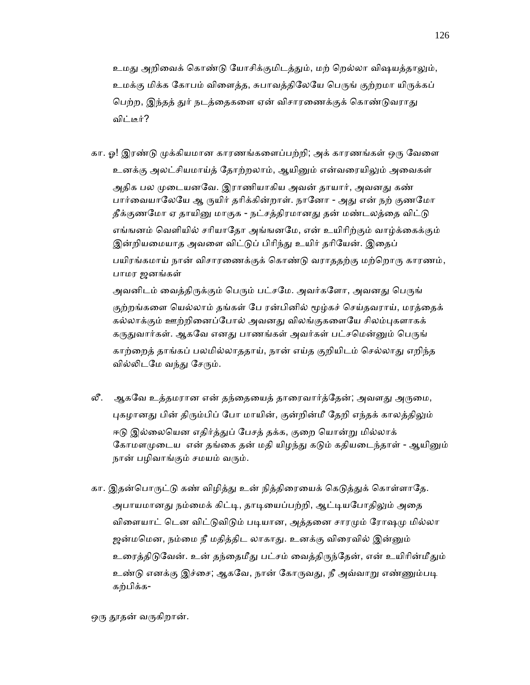உமது அறிவைக் கொண்டு யோசிக்குமிடத்தும், மற் றெல்லா விஷயத்தாலும், உமக்கு மிக்க கோபம் விளைத்த, சுபாவத்திலேயே பெருங் குற்றமா யிருக்கப் பெற்ற, இந்தத் துர் நடத்தைகளை ஏன் விசாரணைக்குக் கொண்டுவராது விட்டீர்?

- கா. ஓ! இரண்டு முக்கியமான காரணங்களைப்பற்றி; அக் காரணங்கள் ஒரு வேளை உனக்கு அலட்சியமாய்த் தோற்றலாம், ஆயினும் என்வரையிலும் அவைகள் அதிக பல முடையனவே. இராணியாகிய அவன் தாயார், அவனது கண் பார்வையாலேயே ஆ ருயிர் தரிக்கின்றாள். நானோ - அது என் நற் குணமோ தீக்குணமோ ஏ தாயினு மாகுக - நட்சத்திரமானது தன் மண்டலத்தை விட்டு எங்ஙனம் வெளியில் சரியாதோ அங்ஙனமே, என் உயிரிற்கும் வாழ்க்கைக்கும் இன்றியமையாத அவளை விட்டுப் பிரிந்து உயிர் தரியேன். இதைப் பயிரங்கமாய் நான் விசாரணைக்குக் கொண்டு வராததற்கு மற்றொரு காரணம், பாமர ஜனங்கள் அவனிடம் வைத்திருக்கும் பெரும் பட்சமே. அவர்களோ, அவனது பெருங் குற்றங்களை யெல்லாம் தங்கள் பே ரன்பினில் மூழ்கச் செய்தவராய், மரத்தைக் கல்லாக்கும் ஊற்றினைப்போல் அவனது விலங்குகளையே சிலம்புகளாகக் கருதுவார்கள். ஆகவே எனது பாணங்கள் அவர்கள் பட்சமென்னும் பெருங் காற்றைத் தாங்கப் பலமில்லாததாய், நான் எய்த குறியிடம் செல்லாது எறிந்த வில்லிடமே வந்து சேரும்.
- லீ. ஆகவே உத்தமரான என் தந்தையைத் தாரைவார்த்தேன்; அவளது அருமை, புகழானது பின் திரும்பிப் போ மாயின், குன்றின்மீ தேறி எந்தக் காலத்திலும் ஈடு இல்லையென எதிர்த்துப் பேசத் தக்க, குறை யொன்று மில்லாக் கோமளமுடைய என் தங்கை தன் மதி யிழந்து கடும் கதியடைந்தாள் - ஆயினும் நான் பழிவாங்கும் சமயம் வரும்.
- கா. இதன்பொருட்டு கண் விழித்து உன் நித்திரையைக் கெடுத்துக் கொள்ளாதே. அபாயமானது நம்மைக் கிட்டி, தாடியைப்பற்றி, ஆட்டியபோதிலும் அதை விளையாட் டென விட்டுவிடும் படியான, அத்தனை சாரமும் ரோஷமு மில்லா ஜன்மமென, நம்மை நீ மதித்திட லாகாது. உனக்கு விரைவில் இன்னும் உரைத்திடுவேன். உன் தந்தைமீது பட்சம் வைத்திருந்தேன், என் உயிரின்மீதும் உண்டு எனக்கு இச்சை; ஆகவே, நான் கோருவது, நீ அவ்வாறு எண்ணும்படி கற்பிக்க-

ஒரு தூதன் வருகிறான்.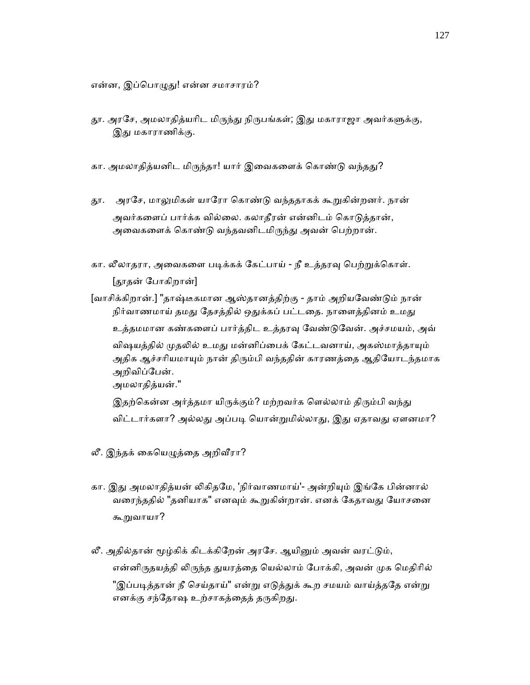என்ன, இப்பொழுது! என்ன சமாசாரம்?

- தூ. அரசே, அமலாதித்யரிட மிருந்து நிருபங்கள்; இது மகாராஜா அவர்களுக்கு, இது மகாராணிக்கு.
- கா. அமலாதித்யனிட மிருந்தா! யார் இவைகளைக் கொண்டு வந்தது?
- தூ. அரசே, மாலுமிகள் யாரோ கொண்டு வந்ததாகக் கூறுகின்றனர். நான் அவர்களைப் பார்க்க வில்லை. கலாதீரன் என்னிடம் கொடுத்தான், அவைகளைக் கொண்டு வந்தவனிடமிருந்து அவன் பெற்றான்.
- கா. லீலாதரா, அவைகளை படிக்கக் கேட்பாய் நீ உத்தரவு பெற்றுக்கொள். [ᾑதன் ேபாகிறான்]

 [வாசிக்கிறான்.] "தாஷ்டீகமான ஆஸ்தானத்திற்கு - தாம் அறியேவண்ᾌம் நான் நிர்வாணமாய் தமது தேசத்தில் ஒதுக்கப் பட்டதை. நாளைத்தினம் உமது உத்தமமான கண்களைப் பார்த்திட உத்தரவு வேண்டுவேன். அச்சமயம், அவ் விஷயத்தில் முதலில் உமது மன்னிப்பைக் கேட்டவனாய், அகஸ்மாத்தாயும் அதிக ஆச்சரியமாயும் நான் திரும்பி வந்ததின் காரணத்தை ஆதியோடந்தமாக அறிவிப்ேபன். அமலாதித்யன்."

இதற்கென்ன அர்த்தமா யிருக்கும்? மற்றவர்க ளெல்லாம் திரும்பி வந்து விட்டார்களா? அல்லது அப்படி யொன்றுமில்லாது, இது ஏதாவது ஏளனமா?

- லீ. இந்தக் கையெழுத்தை அறிவீரா?
- கா. இது அமலாதித்யன் லிகிதமே, 'நிர்வாணமாய்'- அன்றியும் இங்கே பின்னால் வரைந்ததில் "தனியாக" எனவும் கூறுகின்றான். எனக் கேதாவது யோசனை கூᾠவாயா?
- லீ. அதில்தான் மூழ்கிக் கிடக்கிறேன் அரசே. ஆயினும் அவன் வரட்டும், என்னிருதயத்தி லிருந்த துயரத்தை யெல்லாம் போக்கி, அவன் முக மெதிரில் "இப்படித்தான் நீ செய்தாய்" என்று எடுத்துக் கூற சமயம் வாய்த்ததே என்று எனக்கு சந்தோஷ உற்சாகத்தைத் தருகிறது.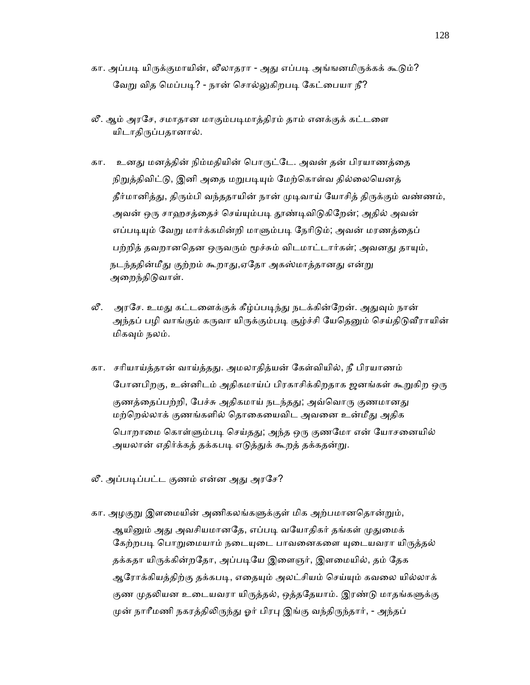- கா. அப்படி யிருக்குமாயின், லீலாதரா அது எப்படி அங்ஙனமிருக்கக் கூடும்? வேறு வித மெப்படி? - நான் சொல்லுகிறபடி கேட்பையா நீ?
- லீ. ஆம் அரசே, சமாதான மாகும்படிமாத்திரம் தாம் எனக்குக் கட்டளை யிடாதிருப்பதானால்.
- கா. உனது மனத்தின் நிம்மதியின் பொருட்டே. அவன் தன் பிரயாணத்தை நிறுத்திவிட்டு, இனி அதை மறுபடியும் மேற்கொள்வ தில்லையெனத் தீர்மானித்து, திரும்பி வந்ததாயின் நான் முடிவாய் யோசித் திருக்கும் வண்ணம், அவன் ஒரு சாஹசத்தைச் செய்யும்படி தூண்டிவிடுகிறேன்; அதில் அவன் எப்படியும் வேறு மார்க்கமின்றி மாளும்படி நேரிடும்; அவன் மரணத்தைப் பற்றித் தவறானதென ஒருவரும் மூச்சும் விடமாட்டார்கள்; அவனது தாயும், நடந்ததின்மீது குற்றம் கூறாது,ஏதோ அகஸ்மாத்தானது என்று அைறந்திᾌவாள்.
- லீ. அரசே. உமது கட்டளைக்குக் கீழ்ப்படிந்து நடக்கின்றேன். அதுவும் நான் அந்தப் பழி வாங்கும் கருவா யிருக்கும்படி சூழ்ச்சி யேதெனும் செய்திடுவீராயின் மிகவும் நலம்.
- கா. சரியாய்த்தான் வாய்த்தது. அமலாதித்யன் கேள்வியில், நீ பிரயாணம் போனபிறகு, உன்னிடம் அதிகமாய்ப் பிரகாசிக்கிறதாக ஜனங்கள் கூறுகிற ஒரு குணத்தைப்பற்றி, பேச்சு அதிகமாய் நடந்தது; அவ்வொரு குணமானது மற்றெல்லாக் குணங்களில் தொகையைவிட அவனை உன்மீது அதிக பொறாமை கொள்ளும்படி செய்தது; அந்த ஒரு குணமோ என் யோசனையில் அயலான் எதிர்க்கத் தக்கபடி எடுத்துக் கூறத் தக்கதன்று.
- லீ. அப்படிப்பட்ட குணம் என்ன அது அரசே?
- கா. அழகுறு இளமையின் அணிகலங்களுக்குள் மிக அற்பமானதொன்றும், ஆயினும் அது அவசியமானதே, எப்படி வயோதிகர் தங்கள் முதுமைக் கேற்றபடி பொறுமையாம் நடையுடை பாவனைகளை யுடையவரா யிருத்தல் தக்கதா யிருக்கின்றதோ, அப்படியே இளைஞர், இளமையில், தம் தேக ஆரோக்கியத்திற்கு தக்கபடி, எதையும் அலட்சியம் செய்யும் கவலை யில்லாக் குண முதலியன உடையவரா யிருத்தல், ஒத்ததேயாம். இரண்டு மாதங்களுக்கு முன் நாரீமணி நகரத்திலிருந்து ஓர் பிரபு இங்கு வந்திருந்தார், - அந்தப்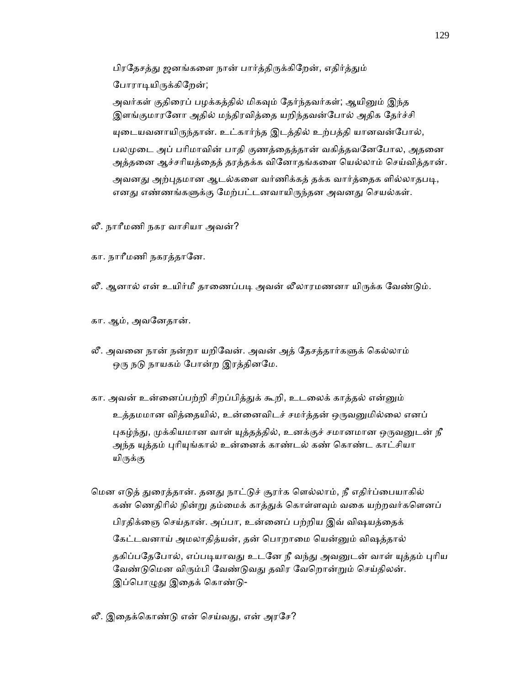பிரதேசத்து ஜனங்களை நான் பார்த்திருக்கிறேன், எதிர்த்தும் போராடியிருக்கிறேன்;

அவர்கள் குதிரைப் பழக்கத்தில் மிகவும் தேர்ந்தவர்கள்; ஆயினும் இந்த இளங்குமாரனோ அதில் மந்திரவித்தை யறிந்தவன்போல் அதிக தேர்ச்சி யுடையவனாயிருந்தான். உட்கார்ந்த இடத்தில் உற்பத்தி யானவன்போல், பலமுடை அப் பரிமாவின் பாதி குணத்தைத்தான் வகித்தவனேபோல, அதனை அத்தைன ஆச்சாியத்ைதத் தரத்தக்க விேனாதங்கைள ெயல்லாம் ெசய்வித்தான். அவனது அற்புதமான ஆடல்களை வர்ணிக்கத் தக்க வார்த்தைக ளில்லாதபடி, எனது எண்ணங்களுக்கு மேற்பட்டனவாயிருந்தன அவனது செயல்கள்.

- லீ. நாாீமணி நகர வாசியா அவன்?
- கா. நாரீமணி நகரத்தானே.
- லீ. ஆனால் என் உயிர்மீ தாணைப்படி அவன் லீலாரமணனா யிருக்க வேண்டும்.
- கா. ஆம், அவேனதான்.
- லீ. அவனை நான் நன்றா யறிவேன். அவன் அத் தேசத்தார்களுக் கெல்லாம் ஒரு நடு நாயகம் போன்ற இரத்தினமே.
- கா. அவன் உன்னைப்பற்றி சிறப்பித்துக் கூறி, உடலைக் காத்தல் என்னும் உத்தமமான வித்தையில், உன்னைவிடச் சமர்த்தன் ஒருவனுமில்லை எனப் புகழ்ந்து, முக்கியமான வாள் யுத்தத்தில், உனக்குச் சமானமான ஒருவனுடன் நீ அந்த யுத்தம் புரியுங்கால் உன்னைக் காண்டல் கண் கொண்ட காட்சியா யிருக்கு
- மென எடுத் துரைத்தான். தனது நாட்டுச் சூரர்க ளெல்லாம், நீ எதிர்ப்பையாகில் கண் ணெதிரில் நின்று தம்மைக் காத்துக் கொள்ளவும் வகை யற்றவர்களெனப் பிரதிக்ைஞ ெசய்தான். அப்பா, உன்ைனப் பற்றிய இவ் விஷயத்ைதக் கேட்டவனாய் அமலாதித்யன், தன் பொறாமை யென்னும் விஷத்தால் தகிப்பதேபோல், எப்படியாவது உடனே நீ வந்து அவனுடன் வாள் யுத்தம் புரிய வேண்டுமென விரும்பி வேண்டுவது தவிர வேறொன்றும் செய்திலன். இப்பொழுது இதைக் கொண்டு-
- லீ. இதைக்கொண்டு என் செய்வது, என் அரசே?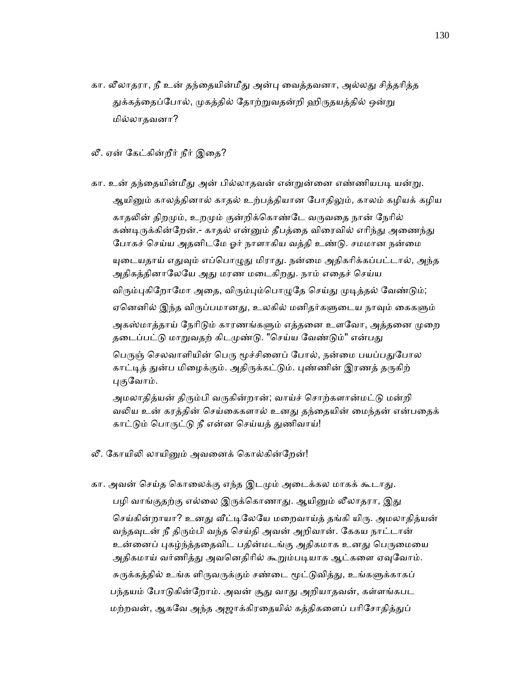- கா. லீலாதரா, நீ உன் தந்தையின்மீது அன்பு வைத்தவனா, அல்லது சித்தரித்த துக்கத்தைப்போல், முகத்தில் தோற்றுவதன்றி ஹிருதயத்தில் ஒன்று மில்லாதவனா?
- லீ. ஏன் கேட்கின்றீர் நீர் இதை?
- கா. உன் தந்தையின்மீது அன் பில்லாதவன் என்றுன்னை எண்ணியபடி யன்று. ஆயினும் காலத்தினால் காதல் உற்பத்தியான போதிலும், காலம் கழியக் கழிய காதலின் திறமும், உறமும் குன்றிக்கொண்டே வருவதை நான் நேரில் கண்டிருக்கின்றேன்.- காதல் என்னும் தீபத்தை விரைவில் எரிந்து அணைந்து போகச் செய்ய அதனிடமே ஓர் நாளாகிய வத்தி உண்டு. சமமான நன்மை யுடையதாய் எதுவும் எப்பொழுது மிராது. நன்மை அதிகரிக்கப்பட்டால், அந்த அதிகத்தினாலேயே அது மரண மடைகிறது. நாம் எதைச் செய்ய விரும்புகிறோமோ அதை, விரும்பும்பொழுதே செய்து முடித்தல் வேண்டும்; ஏனெனில் இந்த விருப்பமானது, உலகில் மனிதர்களுடைய நாவும் கைகளும் அகஸ்மாத்தாய் நேரிடும் காரணங்களும் எத்தனை உளவோ, அத்தனை முறை தடைப்பட்டு மாறுவதற் கிடமுண்டு. "செய்ய வேண்டும்" என்பது பெருஞ் செலவாளியின் பெரு மூச்சினைப் போல், நன்மை பயப்பதுபோல காட்டித் துன்ப மிழைக்கும். அதிருக்கட்டும். புண்ணின் இரணத் தருகிற் புகுவோம்.

அமலாதித்யன் திரும்பி வருகின்றான்; வாய்ச் சொற்களான்மட்டு மன்றி வலிய உன் கரத்தின் செய்கைகளால் உனது தந்தையின் மைந்தன் என்பதைக் காட்டும் பொருட்டு நீ என்ன செய்யத் துணிவாய்!

- லீ. கோயிலி லாயினும் அவனைக் கொல்கின்றேன்!
- கா. அவன் செய்த கொலைக்கு எந்த இடமும் அடைக்கல மாகக் கூடாது. பழி வாங்குதற்கு எல்லை இருக்கொணாது. ஆயினும் லீலாதரா, இது செய்கின்றாயா? உனது வீட்டிலேயே மறைவாய்த் தங்கி யிரு. அமலாதித்யன் வந்தவுடன் நீ திரும்பி வந்த செய்தி அவன் அறிவான். கேகய நாட்டான் உன்னைப் புகழ்ந்த்ததைவிட பதின்மடங்கு அதிகமாக உனது பெருமையை அதிகமாய் வர்ணித்து அவனெதிரில் கூறும்படியாக ஆட்களை ஏவுவோம். சுருக்கத்தில் உங்க ளிருவருக்கும் சண்டை மூட்டுவித்து, உங்களுக்காகப் பந்தயம் போடுகின்றோம். அவன் சூது வாது அறியாதவன், கள்ளங்கபட மற்றவன், ஆகவே அந்த அஜாக்கிரதையில் கத்திகளைப் பரிசோதித்துப்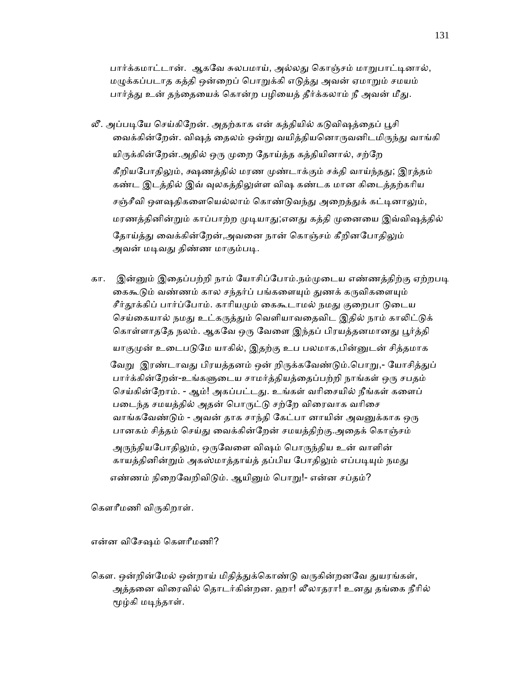பார்க்கமாட்டான். ஆகவே சுலபமாய், அல்லது கொஞ்சம் மாறுபாட்டினால், மழுக்கப்படாத கத்தி ஒன்றைப் பொறுக்கி எடுத்து அவன் ஏமாறும் சமயம் பார்த்து உன் தந்தையைக் கொன்ற பழியைத் தீர்க்கலாம் நீ அவன் மீது.

- லீ. அப்படியே செய்கிறேன். அதற்காக என் கத்தியில் கடுவிஷத்தைப் பூசி வைக்கின்றேன். விஷத் தைலம் ஒன்று வயித்தியனொருவனிடமிருந்து வாங்கி யிருக்கின்றேன்.அதில் ஒரு முறை தோய்த்த கத்தியினால், சற்றே கீறியபோதிலும், க்ஷணத்தில் மரண முண்டாக்கும் சக்தி வாய்ந்தது; இரத்தம் கண்ட இடத்தில் இவ் வுலகத்திலுள்ள விஷ கண்டக மான கிடைத்தற்கரிய சஞ்சீவி ஔஷதிகளையெல்லாம் கொண்டுவந்து அறைத்துக் கட்டினாலும், மரணத்தினின்றும் காப்பாற்ற முடியாது;எனது கத்தி முனையை இவ்விஷத்தில் தோய்த்து வைக்கின்றேன்,அவனை நான் கொஞ்சம் கீறினபோதிலும் அவன் மடிவது திண்ண மாகும்படி.
- கா. இன்னும் இதைப்பற்றி நாம் யோசிப்போம்.நம்முடைய எண்ணத்திற்கு ஏற்றபடி கைகூடும் வண்ணம் கால சந்தர்ப் பங்களையும் துணக் கருவிகளையும் சீர்தூக்கிப் பார்ப்போம். காரியமும் கைகூடாமல் நமது குறைபா டுடைய செய்கையால் நமது உட்கருத்தும் வெளியாவதைவிட இதில் நாம் காலிட்டுக் கொள்ளாததே நலம். ஆகவே ஒரு வேளை இந்தப் பிரயத்தனமானது பூர்த்தி யாகுமுன் உடைபடுமே யாகில், இதற்கு உப பலமாக,பின்னுடன் சித்தமாக வேறு இரண்டாவது பிரயத்தனம் ஒன் றிருக்கவேண்டும்.பொறு,- யோசித்துப் பார்க்கின்றேன்-உங்களுடைய சாமர்த்தியத்தைப்பற்றி நாங்கள் ஒரு சபதம் செய்கின்றோம். - ஆம்! அகப்பட்டது. உங்கள் வரிசையில் நீங்கள் களைப் படைந்த சமயத்தில் அதன் பொருட்டு சற்றே விரைவாக வரிசை வாங்கவேண்டும் - அவன் தாக சாந்தி கேட்பா னாயின் அவனுக்காக ஒரு பானகம் சித்தம் செய்து வைக்கின்றேன் சமயத்திற்கு.அதைக் கொஞ்சம் அருந்தியபோதிலும், ஒருவேளை விஷம் பொருந்திய உன் வாளின் காயத்தினின்றும் அகஸ்மாத்தாய்த் தப்பிய போதிலும் எப்படியும் நமது எண்ணம் நிறைவேறிவிடும். ஆயினும் பொறு!- என்ன சப்தம்?

கௌரீமணி விருகிறாள்.

என்ன விேசஷம் ெகௗாீமணி?

கௌ. ஒன்றின்மேல் ஒன்றாய் மிதித்துக்கொண்டு வருகின்றனவே துயரங்கள், அத்தனை விரைவில் தொடர்கின்றன. ஹா! லீலாதரா! உனது தங்கை நீரில் ᾚழ்கி மᾊந்தாள்.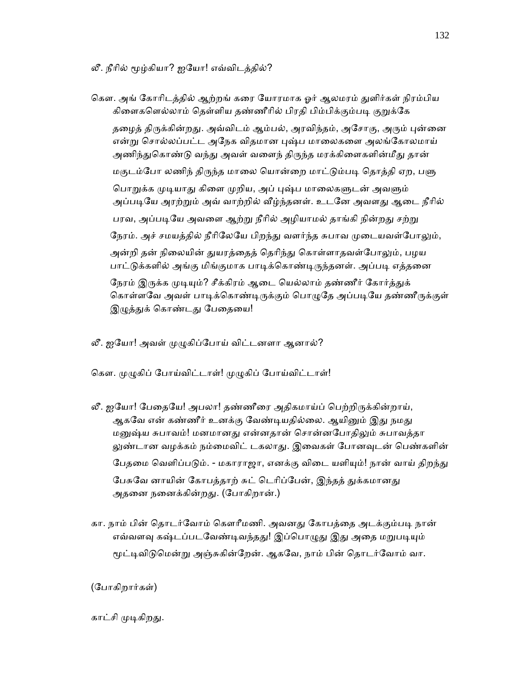லீ. நீரில் மூழ்கியா? ஐயோ! எவ்விடத்தில்?

கௌ. அங் கோரிடத்தில் ஆற்றங் கரை யோரமாக ஓர் ஆலமரம் துளிர்கள் நிரம்பிய கிளைகளெல்லாம் தெள்ளிய தண்ணீரில் பிரதி பிம்பிக்கும்படி குறுக்கே தழைத் திருக்கின்றது. அவ்விடம் ஆம்பல், அரவிந்தம், அசோகு, அரும் புன்னை என்று சொல்லப்பட்ட அநேக விதமான புஷ்ப மாலைகளை அலங்கோலமாய் அணிந்துகொண்டு வந்து அவள் வளைந் திருந்த மரக்கிளைகளின்மீது தான் மகுடம்போ லணிந் திருந்த மாலை யொன்றை மாட்டும்படி தொத்தி ஏற, பளு பொறுக்க முடியாது கிளை முறிய, அப் புஷ்ப மாலைகளுடன் அவளும் அப்படியே அரற்றும் அவ் வாற்றில் வீழ்ந்தனள். உடனே அவளது ஆடை நீரில் பரவ, அப்படியே அவளை ஆற்று நீரில் அழியாமல் தாங்கி நின்றது சற்று நேரம். அச் சமயத்தில் நீரிலேயே பிறந்து வளர்ந்த சுபாவ முடையவள்போலும், அன்றி தன் நிலையின் துயரத்தைத் தெரிந்து கொள்ளாதவள்போலும், பழய பாட்டுக்களில் அங்கு மிங்குமாக பாடிக்கொண்டிருந்தனள். அப்படி எத்தனை நேரம் இருக்க முடியும்? சீக்கிரம் ஆடை யெல்லாம் தண்ணீர் கோர்த்துக் கொள்ளவே அவள் பாடிக்கொண்டிருக்கும் பொழுதே அப்படியே தண்ணீருக்குள் இழுத்துக் கொண்டது பேதையை!

லீ. ஐயோ! அவள் முழுகிப்போய் விட்டனளா ஆனால்?

கௌ. முழுகிப் போய்விட்டாள்! முழுகிப் போய்விட்டாள்!

- லீ. ஐயோ! பேதையே! அபலா! தண்ணீரை அதிகமாய்ப் பெற்றிருக்கின்றாய், ஆகவே என் கண்ணீர் உனக்கு வேண்டியதில்லை. ஆயினும் இது நமது மனுஷ்ய சுபாவம்! மனமானது என்னதான் சொன்னபோதிலும் சுபாவத்தா லுண்டான வழக்கம் நம்மைவிட் டகலாது. இவைகள் போனவுடன் பெண்களின் பேதமை வெளிப்படும். - மகாராஜா, எனக்கு விடை யளியும்! நான் வாய் திறந்து பேசுவே னாயின் கோபத்தாற் சுட் டெரிப்பேன், இந்தத் துக்கமானது அதனை நனைக்கின்றது. (போகிறான்.)
- கா. நாம் பின் தொடர்வோம் கௌரீமணி. அவனது கோபத்தை அடக்கும்படி நான் எவ்வளவு கஷ்டப்படவேண்டிவந்தது! இப்பொழுது இது அதை மறுபடியும் மூட்டிவிடுமென்று அஞ்சுகின்றேன். ஆகவே, நாம் பின் தொடர்வோம் வா.

(ேபாகிறார்கள்)

# காட்சி முடிகிறது.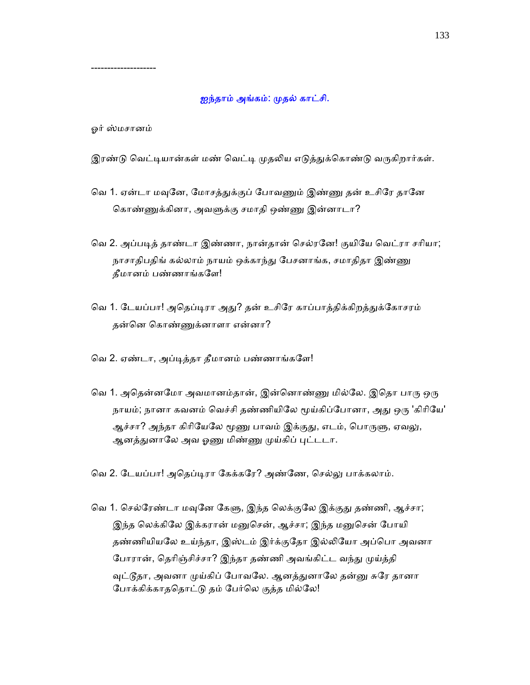### ஐந்தாம் அங்கம்: முதல் காட்சி.

ஓர் ஸ்மசானம்

--------------------

இரண்டு வெட்டியான்கள் மண் வெட்டி முதலிய எடுத்துக்கொண்டு வருகிறார்கள்.

- வெ 1. ஏன்டா மவுனே, மோசத்துக்குப் போவணும் இண்ணு தன் உசிரே தானே கொண்ணுக்கினா, அவளுக்கு சமாதி ஒண்ணு இன்னாடா?
- வெ 2. அப்படித் தாண்டா இண்ணா, நான்தான் செல்ரனே! குயியே வெட்ரா சரியா; நாசாதிபதிங் கல்லாம் நாயம் ஒக்காந்து பேசனாங்க, சமாதிதா இண்ணு தீமானம் பண்ணாங்கேள!
- வெ 1. டேயப்பா! அதெப்டிரா அது? தன் உசிரே காப்பாத்திக்கிறத்துக்கோசரம் தன்ென ெகாண்ᾎக்னாளா என்னா?
- ெவ 2. ஏண்டா, அப்ᾊத்தா தீமானம் பண்ணாங்கேள!
- வெ 1. அதென்னமோ அவமானம்தான், இன்னொண்ணு மில்லே. இதொ பாரு ஒரு நாயம்; நானா கவனம் வெச்சி தண்ணியிலே மூய்கிப்போனா, அது ஒரு 'கிரியே' ஆச்சா? அந்தா கிரியேலே மூணு பாவம் இக்குது, எடம், பொருளு, ஏவலு, ஆனத்துனாலே அவ <u>ஓணு</u> மிண்ணு முய்கிப் புட்டடா.

வெ 2. டேயப்பா! அதெப்டிரா கேக்கரே? அண்ணே, செல்லு பாக்கலாம்.

வெ 1. செல்ரேண்டா மவுனே கேளு, இந்த லெக்குலே இக்குது தண்ணி, ஆச்சா; இந்த லெக்கிலே இக்கரான் மனுசென், ஆச்சா; இந்த மனுசென் போயி தண்ணியியலே உய்ந்தா, இஸ்டம் இர்க்குதோ இல்லியோ அப்பொ அவனா போரான், தெரிஞ்சிச்சா? இந்தா தண்ணி அவங்கிட்ட வந்து முய்த்தி வுட்டூதா, அவனா முய்கிப் போவலே. ஆனத்துனாலே தன்னு சுரே தானா ேபாக்கிக்காதெதாட்ᾌ தம் ேபர்ெல குத்த மில்ேல!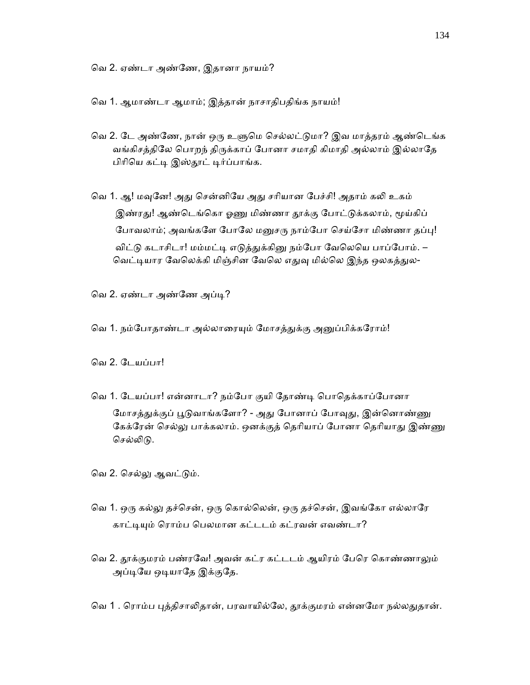ெவ 2. ஏண்டா அண்ேண, இதானா நாயம்?

ெவ 1. ஆமாண்டா ஆமாம்; இத்தான் நாசாதிபதிங்க நாயம்!

- வெ 2. டே அண்ணே, நான் ஒரு உளுமெ செல்லட்டுமா? இவ மாத்தரம் ஆண்டெங்க வங்கிசத்திலே பொறந் திருக்காப் போனா சமாதி கிமாதி அல்லாம் இல்லாதே பிரியெ கட்டி இஸ்தூட் டிர்ப்பாங்க.
- வெ 1. ஆ! மவுனே! அது சென்னியே அது சரியான பேச்சி! அதாம் கலி உகம் இண்ரது! ஆண்டெங்கொ ஓணு மிண்ணா தூக்கு போட்டுக்கலாம், மூய்கிப் போவலாம்; அவங்களே போலே மனுசரு நாம்போ செய்சோ மிண்ணா தப்பு! விட்டு கடாசிடா! மம்மட்டி எடுத்துக்கினு நம்போ வேலெயெ பாப்போம். – வெட்டியார வேலெக்கி மிஞ்சின வேலெ எதுவு மில்லெ இந்த ஒலகத்துல-

வெ 2. ஏண்டா அண்ணே அப்டி?

வெ 1. நம்போதாண்டா அல்லாரையும் மோசத்துக்கு அனுப்பிக்கரோம்!

ெவ 2. ேடயப்பா!

வெ 1. டேயப்பா! என்னாடா? நம்போ குயி தோண்டி பொதெக்காப்போனா மோசத்துக்குப் பூடுவாங்களோ? - அது போனாப் போவுது, இன்னொண்ணு கேக்ரேன் செல்லு பாக்கலாம். ஒனக்குத் தெரியாப் போனா தெரியாது இண்ணு செல்லிடு.

வெ 2. செல்லு ஆவட்டும்.

- வெ 1. ஒரு கல்லு தச்சென், ஒரு கொல்லென், ஒரு தச்சென், இவங்கோ எல்லாரே காட்டியும் ரொம்ப பெலமான கட்டடம் கட்ரவன் எவண்டா?
- வெ 2. தூக்குமரம் பண்ரவே! அவன் கட்ர கட்டடம் ஆயிரம் பேரெ கொண்ணாலும் அப்டியே ஒடியாதே இக்குதே.
- வெ 1 . ரொம்ப புத்திசாலிதான், பரவாயில்லே, தூக்குமரம் என்னமோ நல்லதுதான்.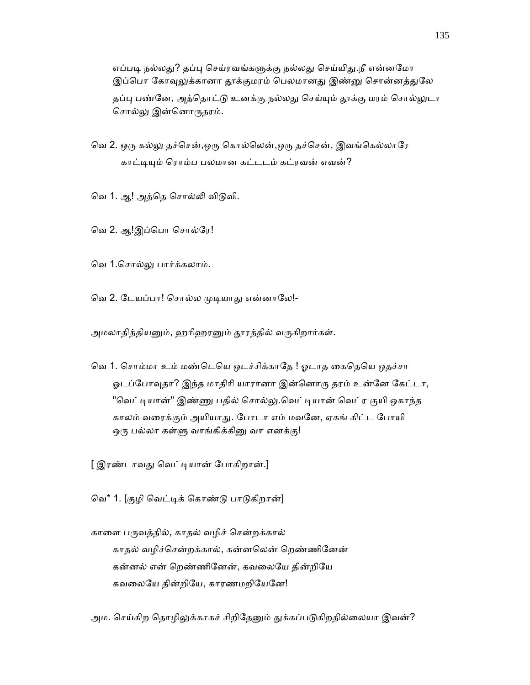எப்படி நல்லது? தப்பு செய்ரவங்களுக்கு நல்லது செய்யிது.நீ என்னமோ இப்பொ கோவுலுக்கானா தூக்குமரம் பெலமானது இண்னு சொன்னத்துலே தப்பு பண்னே, அத்தொட்டு உனக்கு நல்லது செய்யும் தூக்கு மரம் சொல்லுடா சொல்லு இன்னொருதரம்.

வெ 2. ஒரு கல்லு தச்சென்,ஒரு கொல்லென்,ஒரு தச்சென், இவங்கெல்லாரே காட்டியும் ரொம்ப பலமான கட்டடம் கட்ரவன் எவன்?

வெ 1. ஆ! அத்தெ சொல்லி விடுவி.

வெ 2. ஆ!இப்பொ சொல்ரே!

ெவ 1.ெசால்ᾤ பார்க்கலாம்.

வெ 2. டேயப்பா! சொல்ல முடியாது என்னாலே!-

அமலாதித்தியனும், ஹரிஹரனும் தூரத்தில் வருகிறார்கள்.

வெ 1. சொம்மா உம் மண்டெயெ ஒடச்சிக்காதே ! ஓடாத கைதெயெ ஒதச்சா ஓடப்போவுதா? இந்த மாதிரி யாரானா இன்னொரு தரம் உன்னே கேட்டா, "வெட்டியான்" இண்ணு பதில் சொல்லு.வெட்டியான் வெட்ர குயி ஒகாந்த காலம் வைரக்கும் அயியாᾐ. ேபாடா எம் மவேன, ஏகங் கிட்ட ேபாயி ஒரு பல்லா கள்ளு வாங்கிக்கினு வா எனக்கு!

[ இரண்டாவது வெட்டியான் போகிறான்.]

ெவ\* 1. [குழி ெவட்ᾊக் ெகாண்ᾌ பாᾌகிறான்]

காளை பருவத்தில், காதல் வழிச் சென்றக்கால் காதல் வழிச்ெசன்றக்கால், கன்னெலன் ெறண்ணிேனன் கன்னல் என் ெறண்ணிேனன், கவைலேய தின்றிேய கவலையே தின்றியே, காரணமறியேனே!

அம. செய்கிற தொழிலுக்காகச் சிறிதேனும் துக்கப்படுகிறதில்லையா இவன்?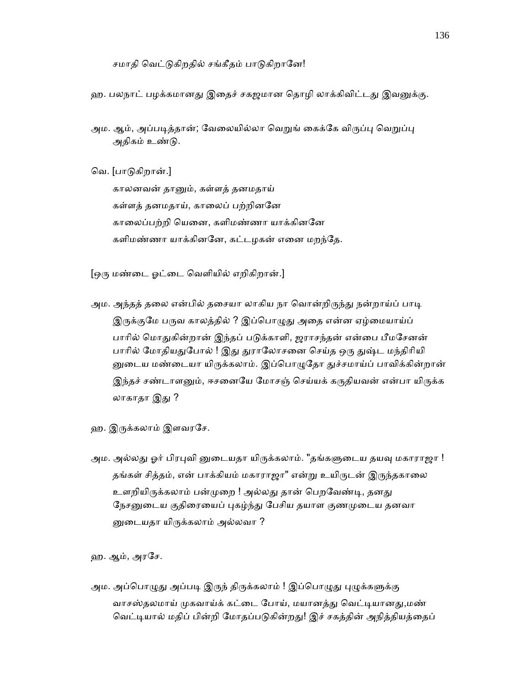சமாதி வெட்டுகிறதில் சங்கீதம் பாடுகிறானே!

ஹ. பலநாட் பழக்கமானது இதைச் சகஜமான தொழி லாக்கிவிட்டது இவனுக்கு.

அம. ஆம், அப்படித்தான்; வேலையில்லா வெறுங் கைக்கே விருப்பு வெறுப்பு அதிகம் உண்ᾌ.

ெவ. [பாᾌகிறான்.]

 காலனவன் தாᾔம், கள்ளத் தனமதாய் கள்ளத் தனமதாய், காலைப் பற்றினனே காைலப்பற்றி ெயைன, களிமண்ணா யாக்கினேன களிமண்ணா யாக்கினனே, கட்டழகன் எனை மறந்தே.

[ஒᾞ மண்ைட ஓட்ைட ெவளியில் எறிகிறான்.]

- அம. அந்தத் தலை என்பில் தசையா லாகிய நா வொன்றிருந்து நன்றாய்ப் பாடி இருக்குமே பருவ காலத்தில் ? இப்பொழுது அதை என்ன ஏழ்மையாய்ப் பாரில் மொதுகின்றான் இந்தப் படுக்காளி, ஜராசந்தன் என்பை பீமசேனன் பாரில் மோதியதுபோல் ! இது துராலோசனை செய்த ஒரு துஷ்ட மந்திரியி னுடைய மண்டையா யிருக்கலாம். இப்பொழுதோ துச்சமாய்ப் பாவிக்கின்றான் இந்தச் சண்டாளனும், ஈசனையே மோசஞ் செய்யக் கருதியவன் என்பா யிருக்க லாகாதா இது ?
- ஹ. இருக்கலாம் இளவரசே.
- அம. அல்லது ஓர் பிரபுவி னுடையதா யிருக்கலாம். "தங்களுடைய தயவு மகாராஜா ! தங்கள் சித்தம், என் பாக்கியம் மகாராஜா" என்று உயிருடன் இருந்தகாலை உளறியிருக்கலாம் பன்முறை ! அல்லது தான் பெறவேண்டி, தனது நேசனுடைய குதிரையைப் புகழ்ந்து பேசிய தயாள குணமுடைய தனவா னுடையதா யிருக்கலாம் அல்லவா ?

ஹ. ஆம், அரேச.

அம. அப்பொழுது அப்படி இருந் திருக்கலாம் ! இப்பொழுது புழுக்களுக்கு வாசஸ்தலமாய் முகவாய்க் கட்டை போய், மயானத்து வெட்டியானது,மண் வெட்டியால் மதிப் பின்றி மோதப்படுகின்றது! இச் சகத்தின் அநித்தியத்தைப்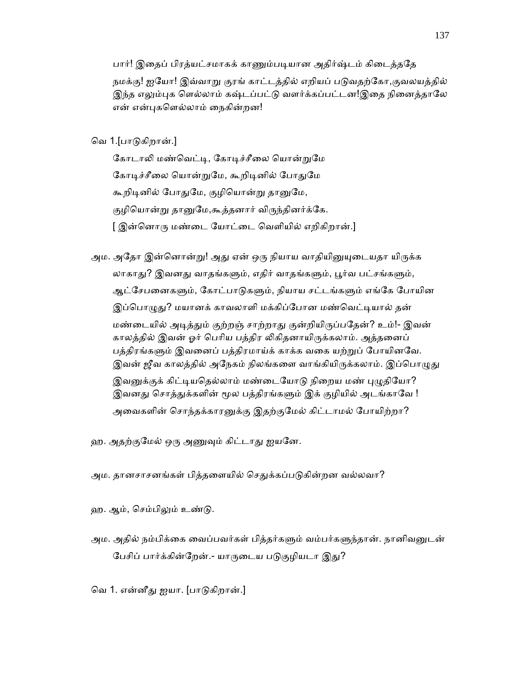பார்! இதைப் பிரத்யட்சமாகக் காணும்படியான அதிர்ஷ்டம் கிடைத்ததே

நமக்கு! ஐயோ! இவ்வாறு குரங் காட்டத்தில் எறியப் படுவதற்கோ,குவலயத்தில் இந்த எலும்புக ளெல்லாம் கஷ்டப்பட்டு வளர்க்கப்பட்டன!இதை நினைத்தாலே என் என்புகளெல்லாம் நைகின்றன!

# ெவ 1.[பாᾌகிறான்.]

கோடாலி மண்வெட்டி, கோடிச்சீலை யொன்றுமே கோடிச்சீலை யொன்றுமே, கூறிடினில் போதுமே கூறிடினில் போதுமே, குழியொன்று தானுமே, குழியொன்று தானுமே,கூத்தனார் விருந்தினர்க்கே. [ இன்னொரு மண்டை யோட்டை வெளியில் எறிகிறான்.]

- அம. அதோ இன்னொன்று! அது ஏன் ஒரு நியாய வாதியினுயுடையதா யிருக்க லாகாது? இவனது வாதங்களும், எதிர் வாதங்களும், பூர்வ பட்சங்களும், ஆட்சேபனைகளும், கோட்பாடுகளும், நியாய சட்டங்களும் எங்கே போயின இப்பொழுது? மயானக் காவலாளி மக்கிப்போன மண்வெட்டியால் தன் மண்டையில் அடித்தும் குற்றஞ் சாற்றாது குன்றியிருப்பதேன்? உம்!- இவன் காலத்தில் இவன் ஓர் பெரிய பத்திர லிகிதனாயிருக்கலாம். அத்தனைப் பத்திரங்களும் இவனைப் பத்திரமாய்க் காக்க வகை யற்றுப் போயினவே. இவன் ஜீவ காலத்தில் அநேகம் நிலங்களை வாங்கியிருக்கலாம். இப்பொழுது இவனுக்குக் கிட்டியதெல்லாம் மண்டையோடு நிறைய மண் புழுதியோ? இவனது சொத்துக்களின் மூல பத்திரங்களும் இக் குழியில் அடங்காவே ! அவைகளின் சொந்தக்காரனுக்கு இதற்குமேல் கிட்டாமல் போயிற்றா?
- ஹ. அதற்குமேல் ஒரு அணுவும் கிட்டாது ஐயனே.
- அம. தானசாசனங்கள் பித்தளையில் செதுக்கப்படுகின்றன வல்லவா?
- ஹ. ஆம், செம்பிலும் உண்டு.
- அம. அதில் நம்பிக்கை வைப்பவர்கள் பித்தர்களும் வம்பர்களுந்தான். நானிவனுடன் பேசிப் பார்க்கின்றேன்.- யாருடைய படுகுழியடா இது?
- வெ 1. என்னீது ஐயா. [பாடுகிறான்.]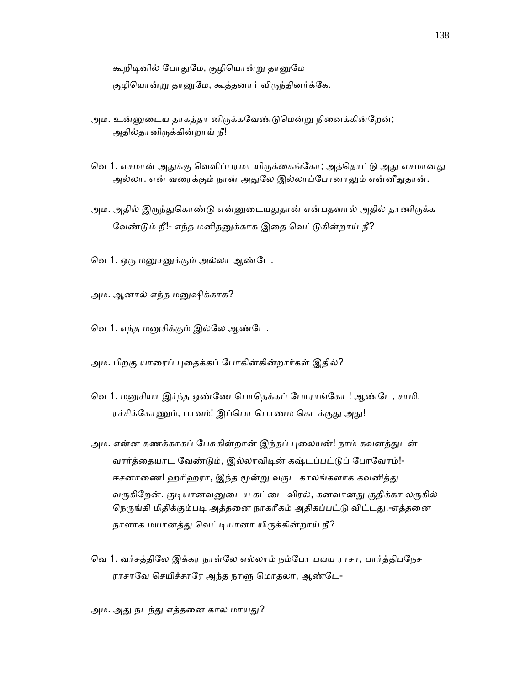கூறிடினில் போதுமே, குழியொன்று தானுமே

குழியொன்று தானுமே, கூத்தனார் விருந்தினர்க்கே.

- அம. உன்னுடைய தாகத்தா னிருக்கவேண்டுமென்று நினைக்கின்றேன்; அதில்தானிᾞக்கின்றாய் நீ!
- வெ 1. எசமான் அதுக்கு வெளிப்பரமா யிருக்கைங்கோ; அத்தொட்டு அது எசமானது அல்லா. என் வரைக்கும் நான் அதுலே இல்லாப்போனாலும் என்னீதுதான்.
- அம. அதில் இருந்துகொண்டு என்னுடையதுதான் என்பதனால் அதில் தாணிருக்க வேண்டும் நீ!- எந்த மனிதனுக்காக இதை வெட்டுகின்றாய் நீ?
- வெ 1. ஒரு மனுசனுக்கும் அல்லா ஆண்டே.
- அம. ஆனால் எந்த மᾔஷிக்காக?
- ெவ 1. எந்த மᾔசிக்கும் இல்ேல ஆண்ேட.
- அம. பிறகு யாரைப் புதைக்கப் போகின்கின்றார்கள் இகில்?
- வெ 1. மனுசியா இர்ந்த ஒண்ணே பொதெக்கப் போராங்கோ ! ஆண்டே, சாமி, ரச்சிக்கோணும், பாவம்! இப்பொ பொணம கெடக்குது அது!
- அம. என்ன கணக்காகப் பேசுகின்றான் இந்தப் புலையன்! நாம் கவனத்துடன் வார்த்தையாட வேண்டும், இல்லாவிடின் கஷ்டப்பட்டுப் போவோம்!-ஈசனாணை! ஹரிஹரா, இந்த மூன்று வருட காலங்களாக கவனித்து வருகிறேன். குடியானவனுடைய கட்டை விரல், கனவானது குதிக்கா லருகில் நெருங்கி மிதிக்கும்படி அத்தனை நாகரீகம் அதிகப்பட்டு விட்டது.-எத்தனை நாளாக மயானத்து வெட்டியானா யிருக்கின்றாய் நீ?
- வெ 1. வர்சத்திலே இக்கர நாள்லே எல்லாம் நம்போ பயய ராசா, பார்த்திபநேச ராசாவே செயிச்சாரே அந்த நாளு மொதலா, ஆண்டே-

அம. அது நடந்து எத்தனை கால மாயது?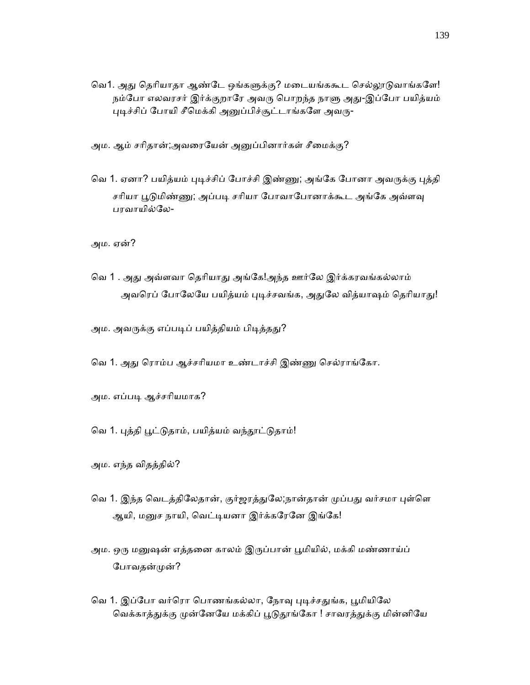வெ1. அது தெரியாதா ஆண்டே ஒங்களுக்கு? மடையங்ககூட செல்லூடுவாங்களே! நம்போ எலவரசர் இர்க்குறாரே அவரு பொறந்த நாளு அது-இப்போ பயித்யம் புடிச்சிப் போயி சீமெக்கி அனுப்பிச்சூட்டாங்களே அவரு-

அம. ஆம் சரிதான்;அவரையேன் அனுப்பினார்கள் சீமைக்கு?

வெ 1. ஏனா? பயித்யம் புடிச்சிப் போச்சி இண்ணு; அங்கே போனா அவருக்கு புத்தி சரியா பூடுமிண்ணு; அப்படி சரியா போவாபோனாக்கூட அங்கே அவ்ளவு பரவாயில்ேல-

அம. ஏன்?

வெ 1 . அது அவ்ளவா தெரியாது அங்கே!அந்த ஊர்லே இர்க்கரவங்கல்லாம் அவரெப் போலேயே பயித்யம் புடிச்சவங்க, அதுலே வித்யாஷம் தெரியாது!

அம. அவருக்கு எப்படிப் பயித்தியம் பிடித்தது?

வெ 1. அது ரொம்ப ஆச்சரியமா உண்டாச்சி இண்ணு செல்ராங்கோ.

அம. எப்படி ஆச்சரியமாக?

வெ 1. புத்தி பூட்டுதாம், பயித்யம் வந்தூட்டுதாம்!

அம. எந்த விதத்தில்?

- வெ 1. இந்த வெடத்திலேதான், குர்ஜரத்துலே;நான்தான் முப்பது வர்சமா புள்ளெ ஆயி, மனுச நாயி, வெட்டியனா இர்க்கரேனே இங்கே!
- அம. ஒரு மனுஷன் எத்தனை காலம் இருப்பான் பூமியில், மக்கி மண்ணாய்ப் போவதன்முன்?
- வெ 1. இப்போ வர்ரொ பொணங்கல்லா, நோவு புடிச்சதுங்க, பூமியிலே வெக்காத்துக்கு முன்னேயே மக்கிப் பூடுதூங்கோ ! சாவரத்துக்கு மின்னியே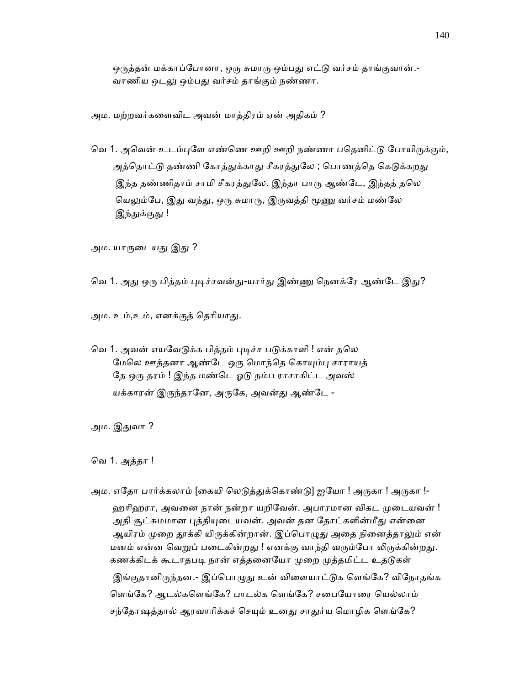ஒருத்தன் மக்காப்போனா, ஒரு சுமாரு ஒம்பது எட்டு வர்சம் தாங்குவான்.-வாணிய ஒடலு ஒம்பது வர்சம் தாங்கும் நண்ணா.

அம. மற்றவர்கைளவிட அவன் மாத்திரம் ஏன் அதிகம் ?

வெ 1. அவென் உடம்புளே எண்ணெ ஊறி ஊறி நண்ணா பதெனிட்டு போயிருக்கும், அத்தொட்டு தண்ணி கோத்துக்காது சீகரத்துலே ; பொணத்தெ கெடுக்கறது இந்த தண்ணிதாம் சாமி சீகரத்துலே. இந்தா பாரு ஆண்டே, இந்தத் தலெ யெலும்பே, இது வந்து, ஒரு சுமாரு, இருவத்தி மூணு வர்சம் மண்லே இந்துக்குது !

அம. யாருடையது இது ?

வெ 1. அது ஒரு பித்தம் புடிச்சவன்து-யார்து இண்ணு நெனக்ரே ஆண்டே இது?

அம. உம்,உம், எனக்குத் தெரியாது.

வெ 1. அவன் எயவேடுக்க பித்தம் புடிச்ச படுக்காளி ! என் தலெ மேலெ ஊத்தனா ஆண்டே ஒரு மொந்தெ கொயும்பு சாராயத் தே ஒரு தரம் ! இந்த மண்டெ ஓடு நம்ப ராசாகிட்ட அவஸ் யக்காரன் இருந்தானே, அருகே, அவன்து ஆண்டே -

அம. இᾐவா ?

ெவ 1. அத்தா !

அம. எதோ பார்க்கலாம் [கையி லெடுத்துக்கொண்டு] ஐயோ ! அருகா ! அருகா !-ஹரிஹரா, அவனை நான் நன்றா யறிவேன். அபாரமான விகட முடையவன் ! அதி சூட்சுமமான புத்தியுடையவன். அவன் தன தோட்களின்மீது என்னை ஆயிரம் முறை தூக்கி யிருக்கின்றான். இப்பொழுது அதை நினைத்தாலும் என் மனம் என்ன வெறுப் படைகின்றது ! எனக்கு வாந்தி வரும்போ லிருக்கின்றது. கணக்கிடக் கூடாதபடி நான் எத்தனையோ முறை முத்தமிட்ட உதடுகள் இங்குதானிருந்தன.- இப்பொழுது உன் விளையாட்டுக ளெங்கே? விநோதங்க ளெங்கே? ஆடல்களெங்கே? பாடல்க ளெங்கே? சபையோரை யெல்லாம் சந்தோஷத்தால் ஆரவாரிக்கச் செயும் உனது சாதுர்ய மொழிக ளெங்கே?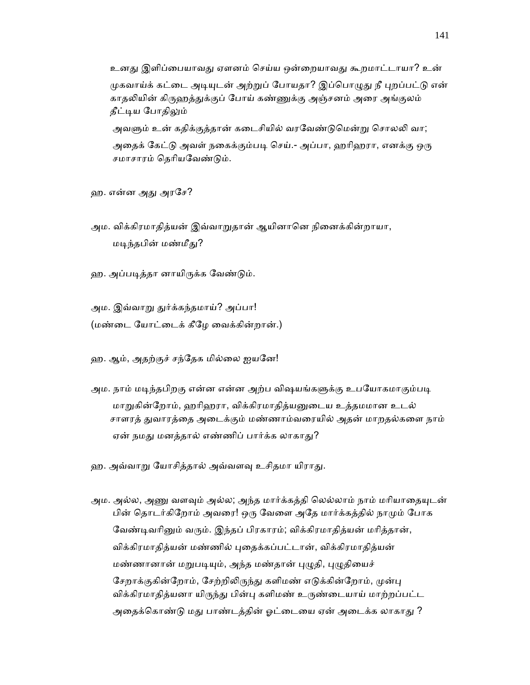உனது இளிப்பையாவது ஏளனம் செய்ய ஒன்றையாவது கூறமாட்டாயா? உன் முகவாய்க் கட்டை அடியுடன் அற்றுப் போயதா? இப்பொழுது நீ புறப்பட்டு என் காதலியின் கிருஹத்துக்குப் போய் கண்ணுக்கு அஞ்சனம் அரை அங்குலம் தீட்டிய போதிலும் அவளும் உன் கதிக்குத்தான் கடைசியில் வரவேண்டுமென்று சொலலி வா;

அதைக் கேட்டு அவள் நகைக்கும்படி செய்.- அப்பா, ஹரிஹரா, எனக்கு ஒரு சமாசாரம் ெதாியேவண்ᾌம்.

ஹ. என்ன அᾐ அரேச?

அம. விக்கிரமாதித்யன் இவ்வாறுதான் ஆயினானெ நினைக்கின்றாயா, மடிந்தபின் மண்மீது?

ஹ. அப்படித்தா னாயிருக்க வேண்டும்.

அம. இவ்வாறு துர்க்கந்தமாய்? அப்பா! (மண்ைட ேயாட்ைடக் கீேழ ைவக்கின்றான்.)

ஹ. ஆம், அதற்குச் சந்ேதக மில்ைல ஐயேன!

- அம. நாம் மடிந்தபிறகு என்ன என்ன அற்ப விஷயங்களுக்கு உபயோகமாகும்படி மாறுகின்றோம், ஹரிஹரா, விக்கிரமாகிக்யனுடைய உக்கமமான உடல் சாளரத் ᾐவாரத்ைத அைடக்கும் மண்ணாம்வைரயில் அதன் மாறதல்கைள நாம் ஏன் நமது மனத்தால் எண்ணிப் பார்க்க லாகாது?
- ஹ. அவ்வாறு யோசித்தால் அவ்வளவு உசிதமா யிராது.
- அம. அல்ல, அணு வளவும் அல்ல; அந்த மார்க்கத்தி லெல்லாம் நாம் மரியாதையுடன் பின் தொடர்கிறோம் அவரை! ஒரு வேளை அதே மார்க்கத்தில் நாமும் போக வேண்டிவரினும் வரும். இந்தப் பிரகாரம்; விக்கிரமாதித்யன் மரித்தான், விக்கிரமாதித்யன் மண்ணில் புதைக்கப்பட்டான், விக்கிரமாதித்யன் மண்ணானான் மறுபடியும், அந்த மண்தான் புழுதி, புழுதியைச் சேறாக்குகின்றோம், சேற்றிலிருந்து களிமண் எடுக்கின்றோம், முன்பு விக்கிரமாதித்யனா யிருந்து பின்பு களிமண் உருண்டையாய் மாற்றப்பட்ட அதைக்கொண்டு மது பாண்டத்தின் ஓட்டையை ஏன் அடைக்க லாகாது ?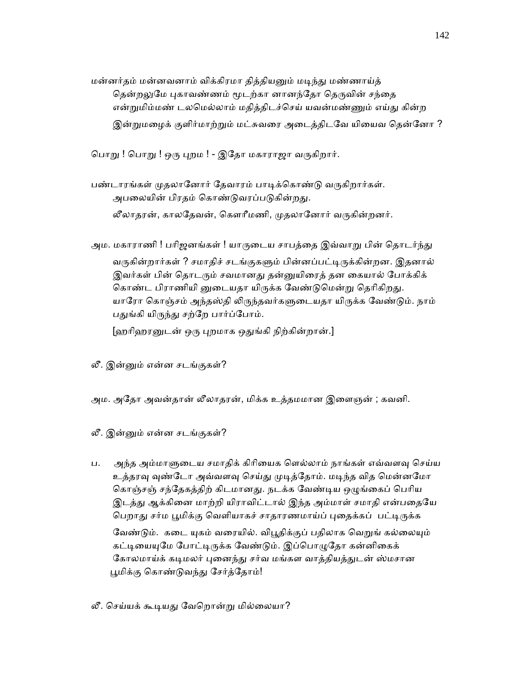மன்னர்தம் மன்னவனாம் விக்கிரமா தித்தியனும் மடிந்து மண்ணாய்த் தென்றலுமே புகாவண்ணம் மூடற்கா னானந்தோ தெருவின் சந்தை என்றுமிம்மண் டலமெல்லாம் மதித்திடச்செய் யவன்மண்ணும் எய்து கின்ற இன்றுமழைக் குளிர்மாற்றும் மட்சுவரை அடைத்திடவே யியைவ தென்னோ ?

பொறு ! பொறு ! ஒரு புறம ! - இதோ மகாராஜா வருகிறார்.

- பண்டாரங்கள் முதலானோர் தேவாரம் பாடிக்கொண்டு வருகிறார்கள். அபலையின் பிரதம் கொண்டுவரப்படுகின்றது. லீலாதரன், காலதேவன், கௌரீமணி, முதலானோர் வருகின்றனர்.
- அம. மகாராணி ! பரிஜனங்கள் ! யாருடைய சாபத்தை இவ்வாறு பின் தொடர்ந்து வருகின்றார்கள் ? சமாதிச் சடங்குகளும் பின்னப்பட்டிருக்கின்றன. இதனால் இவர்கள் பின் தொடரும் சவமானது தன்னுயிரைத் தன கையால் போக்கிக் கொண்ட பிராணியி னுடையதா யிருக்க வேண்டுமென்று தெரிகிறது. யாரோ கொஞ்சம் அந்தஸ்தி லிருந்தவர்களுடையதா யிருக்க வேண்டும். நாம் பதுங்கி யிருந்து சற்றே பார்ப்போம்.

[ஹாிஹரᾔடன் ஒᾞ ᾗறமாக ஒᾐங்கி நிற்கின்றான்.]

- லீ. இன்ᾔம் என்ன சடங்குகள்?
- அம. அதோ அவன்தான் லீலாதரன், மிக்க உத்தமமான இளைஞன் ; கவனி.
- லீ. இன்ᾔம் என்ன சடங்குகள்?
- ப. அந்த அம்மாளுடைய சமாதிக் கிரியைக ளெல்லாம் நாங்கள் எவ்வளவு செய்ய உத்தரவு வுண்டோ அவ்வளவு செய்து முடித்தோம். மடிந்த வித மென்னமோ கொஞ்சஞ் சந்தேகத்திற் கிடமானது. நடக்க வேண்டிய ஒழுங்கைப் பெரிய இடத்து ஆக்கினை மாற்றி யிராவிட்டால் இந்த அம்மாள் சமாதி என்பதையே பெறாது சர்ம பூமிக்கு வெளியாகச் சாதாரணமாய்ப் புதைக்கப் பட்டிருக்க

வேண்டும். கடை யுகம் வரையில். விபூதிக்குப் பதிலாக வெறுங் கல்லையும் கட்டியையுமே போட்டிருக்க வேண்டும். இப்பொழுதோ கன்னிகைக் கோலமாய்க் கடிமலர் புனைந்து சர்வ மங்கள வாத்தியத்துடன் ஸ்மசான பூமிக்கு கொண்டுவந்து சேர்த்தோம்!

லீ. செய்யக் கூடியது வேறொன்று மில்லையா?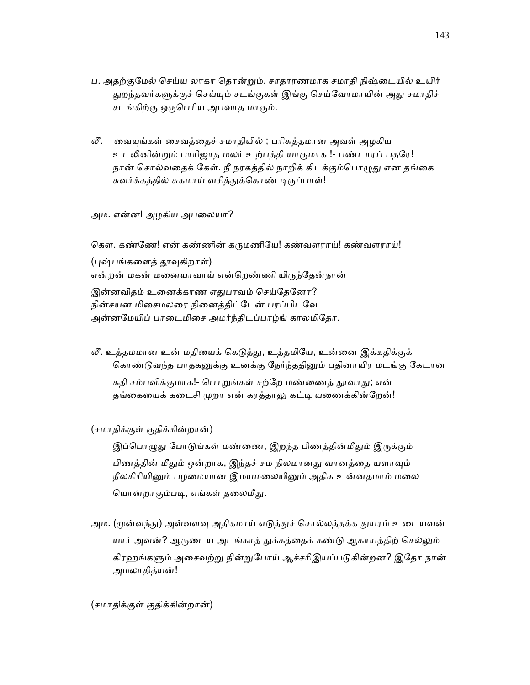- ப. அதற்குமேல் செய்ய லாகா தொன்றும். சாதாரணமாக சமாதி நிஷ்டையில் உயிர் துறந்தவர்களுக்குச் செய்யும் சடங்குகள் இங்கு செய்வோமாயின் அது சமாதிச் சடங்கிற்கு ஒருபெரிய அபவாத மாகும்.
- லீ. ைவᾜங்கள் ைசவத்ைதச் சமாதியில் ; பாிசுத்தமான அவள் அழகிய உடலினின்றும் பாரிஜாத மலர் உற்பத்தி யாகுமாக !- பண்டாரப் பதரே! நான் சொல்வதைக் கேள். நீ நரகத்தில் நாறிக் கிடக்கும்பொழுது என தங்கை சுவர்க்கத்தில் சுகமாய் வசித்துக்கொண் டிருப்பாள்!

அம. என்ன! அழகிய அபைலயா?

கௌ. கண்ணே! என் கண்ணின் கருமணியே! கண்வளராய்! கண்வளராய்! (புஷ்பங்களைத் தூவுகிறாள்) என்றன் மகன் மனையாவாய் என்றெண்ணி யிருந்தேன்நான் இன்னவிதம் உனைக்காண எதுபாவம் செய்கேனோ? நின்சயன மிைசமலைர நிைனத்திட்ேடன் பரப்பிடேவ அன்னமேயிப் பாடைமிசை அமர்ந்திடப்பாழ்ங் காலமிதோ.

லீ. உத்தமமான உன் மதியைக் கெடுத்து, உத்தமியே, உன்னை இக்கதிக்குக் கொண்டுவந்த பாதகனுக்கு உனக்கு நேர்ந்ததினும் பதினாயிர மடங்கு கேடான

கதி சம்பவிக்குமாக!- பொறுங்கள் சற்றே மண்ணைத் தூவாது; என் தங்கையைக் கடைசி முறா என் கரத்தாலு கட்டி யணைக்கின்றேன்!

## (சமாதிக்குள் குதிக்கின்றான்)

இப்பொழுது போடுங்கள் மண்ணை, இறந்த பிணத்தின்மீதும் இருக்கும் பிணத்தின் மீதும் ஒன்றாக, இந்தச் சம நிலமானது வானத்தை யளாவும் நீலகிரியினும் பழமையான இமயமலையினும் அதிக உன்னதமாம் மலை யொன்றாகும்படி, எங்கள் தலைமீது.

அம. (முன்வந்து) அவ்வளவு அதிகமாய் எடுத்துச் சொல்லத்தக்க துயரம் உடையவன் யார் அவன்? ஆருடைய அடங்காத் துக்கத்தைக் கண்டு ஆகாயத்திற் செல்லும் கிரஹங்களும் அசைவற்று நின்றுபோய் ஆச்சரிஇயப்படுகின்றன? இதோ நான் அமலாதித்யன்!

# (சமாதிக்குள் குதிக்கின்றான்)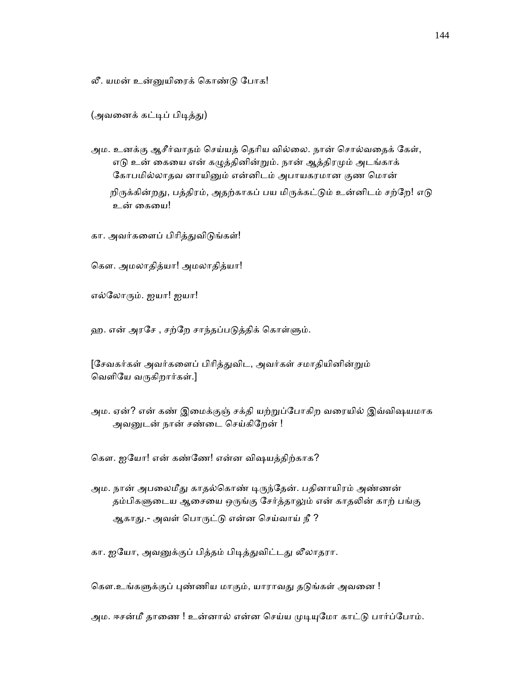லீ. யமன் உன்ᾔயிைரக் ெகாண்ᾌ ேபாக!

(அவனைக் கட்டிப் பிடித்து)

 அம. உனக்கு ஆசீர்வாதம் ெசய்யத் ெதாிய வில்ைல. நான் ெசால்வைதக் ேகள், எடு உன் கையை என் கழுத்தினின்றும். நான் ஆத்திரமும் அடங்காக் கோபமில்லாதவ னாயினும் என்னிடம் அபாயகரமான குண மொன் றிருக்கின்றது, பத்திரம், அதற்காகப் பய மிருக்கட்டும் உன்னிடம் சற்றே! எடு உன் கையை!

கா. அவர்களைப் பிரித்துவிடுங்கள்!

ெகள. அமலாதித்யா! அமலாதித்யா!

எல்ேலாᾞம். ஐயா! ஐயா!

ஹ. என் அரசே , சற்றே சாந்தப்படுத்திக் கொள்ளும்.

[சேவகர்கள் அவர்களைப் பிரித்துவிட, அவர்கள் சமாதியினின்றும் வெளியே வருகிறார்கள்.]

அம. ஏன்? என் கண் இமைக்குஞ் சக்தி யற்றுப்போகிற வரையில் இவ்விஷயமாக அவனுடன் நான் சண்டை செய்கிறேன் !

ெகள. ஐேயா! என் கண்ேண! என்ன விஷயத்திற்காக?

அம. நான் அபலைமீது காதல்கொண் டிருந்தேன். பதினாயிரம் அண்ணன் தம்பிகளுடைய ஆசையை ஒருங்கு சேர்த்தாலும் என் காதலின் காற் பங்கு ஆகாது.- அவள் பொருட்டு என்ன செய்வாய் நீ ?

கா. ஐயோ, அவனுக்குப் பித்தம் பிடித்துவிட்டது லீலாதரா.

கௌ.உங்களுக்குப் புண்ணிய மாகும், யாராவது தடுங்கள் அவனை !

அம. ஈசன்மீ தாணை ! உன்னால் என்ன செய்ய முடியுமோ காட்டு பார்ப்போம்.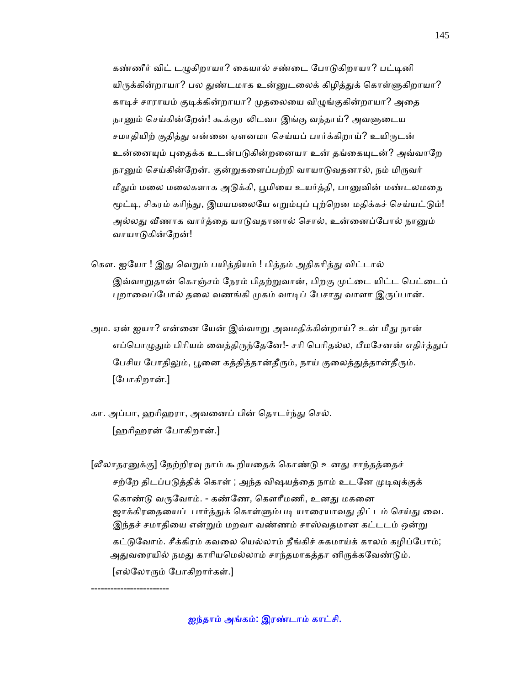கண்ணீர் விட் டமுகிறாயா? கையால் சண்டை போடுகிறாயா? பட்டினி யிருக்கின்றாயா? பல துண்டமாக உன்னுடலைக் கிழித்துக் கொள்ளுகிறாயா? காடிச் சாராயம் குடிக்கின்றாயா? முதலையை விழுங்குகின்றாயா? அதை நானும் செய்கின்றேன்! கூக்குர லிடவா இங்கு வந்தாய்? அவளுடைய சமாதியிற் குதித்து என்னை ஏளனமா செய்யப் பார்க்கிறாய்? உயிருடன் உன்னையும் புதைக்க உடன்படுகின்றனையா உன் தங்கையுடன்? அவ்வாறே நானும் செய்கின்றேன். குன்றுகளைப்பற்றி வாயாடுவதனால், நம் மிருவர் மீதும் மலை மலைகளாக அடுக்கி, பூமியை உயர்த்தி, பானுவின் மண்டலமதை மூட்டி, சிகரம் கரிந்து, இமயமலையே எறும்புப் புற்றென மதிக்கச் செய்யட்டும்! அல்லது வீணாக வார்க்கை யாடுவகானால் சொல், உன்னைப்போல் நானும் வாயாடுகின்றேன்!

- கௌ. ஐயோ ! இது வெறும் பயித்தியம் ! பித்தம் அதிகரித்து விட்டால் இவ்வாறுதான் கொஞ்சம் நேரம் பிதற்றுவான், பிறகு முட்டை யிட்ட பெட்டைப் புறாவைப்போல் தலை வணங்கி முகம் வாடிப் பேசாது வாளா இருப்பான்.
- அம. ஏன் ஐயா? என்னை யேன் இவ்வாறு அவமதிக்கின்றாய்? உன் மீது நான் எப்பொழுதும் பிரியம் வைத்திருந்தேனே!- சரி பெரிதல்ல, பீமசேனன் எதிர்த்துப் பேசிய போதிலும், பூனை கத்தித்தான்தீரும், நாய் குலைத்துத்தான்தீரும். [ேபாகிறான்.]
- கா. அப்பா, ஹரிஹரா, அவனைப் பின் தொடர்ந்து செல். [ஹாிஹரன் ேபாகிறான்.]

------------------------

[லீலாதரனுக்கு] நேற்றிரவு நாம் கூறியதைக் கொண்டு உனது சாந்தத்தைச் சற்றே திடப்படுத்திக் கொள் ; அந்த விஷயத்தை நாம் உடனே முடிவுக்குக் கொண்டு வருவோம். - கண்ணே, கௌரீமணி, உனது மகனை ஜாக்கிரதையைப் பார்த்துக் கொள்ளும்படி யாரையாவது திட்டம் செய்து வை. இந்தச் சமாதியை என்றும் மறவா வண்ணம் சாஸ்வதமான கட்டடம் ஒன்று கட்டுவோம். சீக்கிரம் கவலை யெல்லாம் நீங்கிச் சுகமாய்க் காலம் கழிப்போம்; அதுவரையில் நமது காரியமெல்லாம் சாந்தமாகத்தா னிருக்கவேண்டும்.  $\lceil$ எல்லோரும் போகிறார்கள்.]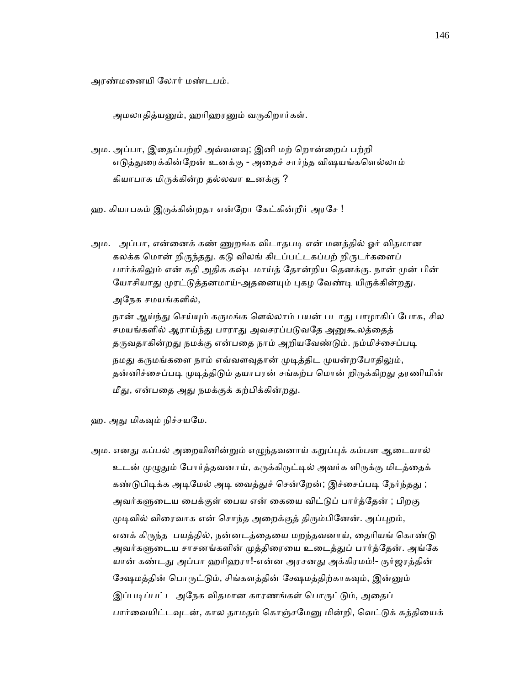அரண்மைனயி ேலார் மண்டபம்.

அமலாதித்யனும், ஹரிஹரனும் வருகிறார்கள்.

- அம. அப்பா, இதைப்பற்றி அவ்வளவு; இனி மற் றொன்றைப் பற்றி எடுத்துரைக்கின்றேன் உனக்கு - அதைச் சார்ந்த விஷயங்களெல்லாம் கியாபாக மிᾞக்கின்ற தல்லவா உனக்கு ?
- ஹ. கியாபகம் இருக்கின்றதா என்றோ கேட்கின்றீர் அரசே !
- அம. அப்பா, என்னைக் கண் ணுறங்க விடாதபடி என் மனக்கில் ஓர் விதமான கலக்க மொன் றிருந்தது. கடு விலங் கிடப்பட்டகப்பற் றிருடர்களைப் பார்க்கிலும் என் கதி அதிக கஷ்டமாய்த் தோன்றிய தெனக்கு. நான் முன் பின் யோசியாது முரட்டுத்தனமாய்-அதனையும் புகழ வேண்டி யிருக்கின்றது. அேநக சமயங்களில்,

நான் ஆய்ந்து செய்யும் கருமங்க ளெல்லாம் பயன் படாது பாழாகிப் போக, சில சமயங்களில் ஆராய்ந்து பாராது அவசரப்படுவதே அனுகூலத்தைத் தருவதாகின்றது நமக்கு என்பதை நாம் அறியவேண்டும். நம்மிச்சைப்படி நமது கருமங்களை நாம் எவ்வளவுதான் முடித்திட முயன்றபோதிலும், தன்னிச்சைப்படி முடித்திடும் தயாபரன் சங்கற்ப மொன் றிருக்கிறது தரணியின் மீது, என்பதை அது நமக்குக் கற்பிக்கின்றது.

ஹ. அது மிகவும் நிச்சயமே.

அம. எனது கப்பல் அறையினின்றும் எழுந்தவனாய் கறுப்புக் கம்பள ஆடையால் உடன் முழுதும் போர்த்தவனாய், கருக்கிருட்டில் அவர்க ளிருக்கு மிடத்தைக் கண்டுபிடிக்க அடிமேல் அடி வைத்துச் சென்றேன்; இச்சைப்படி நேர்ந்தது ; அவர்களுடைய பைக்குள் பைய என் கையை விட்டுப் பார்த்தேன் ; பிறகு முடிவில் விரைவாக என் சொந்த அறைக்குத் திரும்பினேன். அப்புறம், எனக் கிருந்த பயத்தில், நன்னடத்தையை மறந்தவனாய், தைரியங் கொண்டு அவர்களுடைய சாசனங்களின் முத்திரையை உடைத்துப் பார்த்தேன். அங்கே யான் கண்டது அப்பா ஹரிஹரா!-என்ன அரசனது அக்கிரமம்!- குர்ஜரத்தின் கேஷமத்தின் பொருட்டும், சிங்களத்தின் க்ஷேமத்திற்காகவும், இன்னும் இப்படிப்பட்ட அநேக விதமான காரணங்கள் பொருட்டும், அதைப் பார்வையிட்டவுடன், கால தாமதம் கொஞ்சமேனு மின்றி, வெட்டுக் கத்தியைக்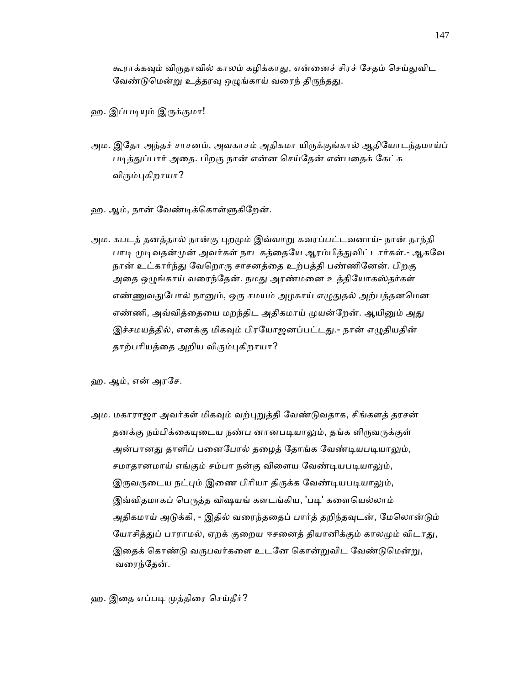கூராக்கவும் விருதாவில் காலம் கழிக்காது, என்னைச் சிரச் சேதம் செய்துவிட வேண்டுமென்று உத்தரவு ஒழுங்காய் வரைந் திருந்தது.

ஹ. இப்படியும் இருக்குமா!

- அம. இதோ அந்தச் சாசனம், அவகாசம் அதிகமா யிருக்குங்கால் ஆதியோடந்தமாய்ப் படித்துப்பார் அதை. பிறகு நான் என்ன செய்தேன் என்பதைக் கேட்க விரும்புகிறாயா?
- ஹ. ஆம், நான் வேண்டிக்கொள்ளுகிறேன்.
- அம. கபடத் தனத்தால் நான்கு புறமும் இவ்வாறு கவரப்பட்டவனாய்- நான் நாந்தி பாடி முடிவதன்முன் அவர்கள் நாடகத்தையே ஆரம்பித்துவிட்டார்கள்.- ஆகவே நான் உட்கார்ந்து வேறொரு சாசனத்தை உற்பத்தி பண்ணினேன். பிறகு அதை ஒழுங்காய் வரைந்தேன். நமது அரண்மனை உத்தியோகஸ்தர்கள் எண்ணுவதுபோல் நானும், ஒரு சமயம் அழகாய் எழுதுதல் அற்பத்தனமென எண்ணி, அவ்வித்தையை மறந்திட அதிகமாய் முயன்றேன். ஆயினும் அது இச்சமயத்தில், எனக்கு மிகவும் பிரயோஜனப்பட்டது.- நான் எழுதியதின் தாற்பரியத்தை அறிய விரும்புகிறாயா?

ஹ. ஆம், என் அரேச.

அம. மகாராஜா அவர்கள் மிகவும் வற்புறுத்தி வேண்டுவதாக, சிங்களத் தரசன் தனக்கு நம்பிக்கையுடைய நண்ப னானபடியாலும், தங்க ளிருவருக்குள் அன்பானது தாளிப் பனைபோல் தழைத் தோங்க வேண்டியபடியாலும், சமாதானமாய் எங்கும் சம்பா நன்கு விளைய வேண்டியபடியாலும், இருவருடைய நட்பும் இணை பிரியா திருக்க வேண்டியபடியாலும், இவ்விதமாகப் பெருத்த விஷயங் களடங்கிய, 'படி' களையெல்லாம் அதிகமாய் அடுக்கி, - இதில் வரைந்ததைப் பார்த் தறிந்தவுடன், மேலொன்டும் யோசித்துப் பாராமல், ஏறக் குறைய ஈசனைத் தியானிக்கும் காலமும் விடாது, இதைக் கொண்டு வருபவர்களை உடனே கொன்றுவிட வேண்டுமென்று, வைரந்ேதன்.

ஹ. இதை எப்படி முத்திரை செய்தீர்?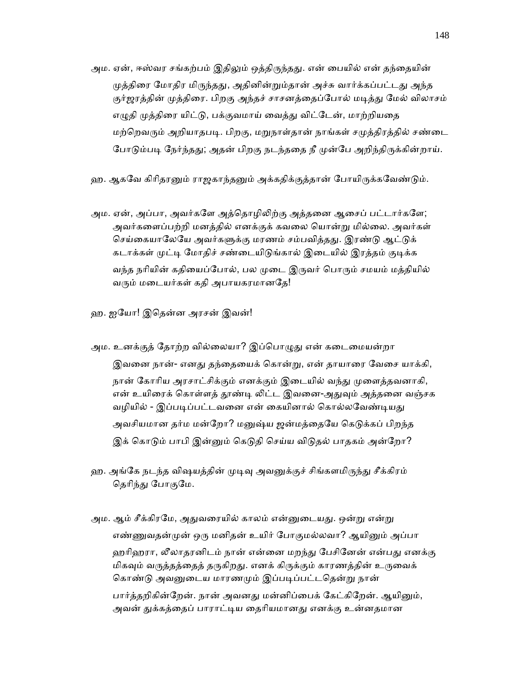- அம. ஏன், ஈஸ்வர சங்கற்பம் இதிலும் ஒத்திருந்தது. என் பையில் என் தந்தையின் முத்திரை மோதிர மிருந்தது, அதினின்றும்தான் அச்சு வார்க்கப்பட்டது அந்த குர்ஜரத்தின் முத்திரை. பிறகு அந்தச் சாசனத்தைப்போல் மடித்து மேல் விலாசம் எழுதி முத்திரை யிட்டு, பக்குவமாய் வைத்து விட்டேன், மாற்றியதை மற்றெவரும் அறியாதபடி. பிறகு, மறுநாள்தான் நாங்கள் சமுத்திரத்தில் சண்டை போடும்படி நேர்ந்தது; அதன் பிறகு நடந்ததை நீ முன்பே அறிந்திருக்கின்றாய்.
- ஹ. ஆகவே கிரிதரனும் ராஜகாந்தனும் அக்கதிக்குத்தான் போயிருக்கவேண்டும்.
- அம. ஏன், அப்பா, அவர்களே அத்தொழிலிற்கு அத்தனை ஆசைப் பட்டார்களே; அவர்கைளப்பற்றி மனத்தில் எனக்குக் கவைல ெயான்ᾠ மில்ைல. அவர்கள் செய்கையாலேயே அவர்களுக்கு மரணம் சம்பவித்தது. இரண்டு ஆட்டுக் கடாக்கள் முட்டி மோதிச் சண்டையிடுங்கால் இடையில் இரத்தம் குடிக்க வந்த நரியின் கதியைப்போல், பல முடை இருவர் பொரும் சமயம் மத்தியில் வரும் மடையர்கள் கதி அபாயகரமானதே!
- ஹ. ஐேயா! இெதன்ன அரசன் இவன்!
- அம. உனக்குத் தோற்ற வில்லையா? இப்பொழுது என் கடைமையன்றா இவனை நான்- எனது தந்தையைக் கொன்று, என் தாயாரை வேசை யாக்கி, நான் கோரிய அரசாட்சிக்கும் எனக்கும் இடையில் வந்து முளைத்தவனாகி, என் உயிரைக் கொள்ளத் தூண்டி லிட்ட இவனை-அதுவும் அத்தனை வஞ்சக வழியில் - இப்படிப்பட்டவனை என் கையினால் கொல்லவேண்டியது அவசியமான தர்ம மன்றோ? மனுஷ்ய ஜன்மத்தையே கெடுக்கப் பிறந்த இக் கொடும் பாபி இன்னும் கெடுதி செய்ய விடுதல் பாதகம் அன்றோ?
- ஹ. அங்கே நடந்த விஷயத்தின் முடிவு அவனுக்குச் சிங்களமிருந்து சீக்கிரம் தெரிந்து போகுமே.
- அம. ஆம் சீக்கிரமே, அதுவரையில் காலம் என்னுடையது. ஒன்று என்று எண்ணுவதன்முன் ஒரு மனிதன் உயிர் போகுமல்லவா? ஆயினும் அப்பா ஹரிஹரா, லீலாதரனிடம் நான் என்னை மறந்து பேசினேன் என்பது எனக்கு மிகவும் வருத்தத்தைத் தருகிறது. எனக் கிருக்கும் காரணத்தின் உருவைக் கொண்டு அவனுடைய மாரணமும் இப்படிப்பட்டதென்று நான் பார்த்தறிகின்றேன். நான் அவனது மன்னிப்பைக் கேட்கிறேன். ஆயினும், அவன் துக்கத்தைப் பாராட்டிய தைரியமானது எனக்கு உன்னதமான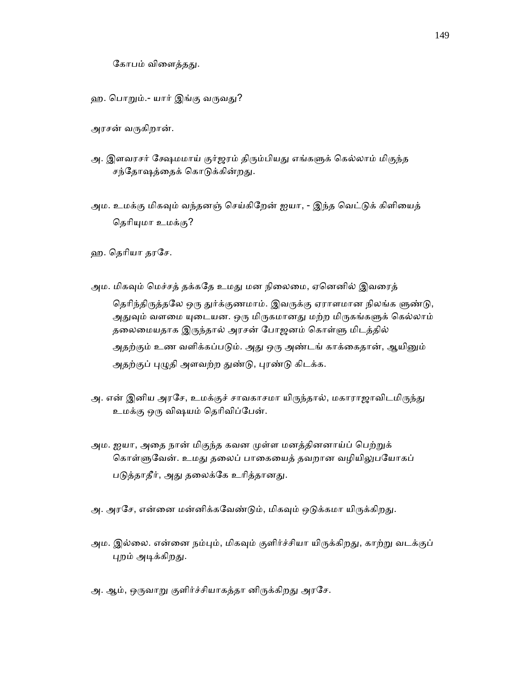கோபம் விளைத்தது.

- ஹ. பொறும்.- யார் இங்கு வருவது?
- அரசன் வᾞகிறான்.
- அ. இளவரசர் க்ஷேமமாய் குர்ஜரம் திரும்பியது எங்களுக் கெல்லாம் மிகுந்த சந்தோஷத்தைக் கொடுக்கின்றது.
- அம. உமக்கு மிகவும் வந்தனஞ் செய்கிறேன் ஐயா, இந்த வெட்டுக் கிளியைத் தெரியுமா உமக்கு?

ஹ. ெதாியா தரேச.

- அம. மிகவும் மெச்சத் தக்கதே உமது மன நிலைமை, ஏனெனில் இவரைத் தெரிந்திருத்தலே ஒரு துர்க்குணமாம். இவருக்கு ஏராளமான நிலங்க ளுண்டு, அதுவும் வளமை யுடையன. ஒரு மிருகமானது மற்ற மிருகங்களுக் கெல்லாம் தலைமையதாக இருந்தால் அரசன் போஜனம் கொள்ளு மிடத்தில் அதற்கும் உண வளிக்கப்படும். அது ஒரு அண்டங் காக்கைதான், ஆயினும் அதற்குப் புழுதி அளவற்ற துண்டு, புரண்டு கிடக்க.
- அ. என் இனிய அரசே, உமக்குச் சாவகாசமா யிருந்தால், மகாராஜாவிடமிருந்து உமக்கு ஒᾞ விஷயம் ெதாிவிப்ேபன்.
- அம. ஐயா, அதை நான் மிகுந்த கவன முள்ள மனத்தினனாய்ப் பெற்றுக் கொள்ளுவேன். உமது தலைப் பாகையைத் தவறான வழியிலுபயோகப் படுத்தாதீர், அது தலைக்கே உரித்தானது.
- அ. அரசே, என்னை மன்னிக்கவேண்டும், மிகவும் ஒடுக்கமா யிருக்கிறது.
- அம. இல்லை. என்னை நம்பும், மிகவும் குளிர்ச்சியா யிருக்கிறது, காற்று வடக்குப் புறம் அடிக்கிறது.
- அ. ஆம், ஒருவாறு குளிர்ச்சியாகத்தா னிருக்கிறது அரசே.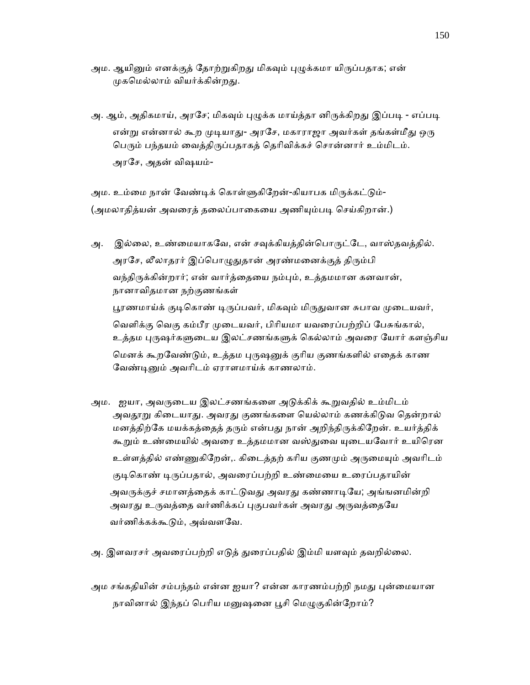- அம. ஆயினும் எனக்குத் தோற்றுகிறது மிகவும் புழுக்கமா யிருப்பதாக; என் முகமெல்லாம் வியர்க்கின்றது.
- அ. ஆம், அதிகமாய், அரசே; மிகவும் புழுக்க மாய்த்தா னிருக்கிறது இப்படி எப்படி என்று என்னால் கூற முடியாது- அரசே, மகாராஜா அவர்கள் தங்கள்மீது ஒரு பெரும் பந்தயம் வைத்திருப்பதாகத் தெரிவிக்கச் சொன்னார் உம்மிடம். அரேச, அதன் விஷயம்-

அம. உம்மை நான் வேண்டிக் கொள்ளுகிறேன்-கியாபக மிருக்கட்டும்-(அமலாதித்யன் அவரைத் தலைப்பாகையை அணியும்படி செய்கிறான்.)

- அ. இல்லை, உண்மையாகவே, என் சவுக்கியத்தின்பொருட்டே, வாஸ்தவத்தில். அரசே, லீலாதரர் இப்பொழுதுதான் அரண்மனைக்குத் திரும்பி வந்திருக்கின்றார்; என் வார்த்தையை நம்பும், உத்தமமான கனவான், நானாவிதமான நற்குணங்கள் பூரணமாய்க் குடிகொண் டிருப்பவர், மிகவும் மிருதுவான சுபாவ முடையவர், வெளிக்கு வெகு கம்பீர முடையவர், பிரியமா யவரைப்பற்றிப் பேசுங்கால், உத்தம புருஷர்களுடைய இலட்சணங்களுக் கெல்லாம் அவரை யோர் களஞ்சிய மெனக் கூறவேண்டும், உத்தம புருஷனுக் குரிய குணங்களில் எதைக் காண வேண்டினும் அவரிடம் ஏராளமாய்க் காணலாம்.
- அம. ஐயா, அவருடைய இலட்சணங்களை அடுக்கிக் கூறுவதில் உம்மிடம் அவதூறு கிடையாது. அவரது குணங்களை யெல்லாம் கணக்கிடுவ தென்றால் மனத்திற்கே மயக்கத்தைத் தரும் என்பது நான் அறிந்திருக்கிறேன். உயர்த்திக் கூறும் உண்மையில் அவரை உத்தமமான வஸ்துவை யுடையவோர் உயிரென உள்ளத்தில் எண்ணுகிறேன்,. கிடைத்தற் கரிய குணமும் அருமையும் அவரிடம் குடிகொண் டிருப்பதால், அவரைப்பற்றி உண்மையை உரைப்பதாயின் அவருக்குச் சமானத்தைக் காட்டுவது அவரது கண்ணாடியே; அங்ஙனமின்றி அவரது உருவத்தை வர்ணிக்கப் புகுபவர்கள் அவரது அருவத்தையே வர்ணிக்கக்கூடும், அவ்வளவே.
- அ. இளவரசர் அவரைப்பற்றி எடுத் துரைப்பதில் இம்மி யளவும் தவறில்லை.
- அம சங்கதியின் சம்பந்தம் என்ன ஐயா? என்ன காரணம்பற்றி நமது புன்மையான நாவினால் இந்தப் பெரிய மனுஷனை பூசி மெழுகுகின்றோம்?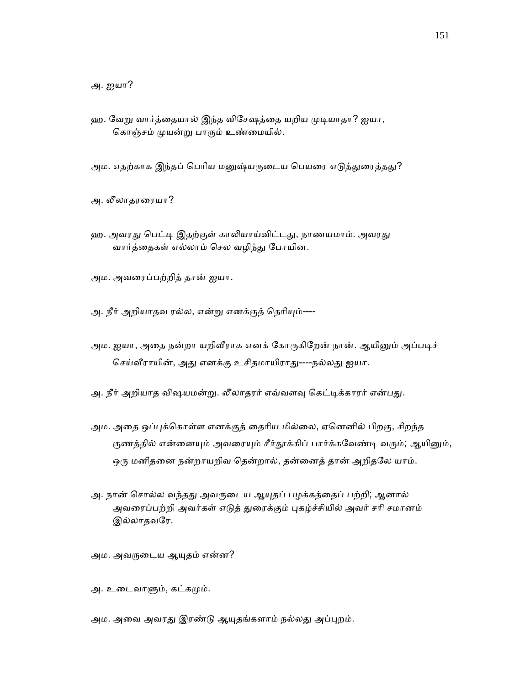அ. ஐயா?

- ஹ. வேறு வார்த்தையால் இந்த விசேஷத்தை யறிய முடியாதா? ஐயா, கொஞ்சம் முயன்று பாரும் உண்மையில்.
- அம. எதற்காக இந்தப் பெரிய மனுஷ்யருடைய பெயரை எடுத்துரைத்தது?
- அ. லீலாதரைரயா?
- ஹ. அவரது பெட்டி இதற்குள் காலியாய்விட்டது, நாணயமாம். அவரது வார்த்தைகள் எல்லாம் செல வழிந்து போயின.
- அம. அவைரப்பற்றித் தான் ஐயா.
- அ. நீர் அறியாதவ ரல்ல, என்று எனக்குத் தெரியும்----
- அம. ஐயா, அதை நன்றா யறிவீராக எனக் கோருகிறேன் நான். ஆயினும் அப்படிச் செய்வீராயின், அது எனக்கு உசிதமாயிராது----நல்லது ஐயா.
- அ. நீர் அறியாத விஷயமன்று. லீலாதரர் எவ்வளவு கெட்டிக்காரர் என்பது.
- அம. அதை ஒப்புக்கொள்ள எனக்குத் தைரிய மில்லை, ஏனெனில் பிறகு, சிறந்த குணத்தில் என்னையும் அவரையும் சீர்தூக்கிப் பார்க்கவேண்டி வரும்; ஆயினும், ஒரு மனிதனை நன்றாயறிவ தென்றால், தன்னைத் தான் அறிதலே யாம்.
- அ. நான் சொல்ல வந்தது அவருடைய ஆயுதப் பழக்கத்தைப் பற்றி; ஆனால் அவரைப்பற்றி அவர்கள் எடுத் துரைக்கும் புகழ்ச்சியில் அவர் சரி சமானம் இல்லாதவரே.

அம. அவருடைய ஆயுதம் என்ன?

அ. உடைவாளும், கட்கமும்.

அம. அவை அவரது இரண்டு ஆயுதங்களாம் நல்லது அப்புறம்.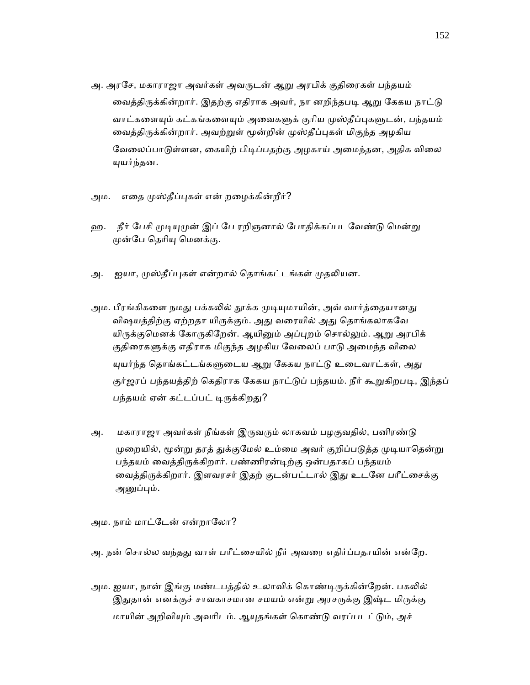- அ. அரசே, மகாராஜா அவர்கள் அவருடன் ஆறு அரபிக் குதிரைகள் பந்தயம் வைத்திருக்கின்றார். இதற்கு எதிராக அவர், நா னறிந்தபடி ஆறு கேகய நாட்டு வாட்களையும் கட்கங்களையும் அவைகளுக் குரிய முஸ்தீப்புகளுடன், பந்தயம் வைத்திருக்கின்றார். அவற்றுள் மூன்றின் முஸ்தீப்புகள் மிகுந்த அழகிய வேலைப்பாடுள்ளன, கையிற் பிடிப்பதற்கு அழகாய் அமைந்தன, அதிக விலை ᾜயர்ந்தன.
- அம. எதை முஸ்தீப்புகள் என் றழைக்கின்றீர்?
- ஹ. நீர் பேசி முடியுமுன் இப் பே ரறிஞனால் போதிக்கப்படவேண்டு மென்று முன்பே தெரியு மெனக்கு.
- அ. ஐயா, முஸ்தீப்புகள் என்றால் தொங்கட்டங்கள் முதலியன.
- அம. பீரங்கிகளை நமது பக்கலில் தூக்க முடியுமாயின், அவ் வார்த்தையானது விஷயத்திற்கு ஏற்றதா யிருக்கும். அது வரையில் அது தொங்கலாகவே யிருக்குமெனக் கோருகிறேன். ஆயினும் அப்புறம் சொல்லும். ஆறு அரபிக் குதிரைகளுக்கு எதிராக மிகுந்த அழகிய வேலைப் பாடு அமைந்த விலை யுயர்ந்த தொங்கட்டங்களுடைய ஆறு கேகய நாட்டு உடைவாட்கள், அது குர்ஜரப் பந்தயத்திற் கெதிராக கேகய நாட்டுப் பந்தயம். நீர் கூறுகிறபடி, இந்தப் பந்தயம் ஏன் கட்டப்பட் டிருக்கிறது?
- அ. மகாராஜா அவர்கள் நீங்கள் இருவரும் லாகவம் பழகுவதில், பனிரண்டு முறையில், மூன்று தரத் துக்குமேல் உம்மை அவர் குறிப்படுத்த முடியாதென்று பந்தயம் வைத்திருக்கிறார். பண்ணிரன்டிற்கு ஒன்பதாகப் பந்தயம் வைத்திருக்கிறார். இளவரசர் இதற் குடன்பட்டால் இது உடனே பரீட்சைக்கு அனுப்பும்.

அம. நாம் மாட்டேன் என்றாலோ?

- அ. நன் சொல்ல வந்தது வாள் பரீட்சையில் நீர் அவரை எதிர்ப்பதாயின் என்றே.
- அம. ஐயா, நான் இங்கு மண்டபத்தில் உலாவிக் கொண்டிருக்கின்றேன். பகலில் இதுதான் எனக்குச் சாவகாசமான சமயம் என்று அரசருக்கு இஷ்ட மிருக்கு மாயின் அறிவியும் அவரிடம். ஆயுதங்கள் கொண்டு வரப்படட்டும், அச்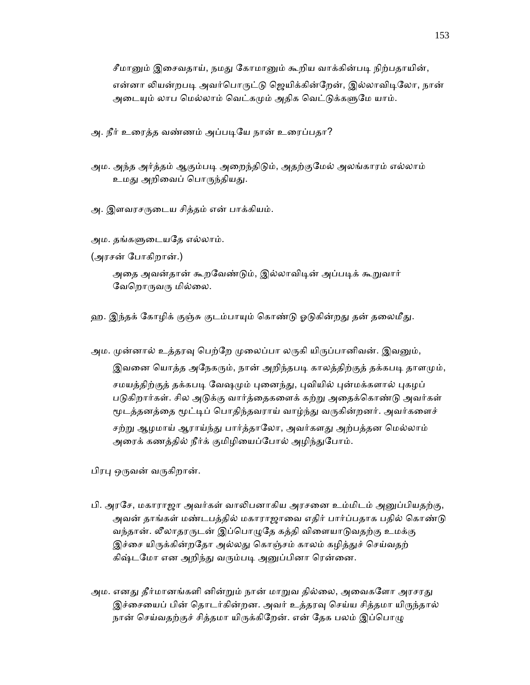சீமானும் இசைவதாய், நமது கோமானும் கூறிய வாக்கின்படி நிற்பதாயின், என்னா லியன்றபடி அவர்பொருட்டு ஜெயிக்கின்றேன், இல்லாவிடிலோ, நான் அடையும் லாப மெல்லாம் வெட்கமும் அதிக வெட்டுக்களுமே யாம்.

அ. நீர் உரைத்த வண்ணம் அப்படியே நான் உரைப்பதா?

அம. அந்த அர்த்தம் ஆகும்படி அறைந்திடும், அதற்குமேல் அலங்காரம் எல்லாம் உமது அறிவைப் பொருந்தியது.

அ. இளவரசருடைய சித்தம் என் பாக்கியம்.

அம. தங்களுடையதே எல்லாம்.

(அரசன் ேபாகிறான்.)

அதை அவன்தான் கூறவேண்டும், இல்லாவிடின் அப்படிக் கூறுவார் வேறொருவரு மில்லை.

ஹ. இந்தக் கோழிக் குஞ்சு குடம்பாயும் கொண்டு ஓடுகின்றது தன் தலைமீது.

அம. முன்னால் உத்தரவு பெற்றே முலைப்பா லருகி யிருப்பானிவன். இவனும்,

இவனை யொத்த அநேகரும், நான் அறிந்தபடி காலத்திற்குத் தக்கபடி தாளமும், சமயத்திற்குத் தக்கபடி வேஷமும் புனைந்து, புவியில் புன்மக்களால் புகழப் படுகிறார்கள். சில அடுக்கு வார்த்தைகளைக் கற்று அதைக்கொண்டு அவர்கள் மூடத்தனத்தை மூட்டிப் பொதிந்தவராய் வாழ்ந்து வருகின்றனர். அவர்களைச் சற்று ஆழமாய் ஆராய்ந்து பார்த்தாலோ, அவர்களது அற்பத்தன மெல்லாம் அரைக் கணத்தில் நீர்க் குமிழியைப்போல் அழிந்துபோம்.

பிரபு ஒருவன் வருகிறான்.

- பி. அரசே, மகாராஜா அவர்கள் வாலிபனாகிய அரசனை உம்மிடம் அனுப்பியதற்கு, அவன் தாங்கள் மண்டபத்தில் மகாராஜாவை எதிர் பார்ப்பதாக பதில் கொண்டு வந்தான். லீலாதரருடன் இப்பொழுதே கத்தி விளையாடுவதற்கு உமக்கு இச்சை யிருக்கின்றதோ அல்லது கொஞ்சம் காலம் கழித்துச் செய்வதற் கிஷ்டமோ என அறிந்து வரும்படி அனுப்பினா ரென்னை.
- அம. எனது தீர்மானங்களி னின்றும் நான் மாறுவ தில்லை, அவைகளோ அரசரது இச்சையைப் பின் தொடர்கின்றன. அவர் உத்தரவு செய்ய சித்தமா யிருந்தால் நான் செய்வதற்குச் சித்தமா யிருக்கிறேன். என் தேக பலம் இப்பொழு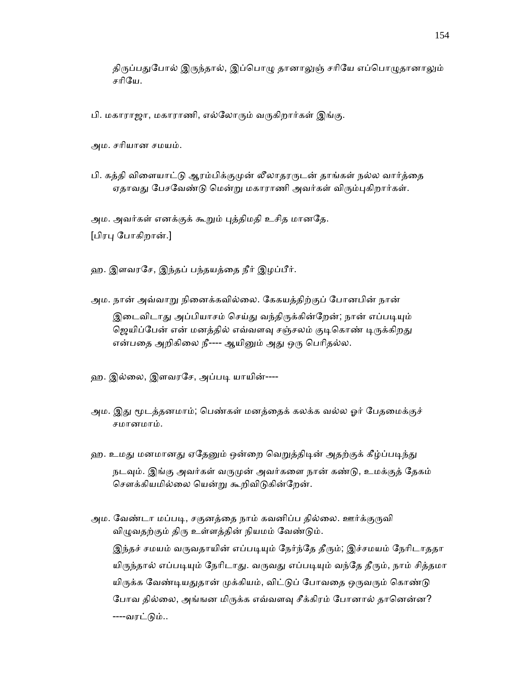திருப்பதுபோல் இருந்தால், இப்பொழு தானாலுஞ் சரியே எப்பொழுதானாலும் சாிேய.

பி. மகாராஜா, மகாராணி, எல்லோரும் வருகிறார்கள் இங்கு.

அம. சாியான சமயம்.

பி. கத்தி விளையாட்டு ஆரம்பிக்குமுன் லீலாதரருடன் தாங்கள் நல்ல வார்த்தை ஏதாவது பேசவேண்டு மென்று மகாராணி அவர்கள் விரும்புகிறார்கள்.

அம. அவர்கள் எனக்குக் கூறும் புத்திமதி உசித மானதே.

[பிரᾗ ேபாகிறான்.]

ஹ. இளவரேச, இந்தப் பந்தயத்ைத நீர் இழப்பீர்.

- அம. நான் அவ்வாᾠ நிைனக்கவில்ைல. ேககயத்திற்குப் ேபானபின் நான் இடைவிடாது அப்பியாசம் செய்து வந்திருக்கின்றேன்; நான் எப்படியும் ஜெயிப்பேன் என் மனத்தில் எவ்வளவு சஞ்சலம் குடிகொண் டிருக்கிறது என்பதை அறிகிலை நீ---- ஆயினும் அது ஒரு பெரிதல்ல.
- ஹ. இல்லை, இளவரசே, அப்படி யாயின்----
- அம. இது மூடத்தனமாம்; பெண்கள் மனத்தைக் கலக்க வல்ல ஓர் பேதமைக்குச் சமானமாம்.
- ஹ. உமது மனமானது ஏதேனும் ஒன்றை வெறுத்திடின் அதற்குக் கீழ்ப்படிந்து நடவும். இங்கு அவர்கள் வருமுன் அவர்களை நான் கண்டு, உமக்குத் தேகம் சௌக்கியமில்லை யென்று கூறிவிடுகின்றேன்.
- அம. வேண்டா மப்படி, சகுனத்தை நாம் கவனிப்ப தில்லை. ஊர்க்குருவி விழுவதற்கும் திரு உள்ளத்தின் நியமம் வேண்டும். இந்தச் சமயம் வருவதாயின் எப்படியும் நேர்ந்தே தீரும்; இச்சமயம் நேரிடாததா யிருந்தால் எப்படியும் நேரிடாது. வருவது எப்படியும் வந்தே தீரும், நாம் சித்தமா யிருக்க வேண்டியதுதான் முக்கியம், விட்டுப் போவதை ஒருவரும் கொண்டு போவ தில்லை, அங்ஙன மிருக்க எவ்வளவு சீக்கிரம் போனால் தானென்ன? ----வரட்ᾌம்..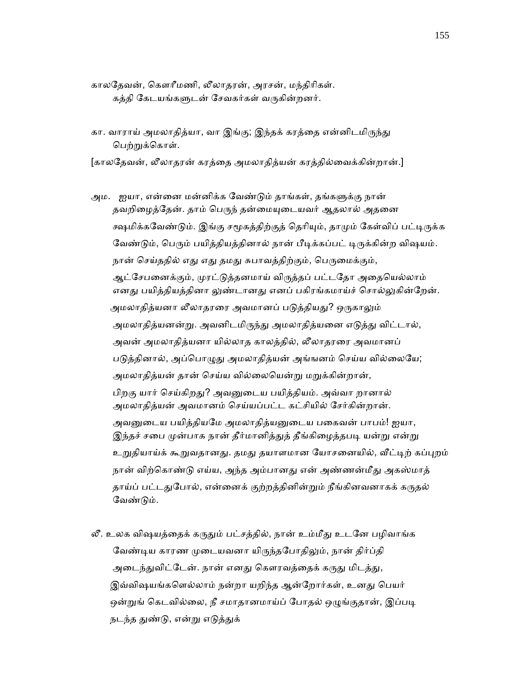- காலேதவன், ெகௗாீமணி, லீலாதரன், அரசன், மந்திாிகள். கத்தி கேடயங்களுடன் சேவகர்கள் வருகின்றனர்.
- கா. வாராய் அமலாதித்யா, வா இங்கு; இந்தக் கரத்தை என்னிடமிருந்து பெற்றுக்கொள்.

[காலேதவன், லீலாதரன் கரத்ைத அமலாதித்யன் கரத்தில்ைவக்கின்றான்.]

- அம. ஐயா, என்னை மன்னிக்க வேண்டும் தாங்கள், தங்களுக்கு நான் தவறிழைத்தேன். தாம் பெருந் தன்மையுடையவர் ஆதலால் அதனை க்ஷமிக்கவேண்டும். இங்கு சமூகத்திற்குத் தெரியும், தாமும் கேள்விப் பட்டிருக்க வேண்டும், பெரும் பயிக்கியக்கினால் நான் பீடிக்கப்பட் டிருக்கின்ற விஷயம். நான் செய்ததில் எது எது தமது சுபாவத்திற்கும், பெருமைக்கும், ஆட்சேபனைக்கும், முரட்டுத்தனமாய் விருத்தப் பட்டதோ அதையெல்லாம் எனது பயித்தியத்தினா லுண்டானது எனப் பகிரங்கமாய்ச் சொல்லுகின்றேன். அமலாதித்யனா லீலாதரரை அவமானப் படுத்தியது? ஒருகாலும் அமலாதித்யனன்று. அவனிடமிருந்து அமலாதித்யனை எடுத்து விட்டால், அவன் அமலாதித்யனா யில்லாத காலத்தில், லீலாதரரை அவமானப் படுத்தினால், அப்பொழுது அமலாதித்யன் அங்ஙனம் செய்ய வில்லையே; அமலாதித்யன் தான் செய்ய வில்லையென்று மறுக்கின்றான், பிறகு யார் செய்கிறது? அவனுடைய பயித்தியம். அவ்வா றானால் அமலாதித்யன் அவமானம் ெசய்யப்பட்ட கட்சியில் ேசர்கின்றான். அவனுடைய பயித்தியமே அமலாதித்யனுடைய பகைவன் பாபம்! ஐயா, இந்தச் சபை முன்பாக நான் தீர்மானித்துத் தீங்கிழைத்தபடி யன்று என்று உறுதியாய்க் கூறுவதானது. தமது தயாளமான யோசனையில், வீட்டிற் கப்புறம் நான் விற்கொண்டு எய்ய, அந்த அம்பானது என் அண்ணன்மீது அகஸ்மாத் தாய்ப் பட்டதுபோல், என்னைக் குற்றத்தினின்றும் நீங்கினவனாகக் கருதல் வேண்டும்.
- லீ. உலக விஷயத்தைக் கருதும் பட்சத்தில், நான் உம்மீது உடனே பழிவாங்க வேண்டிய காரண முடையவனா யிருந்தபோதிலும், நான் திர்ப்தி அடைந்துவிட்டேன். நான் எனது கௌரவத்தைக் கருது மிடத்து, இவ்விஷயங்களெல்லாம் நன்றா யறிந்த ஆன்றோர்கள், உனது பெயர் ஒன்றுங் கெடவில்லை, நீ சமாதானமாய்ப் போதல் ஒழுங்குதான், இப்படி நடந்த துண்டு, என்று எடுத்துக்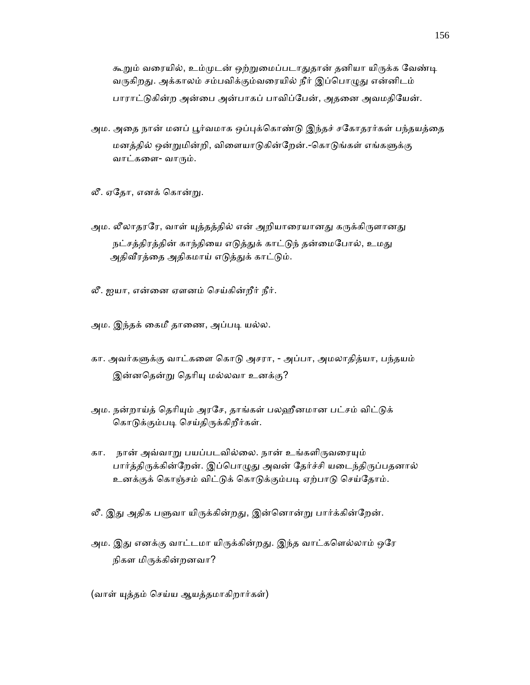கூறும் வரையில், உம்முடன் ஒற்றுமைப்படாதுதான் தனியா யிருக்க வேண்டி வருகிறது. அக்காலம் சம்பவிக்கும்வரையில் நீர் இப்பொழுது என்னிடம் பாராட்டுகின்ற அன்பை அன்பாகப் பாவிப்பேன், அதனை அவமதியேன்.

- அம. அதை நான் மனப் பூர்வமாக ஒப்புக்கொண்டு இந்தச் சகோதரர்கள் பந்தயத்தை மனத்தில் ஒன்றுமின்றி, விளையாடுகின்றேன்.-கொடுங்கள் எங்களுக்கு வாட்களை- வாரும்.
- லீ. ஏேதா, எனக் ெகான்ᾠ.
- அம. லீலாதரரே, வாள் யுத்தத்தில் என் அறியாரையானது கருக்கிருளானது நட்சத்திரத்தின் காந்தியை எடுத்துக் காட்டுந் தன்மைபோல், உமது அதிவீரத்தை அதிகமாய் எடுத்துக் காட்டும்.
- லீ. ஐயா, என்ைன ஏளனம் ெசய்கின்றீர் நீர்.
- அம. இந்தக் கைமீ தாணை, அப்படி யல்ல.
- கா. அவர்களுக்கு வாட்களை கொடு அசரா, அப்பா, அமலாதித்யா, பந்தயம் இன்னதென்று தெரியு மல்லவா உனக்கு?
- அம. நன்றாய்த் தெரியும் அரசே, தாங்கள் பலஹீனமான பட்சம் விட்டுக் கொடுக்கும்படி செய்திருக்கிறீர்கள்.
- கா. நான் அவ்வாறு பயப்படவில்லை. நான் உங்களிருவரையும் பார்த்திருக்கின்றேன். இப்பொழுது அவன் தேர்ச்சி யடைந்திருப்பதனால் உனக்குக் கொஞ்சம் விட்டுக் கொடுக்கும்படி ஏற்பாடு செய்தோம்.
- லீ. இது அதிக பளுவா யிருக்கின்றது, இன்னொன்று பார்க்கின்றேன்.
- அம. இது எனக்கு வாட்டமா யிருக்கின்றது. இந்த வாட்களெல்லாம் ஒரே நிகள மிᾞக்கின்றனவா?

(வாள் ᾜத்தம் ெசய்ய ஆயத்தமாகிறார்கள்)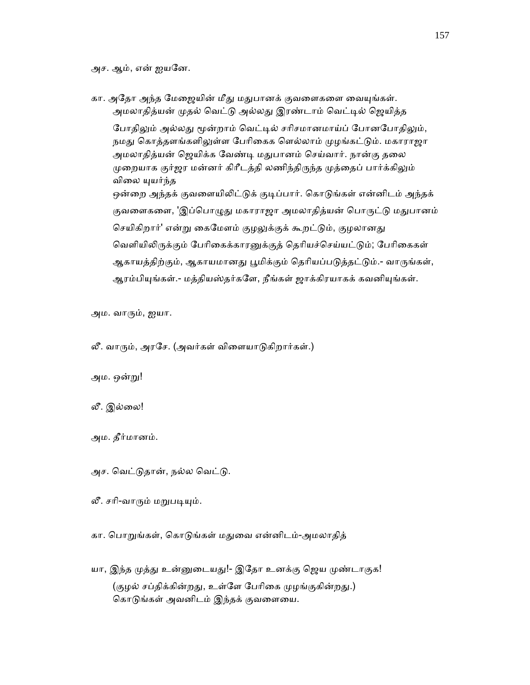அச. ஆம், என் ஐயேன.

கா. அதோ அந்த மேஜையின் மீது மதுபானக் குவளைகளை வையுங்கள். அமலாதித்யன் முதல் வெட்டு அல்லது இரண்டாம் வெட்டில் ஜெயித்த போதிலும் அல்லது மூன்றாம் வெட்டில் சரிசமானமாய்ப் போனபோதிலும், நமது கொத்தளங்களிலுள்ள பேரிகைக ளெல்லாம் முழங்கட்டும். மகாராஜா அமலாதித்யன் ஜெயிக்க வேண்டி மதுபானம் செய்வார். நான்கு தலை முறையாக குர்ஜர மன்னர் கிரீடத்தி லணிந்திருந்த முத்தைப் பார்க்கிலும் விலை யுயர்ந்த ஒன்றை அந்தக் குவளையிலிட்டுக் குடிப்பார். கொடுங்கள் என்னிடம் அந்தக் குவளைகளை, 'இப்பொழுது மகாராஜா அமலாதித்யன் பொருட்டு மதுபானம் செயிகிறார்' என்று கைமேளம் குழலுக்குக் கூறட்டும், குழலானது வெளியிலிருக்கும் பேரிகைக்காரனுக்குத் தெரியச்செய்யட்டும்; பேரிகைகள் ஆகாயத்திற்கும், ஆகாயமானது பூமிக்கும் தெரியப்படுத்தட்டும்.- வாருங்கள், ஆரம்பியுங்கள்.- மத்தியஸ்தர்களே, நீங்கள் ஜாக்கிரயாகக் கவனியுங்கள்.

அம. வாᾞம், ஐயா.

லீ. வாரும், அரசே. (அவர்கள் விளையாடுகிறார்கள்.)

அம. ஒன்ᾠ!

லீ. இல்ைல!

அம. தீர்மானம்.

அச. வெட்டுதான், நல்ல வெட்டு.

லீ. சரி-வாரும் மறுபடியும்.

கா. பொறுங்கள், கொடுங்கள் மதுவை என்னிடம்-அமலாதித்

யா, இந்த முத்து உன்னுடையது!- இதோ உனக்கு ஜெய முண்டாகுக! (குழல் சப்திக்கின்றது, உள்ளே பேரிகை முழங்குகின்றது.) கொடுங்கள் அவனிடம் இந்தக் குவளையை.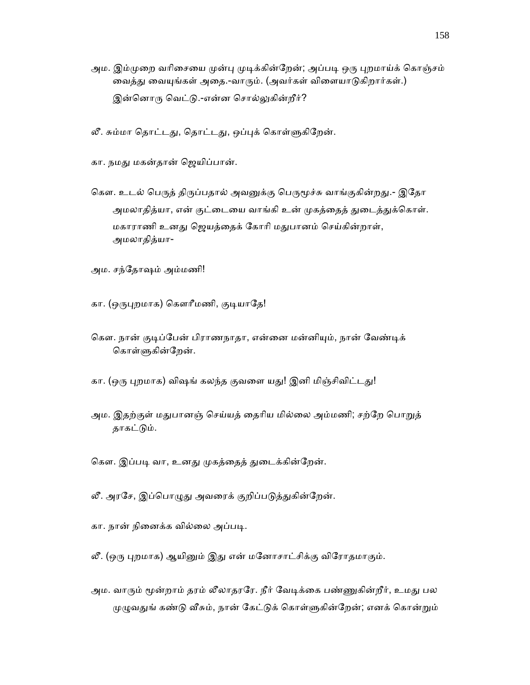- அம. இம்முறை வரிசையை முன்பு முடிக்கின்றேன்; அப்படி ஒரு புறமாய்க் கொஞ்சம் வைத்து வையுங்கள் அதை.-வாரும். (அவர்கள் விளையாடுகிறார்கள்.) இன்னொரு வெட்டு.-என்ன சொல்லுகின்றீர்?
- லீ. சும்மா தொட்டது, தொட்டது, ஒப்புக் கொள்ளுகிறேன்.
- கா. நமது மகன்தான் ஜெயிப்பான்.
- கௌ. உடல் பெருத் திருப்பதால் அவனுக்கு பெருமூச்சு வாங்குகின்றது.- இதோ அமலாதித்யா, என் குட்டையை வாங்கி உன் முகத்தைத் துடைத்துக்கொள். மகாராணி உனᾐ ெஜயத்ைதக் ேகாாி மᾐபானம் ெசய்கின்றாள், அமலாதித்யா-
- அம. சந்ேதாஷம் அம்மணி!
- கா. (ஒருபுறமாக) கௌரீமணி, குடியாதே!
- கௌ. நான் குடிப்பேன் பிராணநாதா, என்னை மன்னியும், நான் வேண்டிக் கொள்ளுகின்றேன்.
- கா. (ஒரு புறமாக) விஷங் கலந்த குவளை யது! இனி மிஞ்சிவிட்டது!
- அம. இதற்குள் மதுபானஞ் செய்யத் தைரிய மில்லை அம்மணி; சற்றே பொறுத் தாகட்டும்.
- கௌ. இப்படி வா, உனது முகத்தைத் துடைக்கின்றேன்.
- லீ. அரசே, இப்பொழுது அவரைக் குறிப்படுத்துகின்றேன்.
- கா. நான் நினைக்க வில்லை அப்படி.
- லீ. (ஒரு புறமாக) ஆயினும் இது என் மனோசாட்சிக்கு விரோதமாகும்.
- அம. வாரும் மூன்றாம் தரம் லீலாதரரே. நீர் வேடிக்கை பண்ணுகின்றீர், உமது பல முழுவதுங் கண்டு வீசும், நான் கேட்டுக் கொள்ளுகின்றேன்; எனக் கொன்றும்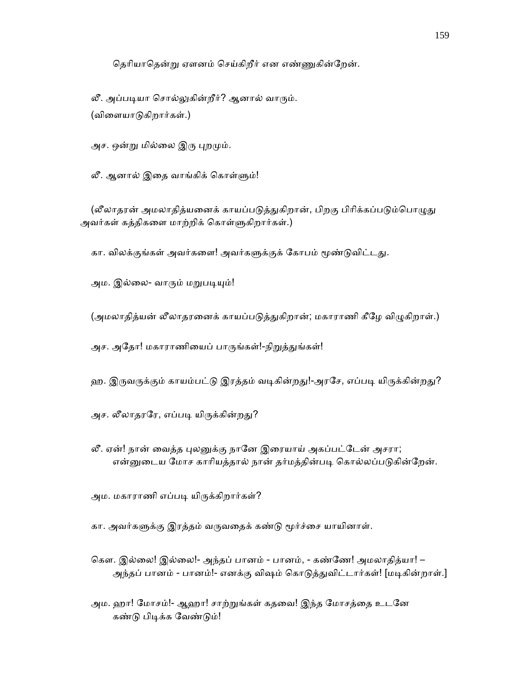தெரியாதென்று ஏளனம் செய்கிறீர் என எண்ணுகின்றேன்.

லீ. அப்படியா சொல்லுகின்றீர்? ஆனால் வாரும். (விைளயாᾌகிறார்கள்.)

அச. ஒன்று மில்லை இரு புறமும்.

லீ. ஆனால் இதை வாங்கிக் கொள்ளும்!

(லீலாதரன் அமலாதித்யனைக் காயப்படுத்துகிறான், பிறகு பிரிக்கப்படும்பொழுது அவர்கள் கத்திகளை மாற்றிக் கொள்ளுகிறார்கள்.)

கா. விலக்குங்கள் அவர்களை! அவர்களுக்குக் கோபம் மூண்டுவிட்டது.

அம. இல்லை- வாரும் மறுபடியும்!

(அமலாதித்யன் லீலாதரனைக் காயப்படுத்துகிறான்; மகாராணி கீழே விழுகிறாள்.)

அச. அதோ! மகாராணியைப் பாருங்கள்!-நிறுத்துங்கள்!

ஹ. இருவருக்கும் காயம்பட்டு இரத்தம் வடிகின்றது!-அரசே, எப்படி யிருக்கின்றது?

- அச. லீலாதரரே, எப்படி யிருக்கின்றது?
- லீ. ஏன்! நான் வைத்த புலனுக்கு நானே இரையாய் அகப்பட்டேன் அசரா; என்னுடைய மோச காரியத்தால் நான் தர்மத்தின்படி கொல்லப்படுகின்றேன்.
- அம. மகாராணி எப்படி யிருக்கிறார்கள்?

கா. அவர்களுக்கு இரத்தம் வருவதைக் கண்டு மூர்ச்சை யாயினாள்.

- ெகௗ. இல்ைல! இல்ைல!- அந்தப் பானம் பானம், கண்ேண! அமலாதித்யா! அந்தப் பானம் - பானம்!- எனக்கு விஷம் கொடுத்துவிட்டார்கள்! [மடிகின்றாள்.]
- அம. ஹா! மோசம்!- ஆஹா! சாற்றுங்கள் கதவை! இந்த மோசத்தை உடனே கண்டு பிடிக்க வேண்டும்!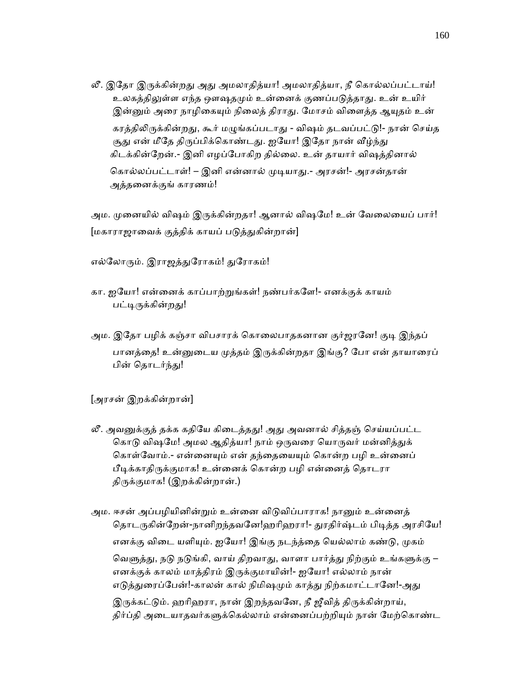லீ. இதோ இருக்கின்றது அது அமலாதித்யா! அமலாதித்யா, நீ கொல்லப்பட்டாய்! உலகத்திலுள்ள எந்த ஔஷதமும் உன்னைக் குணப்படுத்தாது. உன் உயிர் இன்னும் அரை நாழிகையும் நிலைத் திராது. மோசம் விளைத்த ஆயுதம் உன் கரத்திலிருக்கின்றது, கூர் மழுங்கப்படாது - விஷம் தடவப்பட்டு!- நான் செய்த சூது என் மீதே திருப்பிக்கொண்டது. ஐயோ! இதோ நான் வீழ்ந்து கிடக்கின்ேறன்.- இனி எழப்ேபாகிற தில்ைல. உன் தாயார் விஷத்தினால் கொல்லப்பட்டாள்! – இனி என்னால் முடியாது.- அரசன்!- அரசன்தான் அத்தைனக்குங் காரணம்!

அம. முனையில் விஷம் இருக்கின்றதா! ஆனால் விஷமே! உன் வேலையைப் பார்! [மகாராஜாவைக் குத்திக் காயப் படுத்துகின்றான்]

எல்லோரும். இராஜத்துரோகம்! துரோகம்!

- கா. ஐேயா! என்ைனக் காப்பாற்ᾠங்கள்! நண்பர்கேள!- எனக்குக் காயம் பட்டிருக்கின்றது!
- அம. இதோ பழிக் கஞ்சா விபசாரக் கொலைபாதகனான குர்ஜரனே! குடி இந்தப் பானத்தை! உன்னுடைய முத்தம் இருக்கின்றதா இங்கு? போ என் தாயாரைப் பின் தொடர்ந்து!

[அரசன் இறக்கின்றான்]

- லீ. அவனுக்குத் தக்க கதியே கிடைத்தது! அது அவனால் சித்தஞ் செய்யப்பட்ட கொடு விஷமே! அமல ஆதித்யா! நாம் ஒருவரை யொருவர் மன்னித்துக் கொள்வோம்.- என்னையும் என் தந்தையையும் கொன்ற பழி உன்னைப் பீடிக்காதிருக்குமாக! உன்னைக் கொன்ற பழி என்னைத் தொடரா திருக்குமாக! (இறக்கின்றான்.)
- அம. ஈசன் அப்பழியினின்றும் உன்னை விடுவிப்பாராக! நானும் உன்னைத் தொடருகின்றேன்-நானிறந்தவனே!ஹரிஹரா!- துரதிர்ஷ்டம் பிடித்த அரசியே! எனக்கு விடை யளியும். ஐயோ! இங்கு நடந்த்தை யெல்லாம் கண்டு, முகம் வெளுத்து, நடு நடுங்கி, வாய் திறவாது, வாளா பார்த்து நிற்கும் உங்களுக்கு – எனக்குக் காலம் மாத்திரம் இᾞக்குமாயின்!- ஐேயா! எல்லாம் நான் எடுத்துரைப்பேன்!-காலன் கால் நிமிஷமும் காத்து நிற்கமாட்டானே!-அது இருக்கட்டும். ஹரிஹரா, நான் இறந்தவனே, நீ ஜீவித் திருக்கின்றாய், திர்ப்தி அடையாதவர்களுக்கெல்லாம் என்னைப்பற்றியும் நான் மேற்கொண்ட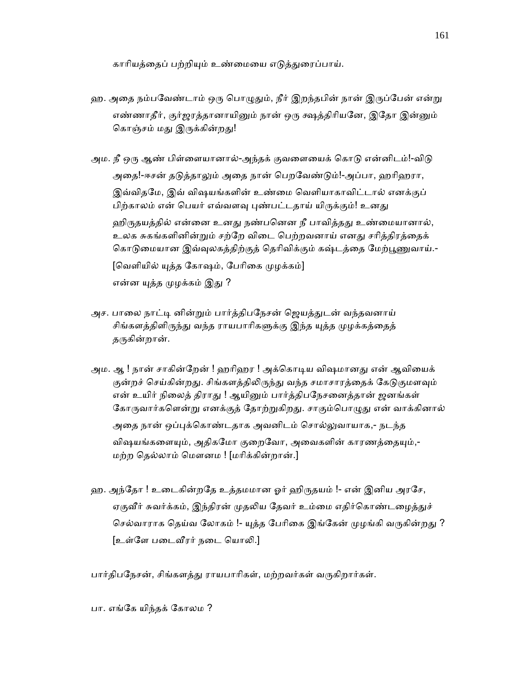காாியத்ைதப் பற்றிᾜம் உண்ைமைய எᾌத்ᾐைரப்பாய்.

- ஹ. அதை நம்பவேண்டாம் ஒரு பொழுதும், நீர் இறந்தபின் நான் இருப்பேன் என்று எண்ணாதீர், குர்ஜரத்தானாயினும் நான் ஒரு க்ஷத்திரியனே, இதோ இன்னும் கொஞ்சம் மது இருக்கின்றது!
- அம. நீ ஒரு ஆண் பிள்ளையானால்-அந்தக் குவளையைக் கொடு என்னிடம்!-விடு அைத!-ஈசன் தᾌத்தாᾤம் அைத நான் ெபறேவண்ᾌம்!-அப்பா, ஹாிஹரா, இவ்விதேம, இவ் விஷயங்களின் உண்ைம ெவளியாகாவிட்டால் எனக்குப் பிற்காலம் என் பெயர் எவ்வளவு புண்பட்டதாய் யிருக்கும்! உனது ஹிருதயத்தில் என்னை உனது நண்பனென நீ பாவித்தது உண்மையானால்,

உலக சுகங்களினின்றும் சற்றே விடை பெற்றவனாய் எனது சரித்திரத்தைக் கொடுமையான இவ்வுலகத்திற்குத் தெரிவிக்கும் கஷ்டத்தை மேற்பூணுவாய்.-[வெளியில் யுத்த கோஷம், பேரிகை முழக்கம்] என்ன யுத்த முழக்கம் இது ?

- அச. பாலை நாட்டி னின்றும் பார்த்திபநேசன் ஜெயத்துடன் வந்தவனாய் சிங்களத்திளிருந்து வந்த ராயபாரிகளுக்கு இந்த யுத்த முழக்கத்தைத் தருகின்றான்.
- அம. ஆ ! நான் சாகின்றேன் ! ஹரிஹர ! அக்கொடிய விஷமானது என் ஆவியைக் குன்றச் செய்கின்றது. சிங்களத்திலிருந்து வந்த சமாசாரத்தைக் கேடுகுமளவும் என் உயிர் நிலைத் திராது ! ஆயினும் பார்த்திபநேசனைத்தான் ஜனங்கள் கோருவார்களென்று எனக்குத் தோற்றுகிறது. சாகும்பொழுது என் வாக்கினால் அதை நான் ஒப்புக்கொண்டதாக அவனிடம் சொல்லுவாயாக,- நடந்த விஷயங்களையும், அதிகமோ குறைவோ, அவைகளின் காரணத்தையும்,-மற்ற ெதல்லாம் ெமௗனம ! [மாிக்கின்றான்.]
- ஹ. அந்தோ ! உடைகின்றதே உத்தமமான ஓர் ஹிருதயம் !- என் இனிய அரசே, ஏகுவீர் சுவர்க்கம், இந்திரன் முதலிய தேவர் உம்மை எதிர்கொண்டழைத்துச் செல்வாராக தெய்வ லோகம் !- யுத்த பேரிகை இங்கேன் முழங்கி வருகின்றது ? [உள்ளே படைவீரர் நடை யொலி.]

பார்திபநேசன், சிங்களத்து ராயபாரிகள், மற்றவர்கள் வருகிறார்கள்.

பா. எங்ேக யிந்தக் ேகாலம ?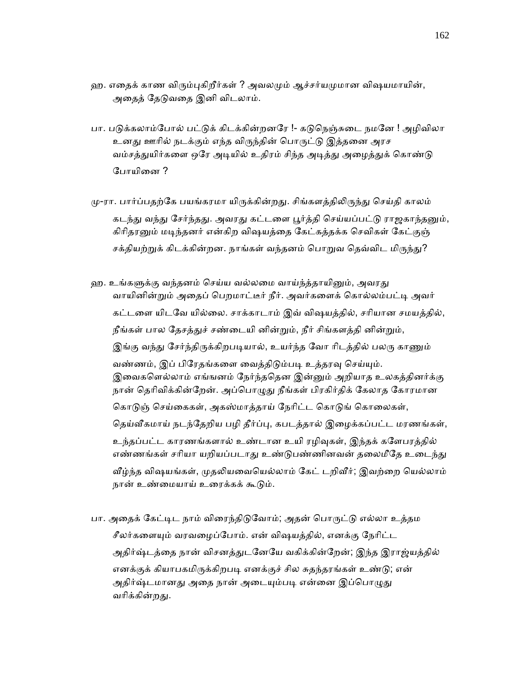- ஹ. எதைக் காண விரும்புகிறீர்கள் ? அவலமும் ஆச்சர்யமுமான விஷயமாயின், அதைத் தேடுவதை இனி விடலாம்.
- பா. படுக்கலாம்போல் பட்டுக் கிடக்கின்றனரே !- கடுநெஞ்சுடை நமனே ! அழிவிலா உனது ஊரில் நடக்கும் எந்த விருந்தின் பொருட்டு இத்தனை அரச வம்சத்துயிர்களை ஒரே அடியில் உதிரம் சிந்த அடித்து அழைத்துக் கொண்டு போயினை ?
- மு-ரா. பார்ப்பதற்கே பயங்கரமா யிருக்கின்றது. சிங்களத்திலிருந்து செய்தி காலம் கடந்து வந்து சேர்ந்தது. அவரது கட்டளை பூர்த்தி செய்யப்பட்டு ராஜகாந்தனும், கிரிதரனும் மடிந்தனர் என்கிற விஷயத்தை கேட்கத்தக்க செவிகள் கேட்குஞ் சக்தியற்றுக் கிடக்கின்றன. நாங்கள் வந்தனம் பொறுவ தெவ்விட மிருந்து?
- ஹ. உங்களுக்கு வந்தனம் செய்ய வல்லமை வாய்ந்த்தாயினும், அவரது வாயினின்றும் அதைப் பெறமாட்டீர் நீர். அவர்களைக் கொல்லம்பட்டி அவர் கட்டைள யிடேவ யில்ைல. சாக்காடாம் இவ் விஷயத்தில், சாியான சமயத்தில், நீங்கள் பால தேசத்துச் சண்டையி னின்றும், நீர் சிங்களத்தி னின்றும், இங்கு வந்து சேர்ந்திருக்கிறபடியால், உயர்ந்த வோ ரிடத்தில் பலரு காணும் வண்ணம், இப் பிரேதங்களை வைத்திடும்படி உத்தரவு செய்யும். இவைகளெல்லாம் எங்ஙனம் நேர்ந்ததென இன்னும் அறியாத உலகத்தினர்க்கு நான் தெரிவிக்கின்றேன். அப்பொழுது நீங்கள் பிரகிர்திக் கேலாத கோரமான கொடுஞ் செய்கைகள், அகஸ்மாத்தாய் நேரிட்ட கொடுங் கொலைகள், தெய்வீகமாய் நடந்தேறிய பழி தீர்ப்பு, கபடத்தால் இழைக்கப்பட்ட மரணங்கள், உந்தப்பட்ட காரணங்களால் உண்டான உயி ரழிவுகள், இந்தக் களேபரத்தில் எண்ணங்கள் சரியா யறியப்படாது உண்டுபண்ணினவன் தலைமீதே உடைந்து வீழ்ந்த விஷயங்கள், முதலியவையெல்லாம் கேட் டறிவீர்; இவற்றை யெல்லாம் நான் உண்மையாய் உரைக்கக் கூடும்.
- பா. அதைக் கேட்டிட நாம் விரைந்திடுவோம்; அதன் பொருட்டு எல்லா உத்தம சீலர்களையும் வரவழைப்போம். என் விஷயத்தில், எனக்கு நேரிட்ட அதிர்ஷ்டத்தை நான் விசனத்துடனேயே வகிக்கின்றேன்; இந்த இராஜ்யத்தில் எனக்குக் கியாபகமிருக்கிறபடி எனக்குச் சில சுதந்தரங்கள் உண்டு; என் அதிர்ஷ்டமானது அதை நான் அடையும்படி என்னை இப்பொழுது வரிக்கின்றகு.